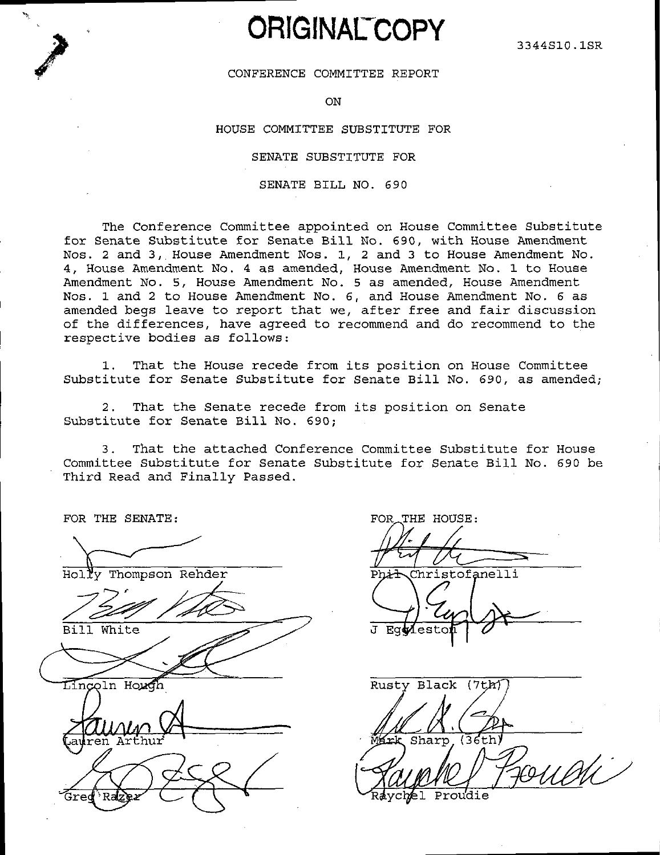# **ORIGINAL COPY**

# CONFERENCE COMMITTEE REPORT

ON

## HOUSE COMMITTEE SUBSTITUTE FOR

SENATE SUBSTITUTE FOR

SENATE BILL NO. 690

The Conference Committee appointed on House Committee Substitute for Senate Substitute for Senate Bill No. 690, with House Amendment Nos. 2 and 3, House Amendment Nos. 1, 2 and 3 to House Amendment No. 4, House Amendment No. 4 as amended, House Amendment No. 1 to House Amendment No. 5, House Amendment No. 5 as amended, House Amendment Nos. 1 and 2 to House Amendment No. 6, and House Amendment No. 6 as amended begs leave to report that we, after free and fair discussion of the differences, have agreed to recommend and do recommend to the respective bodies as follows:

That the House recede from its position on House Committee  $1.$ Substitute for Senate Substitute for Senate Bill No. 690, as amended;

2. That the Senate recede from its position on Senate Substitute for Senate Bill No. 690:

That the attached Conference Committee Substitute for House  $3<sup>2</sup>$ Committee Substitute for Senate Substitute for Senate Bill No. 690 be Third Read and Finally Passed.

FOR THE SENATE:

Holly Thompson Rehder

Bill White

Lincoln Hough

FOR THE HOUSE:

Phit Christofanelli

Rusty Black (7th) Sharp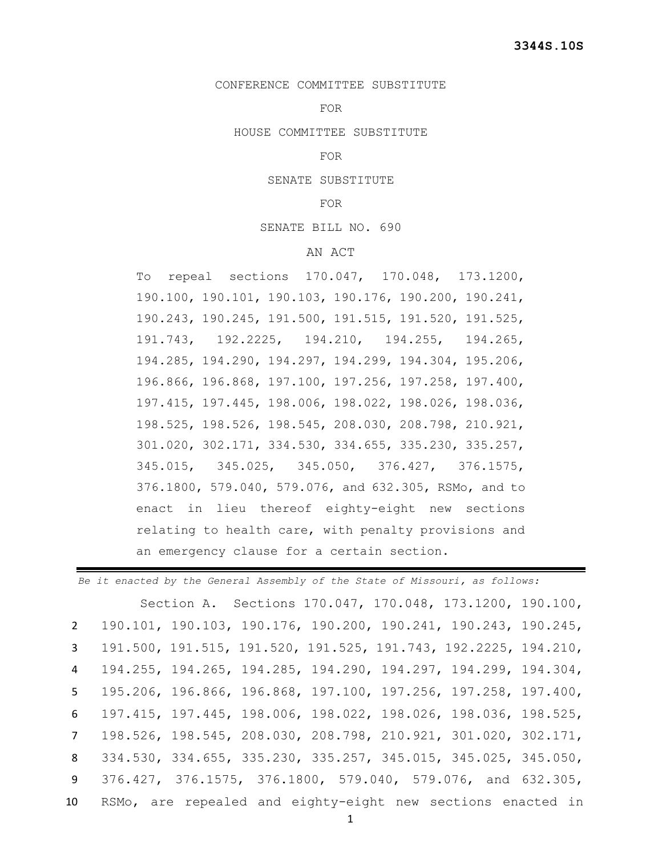# CONFERENCE COMMITTEE SUBSTITUTE

#### FOR

HOUSE COMMITTEE SUBSTITUTE

# FOR

SENATE SUBSTITUTE

## FOR

#### SENATE BILL NO. 690

## AN ACT

To repeal sections 170.047, 170.048, 173.1200, 190.100, 190.101, 190.103, 190.176, 190.200, 190.241, 190.243, 190.245, 191.500, 191.515, 191.520, 191.525, 191.743, 192.2225, 194.210, 194.255, 194.265, 194.285, 194.290, 194.297, 194.299, 194.304, 195.206, 196.866, 196.868, 197.100, 197.256, 197.258, 197.400, 197.415, 197.445, 198.006, 198.022, 198.026, 198.036, 198.525, 198.526, 198.545, 208.030, 208.798, 210.921, 301.020, 302.171, 334.530, 334.655, 335.230, 335.257, 345.015, 345.025, 345.050, 376.427, 376.1575, 376.1800, 579.040, 579.076, and 632.305, RSMo, and to enact in lieu thereof eighty-eight new sections relating to health care, with penalty provisions and an emergency clause for a certain section.

*Be it enacted by the General Assembly of the State of Missouri, as follows:* Section A. Sections 170.047, 170.048, 173.1200, 190.100, 190.101, 190.103, 190.176, 190.200, 190.241, 190.243, 190.245, 191.500, 191.515, 191.520, 191.525, 191.743, 192.2225, 194.210, 194.255, 194.265, 194.285, 194.290, 194.297, 194.299, 194.304, 195.206, 196.866, 196.868, 197.100, 197.256, 197.258, 197.400, 197.415, 197.445, 198.006, 198.022, 198.026, 198.036, 198.525, 198.526, 198.545, 208.030, 208.798, 210.921, 301.020, 302.171, 334.530, 334.655, 335.230, 335.257, 345.015, 345.025, 345.050, 376.427, 376.1575, 376.1800, 579.040, 579.076, and 632.305, RSMo, are repealed and eighty-eight new sections enacted in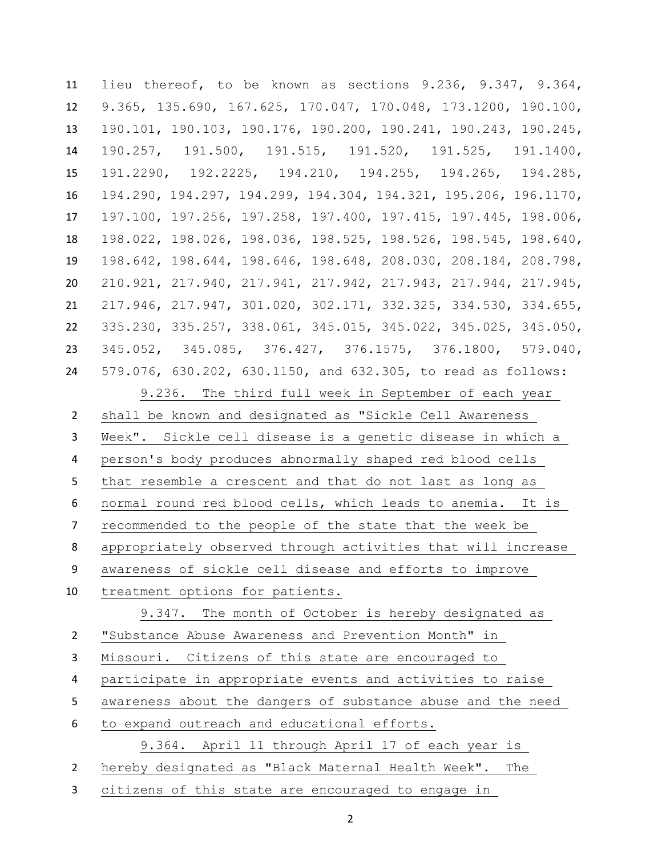lieu thereof, to be known as sections 9.236, 9.347, 9.364, 9.365, 135.690, 167.625, 170.047, 170.048, 173.1200, 190.100, 190.101, 190.103, 190.176, 190.200, 190.241, 190.243, 190.245, 190.257, 191.500, 191.515, 191.520, 191.525, 191.1400, 191.2290, 192.2225, 194.210, 194.255, 194.265, 194.285, 194.290, 194.297, 194.299, 194.304, 194.321, 195.206, 196.1170, 197.100, 197.256, 197.258, 197.400, 197.415, 197.445, 198.006, 198.022, 198.026, 198.036, 198.525, 198.526, 198.545, 198.640, 198.642, 198.644, 198.646, 198.648, 208.030, 208.184, 208.798, 210.921, 217.940, 217.941, 217.942, 217.943, 217.944, 217.945, 217.946, 217.947, 301.020, 302.171, 332.325, 334.530, 334.655, 335.230, 335.257, 338.061, 345.015, 345.022, 345.025, 345.050, 345.052, 345.085, 376.427, 376.1575, 376.1800, 579.040, 579.076, 630.202, 630.1150, and 632.305, to read as follows: 9.236. The third full week in September of each year shall be known and designated as "Sickle Cell Awareness Week". Sickle cell disease is a genetic disease in which a person's body produces abnormally shaped red blood cells that resemble a crescent and that do not last as long as normal round red blood cells, which leads to anemia. It is recommended to the people of the state that the week be appropriately observed through activities that will increase awareness of sickle cell disease and efforts to improve treatment options for patients. 9.347. The month of October is hereby designated as "Substance Abuse Awareness and Prevention Month" in Missouri. Citizens of this state are encouraged to participate in appropriate events and activities to raise awareness about the dangers of substance abuse and the need to expand outreach and educational efforts. 9.364. April 11 through April 17 of each year is hereby designated as "Black Maternal Health Week". The

citizens of this state are encouraged to engage in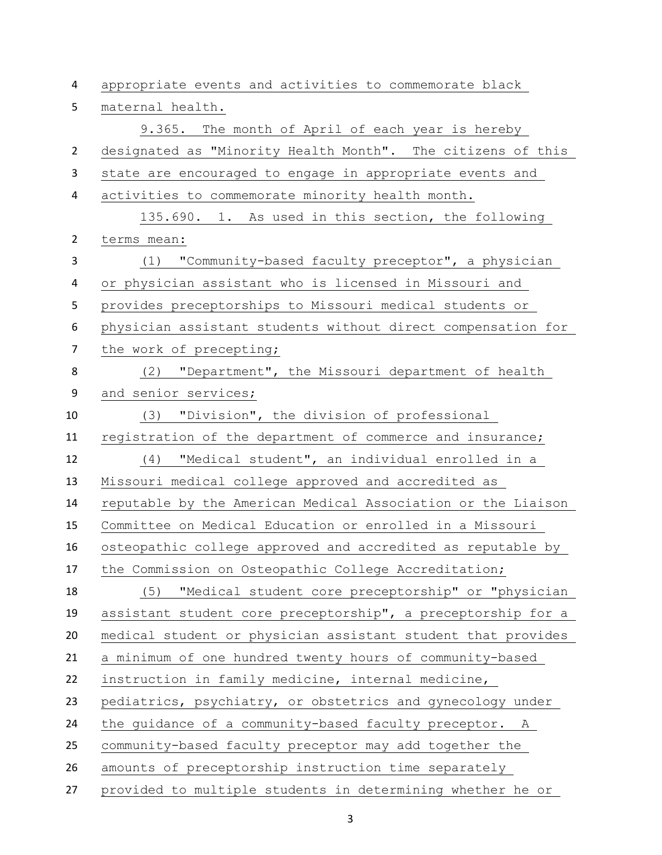| 4              | appropriate events and activities to commemorate black       |
|----------------|--------------------------------------------------------------|
| 5              | maternal health.                                             |
|                | 9.365. The month of April of each year is hereby             |
| $\overline{2}$ | designated as "Minority Health Month". The citizens of this  |
| 3              | state are encouraged to engage in appropriate events and     |
| 4              | activities to commemorate minority health month.             |
|                | 135.690. 1. As used in this section, the following           |
| $\overline{2}$ | terms mean:                                                  |
| 3              | "Community-based faculty preceptor", a physician<br>(1)      |
| 4              | or physician assistant who is licensed in Missouri and       |
| 5              | provides preceptorships to Missouri medical students or      |
| 6              | physician assistant students without direct compensation for |
| $\overline{7}$ | the work of precepting;                                      |
| 8              | "Department", the Missouri department of health<br>(2)       |
| 9              | and senior services;                                         |
| 10             | (3) "Division", the division of professional                 |
| 11             | registration of the department of commerce and insurance;    |
| 12             | "Medical student", an individual enrolled in a<br>(4)        |
| 13             | Missouri medical college approved and accredited as          |
| 14             | reputable by the American Medical Association or the Liaison |
| 15             | Committee on Medical Education or enrolled in a Missouri     |
| 16             | osteopathic college approved and accredited as reputable by  |
| 17             | the Commission on Osteopathic College Accreditation;         |
| 18             | "Medical student core preceptorship" or "physician<br>(5)    |
| 19             | assistant student core preceptorship", a preceptorship for a |
| 20             | medical student or physician assistant student that provides |
| 21             | a minimum of one hundred twenty hours of community-based     |
| 22             | instruction in family medicine, internal medicine,           |
| 23             | pediatrics, psychiatry, or obstetrics and gynecology under   |
| 24             | the guidance of a community-based faculty preceptor.<br>A    |
| 25             | community-based faculty preceptor may add together the       |
| 26             | amounts of preceptorship instruction time separately         |
| 27             | provided to multiple students in determining whether he or   |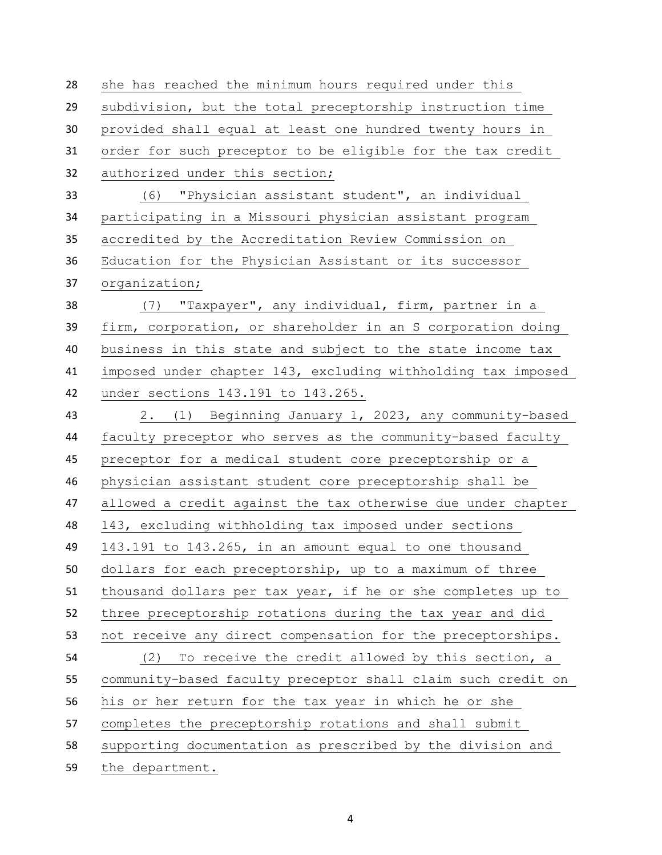she has reached the minimum hours required under this subdivision, but the total preceptorship instruction time provided shall equal at least one hundred twenty hours in order for such preceptor to be eligible for the tax credit authorized under this section; (6) "Physician assistant student", an individual participating in a Missouri physician assistant program accredited by the Accreditation Review Commission on Education for the Physician Assistant or its successor organization; (7) "Taxpayer", any individual, firm, partner in a firm, corporation, or shareholder in an S corporation doing business in this state and subject to the state income tax imposed under chapter 143, excluding withholding tax imposed under sections 143.191 to 143.265. 2. (1) Beginning January 1, 2023, any community-based faculty preceptor who serves as the community-based faculty preceptor for a medical student core preceptorship or a physician assistant student core preceptorship shall be allowed a credit against the tax otherwise due under chapter 143, excluding withholding tax imposed under sections 143.191 to 143.265, in an amount equal to one thousand dollars for each preceptorship, up to a maximum of three thousand dollars per tax year, if he or she completes up to three preceptorship rotations during the tax year and did not receive any direct compensation for the preceptorships. (2) To receive the credit allowed by this section, a community-based faculty preceptor shall claim such credit on his or her return for the tax year in which he or she completes the preceptorship rotations and shall submit supporting documentation as prescribed by the division and the department.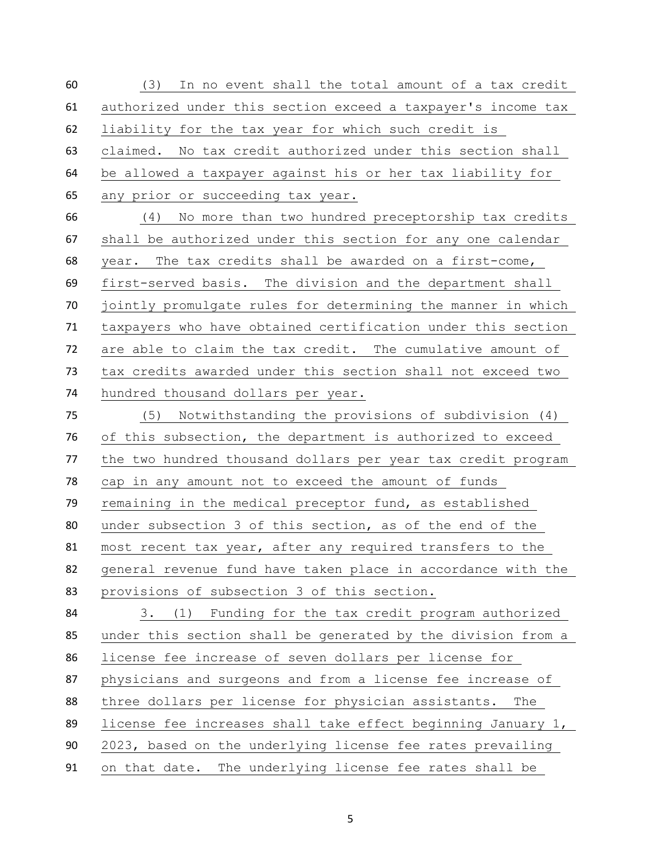(3) In no event shall the total amount of a tax credit authorized under this section exceed a taxpayer's income tax liability for the tax year for which such credit is claimed. No tax credit authorized under this section shall be allowed a taxpayer against his or her tax liability for any prior or succeeding tax year. (4) No more than two hundred preceptorship tax credits shall be authorized under this section for any one calendar year. The tax credits shall be awarded on a first-come, first-served basis. The division and the department shall jointly promulgate rules for determining the manner in which taxpayers who have obtained certification under this section are able to claim the tax credit. The cumulative amount of tax credits awarded under this section shall not exceed two hundred thousand dollars per year. (5) Notwithstanding the provisions of subdivision (4) of this subsection, the department is authorized to exceed the two hundred thousand dollars per year tax credit program cap in any amount not to exceed the amount of funds remaining in the medical preceptor fund, as established under subsection 3 of this section, as of the end of the most recent tax year, after any required transfers to the general revenue fund have taken place in accordance with the provisions of subsection 3 of this section. 3. (1) Funding for the tax credit program authorized under this section shall be generated by the division from a license fee increase of seven dollars per license for physicians and surgeons and from a license fee increase of three dollars per license for physician assistants. The license fee increases shall take effect beginning January 1, 2023, based on the underlying license fee rates prevailing on that date. The underlying license fee rates shall be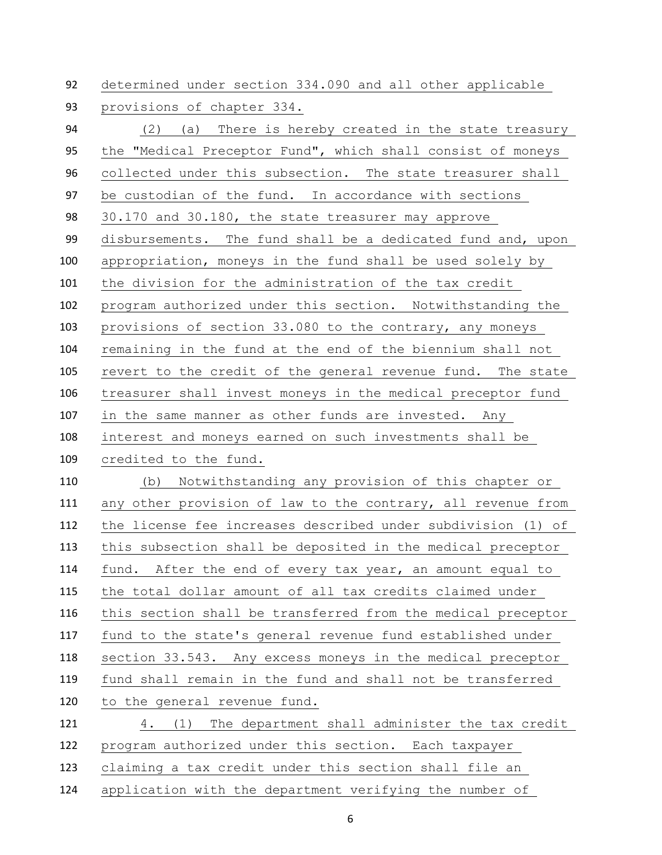determined under section 334.090 and all other applicable

provisions of chapter 334.

 (2) (a) There is hereby created in the state treasury the "Medical Preceptor Fund", which shall consist of moneys collected under this subsection. The state treasurer shall be custodian of the fund. In accordance with sections 30.170 and 30.180, the state treasurer may approve disbursements. The fund shall be a dedicated fund and, upon appropriation, moneys in the fund shall be used solely by the division for the administration of the tax credit program authorized under this section. Notwithstanding the provisions of section 33.080 to the contrary, any moneys remaining in the fund at the end of the biennium shall not revert to the credit of the general revenue fund. The state treasurer shall invest moneys in the medical preceptor fund in the same manner as other funds are invested. Any interest and moneys earned on such investments shall be credited to the fund. (b) Notwithstanding any provision of this chapter or any other provision of law to the contrary, all revenue from the license fee increases described under subdivision (1) of this subsection shall be deposited in the medical preceptor fund. After the end of every tax year, an amount equal to the total dollar amount of all tax credits claimed under this section shall be transferred from the medical preceptor fund to the state's general revenue fund established under section 33.543. Any excess moneys in the medical preceptor fund shall remain in the fund and shall not be transferred to the general revenue fund. 4. (1) The department shall administer the tax credit program authorized under this section. Each taxpayer claiming a tax credit under this section shall file an application with the department verifying the number of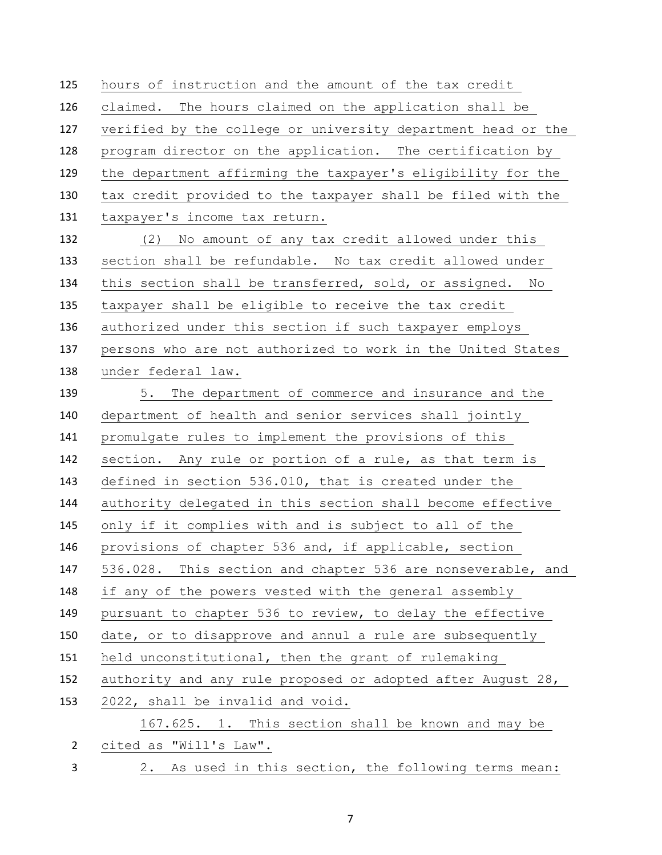hours of instruction and the amount of the tax credit claimed. The hours claimed on the application shall be verified by the college or university department head or the program director on the application. The certification by the department affirming the taxpayer's eligibility for the tax credit provided to the taxpayer shall be filed with the taxpayer's income tax return. (2) No amount of any tax credit allowed under this section shall be refundable. No tax credit allowed under this section shall be transferred, sold, or assigned. No taxpayer shall be eligible to receive the tax credit authorized under this section if such taxpayer employs persons who are not authorized to work in the United States under federal law. 5. The department of commerce and insurance and the department of health and senior services shall jointly promulgate rules to implement the provisions of this section. Any rule or portion of a rule, as that term is defined in section 536.010, that is created under the authority delegated in this section shall become effective only if it complies with and is subject to all of the provisions of chapter 536 and, if applicable, section 536.028. This section and chapter 536 are nonseverable, and if any of the powers vested with the general assembly pursuant to chapter 536 to review, to delay the effective date, or to disapprove and annul a rule are subsequently held unconstitutional, then the grant of rulemaking authority and any rule proposed or adopted after August 28, 2022, shall be invalid and void. 167.625. 1. This section shall be known and may be cited as "Will's Law". 2. As used in this section, the following terms mean: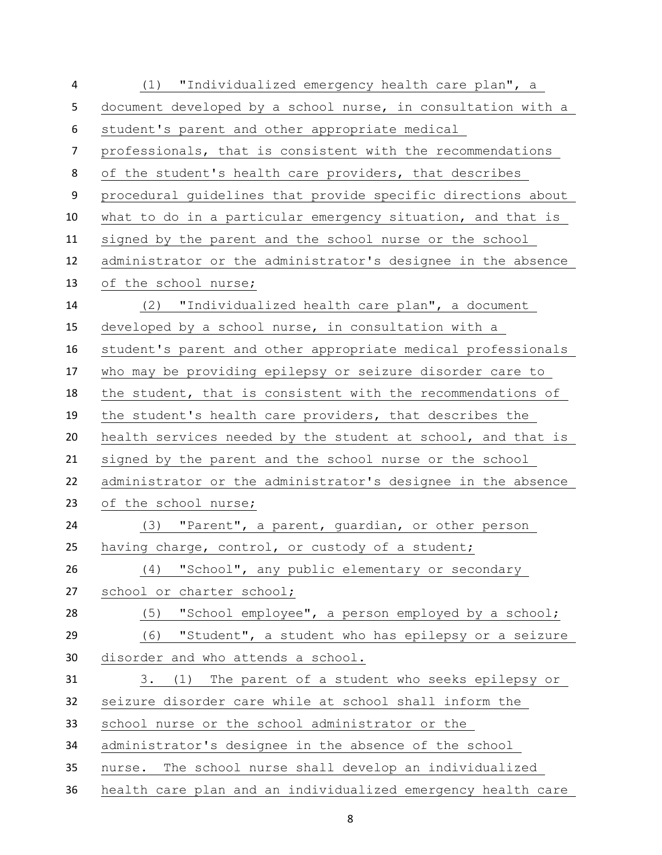| 4              | (1) "Individualized emergency health care plan", a           |
|----------------|--------------------------------------------------------------|
| 5              | document developed by a school nurse, in consultation with a |
| 6              | student's parent and other appropriate medical               |
| $\overline{7}$ | professionals, that is consistent with the recommendations   |
| 8              | of the student's health care providers, that describes       |
| 9              | procedural quidelines that provide specific directions about |
| 10             | what to do in a particular emergency situation, and that is  |
| 11             | signed by the parent and the school nurse or the school      |
| 12             | administrator or the administrator's designee in the absence |
| 13             | of the school nurse;                                         |
| 14             | (2) "Individualized health care plan", a document            |
| 15             | developed by a school nurse, in consultation with a          |
| 16             | student's parent and other appropriate medical professionals |
| 17             | who may be providing epilepsy or seizure disorder care to    |
| 18             | the student, that is consistent with the recommendations of  |
| 19             | the student's health care providers, that describes the      |
| 20             | health services needed by the student at school, and that is |
| 21             | signed by the parent and the school nurse or the school      |
| 22             | administrator or the administrator's designee in the absence |
| 23             | of the school nurse;                                         |
| 24             | (3) "Parent", a parent, guardian, or other person            |
| 25             | having charge, control, or custody of a student;             |
| 26             | "School", any public elementary or secondary<br>(4)          |
| 27             | school or charter school;                                    |
| 28             | "School employee", a person employed by a school;<br>(5)     |
| 29             | (6) "Student", a student who has epilepsy or a seizure       |
| 30             | disorder and who attends a school.                           |
| 31             | The parent of a student who seeks epilepsy or<br>3.<br>(1)   |
| 32             | seizure disorder care while at school shall inform the       |
| 33             | school nurse or the school administrator or the              |
| 34             | administrator's designee in the absence of the school        |
| 35             | The school nurse shall develop an individualized<br>nurse.   |
| 36             | health care plan and an individualized emergency health care |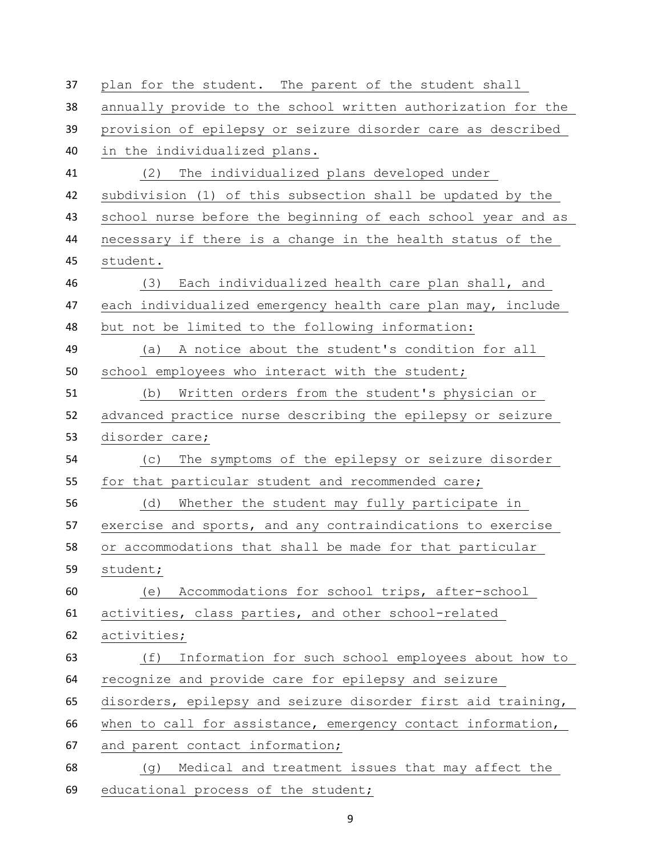| 37 | plan for the student. The parent of the student shall        |
|----|--------------------------------------------------------------|
| 38 | annually provide to the school written authorization for the |
| 39 | provision of epilepsy or seizure disorder care as described  |
| 40 | in the individualized plans.                                 |
| 41 | The individualized plans developed under<br>(2)              |
| 42 | subdivision (1) of this subsection shall be updated by the   |
| 43 | school nurse before the beginning of each school year and as |
| 44 | necessary if there is a change in the health status of the   |
| 45 | student.                                                     |
| 46 | Each individualized health care plan shall, and<br>(3)       |
| 47 | each individualized emergency health care plan may, include  |
| 48 | but not be limited to the following information:             |
| 49 | A notice about the student's condition for all<br>(a)        |
| 50 | school employees who interact with the student;              |
| 51 | Written orders from the student's physician or<br>(b)        |
| 52 | advanced practice nurse describing the epilepsy or seizure   |
| 53 | disorder care;                                               |
| 54 | The symptoms of the epilepsy or seizure disorder<br>(C)      |
| 55 | for that particular student and recommended care;            |
| 56 | Whether the student may fully participate in<br>(d)          |
| 57 | exercise and sports, and any contraindications to exercise   |
| 58 | or accommodations that shall be made for that particular     |
| 59 | student;                                                     |
| 60 | Accommodations for school trips, after-school<br>(e)         |
| 61 | activities, class parties, and other school-related          |
| 62 | activities;                                                  |
| 63 | Information for such school employees about how to<br>(f)    |
| 64 | recognize and provide care for epilepsy and seizure          |
| 65 | disorders, epilepsy and seizure disorder first aid training, |
| 66 | when to call for assistance, emergency contact information,  |
| 67 | and parent contact information;                              |
| 68 | Medical and treatment issues that may affect the<br>(g)      |
| 69 | educational process of the student;                          |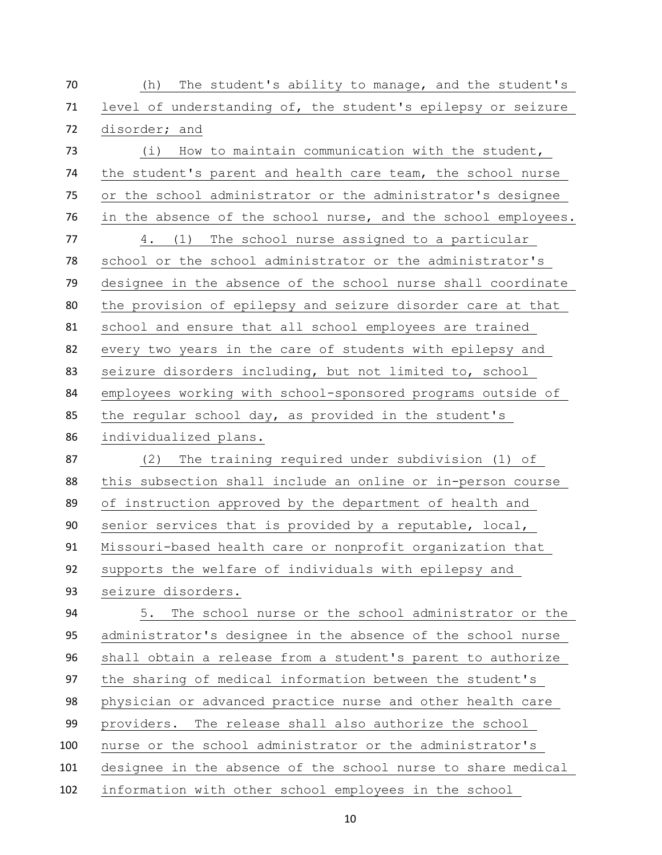(h) The student's ability to manage, and the student's level of understanding of, the student's epilepsy or seizure disorder; and (i) How to maintain communication with the student, the student's parent and health care team, the school nurse or the school administrator or the administrator's designee in the absence of the school nurse, and the school employees. 4. (1) The school nurse assigned to a particular school or the school administrator or the administrator's designee in the absence of the school nurse shall coordinate the provision of epilepsy and seizure disorder care at that school and ensure that all school employees are trained every two years in the care of students with epilepsy and seizure disorders including, but not limited to, school employees working with school-sponsored programs outside of the regular school day, as provided in the student's individualized plans. (2) The training required under subdivision (1) of this subsection shall include an online or in-person course of instruction approved by the department of health and senior services that is provided by a reputable, local, Missouri-based health care or nonprofit organization that supports the welfare of individuals with epilepsy and seizure disorders. 5. The school nurse or the school administrator or the administrator's designee in the absence of the school nurse shall obtain a release from a student's parent to authorize the sharing of medical information between the student's physician or advanced practice nurse and other health care providers. The release shall also authorize the school nurse or the school administrator or the administrator's designee in the absence of the school nurse to share medical information with other school employees in the school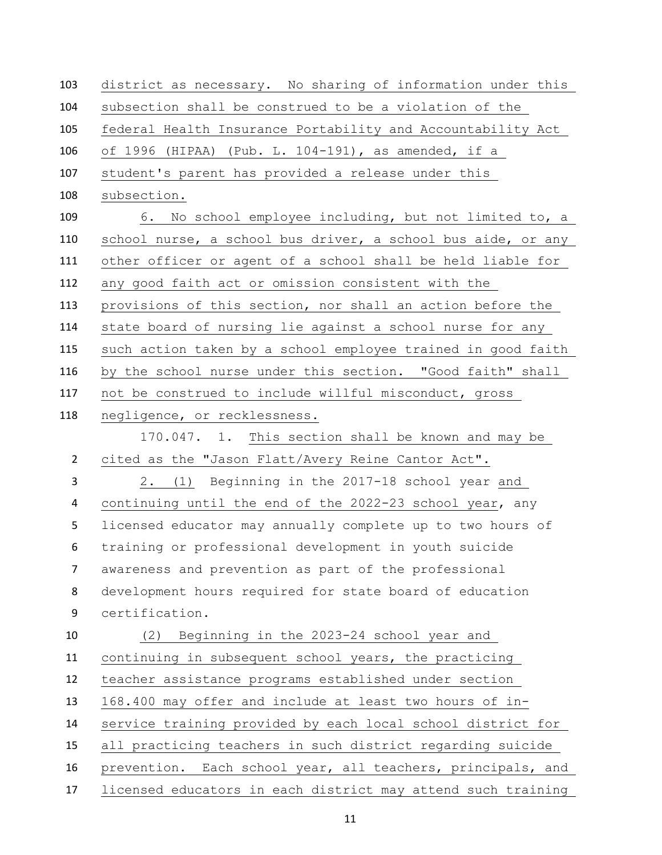district as necessary. No sharing of information under this subsection shall be construed to be a violation of the federal Health Insurance Portability and Accountability Act of 1996 (HIPAA) (Pub. L. 104-191), as amended, if a student's parent has provided a release under this subsection. 6. No school employee including, but not limited to, a school nurse, a school bus driver, a school bus aide, or any other officer or agent of a school shall be held liable for any good faith act or omission consistent with the provisions of this section, nor shall an action before the state board of nursing lie against a school nurse for any such action taken by a school employee trained in good faith by the school nurse under this section. "Good faith" shall not be construed to include willful misconduct, gross negligence, or recklessness. 170.047. 1. This section shall be known and may be cited as the "Jason Flatt/Avery Reine Cantor Act". 2. (1) Beginning in the 2017-18 school year and continuing until the end of the 2022-23 school year, any licensed educator may annually complete up to two hours of training or professional development in youth suicide awareness and prevention as part of the professional development hours required for state board of education certification. (2) Beginning in the 2023-24 school year and continuing in subsequent school years, the practicing teacher assistance programs established under section 168.400 may offer and include at least two hours of in- service training provided by each local school district for all practicing teachers in such district regarding suicide prevention. Each school year, all teachers, principals, and licensed educators in each district may attend such training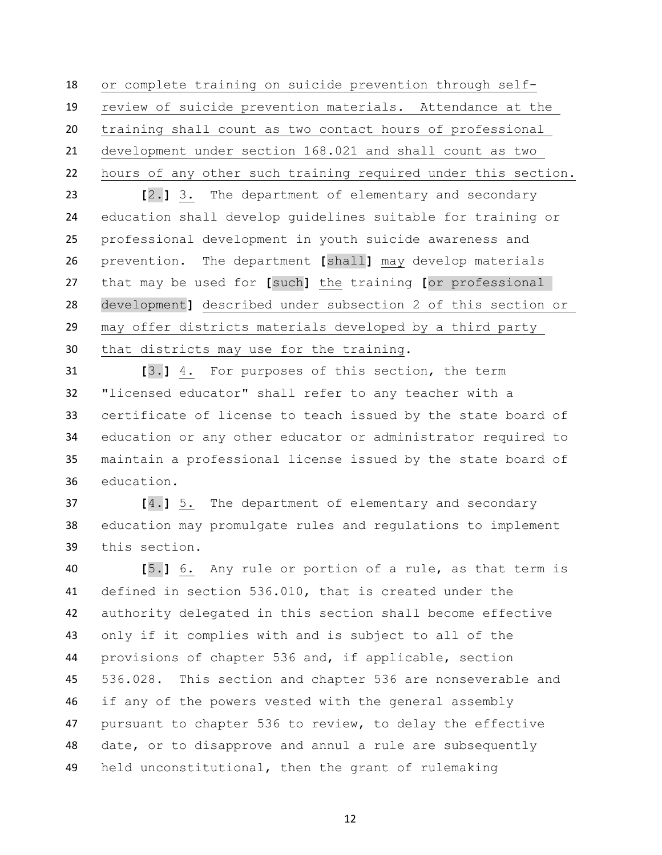or complete training on suicide prevention through self- review of suicide prevention materials. Attendance at the training shall count as two contact hours of professional development under section 168.021 and shall count as two hours of any other such training required under this section.

 **[**2.**]** 3. The department of elementary and secondary education shall develop guidelines suitable for training or professional development in youth suicide awareness and prevention. The department **[**shall**]** may develop materials that may be used for **[**such**]** the training **[**or professional development**]** described under subsection 2 of this section or may offer districts materials developed by a third party that districts may use for the training.

 **[**3.**]** 4. For purposes of this section, the term "licensed educator" shall refer to any teacher with a certificate of license to teach issued by the state board of education or any other educator or administrator required to maintain a professional license issued by the state board of education.

 **[**4.**]** 5. The department of elementary and secondary education may promulgate rules and regulations to implement this section.

 **[**5.**]** 6. Any rule or portion of a rule, as that term is defined in section 536.010, that is created under the authority delegated in this section shall become effective only if it complies with and is subject to all of the provisions of chapter 536 and, if applicable, section 536.028. This section and chapter 536 are nonseverable and if any of the powers vested with the general assembly pursuant to chapter 536 to review, to delay the effective date, or to disapprove and annul a rule are subsequently held unconstitutional, then the grant of rulemaking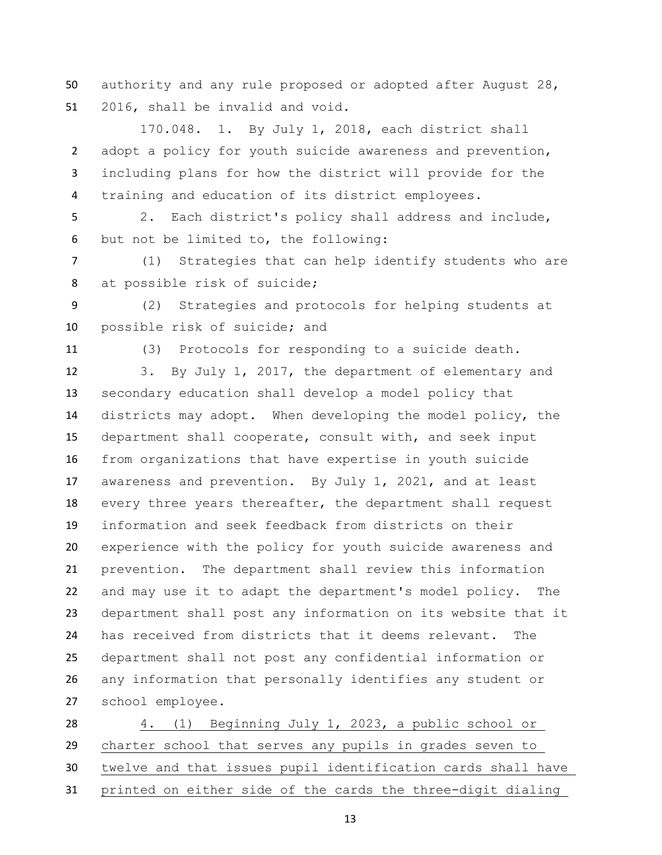authority and any rule proposed or adopted after August 28, 2016, shall be invalid and void.

 170.048. 1. By July 1, 2018, each district shall adopt a policy for youth suicide awareness and prevention, including plans for how the district will provide for the training and education of its district employees.

 2. Each district's policy shall address and include, but not be limited to, the following:

 (1) Strategies that can help identify students who are at possible risk of suicide;

 (2) Strategies and protocols for helping students at possible risk of suicide; and

(3) Protocols for responding to a suicide death.

 3. By July 1, 2017, the department of elementary and secondary education shall develop a model policy that districts may adopt. When developing the model policy, the department shall cooperate, consult with, and seek input from organizations that have expertise in youth suicide awareness and prevention. By July 1, 2021, and at least every three years thereafter, the department shall request information and seek feedback from districts on their experience with the policy for youth suicide awareness and prevention. The department shall review this information and may use it to adapt the department's model policy. The department shall post any information on its website that it has received from districts that it deems relevant. The department shall not post any confidential information or any information that personally identifies any student or school employee.

 4. (1) Beginning July 1, 2023, a public school or charter school that serves any pupils in grades seven to twelve and that issues pupil identification cards shall have printed on either side of the cards the three-digit dialing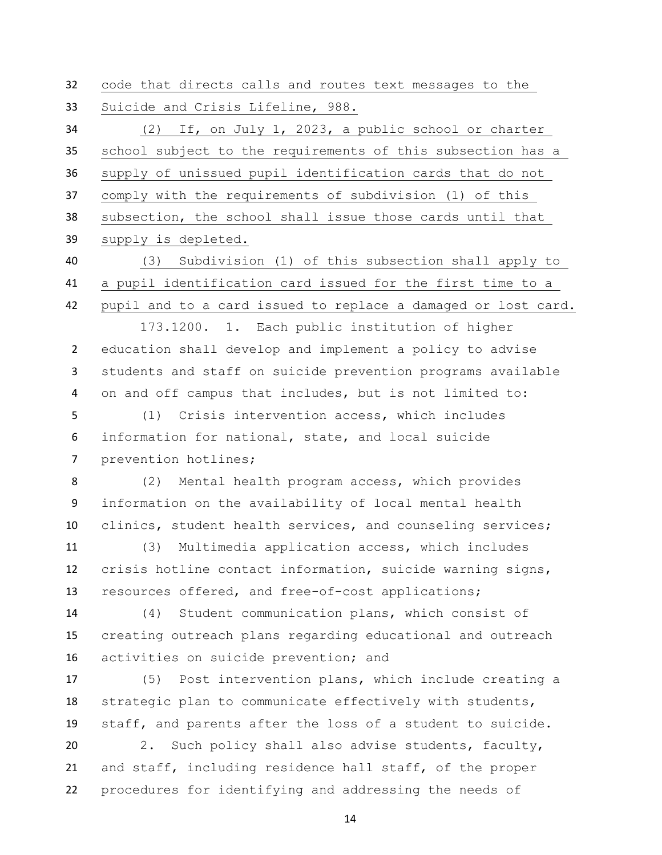code that directs calls and routes text messages to the Suicide and Crisis Lifeline, 988. (2) If, on July 1, 2023, a public school or charter school subject to the requirements of this subsection has a supply of unissued pupil identification cards that do not comply with the requirements of subdivision (1) of this subsection, the school shall issue those cards until that supply is depleted. (3) Subdivision (1) of this subsection shall apply to a pupil identification card issued for the first time to a pupil and to a card issued to replace a damaged or lost card. 173.1200. 1. Each public institution of higher education shall develop and implement a policy to advise students and staff on suicide prevention programs available on and off campus that includes, but is not limited to: (1) Crisis intervention access, which includes information for national, state, and local suicide prevention hotlines; (2) Mental health program access, which provides information on the availability of local mental health clinics, student health services, and counseling services; (3) Multimedia application access, which includes crisis hotline contact information, suicide warning signs, resources offered, and free-of-cost applications;

 (4) Student communication plans, which consist of creating outreach plans regarding educational and outreach activities on suicide prevention; and

 (5) Post intervention plans, which include creating a strategic plan to communicate effectively with students, staff, and parents after the loss of a student to suicide.

 2. Such policy shall also advise students, faculty, and staff, including residence hall staff, of the proper procedures for identifying and addressing the needs of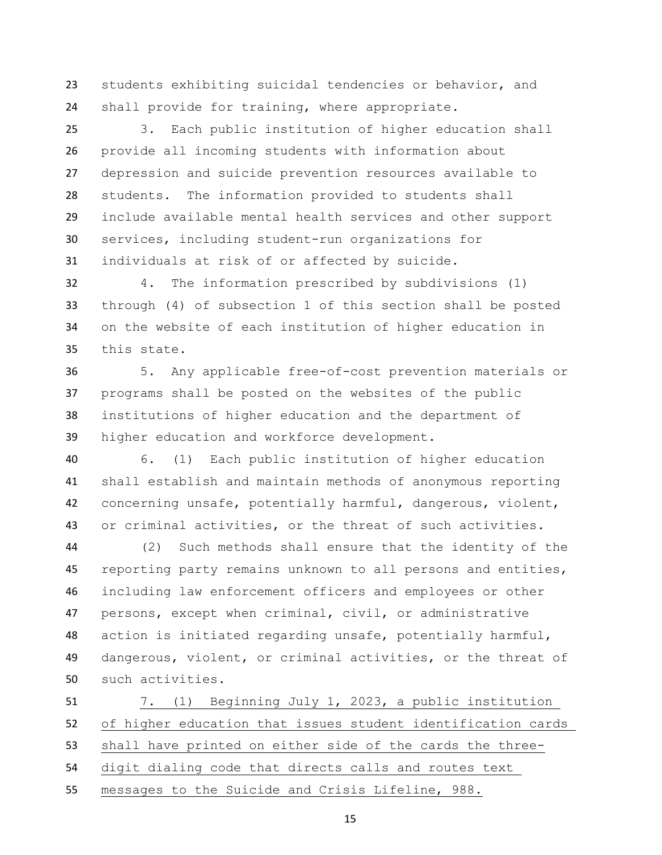students exhibiting suicidal tendencies or behavior, and shall provide for training, where appropriate.

 3. Each public institution of higher education shall provide all incoming students with information about depression and suicide prevention resources available to students. The information provided to students shall include available mental health services and other support services, including student-run organizations for individuals at risk of or affected by suicide.

 4. The information prescribed by subdivisions (1) through (4) of subsection 1 of this section shall be posted on the website of each institution of higher education in this state.

 5. Any applicable free-of-cost prevention materials or programs shall be posted on the websites of the public institutions of higher education and the department of higher education and workforce development.

 6. (1) Each public institution of higher education shall establish and maintain methods of anonymous reporting concerning unsafe, potentially harmful, dangerous, violent, or criminal activities, or the threat of such activities.

 (2) Such methods shall ensure that the identity of the 45 reporting party remains unknown to all persons and entities, including law enforcement officers and employees or other persons, except when criminal, civil, or administrative action is initiated regarding unsafe, potentially harmful, dangerous, violent, or criminal activities, or the threat of such activities.

 7. (1) Beginning July 1, 2023, a public institution of higher education that issues student identification cards shall have printed on either side of the cards the three- digit dialing code that directs calls and routes text messages to the Suicide and Crisis Lifeline, 988.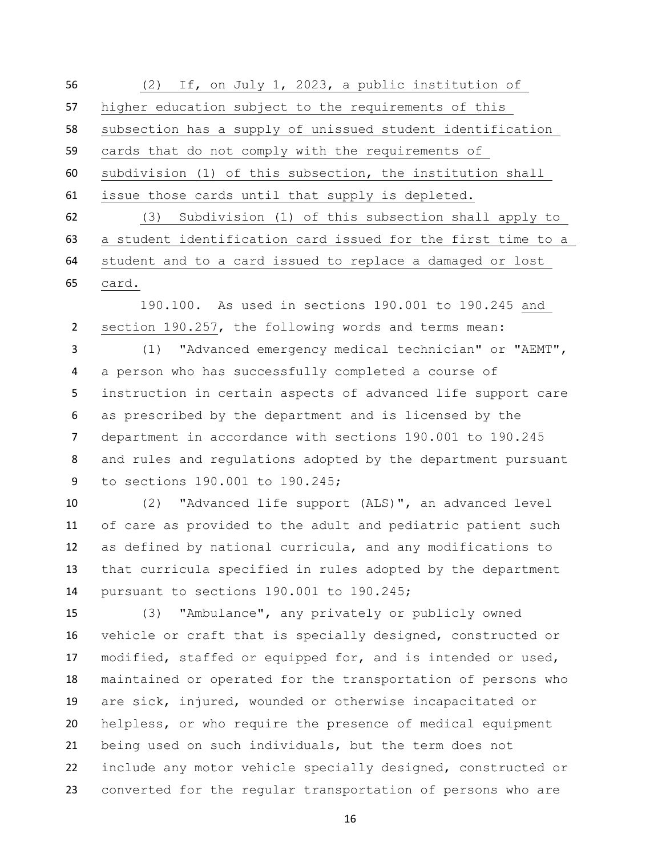(2) If, on July 1, 2023, a public institution of higher education subject to the requirements of this subsection has a supply of unissued student identification cards that do not comply with the requirements of subdivision (1) of this subsection, the institution shall issue those cards until that supply is depleted. (3) Subdivision (1) of this subsection shall apply to a student identification card issued for the first time to a student and to a card issued to replace a damaged or lost

card.

 190.100. As used in sections 190.001 to 190.245 and section 190.257, the following words and terms mean:

 (1) "Advanced emergency medical technician" or "AEMT", a person who has successfully completed a course of instruction in certain aspects of advanced life support care as prescribed by the department and is licensed by the department in accordance with sections 190.001 to 190.245 and rules and regulations adopted by the department pursuant to sections 190.001 to 190.245;

 (2) "Advanced life support (ALS)", an advanced level of care as provided to the adult and pediatric patient such as defined by national curricula, and any modifications to that curricula specified in rules adopted by the department pursuant to sections 190.001 to 190.245;

 (3) "Ambulance", any privately or publicly owned vehicle or craft that is specially designed, constructed or modified, staffed or equipped for, and is intended or used, maintained or operated for the transportation of persons who are sick, injured, wounded or otherwise incapacitated or helpless, or who require the presence of medical equipment being used on such individuals, but the term does not include any motor vehicle specially designed, constructed or converted for the regular transportation of persons who are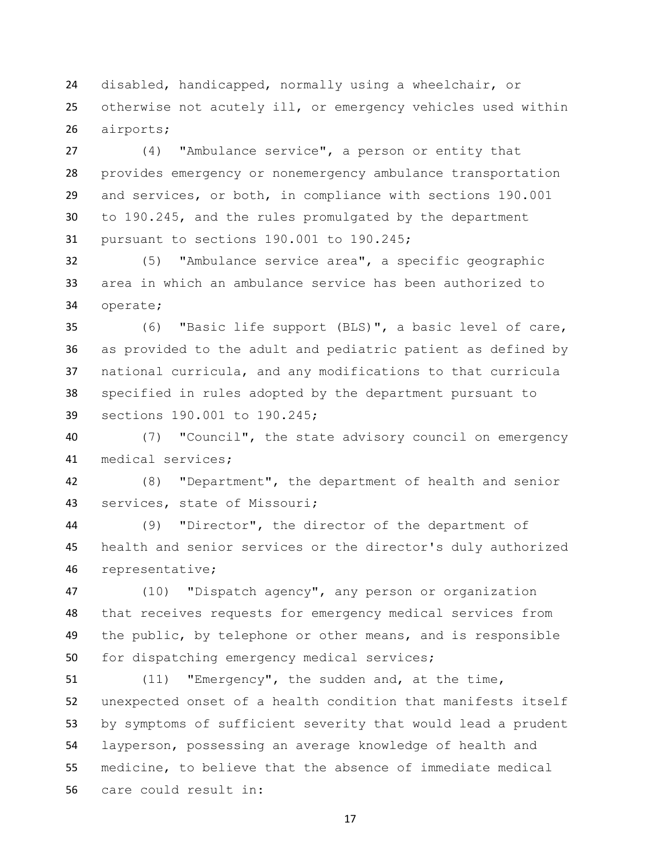disabled, handicapped, normally using a wheelchair, or otherwise not acutely ill, or emergency vehicles used within airports;

 (4) "Ambulance service", a person or entity that provides emergency or nonemergency ambulance transportation and services, or both, in compliance with sections 190.001 to 190.245, and the rules promulgated by the department pursuant to sections 190.001 to 190.245;

 (5) "Ambulance service area", a specific geographic area in which an ambulance service has been authorized to operate;

 (6) "Basic life support (BLS)", a basic level of care, as provided to the adult and pediatric patient as defined by national curricula, and any modifications to that curricula specified in rules adopted by the department pursuant to sections 190.001 to 190.245;

 (7) "Council", the state advisory council on emergency medical services;

 (8) "Department", the department of health and senior services, state of Missouri;

 (9) "Director", the director of the department of health and senior services or the director's duly authorized representative;

 (10) "Dispatch agency", any person or organization that receives requests for emergency medical services from 49 the public, by telephone or other means, and is responsible for dispatching emergency medical services;

 (11) "Emergency", the sudden and, at the time, unexpected onset of a health condition that manifests itself by symptoms of sufficient severity that would lead a prudent layperson, possessing an average knowledge of health and medicine, to believe that the absence of immediate medical care could result in: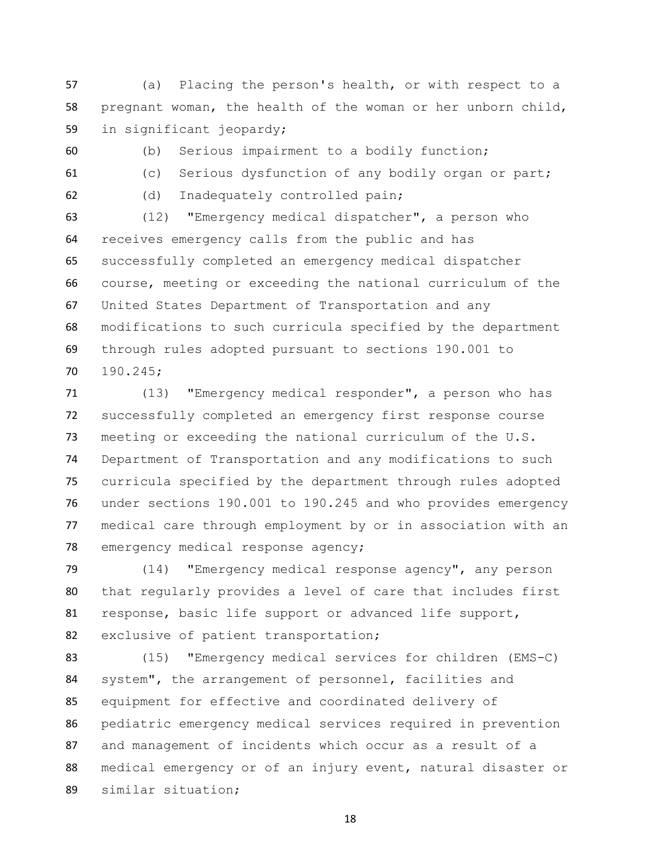(a) Placing the person's health, or with respect to a pregnant woman, the health of the woman or her unborn child, in significant jeopardy;

(b) Serious impairment to a bodily function;

(c) Serious dysfunction of any bodily organ or part;

(d) Inadequately controlled pain;

 (12) "Emergency medical dispatcher", a person who receives emergency calls from the public and has successfully completed an emergency medical dispatcher course, meeting or exceeding the national curriculum of the United States Department of Transportation and any modifications to such curricula specified by the department through rules adopted pursuant to sections 190.001 to 190.245;

 (13) "Emergency medical responder", a person who has successfully completed an emergency first response course meeting or exceeding the national curriculum of the U.S. Department of Transportation and any modifications to such curricula specified by the department through rules adopted under sections 190.001 to 190.245 and who provides emergency medical care through employment by or in association with an emergency medical response agency;

 (14) "Emergency medical response agency", any person that regularly provides a level of care that includes first response, basic life support or advanced life support, exclusive of patient transportation;

 (15) "Emergency medical services for children (EMS-C) system", the arrangement of personnel, facilities and equipment for effective and coordinated delivery of pediatric emergency medical services required in prevention and management of incidents which occur as a result of a medical emergency or of an injury event, natural disaster or similar situation;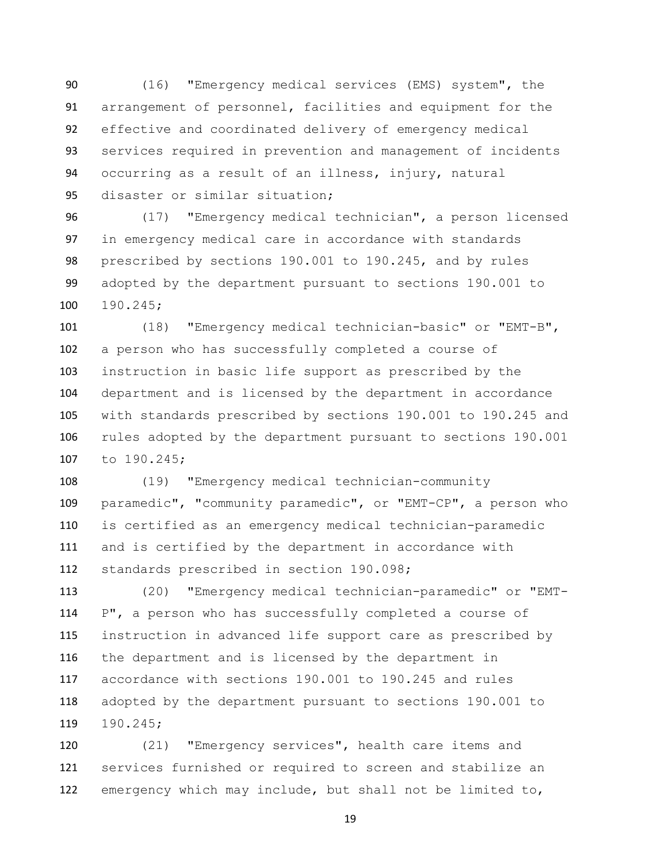(16) "Emergency medical services (EMS) system", the arrangement of personnel, facilities and equipment for the effective and coordinated delivery of emergency medical services required in prevention and management of incidents occurring as a result of an illness, injury, natural disaster or similar situation;

 (17) "Emergency medical technician", a person licensed in emergency medical care in accordance with standards prescribed by sections 190.001 to 190.245, and by rules adopted by the department pursuant to sections 190.001 to 190.245;

 (18) "Emergency medical technician-basic" or "EMT-B", a person who has successfully completed a course of instruction in basic life support as prescribed by the department and is licensed by the department in accordance with standards prescribed by sections 190.001 to 190.245 and rules adopted by the department pursuant to sections 190.001 to 190.245;

 (19) "Emergency medical technician-community paramedic", "community paramedic", or "EMT-CP", a person who is certified as an emergency medical technician-paramedic and is certified by the department in accordance with standards prescribed in section 190.098;

 (20) "Emergency medical technician-paramedic" or "EMT- P", a person who has successfully completed a course of instruction in advanced life support care as prescribed by the department and is licensed by the department in accordance with sections 190.001 to 190.245 and rules adopted by the department pursuant to sections 190.001 to 190.245;

 (21) "Emergency services", health care items and services furnished or required to screen and stabilize an emergency which may include, but shall not be limited to,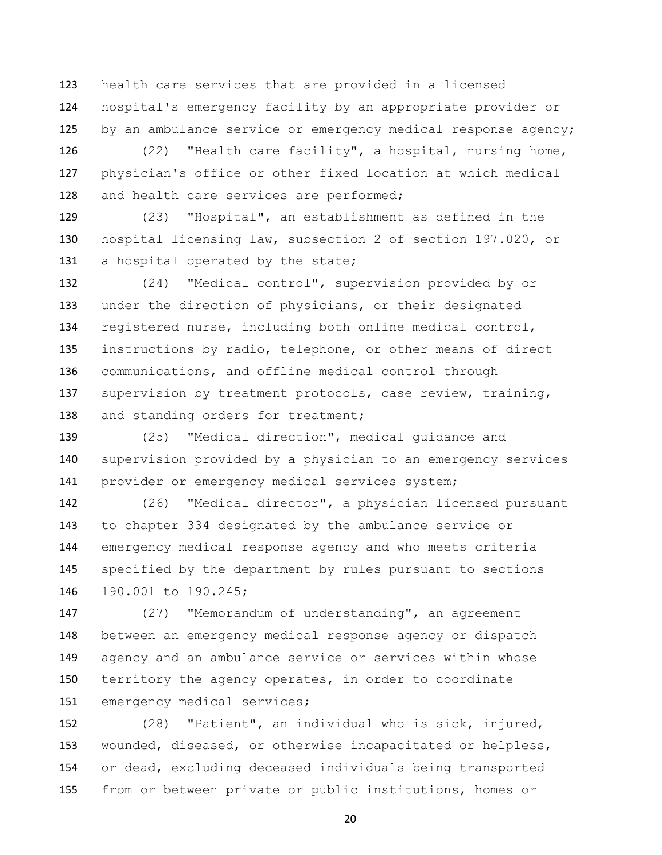health care services that are provided in a licensed hospital's emergency facility by an appropriate provider or by an ambulance service or emergency medical response agency;

 (22) "Health care facility", a hospital, nursing home, physician's office or other fixed location at which medical 128 and health care services are performed;

 (23) "Hospital", an establishment as defined in the hospital licensing law, subsection 2 of section 197.020, or 131 a hospital operated by the state;

 (24) "Medical control", supervision provided by or under the direction of physicians, or their designated registered nurse, including both online medical control, instructions by radio, telephone, or other means of direct communications, and offline medical control through supervision by treatment protocols, case review, training, 138 and standing orders for treatment;

 (25) "Medical direction", medical guidance and supervision provided by a physician to an emergency services 141 provider or emergency medical services system;

 (26) "Medical director", a physician licensed pursuant to chapter 334 designated by the ambulance service or emergency medical response agency and who meets criteria specified by the department by rules pursuant to sections 190.001 to 190.245;

 (27) "Memorandum of understanding", an agreement between an emergency medical response agency or dispatch agency and an ambulance service or services within whose 150 territory the agency operates, in order to coordinate 151 emergency medical services;

 (28) "Patient", an individual who is sick, injured, wounded, diseased, or otherwise incapacitated or helpless, or dead, excluding deceased individuals being transported from or between private or public institutions, homes or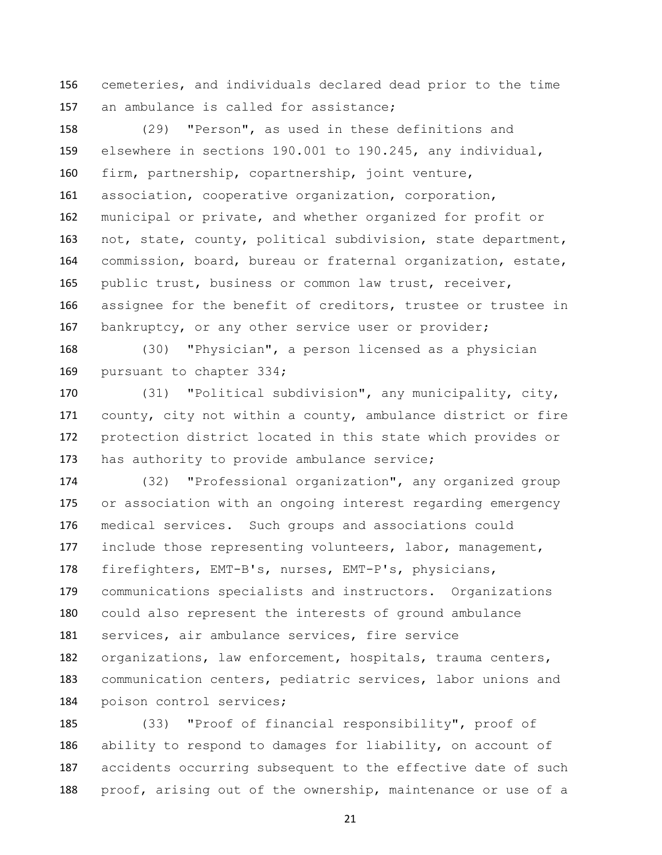cemeteries, and individuals declared dead prior to the time an ambulance is called for assistance;

 (29) "Person", as used in these definitions and elsewhere in sections 190.001 to 190.245, any individual, firm, partnership, copartnership, joint venture, association, cooperative organization, corporation, municipal or private, and whether organized for profit or not, state, county, political subdivision, state department, commission, board, bureau or fraternal organization, estate, public trust, business or common law trust, receiver, assignee for the benefit of creditors, trustee or trustee in bankruptcy, or any other service user or provider;

 (30) "Physician", a person licensed as a physician 169 pursuant to chapter 334;

 (31) "Political subdivision", any municipality, city, county, city not within a county, ambulance district or fire protection district located in this state which provides or 173 has authority to provide ambulance service;

 (32) "Professional organization", any organized group or association with an ongoing interest regarding emergency medical services. Such groups and associations could include those representing volunteers, labor, management, firefighters, EMT-B's, nurses, EMT-P's, physicians, communications specialists and instructors. Organizations could also represent the interests of ground ambulance services, air ambulance services, fire service organizations, law enforcement, hospitals, trauma centers, communication centers, pediatric services, labor unions and poison control services;

 (33) "Proof of financial responsibility", proof of ability to respond to damages for liability, on account of accidents occurring subsequent to the effective date of such proof, arising out of the ownership, maintenance or use of a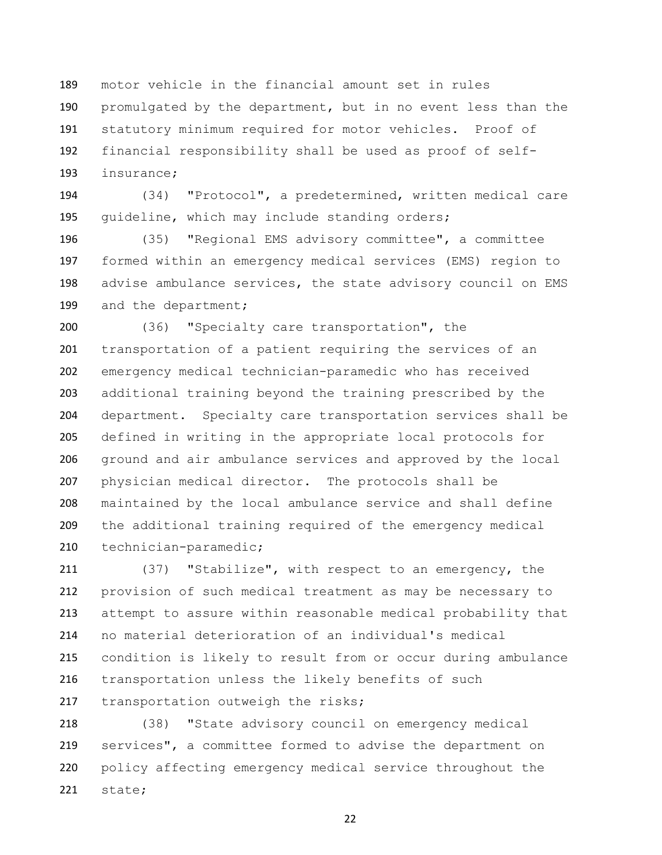motor vehicle in the financial amount set in rules promulgated by the department, but in no event less than the statutory minimum required for motor vehicles. Proof of financial responsibility shall be used as proof of self-insurance;

 (34) "Protocol", a predetermined, written medical care guideline, which may include standing orders;

 (35) "Regional EMS advisory committee", a committee formed within an emergency medical services (EMS) region to 198 advise ambulance services, the state advisory council on EMS 199 and the department;

 (36) "Specialty care transportation", the transportation of a patient requiring the services of an emergency medical technician-paramedic who has received additional training beyond the training prescribed by the department. Specialty care transportation services shall be defined in writing in the appropriate local protocols for ground and air ambulance services and approved by the local physician medical director. The protocols shall be maintained by the local ambulance service and shall define the additional training required of the emergency medical technician-paramedic;

 (37) "Stabilize", with respect to an emergency, the provision of such medical treatment as may be necessary to attempt to assure within reasonable medical probability that no material deterioration of an individual's medical condition is likely to result from or occur during ambulance transportation unless the likely benefits of such 217 transportation outweigh the risks;

 (38) "State advisory council on emergency medical services", a committee formed to advise the department on policy affecting emergency medical service throughout the state;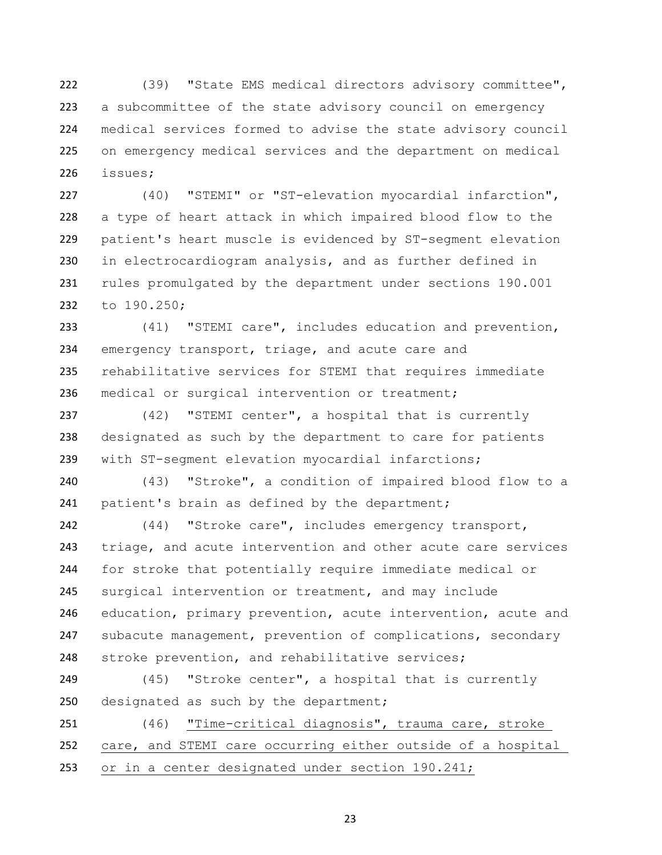(39) "State EMS medical directors advisory committee", a subcommittee of the state advisory council on emergency medical services formed to advise the state advisory council on emergency medical services and the department on medical issues;

 (40) "STEMI" or "ST-elevation myocardial infarction", a type of heart attack in which impaired blood flow to the patient's heart muscle is evidenced by ST-segment elevation in electrocardiogram analysis, and as further defined in rules promulgated by the department under sections 190.001 to 190.250;

 (41) "STEMI care", includes education and prevention, emergency transport, triage, and acute care and rehabilitative services for STEMI that requires immediate medical or surgical intervention or treatment;

 (42) "STEMI center", a hospital that is currently designated as such by the department to care for patients with ST-segment elevation myocardial infarctions;

 (43) "Stroke", a condition of impaired blood flow to a 241 patient's brain as defined by the department;

 (44) "Stroke care", includes emergency transport, triage, and acute intervention and other acute care services for stroke that potentially require immediate medical or surgical intervention or treatment, and may include education, primary prevention, acute intervention, acute and 247 subacute management, prevention of complications, secondary stroke prevention, and rehabilitative services;

 (45) "Stroke center", a hospital that is currently 250 designated as such by the department;

 (46) "Time-critical diagnosis", trauma care, stroke care, and STEMI care occurring either outside of a hospital or in a center designated under section 190.241;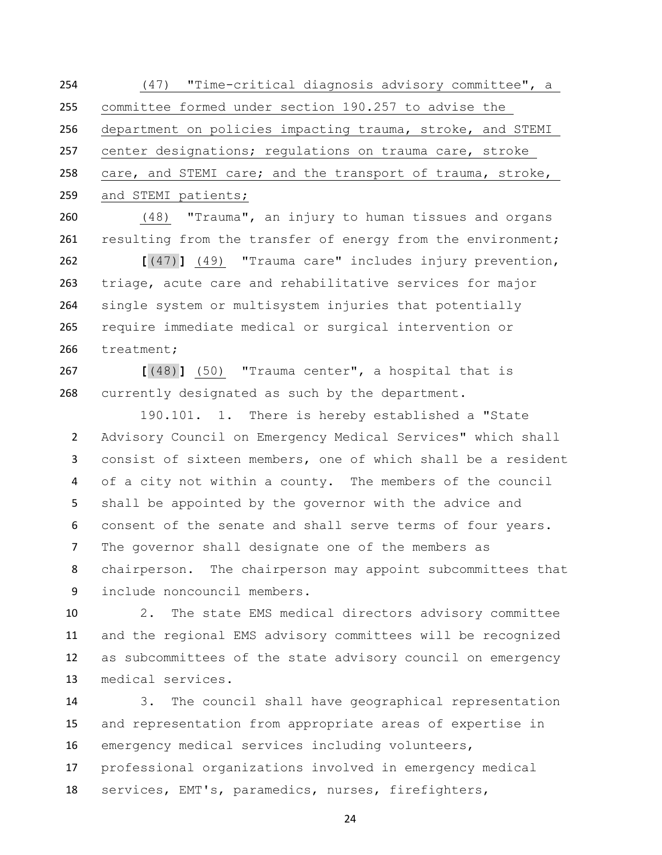(47) "Time-critical diagnosis advisory committee", a committee formed under section 190.257 to advise the department on policies impacting trauma, stroke, and STEMI center designations; regulations on trauma care, stroke care, and STEMI care; and the transport of trauma, stroke, and STEMI patients;

 (48) "Trauma", an injury to human tissues and organs 261 resulting from the transfer of energy from the environment;

 **[**(47)**]** (49) "Trauma care" includes injury prevention, triage, acute care and rehabilitative services for major single system or multisystem injuries that potentially require immediate medical or surgical intervention or treatment;

 **[**(48)**]** (50) "Trauma center", a hospital that is currently designated as such by the department.

190.101. 1. There is hereby established a "State Advisory Council on Emergency Medical Services" which shall consist of sixteen members, one of which shall be a resident of a city not within a county. The members of the council shall be appointed by the governor with the advice and consent of the senate and shall serve terms of four years. The governor shall designate one of the members as chairperson. The chairperson may appoint subcommittees that include noncouncil members.

 2. The state EMS medical directors advisory committee and the regional EMS advisory committees will be recognized as subcommittees of the state advisory council on emergency medical services.

 3. The council shall have geographical representation and representation from appropriate areas of expertise in emergency medical services including volunteers, professional organizations involved in emergency medical services, EMT's, paramedics, nurses, firefighters,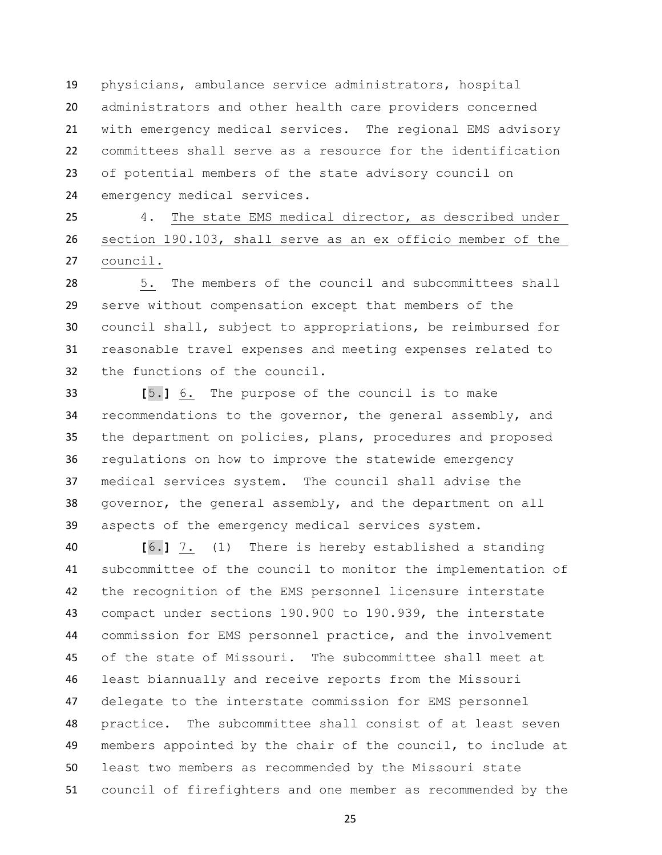physicians, ambulance service administrators, hospital administrators and other health care providers concerned with emergency medical services. The regional EMS advisory committees shall serve as a resource for the identification of potential members of the state advisory council on emergency medical services.

 4. The state EMS medical director, as described under section 190.103, shall serve as an ex officio member of the council.

 5. The members of the council and subcommittees shall serve without compensation except that members of the council shall, subject to appropriations, be reimbursed for reasonable travel expenses and meeting expenses related to the functions of the council.

 **[**5.**]** 6. The purpose of the council is to make recommendations to the governor, the general assembly, and the department on policies, plans, procedures and proposed regulations on how to improve the statewide emergency medical services system. The council shall advise the governor, the general assembly, and the department on all aspects of the emergency medical services system.

 **[**6.**]** 7. (1) There is hereby established a standing subcommittee of the council to monitor the implementation of the recognition of the EMS personnel licensure interstate compact under sections 190.900 to 190.939, the interstate commission for EMS personnel practice, and the involvement of the state of Missouri. The subcommittee shall meet at least biannually and receive reports from the Missouri delegate to the interstate commission for EMS personnel practice. The subcommittee shall consist of at least seven members appointed by the chair of the council, to include at least two members as recommended by the Missouri state council of firefighters and one member as recommended by the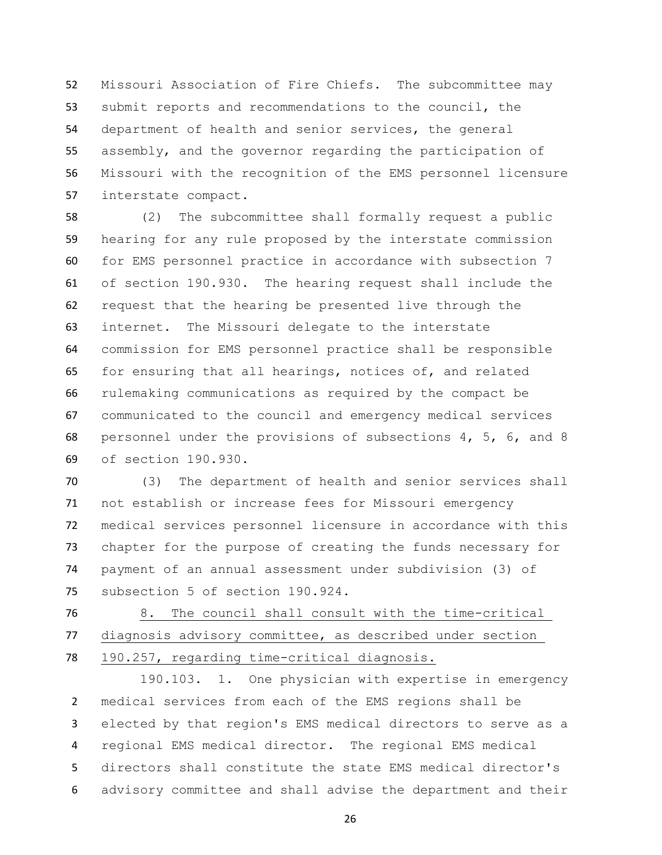Missouri Association of Fire Chiefs. The subcommittee may submit reports and recommendations to the council, the department of health and senior services, the general assembly, and the governor regarding the participation of Missouri with the recognition of the EMS personnel licensure interstate compact.

 (2) The subcommittee shall formally request a public hearing for any rule proposed by the interstate commission for EMS personnel practice in accordance with subsection 7 of section 190.930. The hearing request shall include the request that the hearing be presented live through the internet. The Missouri delegate to the interstate commission for EMS personnel practice shall be responsible for ensuring that all hearings, notices of, and related rulemaking communications as required by the compact be communicated to the council and emergency medical services personnel under the provisions of subsections 4, 5, 6, and 8 of section 190.930.

 (3) The department of health and senior services shall not establish or increase fees for Missouri emergency medical services personnel licensure in accordance with this chapter for the purpose of creating the funds necessary for payment of an annual assessment under subdivision (3) of subsection 5 of section 190.924.

 8. The council shall consult with the time-critical diagnosis advisory committee, as described under section 190.257, regarding time-critical diagnosis.

190.103. 1. One physician with expertise in emergency medical services from each of the EMS regions shall be elected by that region's EMS medical directors to serve as a regional EMS medical director. The regional EMS medical directors shall constitute the state EMS medical director's advisory committee and shall advise the department and their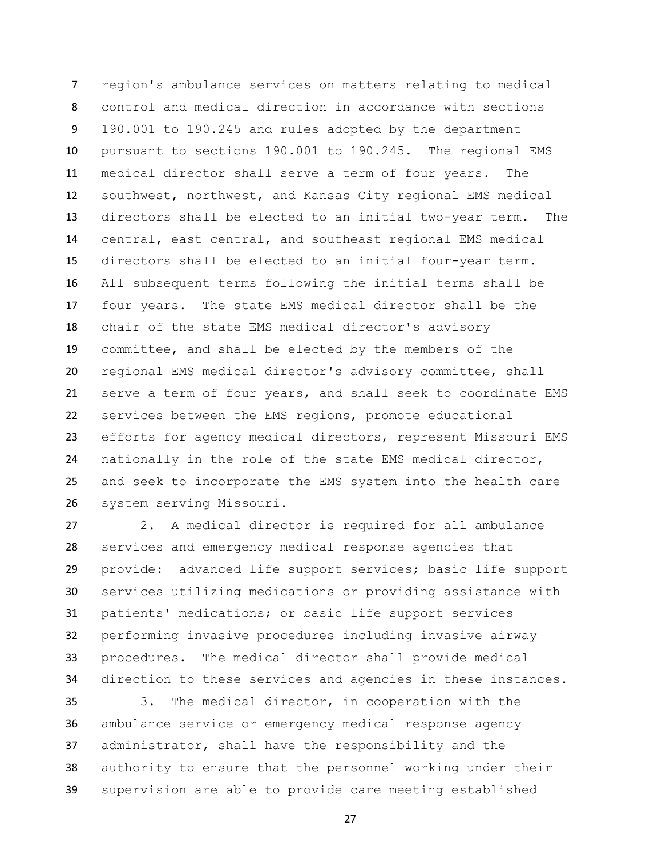region's ambulance services on matters relating to medical control and medical direction in accordance with sections 190.001 to 190.245 and rules adopted by the department pursuant to sections 190.001 to 190.245. The regional EMS medical director shall serve a term of four years. The southwest, northwest, and Kansas City regional EMS medical directors shall be elected to an initial two-year term. The central, east central, and southeast regional EMS medical directors shall be elected to an initial four-year term. All subsequent terms following the initial terms shall be four years. The state EMS medical director shall be the chair of the state EMS medical director's advisory committee, and shall be elected by the members of the regional EMS medical director's advisory committee, shall serve a term of four years, and shall seek to coordinate EMS services between the EMS regions, promote educational efforts for agency medical directors, represent Missouri EMS nationally in the role of the state EMS medical director, and seek to incorporate the EMS system into the health care system serving Missouri.

 2. A medical director is required for all ambulance services and emergency medical response agencies that provide: advanced life support services; basic life support services utilizing medications or providing assistance with patients' medications; or basic life support services performing invasive procedures including invasive airway procedures. The medical director shall provide medical direction to these services and agencies in these instances.

 3. The medical director, in cooperation with the ambulance service or emergency medical response agency administrator, shall have the responsibility and the authority to ensure that the personnel working under their supervision are able to provide care meeting established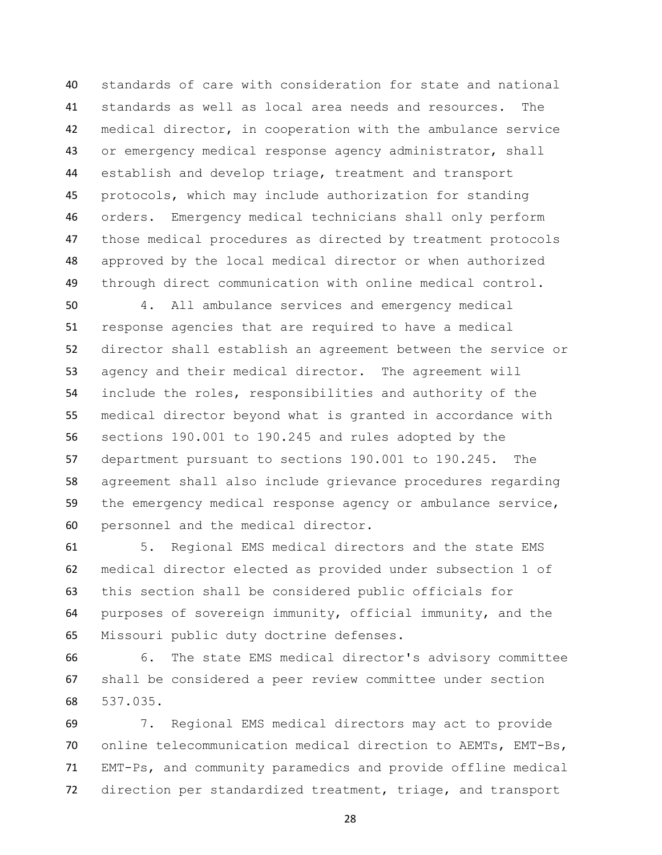standards of care with consideration for state and national standards as well as local area needs and resources. The medical director, in cooperation with the ambulance service or emergency medical response agency administrator, shall establish and develop triage, treatment and transport protocols, which may include authorization for standing orders. Emergency medical technicians shall only perform those medical procedures as directed by treatment protocols approved by the local medical director or when authorized through direct communication with online medical control.

 4. All ambulance services and emergency medical response agencies that are required to have a medical director shall establish an agreement between the service or agency and their medical director. The agreement will include the roles, responsibilities and authority of the medical director beyond what is granted in accordance with sections 190.001 to 190.245 and rules adopted by the department pursuant to sections 190.001 to 190.245. The agreement shall also include grievance procedures regarding the emergency medical response agency or ambulance service, personnel and the medical director.

 5. Regional EMS medical directors and the state EMS medical director elected as provided under subsection 1 of this section shall be considered public officials for purposes of sovereign immunity, official immunity, and the Missouri public duty doctrine defenses.

 6. The state EMS medical director's advisory committee shall be considered a peer review committee under section 537.035.

 7. Regional EMS medical directors may act to provide online telecommunication medical direction to AEMTs, EMT-Bs, EMT-Ps, and community paramedics and provide offline medical direction per standardized treatment, triage, and transport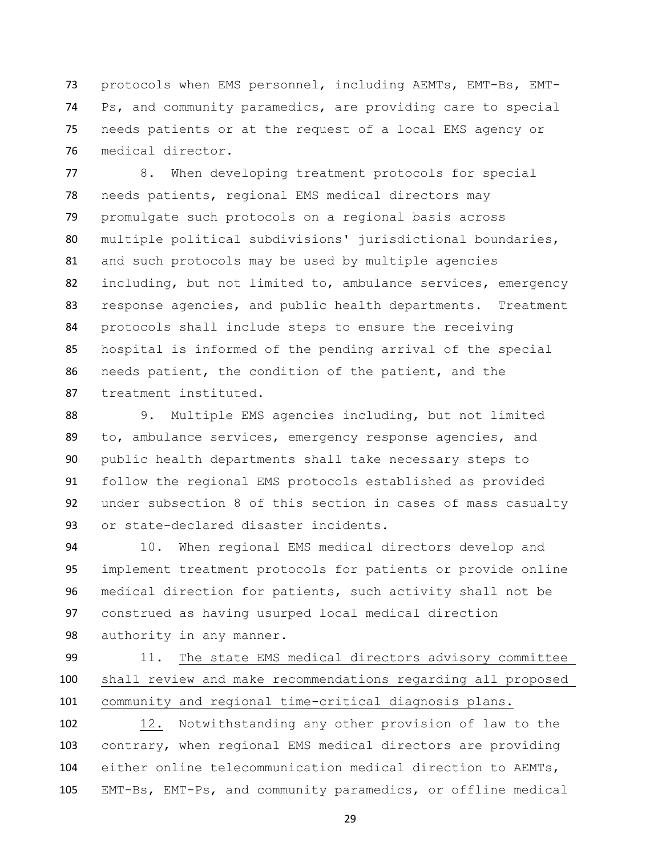protocols when EMS personnel, including AEMTs, EMT-Bs, EMT- Ps, and community paramedics, are providing care to special needs patients or at the request of a local EMS agency or medical director.

 8. When developing treatment protocols for special needs patients, regional EMS medical directors may promulgate such protocols on a regional basis across multiple political subdivisions' jurisdictional boundaries, and such protocols may be used by multiple agencies including, but not limited to, ambulance services, emergency response agencies, and public health departments. Treatment protocols shall include steps to ensure the receiving hospital is informed of the pending arrival of the special needs patient, the condition of the patient, and the treatment instituted.

 9. Multiple EMS agencies including, but not limited to, ambulance services, emergency response agencies, and public health departments shall take necessary steps to follow the regional EMS protocols established as provided under subsection 8 of this section in cases of mass casualty or state-declared disaster incidents.

 10. When regional EMS medical directors develop and implement treatment protocols for patients or provide online medical direction for patients, such activity shall not be construed as having usurped local medical direction authority in any manner.

 11. The state EMS medical directors advisory committee shall review and make recommendations regarding all proposed community and regional time-critical diagnosis plans.

 12. Notwithstanding any other provision of law to the contrary, when regional EMS medical directors are providing either online telecommunication medical direction to AEMTs, EMT-Bs, EMT-Ps, and community paramedics, or offline medical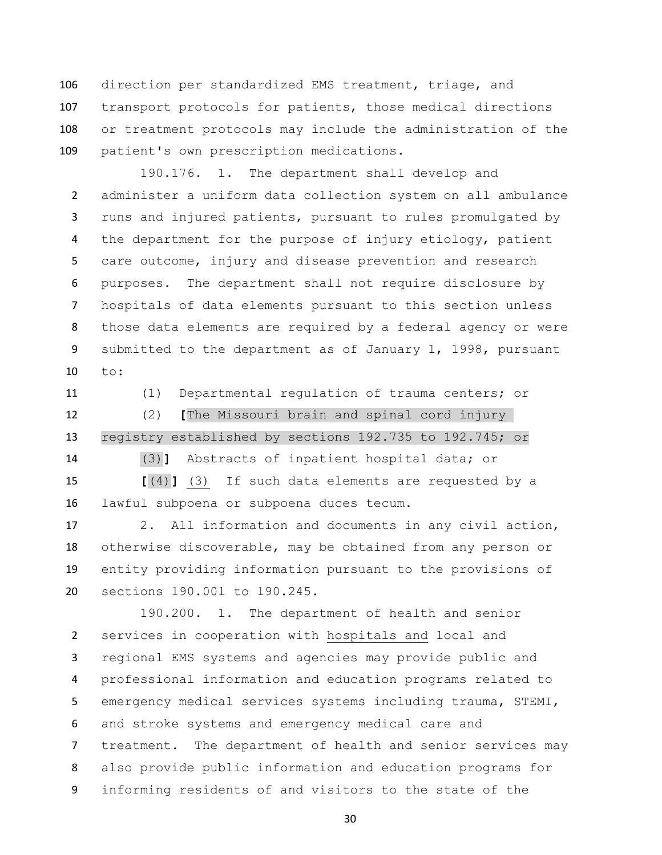direction per standardized EMS treatment, triage, and transport protocols for patients, those medical directions or treatment protocols may include the administration of the patient's own prescription medications.

 190.176. 1. The department shall develop and administer a uniform data collection system on all ambulance runs and injured patients, pursuant to rules promulgated by 4 the department for the purpose of injury etiology, patient care outcome, injury and disease prevention and research purposes. The department shall not require disclosure by hospitals of data elements pursuant to this section unless those data elements are required by a federal agency or were submitted to the department as of January 1, 1998, pursuant to:

(1) Departmental regulation of trauma centers; or

 (2) **[**The Missouri brain and spinal cord injury registry established by sections 192.735 to 192.745; or

(3)**]** Abstracts of inpatient hospital data; or

 **[**(4)**]** (3) If such data elements are requested by a lawful subpoena or subpoena duces tecum.

 2. All information and documents in any civil action, otherwise discoverable, may be obtained from any person or entity providing information pursuant to the provisions of sections 190.001 to 190.245.

190.200. 1. The department of health and senior services in cooperation with hospitals and local and regional EMS systems and agencies may provide public and professional information and education programs related to emergency medical services systems including trauma, STEMI, and stroke systems and emergency medical care and treatment. The department of health and senior services may also provide public information and education programs for informing residents of and visitors to the state of the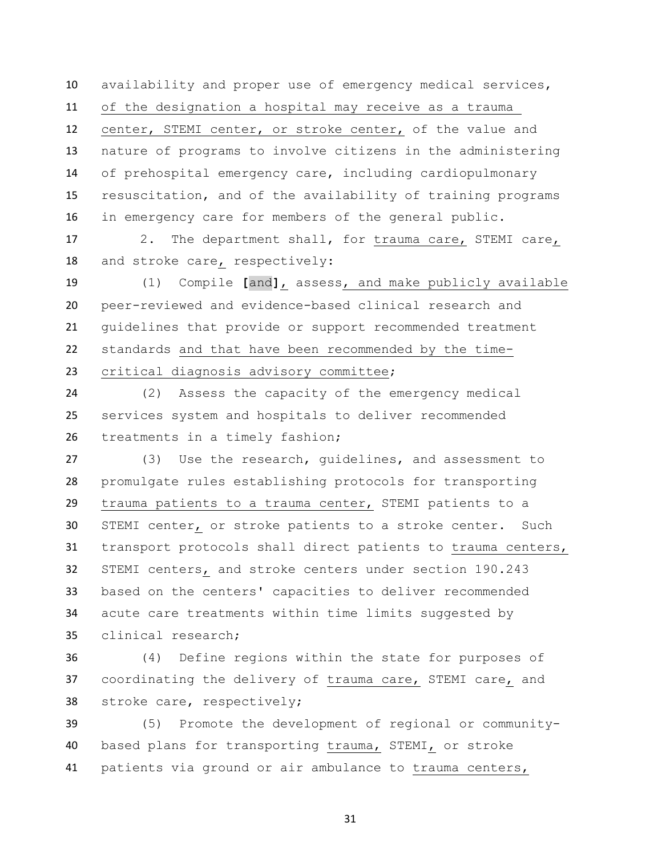availability and proper use of emergency medical services,

of the designation a hospital may receive as a trauma

 center, STEMI center, or stroke center, of the value and nature of programs to involve citizens in the administering of prehospital emergency care, including cardiopulmonary resuscitation, and of the availability of training programs in emergency care for members of the general public.

 2. The department shall, for trauma care, STEMI care, and stroke care, respectively:

 (1) Compile **[**and**]**, assess, and make publicly available peer-reviewed and evidence-based clinical research and guidelines that provide or support recommended treatment standards and that have been recommended by the time-critical diagnosis advisory committee;

 (2) Assess the capacity of the emergency medical services system and hospitals to deliver recommended treatments in a timely fashion;

 (3) Use the research, guidelines, and assessment to promulgate rules establishing protocols for transporting trauma patients to a trauma center, STEMI patients to a STEMI center, or stroke patients to a stroke center. Such transport protocols shall direct patients to trauma centers, STEMI centers, and stroke centers under section 190.243 based on the centers' capacities to deliver recommended acute care treatments within time limits suggested by clinical research;

 (4) Define regions within the state for purposes of coordinating the delivery of trauma care, STEMI care, and stroke care, respectively;

 (5) Promote the development of regional or community- based plans for transporting trauma, STEMI, or stroke patients via ground or air ambulance to trauma centers,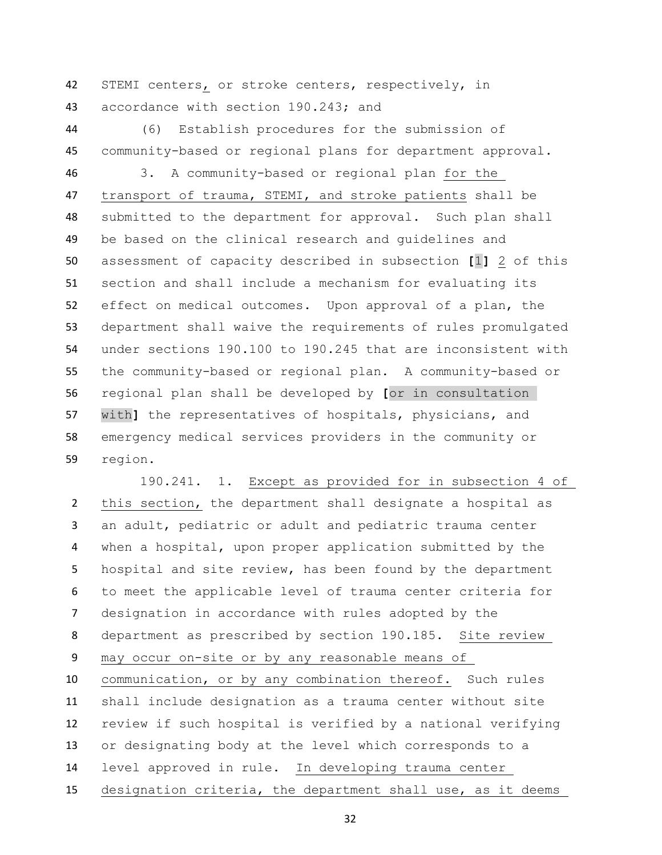STEMI centers, or stroke centers, respectively, in accordance with section 190.243; and

 (6) Establish procedures for the submission of community-based or regional plans for department approval.

 3. A community-based or regional plan for the transport of trauma, STEMI, and stroke patients shall be submitted to the department for approval. Such plan shall be based on the clinical research and guidelines and assessment of capacity described in subsection **[**1**]** 2 of this section and shall include a mechanism for evaluating its effect on medical outcomes. Upon approval of a plan, the department shall waive the requirements of rules promulgated under sections 190.100 to 190.245 that are inconsistent with the community-based or regional plan. A community-based or regional plan shall be developed by **[**or in consultation with**]** the representatives of hospitals, physicians, and emergency medical services providers in the community or region.

 190.241. 1. Except as provided for in subsection 4 of this section, the department shall designate a hospital as an adult, pediatric or adult and pediatric trauma center when a hospital, upon proper application submitted by the hospital and site review, has been found by the department to meet the applicable level of trauma center criteria for designation in accordance with rules adopted by the department as prescribed by section 190.185. Site review may occur on-site or by any reasonable means of communication, or by any combination thereof. Such rules shall include designation as a trauma center without site review if such hospital is verified by a national verifying or designating body at the level which corresponds to a level approved in rule. In developing trauma center designation criteria, the department shall use, as it deems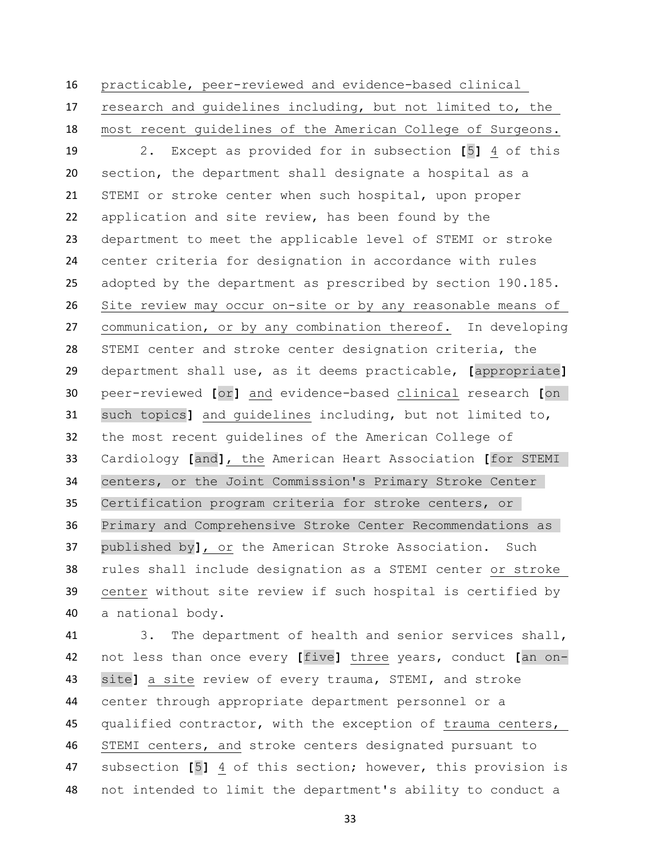practicable, peer-reviewed and evidence-based clinical research and guidelines including, but not limited to, the most recent guidelines of the American College of Surgeons.

 2. Except as provided for in subsection **[**5**]** 4 of this section, the department shall designate a hospital as a STEMI or stroke center when such hospital, upon proper application and site review, has been found by the department to meet the applicable level of STEMI or stroke center criteria for designation in accordance with rules adopted by the department as prescribed by section 190.185. Site review may occur on-site or by any reasonable means of communication, or by any combination thereof. In developing STEMI center and stroke center designation criteria, the department shall use, as it deems practicable, **[**appropriate**]** peer-reviewed **[**or**]** and evidence-based clinical research **[**on such topics**]** and guidelines including, but not limited to, the most recent guidelines of the American College of Cardiology **[**and**]**, the American Heart Association **[**for STEMI centers, or the Joint Commission's Primary Stroke Center Certification program criteria for stroke centers, or Primary and Comprehensive Stroke Center Recommendations as published by**]**, or the American Stroke Association. Such rules shall include designation as a STEMI center or stroke center without site review if such hospital is certified by a national body.

 3. The department of health and senior services shall, not less than once every **[**five**]** three years, conduct **[**an on- site**]** a site review of every trauma, STEMI, and stroke center through appropriate department personnel or a 45 qualified contractor, with the exception of trauma centers, STEMI centers, and stroke centers designated pursuant to subsection **[**5**]** 4 of this section; however, this provision is not intended to limit the department's ability to conduct a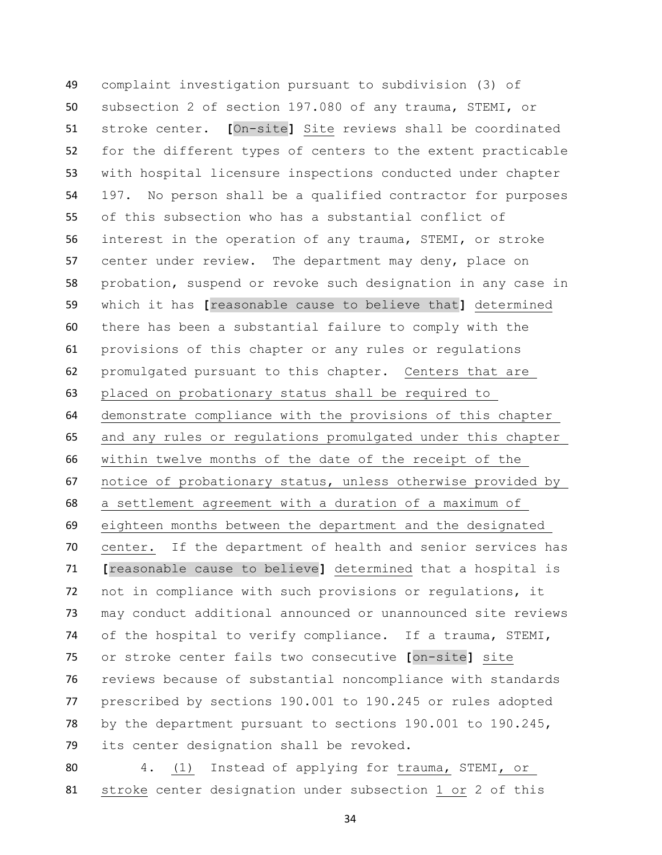complaint investigation pursuant to subdivision (3) of subsection 2 of section 197.080 of any trauma, STEMI, or stroke center. **[**On-site**]** Site reviews shall be coordinated for the different types of centers to the extent practicable with hospital licensure inspections conducted under chapter 197. No person shall be a qualified contractor for purposes of this subsection who has a substantial conflict of interest in the operation of any trauma, STEMI, or stroke center under review. The department may deny, place on probation, suspend or revoke such designation in any case in which it has **[**reasonable cause to believe that**]** determined there has been a substantial failure to comply with the provisions of this chapter or any rules or regulations promulgated pursuant to this chapter. Centers that are placed on probationary status shall be required to demonstrate compliance with the provisions of this chapter and any rules or regulations promulgated under this chapter within twelve months of the date of the receipt of the notice of probationary status, unless otherwise provided by a settlement agreement with a duration of a maximum of eighteen months between the department and the designated center. If the department of health and senior services has **[**reasonable cause to believe**]** determined that a hospital is not in compliance with such provisions or regulations, it may conduct additional announced or unannounced site reviews of the hospital to verify compliance. If a trauma, STEMI, or stroke center fails two consecutive **[**on-site**]** site reviews because of substantial noncompliance with standards prescribed by sections 190.001 to 190.245 or rules adopted by the department pursuant to sections 190.001 to 190.245, its center designation shall be revoked.

 4. (1) Instead of applying for trauma, STEMI, or stroke center designation under subsection 1 or 2 of this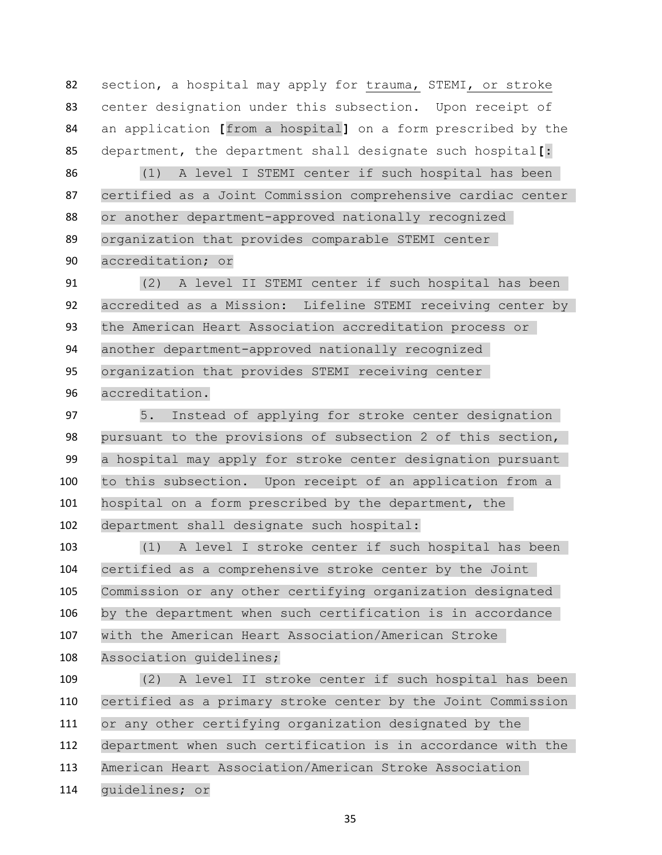section, a hospital may apply for trauma, STEMI, or stroke center designation under this subsection. Upon receipt of an application **[**from a hospital**]** on a form prescribed by the department, the department shall designate such hospital**[**:

 (1) A level I STEMI center if such hospital has been certified as a Joint Commission comprehensive cardiac center or another department-approved nationally recognized organization that provides comparable STEMI center accreditation; or

 (2) A level II STEMI center if such hospital has been accredited as a Mission: Lifeline STEMI receiving center by the American Heart Association accreditation process or another department-approved nationally recognized organization that provides STEMI receiving center accreditation.

 5. Instead of applying for stroke center designation pursuant to the provisions of subsection 2 of this section, a hospital may apply for stroke center designation pursuant to this subsection. Upon receipt of an application from a hospital on a form prescribed by the department, the department shall designate such hospital:

 (1) A level I stroke center if such hospital has been certified as a comprehensive stroke center by the Joint Commission or any other certifying organization designated by the department when such certification is in accordance with the American Heart Association/American Stroke Association guidelines;

 (2) A level II stroke center if such hospital has been certified as a primary stroke center by the Joint Commission or any other certifying organization designated by the department when such certification is in accordance with the American Heart Association/American Stroke Association guidelines; or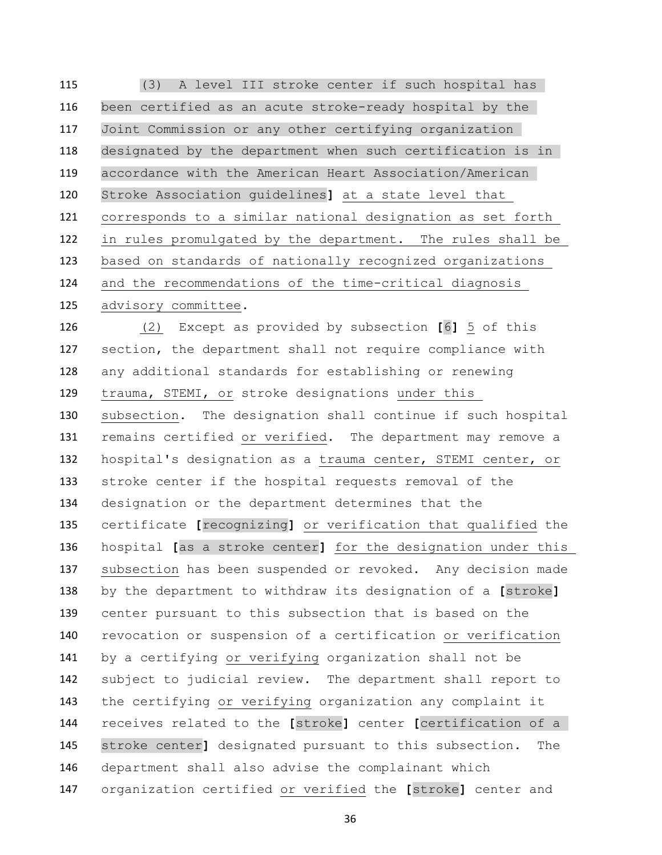(3) A level III stroke center if such hospital has been certified as an acute stroke-ready hospital by the Joint Commission or any other certifying organization designated by the department when such certification is in accordance with the American Heart Association/American Stroke Association guidelines**]** at a state level that corresponds to a similar national designation as set forth in rules promulgated by the department. The rules shall be based on standards of nationally recognized organizations and the recommendations of the time-critical diagnosis advisory committee.

 (2) Except as provided by subsection **[**6**]** 5 of this section, the department shall not require compliance with any additional standards for establishing or renewing trauma, STEMI, or stroke designations under this subsection. The designation shall continue if such hospital remains certified or verified. The department may remove a hospital's designation as a trauma center, STEMI center, or stroke center if the hospital requests removal of the designation or the department determines that the certificate **[**recognizing**]** or verification that qualified the hospital **[**as a stroke center**]** for the designation under this subsection has been suspended or revoked. Any decision made by the department to withdraw its designation of a **[**stroke**]** center pursuant to this subsection that is based on the revocation or suspension of a certification or verification by a certifying or verifying organization shall not be subject to judicial review. The department shall report to the certifying or verifying organization any complaint it receives related to the **[**stroke**]** center **[**certification of a stroke center**]** designated pursuant to this subsection. The department shall also advise the complainant which organization certified or verified the **[**stroke**]** center and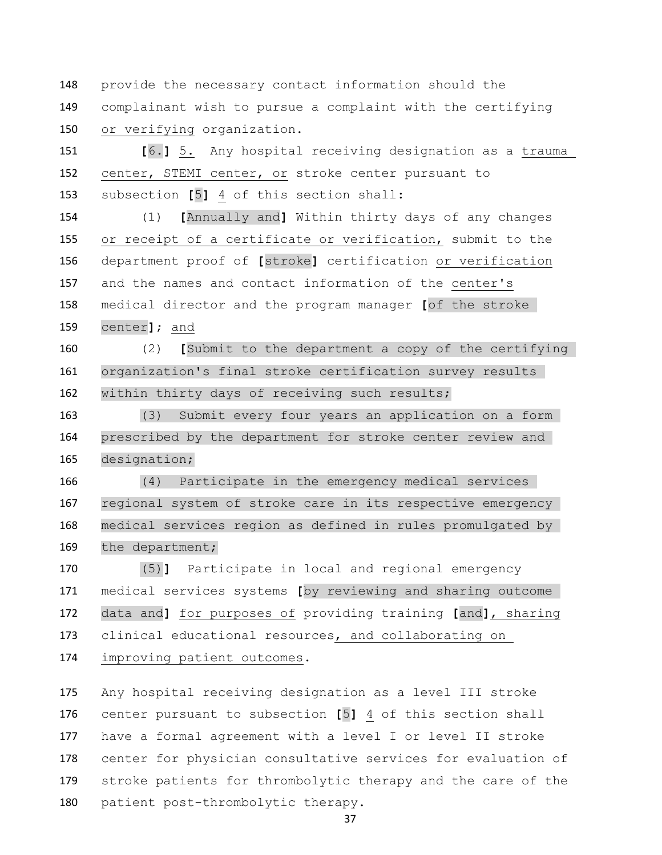provide the necessary contact information should the complainant wish to pursue a complaint with the certifying or verifying organization.

 **[**6.**]** 5. Any hospital receiving designation as a trauma center, STEMI center, or stroke center pursuant to subsection **[**5**]** 4 of this section shall:

 (1) **[**Annually and**]** Within thirty days of any changes or receipt of a certificate or verification, submit to the department proof of **[**stroke**]** certification or verification and the names and contact information of the center's medical director and the program manager **[**of the stroke center**]**; and

 (2) **[**Submit to the department a copy of the certifying organization's final stroke certification survey results within thirty days of receiving such results;

 (3) Submit every four years an application on a form prescribed by the department for stroke center review and designation;

 (4) Participate in the emergency medical services regional system of stroke care in its respective emergency medical services region as defined in rules promulgated by the department;

 (5)**]** Participate in local and regional emergency medical services systems **[**by reviewing and sharing outcome data and**]** for purposes of providing training **[**and**]**, sharing clinical educational resources, and collaborating on improving patient outcomes.

 Any hospital receiving designation as a level III stroke center pursuant to subsection **[**5**]** 4 of this section shall 177 have a formal agreement with a level I or level II stroke center for physician consultative services for evaluation of stroke patients for thrombolytic therapy and the care of the patient post-thrombolytic therapy.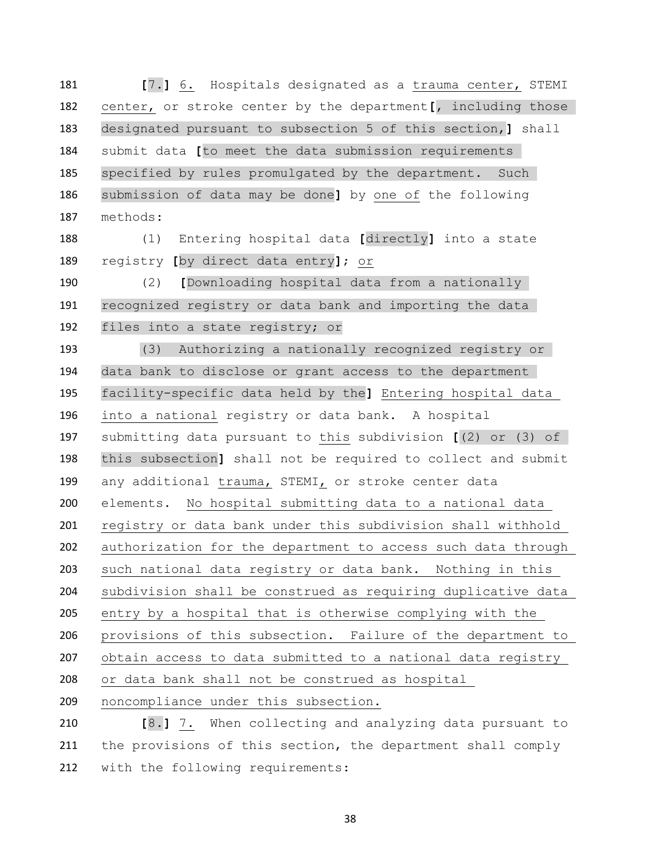**[**7.**]** 6. Hospitals designated as a trauma center, STEMI center, or stroke center by the department**[**, including those designated pursuant to subsection 5 of this section,**]** shall submit data **[**to meet the data submission requirements specified by rules promulgated by the department. Such submission of data may be done**]** by one of the following methods:

 (1) Entering hospital data **[**directly**]** into a state registry **[**by direct data entry**]**; or

 (2) **[**Downloading hospital data from a nationally recognized registry or data bank and importing the data files into a state registry; or

 (3) Authorizing a nationally recognized registry or data bank to disclose or grant access to the department facility-specific data held by the**]** Entering hospital data into a national registry or data bank. A hospital submitting data pursuant to this subdivision **[**(2) or (3) of this subsection**]** shall not be required to collect and submit any additional trauma, STEMI, or stroke center data elements. No hospital submitting data to a national data registry or data bank under this subdivision shall withhold authorization for the department to access such data through such national data registry or data bank. Nothing in this subdivision shall be construed as requiring duplicative data entry by a hospital that is otherwise complying with the provisions of this subsection. Failure of the department to obtain access to data submitted to a national data registry or data bank shall not be construed as hospital noncompliance under this subsection. **[**8.**]** 7. When collecting and analyzing data pursuant to

211 the provisions of this section, the department shall comply with the following requirements: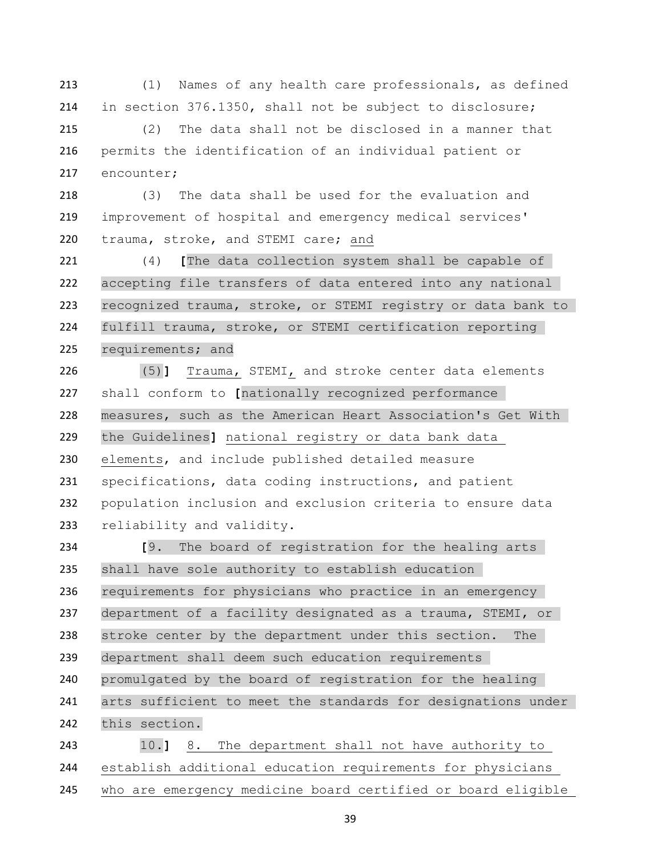(1) Names of any health care professionals, as defined in section 376.1350, shall not be subject to disclosure;

 (2) The data shall not be disclosed in a manner that permits the identification of an individual patient or encounter;

 (3) The data shall be used for the evaluation and improvement of hospital and emergency medical services' trauma, stroke, and STEMI care; and

 (4) **[**The data collection system shall be capable of accepting file transfers of data entered into any national recognized trauma, stroke, or STEMI registry or data bank to fulfill trauma, stroke, or STEMI certification reporting requirements; and

 (5)**]** Trauma, STEMI, and stroke center data elements shall conform to **[**nationally recognized performance measures, such as the American Heart Association's Get With the Guidelines**]** national registry or data bank data elements, and include published detailed measure specifications, data coding instructions, and patient population inclusion and exclusion criteria to ensure data reliability and validity.

 **[**9. The board of registration for the healing arts shall have sole authority to establish education requirements for physicians who practice in an emergency department of a facility designated as a trauma, STEMI, or stroke center by the department under this section. The department shall deem such education requirements promulgated by the board of registration for the healing arts sufficient to meet the standards for designations under this section.

 10.**]** 8. The department shall not have authority to establish additional education requirements for physicians who are emergency medicine board certified or board eligible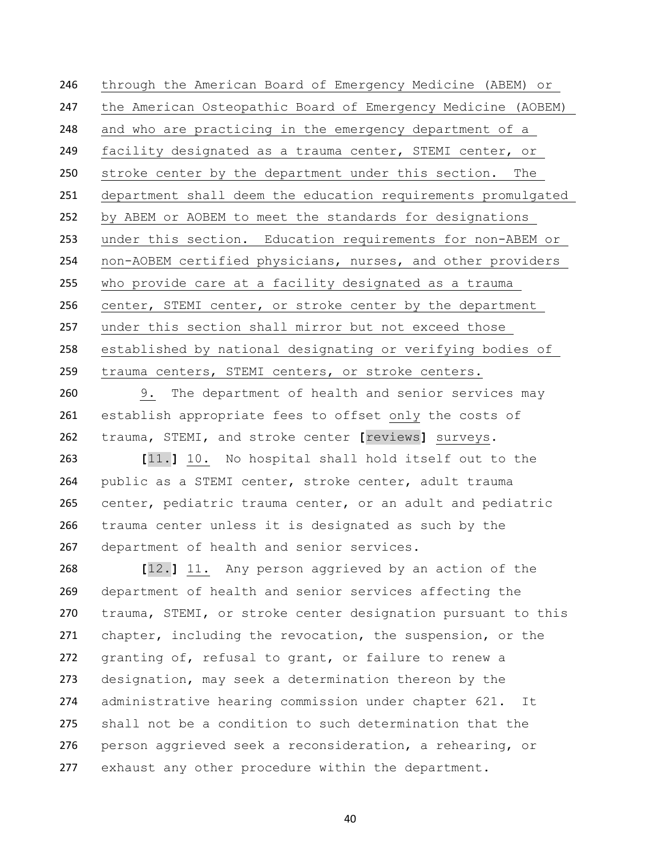through the American Board of Emergency Medicine (ABEM) or the American Osteopathic Board of Emergency Medicine (AOBEM) and who are practicing in the emergency department of a facility designated as a trauma center, STEMI center, or stroke center by the department under this section. The department shall deem the education requirements promulgated by ABEM or AOBEM to meet the standards for designations under this section. Education requirements for non-ABEM or non-AOBEM certified physicians, nurses, and other providers who provide care at a facility designated as a trauma center, STEMI center, or stroke center by the department under this section shall mirror but not exceed those established by national designating or verifying bodies of trauma centers, STEMI centers, or stroke centers.

 9. The department of health and senior services may establish appropriate fees to offset only the costs of trauma, STEMI, and stroke center **[**reviews**]** surveys.

 **[**11.**]** 10. No hospital shall hold itself out to the public as a STEMI center, stroke center, adult trauma center, pediatric trauma center, or an adult and pediatric trauma center unless it is designated as such by the department of health and senior services.

 **[**12.**]** 11. Any person aggrieved by an action of the department of health and senior services affecting the trauma, STEMI, or stroke center designation pursuant to this chapter, including the revocation, the suspension, or the granting of, refusal to grant, or failure to renew a designation, may seek a determination thereon by the administrative hearing commission under chapter 621. It shall not be a condition to such determination that the person aggrieved seek a reconsideration, a rehearing, or exhaust any other procedure within the department.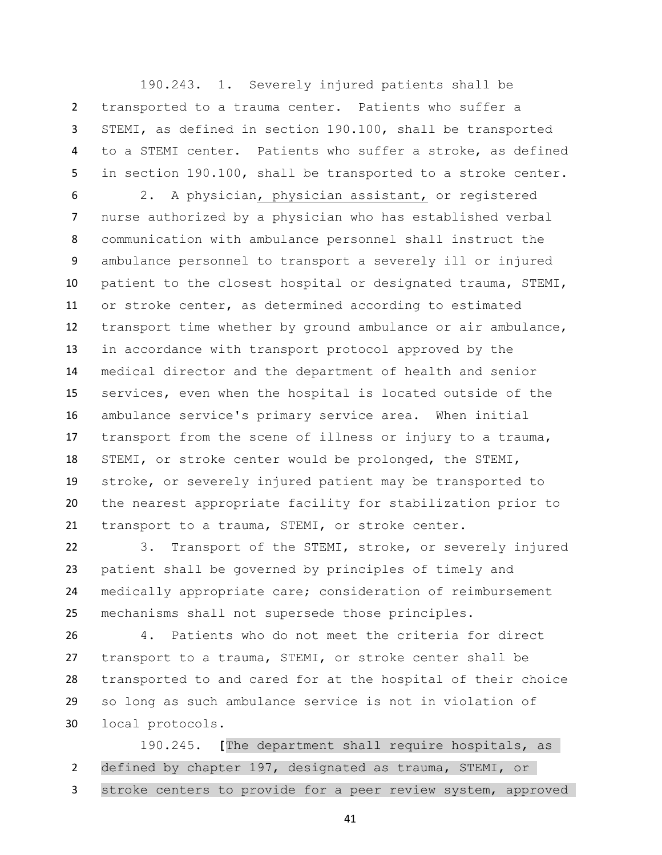190.243. 1. Severely injured patients shall be transported to a trauma center. Patients who suffer a STEMI, as defined in section 190.100, shall be transported to a STEMI center. Patients who suffer a stroke, as defined in section 190.100, shall be transported to a stroke center.

 2. A physician, physician assistant, or registered nurse authorized by a physician who has established verbal communication with ambulance personnel shall instruct the ambulance personnel to transport a severely ill or injured patient to the closest hospital or designated trauma, STEMI, or stroke center, as determined according to estimated transport time whether by ground ambulance or air ambulance, in accordance with transport protocol approved by the medical director and the department of health and senior services, even when the hospital is located outside of the ambulance service's primary service area. When initial 17 transport from the scene of illness or injury to a trauma, STEMI, or stroke center would be prolonged, the STEMI, stroke, or severely injured patient may be transported to the nearest appropriate facility for stabilization prior to transport to a trauma, STEMI, or stroke center.

 3. Transport of the STEMI, stroke, or severely injured patient shall be governed by principles of timely and medically appropriate care; consideration of reimbursement mechanisms shall not supersede those principles.

 4. Patients who do not meet the criteria for direct transport to a trauma, STEMI, or stroke center shall be transported to and cared for at the hospital of their choice so long as such ambulance service is not in violation of local protocols.

 190.245. **[**The department shall require hospitals, as defined by chapter 197, designated as trauma, STEMI, or 3 stroke centers to provide for a peer review system, approved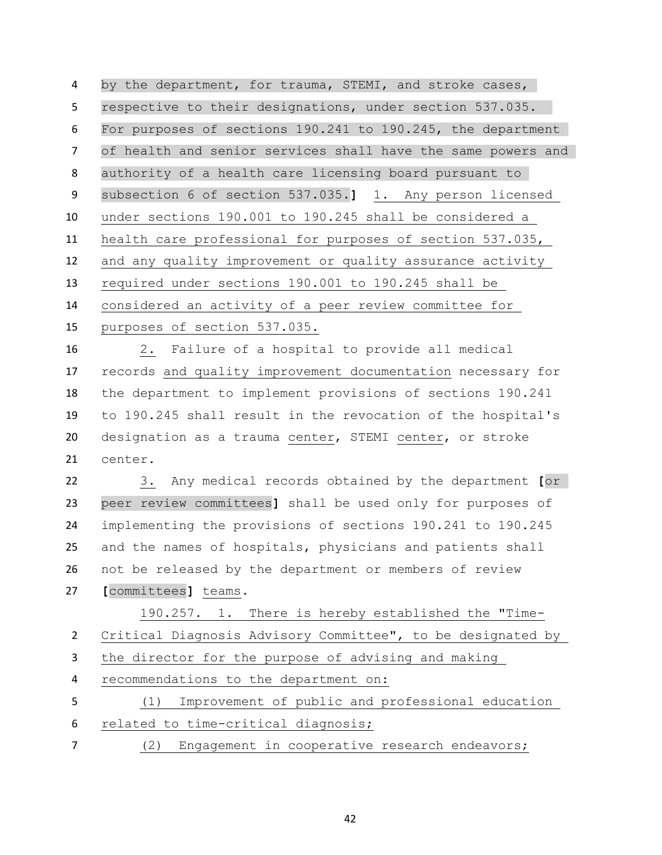by the department, for trauma, STEMI, and stroke cases, respective to their designations, under section 537.035. For purposes of sections 190.241 to 190.245, the department of health and senior services shall have the same powers and authority of a health care licensing board pursuant to subsection 6 of section 537.035.**]** 1. Any person licensed under sections 190.001 to 190.245 shall be considered a health care professional for purposes of section 537.035, and any quality improvement or quality assurance activity required under sections 190.001 to 190.245 shall be considered an activity of a peer review committee for purposes of section 537.035.

 2. Failure of a hospital to provide all medical records and quality improvement documentation necessary for the department to implement provisions of sections 190.241 to 190.245 shall result in the revocation of the hospital's designation as a trauma center, STEMI center, or stroke center.

 3. Any medical records obtained by the department **[**or peer review committees**]** shall be used only for purposes of implementing the provisions of sections 190.241 to 190.245 and the names of hospitals, physicians and patients shall not be released by the department or members of review **[**committees**]** teams.

 190.257. 1. There is hereby established the "Time- Critical Diagnosis Advisory Committee", to be designated by the director for the purpose of advising and making recommendations to the department on: (1) Improvement of public and professional education related to time-critical diagnosis; (2) Engagement in cooperative research endeavors;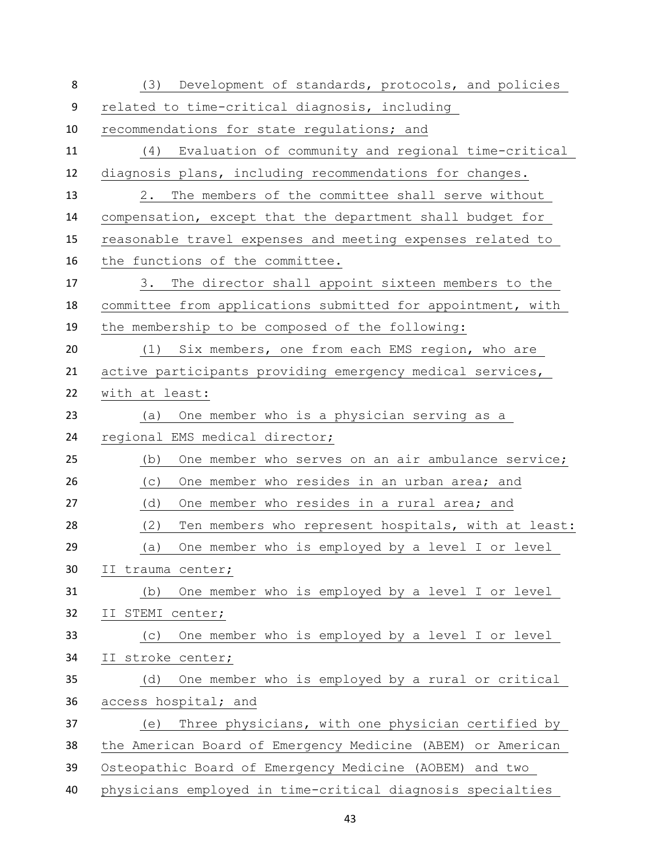| 8  | (3) Development of standards, protocols, and policies       |
|----|-------------------------------------------------------------|
| 9  | related to time-critical diagnosis, including               |
| 10 | recommendations for state regulations; and                  |
| 11 | (4) Evaluation of community and regional time-critical      |
| 12 | diagnosis plans, including recommendations for changes.     |
| 13 | The members of the committee shall serve without<br>2.      |
| 14 | compensation, except that the department shall budget for   |
| 15 | reasonable travel expenses and meeting expenses related to  |
| 16 | the functions of the committee.                             |
| 17 | The director shall appoint sixteen members to the<br>3.     |
| 18 | committee from applications submitted for appointment, with |
| 19 | the membership to be composed of the following:             |
| 20 | (1)<br>Six members, one from each EMS region, who are       |
| 21 | active participants providing emergency medical services,   |
| 22 | with at least:                                              |
| 23 | One member who is a physician serving as a<br>(a)           |
| 24 | regional EMS medical director;                              |
| 25 | One member who serves on an air ambulance service;<br>(b)   |
| 26 | One member who resides in an urban area; and<br>(C)         |
| 27 | (d)<br>One member who resides in a rural area; and          |
| 28 | (2)<br>Ten members who represent hospitals, with at least:  |
| 29 | One member who is employed by a level I or level<br>(a)     |
| 30 | II trauma center;                                           |
| 31 | One member who is employed by a level I or level<br>(b)     |
| 32 | II STEMI center;                                            |
| 33 | One member who is employed by a level I or level<br>(C)     |
| 34 | II stroke center;                                           |
| 35 | One member who is employed by a rural or critical<br>(d)    |
| 36 | access hospital; and                                        |
| 37 | Three physicians, with one physician certified by<br>(e)    |
| 38 | the American Board of Emergency Medicine (ABEM) or American |
| 39 | Osteopathic Board of Emergency Medicine (AOBEM) and two     |
| 40 | physicians employed in time-critical diagnosis specialties  |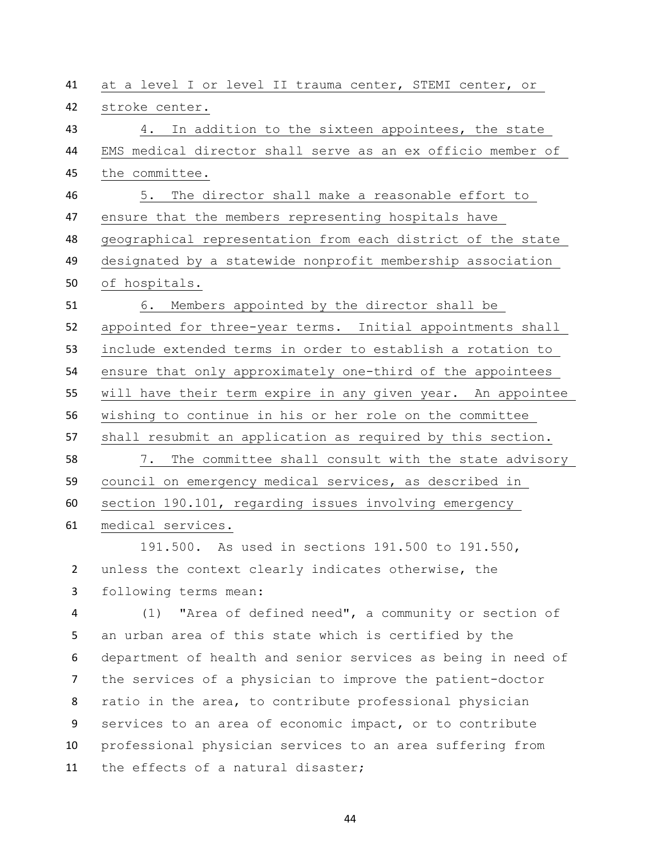at a level I or level II trauma center, STEMI center, or stroke center. 4. In addition to the sixteen appointees, the state EMS medical director shall serve as an ex officio member of the committee. 5. The director shall make a reasonable effort to ensure that the members representing hospitals have geographical representation from each district of the state designated by a statewide nonprofit membership association of hospitals. 6. Members appointed by the director shall be appointed for three-year terms. Initial appointments shall include extended terms in order to establish a rotation to ensure that only approximately one-third of the appointees will have their term expire in any given year. An appointee wishing to continue in his or her role on the committee shall resubmit an application as required by this section. 7. The committee shall consult with the state advisory council on emergency medical services, as described in section 190.101, regarding issues involving emergency medical services. 191.500. As used in sections 191.500 to 191.550, unless the context clearly indicates otherwise, the following terms mean: (1) "Area of defined need", a community or section of an urban area of this state which is certified by the department of health and senior services as being in need of the services of a physician to improve the patient-doctor ratio in the area, to contribute professional physician services to an area of economic impact, or to contribute professional physician services to an area suffering from the effects of a natural disaster;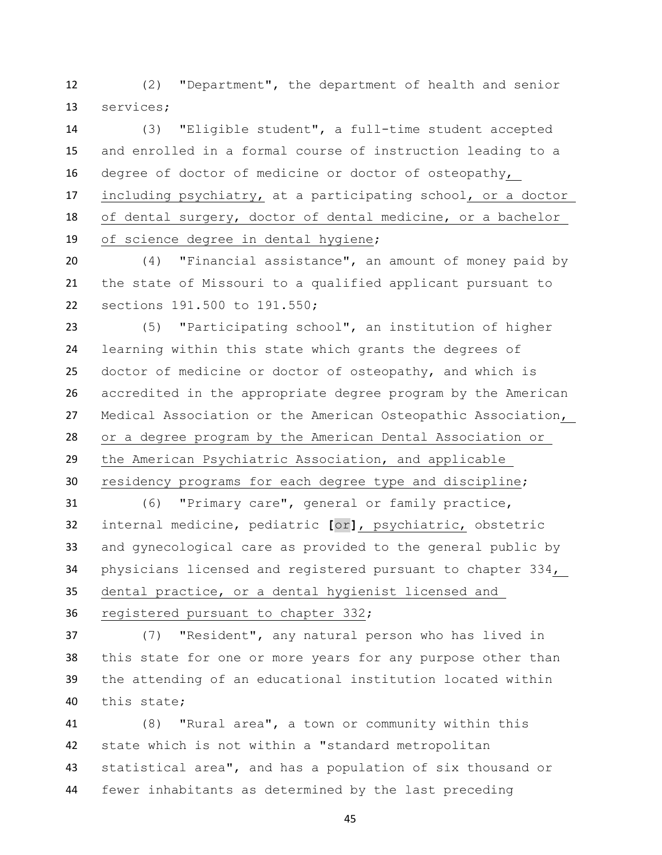(2) "Department", the department of health and senior services;

 (3) "Eligible student", a full-time student accepted and enrolled in a formal course of instruction leading to a degree of doctor of medicine or doctor of osteopathy, including psychiatry, at a participating school, or a doctor of dental surgery, doctor of dental medicine, or a bachelor of science degree in dental hygiene;

 (4) "Financial assistance", an amount of money paid by the state of Missouri to a qualified applicant pursuant to sections 191.500 to 191.550;

 (5) "Participating school", an institution of higher learning within this state which grants the degrees of doctor of medicine or doctor of osteopathy, and which is accredited in the appropriate degree program by the American Medical Association or the American Osteopathic Association, or a degree program by the American Dental Association or the American Psychiatric Association, and applicable

residency programs for each degree type and discipline;

 (6) "Primary care", general or family practice, internal medicine, pediatric **[**or**]**, psychiatric, obstetric and gynecological care as provided to the general public by physicians licensed and registered pursuant to chapter 334, dental practice, or a dental hygienist licensed and registered pursuant to chapter 332;

 (7) "Resident", any natural person who has lived in this state for one or more years for any purpose other than the attending of an educational institution located within this state;

 (8) "Rural area", a town or community within this state which is not within a "standard metropolitan statistical area", and has a population of six thousand or fewer inhabitants as determined by the last preceding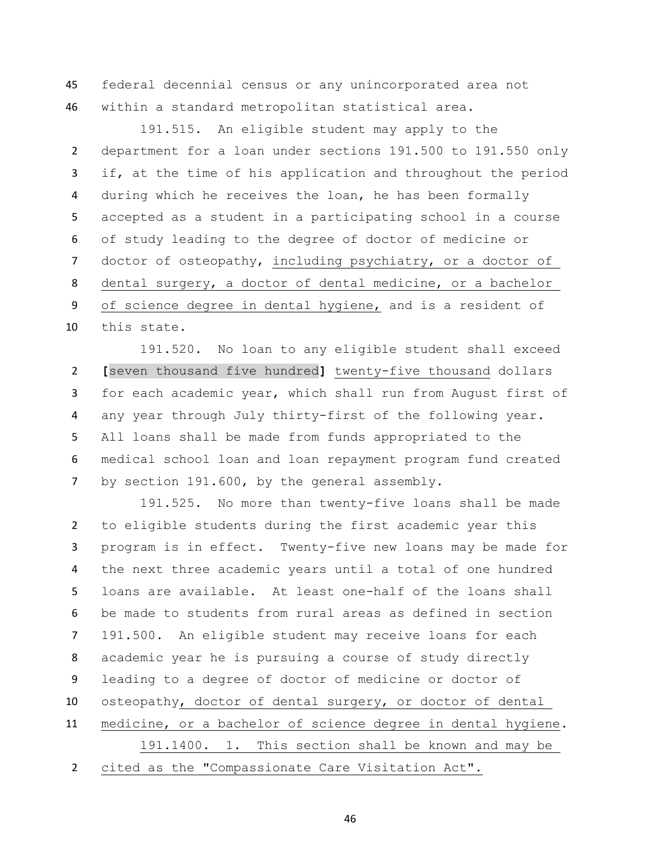federal decennial census or any unincorporated area not within a standard metropolitan statistical area.

 191.515. An eligible student may apply to the department for a loan under sections 191.500 to 191.550 only if, at the time of his application and throughout the period during which he receives the loan, he has been formally accepted as a student in a participating school in a course of study leading to the degree of doctor of medicine or doctor of osteopathy, including psychiatry, or a doctor of dental surgery, a doctor of dental medicine, or a bachelor of science degree in dental hygiene, and is a resident of this state.

191.520. No loan to any eligible student shall exceed **[**seven thousand five hundred**]** twenty-five thousand dollars for each academic year, which shall run from August first of any year through July thirty-first of the following year. All loans shall be made from funds appropriated to the medical school loan and loan repayment program fund created by section 191.600, by the general assembly.

 191.525. No more than twenty-five loans shall be made to eligible students during the first academic year this program is in effect. Twenty-five new loans may be made for the next three academic years until a total of one hundred loans are available. At least one-half of the loans shall be made to students from rural areas as defined in section 191.500. An eligible student may receive loans for each academic year he is pursuing a course of study directly leading to a degree of doctor of medicine or doctor of osteopathy, doctor of dental surgery, or doctor of dental medicine, or a bachelor of science degree in dental hygiene. 191.1400. 1. This section shall be known and may be

cited as the "Compassionate Care Visitation Act".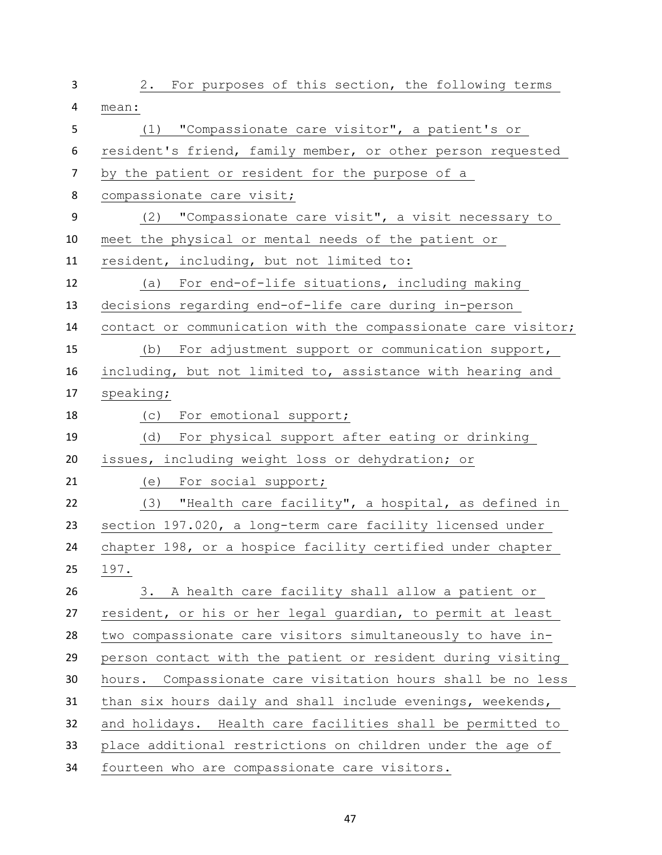| 3  | 2. For purposes of this section, the following terms           |
|----|----------------------------------------------------------------|
| 4  | mean:                                                          |
| 5  | (1) "Compassionate care visitor", a patient's or               |
| 6  | resident's friend, family member, or other person requested    |
| 7  | by the patient or resident for the purpose of a                |
| 8  | compassionate care visit;                                      |
| 9  | (2) "Compassionate care visit", a visit necessary to           |
| 10 | meet the physical or mental needs of the patient or            |
| 11 | resident, including, but not limited to:                       |
| 12 | (a) For end-of-life situations, including making               |
| 13 | decisions regarding end-of-life care during in-person          |
| 14 | contact or communication with the compassionate care visitor;  |
| 15 | (b) For adjustment support or communication support,           |
| 16 | including, but not limited to, assistance with hearing and     |
| 17 | speaking;                                                      |
| 18 | (c) For emotional support;                                     |
| 19 | For physical support after eating or drinking<br>(d)           |
| 20 | issues, including weight loss or dehydration; or               |
| 21 | (e) For social support;                                        |
| 22 | (3) "Health care facility", a hospital, as defined in          |
| 23 | section 197.020, a long-term care facility licensed under      |
| 24 | chapter 198, or a hospice facility certified under chapter     |
| 25 | 197.                                                           |
| 26 | 3. A health care facility shall allow a patient or             |
| 27 | resident, or his or her legal guardian, to permit at least     |
| 28 | two compassionate care visitors simultaneously to have in-     |
| 29 | person contact with the patient or resident during visiting    |
| 30 | Compassionate care visitation hours shall be no less<br>hours. |
| 31 | than six hours daily and shall include evenings, weekends,     |
| 32 | and holidays. Health care facilities shall be permitted to     |
| 33 | place additional restrictions on children under the age of     |
| 34 | fourteen who are compassionate care visitors.                  |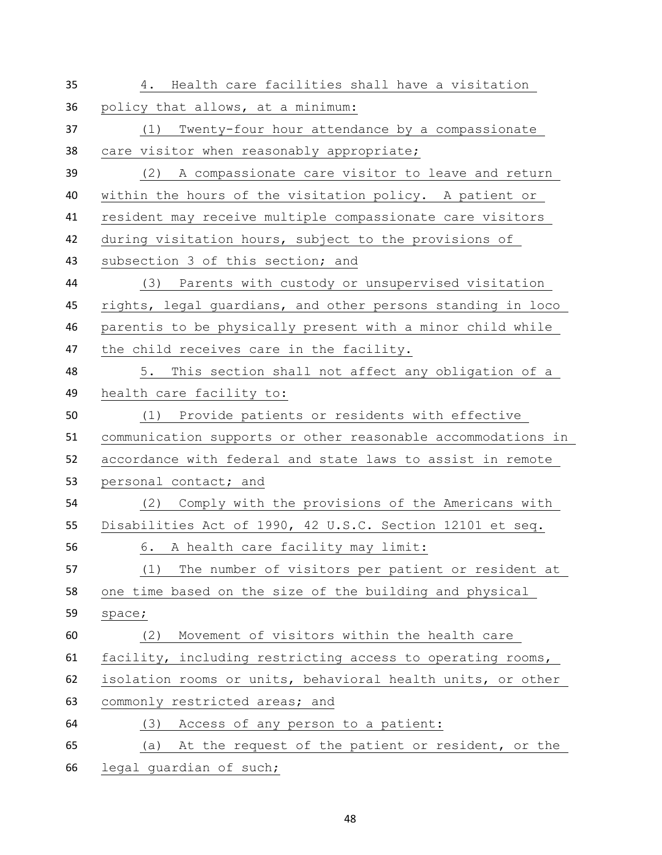| 35 | Health care facilities shall have a visitation<br>4.         |
|----|--------------------------------------------------------------|
| 36 | policy that allows, at a minimum:                            |
| 37 | Twenty-four hour attendance by a compassionate<br>(1)        |
| 38 | care visitor when reasonably appropriate;                    |
| 39 | (2) A compassionate care visitor to leave and return         |
| 40 | within the hours of the visitation policy. A patient or      |
| 41 | resident may receive multiple compassionate care visitors    |
| 42 | during visitation hours, subject to the provisions of        |
| 43 | subsection 3 of this section; and                            |
| 44 | (3) Parents with custody or unsupervised visitation          |
| 45 | rights, legal guardians, and other persons standing in loco  |
| 46 | parentis to be physically present with a minor child while   |
| 47 | the child receives care in the facility.                     |
| 48 | This section shall not affect any obligation of a<br>5.      |
| 49 | health care facility to:                                     |
| 50 | Provide patients or residents with effective<br>(1)          |
|    |                                                              |
| 51 | communication supports or other reasonable accommodations in |
| 52 | accordance with federal and state laws to assist in remote   |
| 53 | personal contact; and                                        |
| 54 | (2) Comply with the provisions of the Americans with         |
| 55 | Disabilities Act of 1990, 42 U.S.C. Section 12101 et seq.    |
| 56 | 6. A health care facility may limit:                         |
| 57 | The number of visitors per patient or resident at<br>(1)     |
| 58 | one time based on the size of the building and physical      |
| 59 | space;                                                       |
| 60 | Movement of visitors within the health care<br>(2)           |
| 61 | facility, including restricting access to operating rooms,   |
| 62 | isolation rooms or units, behavioral health units, or other  |
| 63 | commonly restricted areas; and                               |
| 64 | Access of any person to a patient:<br>(3)                    |
| 65 | At the request of the patient or resident, or the<br>(a)     |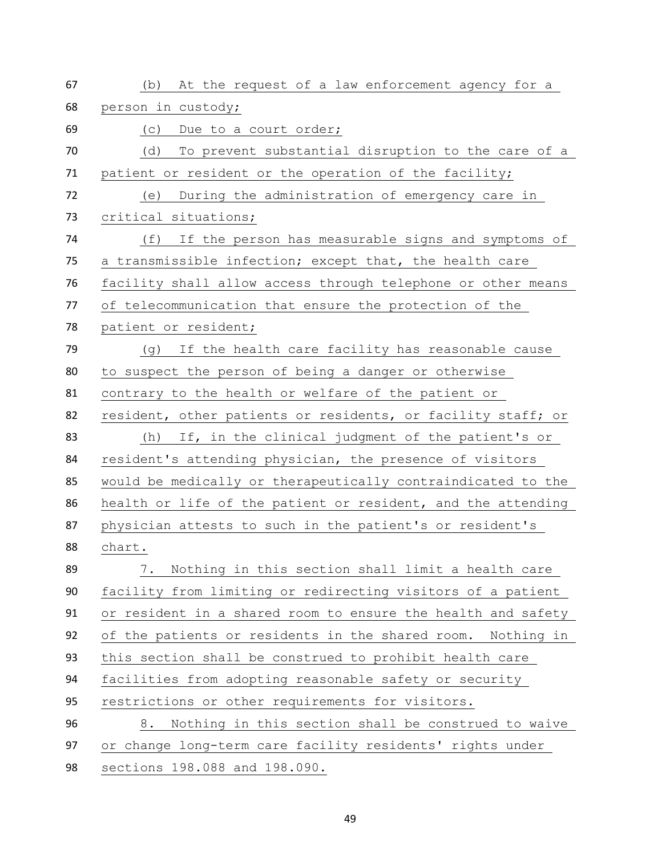| 67 | At the request of a law enforcement agency for a<br>(b)      |
|----|--------------------------------------------------------------|
| 68 | person in custody;                                           |
| 69 | Due to a court order;<br>(C)                                 |
| 70 | To prevent substantial disruption to the care of a<br>(d)    |
| 71 | patient or resident or the operation of the facility;        |
| 72 | During the administration of emergency care in<br>(e)        |
| 73 | critical situations;                                         |
| 74 | (f)<br>If the person has measurable signs and symptoms of    |
| 75 | a transmissible infection; except that, the health care      |
| 76 | facility shall allow access through telephone or other means |
| 77 | of telecommunication that ensure the protection of the       |
| 78 | patient or resident;                                         |
| 79 | If the health care facility has reasonable cause<br>(g)      |
| 80 | to suspect the person of being a danger or otherwise         |
| 81 | contrary to the health or welfare of the patient or          |
| 82 | resident, other patients or residents, or facility staff; or |
| 83 | If, in the clinical judgment of the patient's or<br>(h)      |
| 84 | resident's attending physician, the presence of visitors     |
| 85 | would be medically or therapeutically contraindicated to the |
| 86 | health or life of the patient or resident, and the attending |
| 87 | physician attests to such in the patient's or resident's     |
| 88 | chart.                                                       |
| 89 | Nothing in this section shall limit a health care<br>7.      |
| 90 | facility from limiting or redirecting visitors of a patient  |
| 91 | or resident in a shared room to ensure the health and safety |
| 92 | of the patients or residents in the shared room. Nothing in  |
| 93 | this section shall be construed to prohibit health care      |
| 94 | facilities from adopting reasonable safety or security       |
| 95 | restrictions or other requirements for visitors.             |
| 96 | Nothing in this section shall be construed to waive<br>8.    |
| 97 | or change long-term care facility residents' rights under    |
| 98 | sections 198.088 and 198.090.                                |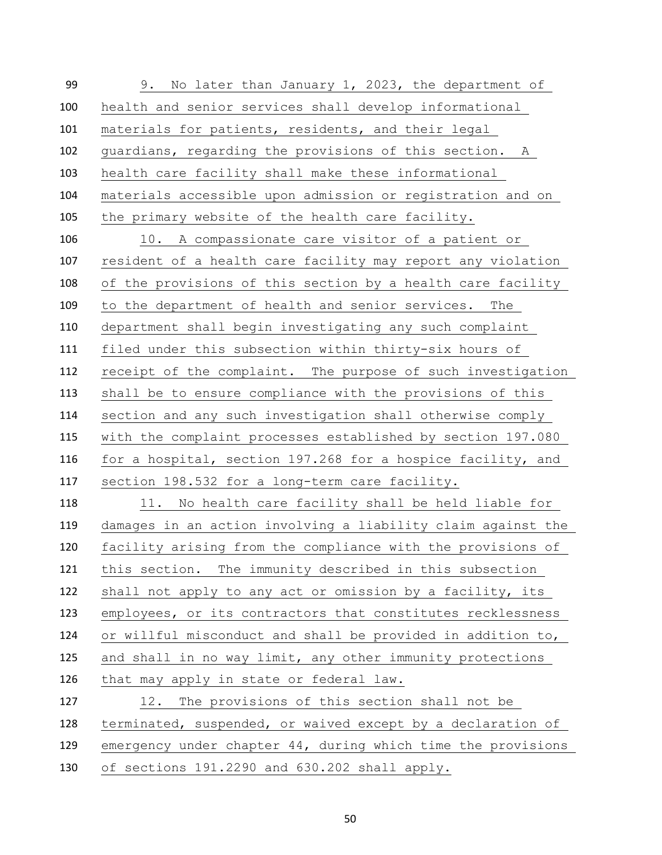9. No later than January 1, 2023, the department of health and senior services shall develop informational materials for patients, residents, and their legal guardians, regarding the provisions of this section. A health care facility shall make these informational materials accessible upon admission or registration and on the primary website of the health care facility. 10. A compassionate care visitor of a patient or resident of a health care facility may report any violation of the provisions of this section by a health care facility to the department of health and senior services. The department shall begin investigating any such complaint filed under this subsection within thirty-six hours of receipt of the complaint. The purpose of such investigation shall be to ensure compliance with the provisions of this section and any such investigation shall otherwise comply with the complaint processes established by section 197.080 for a hospital, section 197.268 for a hospice facility, and section 198.532 for a long-term care facility. 118 11. No health care facility shall be held liable for damages in an action involving a liability claim against the facility arising from the compliance with the provisions of this section. The immunity described in this subsection shall not apply to any act or omission by a facility, its employees, or its contractors that constitutes recklessness or willful misconduct and shall be provided in addition to, and shall in no way limit, any other immunity protections that may apply in state or federal law. 12. The provisions of this section shall not be terminated, suspended, or waived except by a declaration of emergency under chapter 44, during which time the provisions of sections 191.2290 and 630.202 shall apply.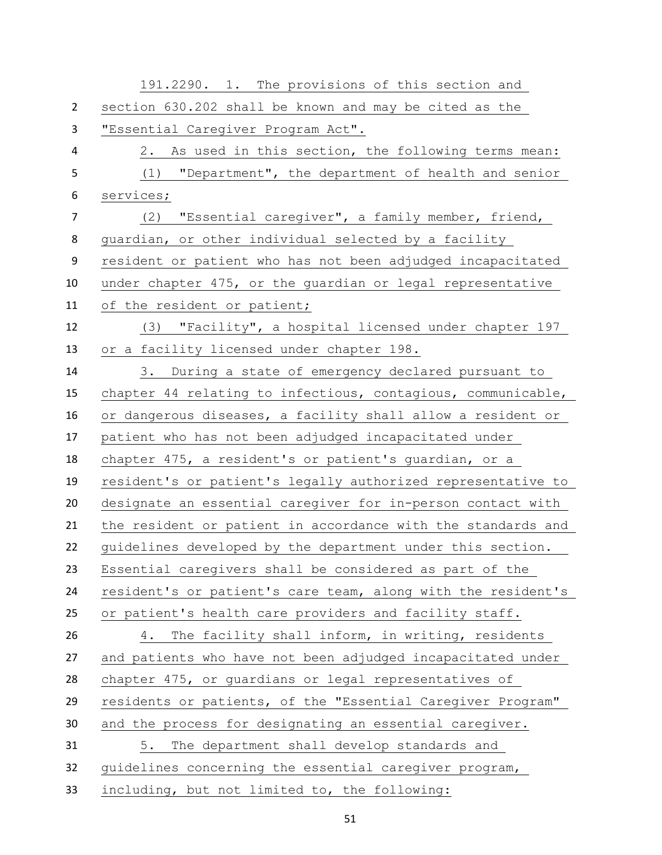|                | 191.2290. 1. The provisions of this section and              |
|----------------|--------------------------------------------------------------|
| $\overline{2}$ | section 630.202 shall be known and may be cited as the       |
| 3              | "Essential Caregiver Program Act".                           |
| 4              | 2. As used in this section, the following terms mean:        |
| 5              | "Department", the department of health and senior<br>(1)     |
| 6              | services;                                                    |
| $\overline{7}$ | (2) "Essential caregiver", a family member, friend,          |
| 8              | guardian, or other individual selected by a facility         |
| 9              | resident or patient who has not been adjudged incapacitated  |
| 10             | under chapter 475, or the guardian or legal representative   |
| 11             | of the resident or patient;                                  |
| 12             | (3) "Facility", a hospital licensed under chapter 197        |
| 13             | or a facility licensed under chapter 198.                    |
| 14             | 3. During a state of emergency declared pursuant to          |
| 15             | chapter 44 relating to infectious, contagious, communicable, |
| 16             | or dangerous diseases, a facility shall allow a resident or  |
| 17             | patient who has not been adjudged incapacitated under        |
| 18             | chapter 475, a resident's or patient's guardian, or a        |
| 19             | resident's or patient's legally authorized representative to |
| 20             | designate an essential caregiver for in-person contact with  |
| 21             | the resident or patient in accordance with the standards and |
| 22             | guidelines developed by the department under this section.   |
| 23             | Essential caregivers shall be considered as part of the      |
| 24             | resident's or patient's care team, along with the resident's |
| 25             | or patient's health care providers and facility staff.       |
| 26             | The facility shall inform, in writing, residents<br>4.       |
| 27             | and patients who have not been adjudged incapacitated under  |
| 28             | chapter 475, or guardians or legal representatives of        |
| 29             | residents or patients, of the "Essential Caregiver Program"  |
| 30             | and the process for designating an essential caregiver.      |
| 31             | The department shall develop standards and<br>5.             |
| 32             | quidelines concerning the essential caregiver program,       |
| 33             | including, but not limited to, the following:                |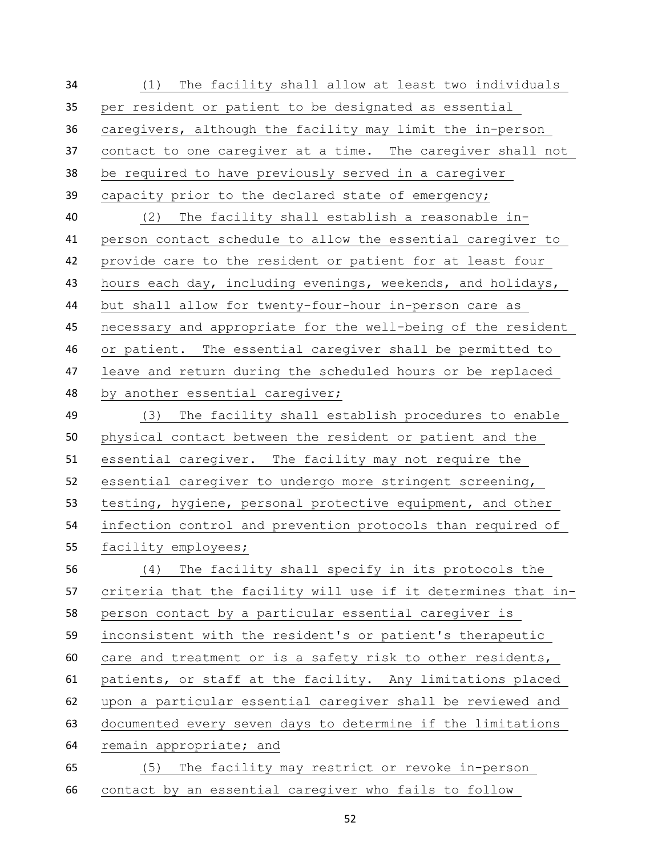(1) The facility shall allow at least two individuals per resident or patient to be designated as essential caregivers, although the facility may limit the in-person contact to one caregiver at a time. The caregiver shall not be required to have previously served in a caregiver capacity prior to the declared state of emergency; (2) The facility shall establish a reasonable in- person contact schedule to allow the essential caregiver to provide care to the resident or patient for at least four hours each day, including evenings, weekends, and holidays, but shall allow for twenty-four-hour in-person care as necessary and appropriate for the well-being of the resident or patient. The essential caregiver shall be permitted to leave and return during the scheduled hours or be replaced by another essential caregiver; (3) The facility shall establish procedures to enable physical contact between the resident or patient and the essential caregiver. The facility may not require the essential caregiver to undergo more stringent screening, testing, hygiene, personal protective equipment, and other infection control and prevention protocols than required of facility employees; (4) The facility shall specify in its protocols the criteria that the facility will use if it determines that in- person contact by a particular essential caregiver is inconsistent with the resident's or patient's therapeutic care and treatment or is a safety risk to other residents, patients, or staff at the facility. Any limitations placed upon a particular essential caregiver shall be reviewed and documented every seven days to determine if the limitations remain appropriate; and (5) The facility may restrict or revoke in-person contact by an essential caregiver who fails to follow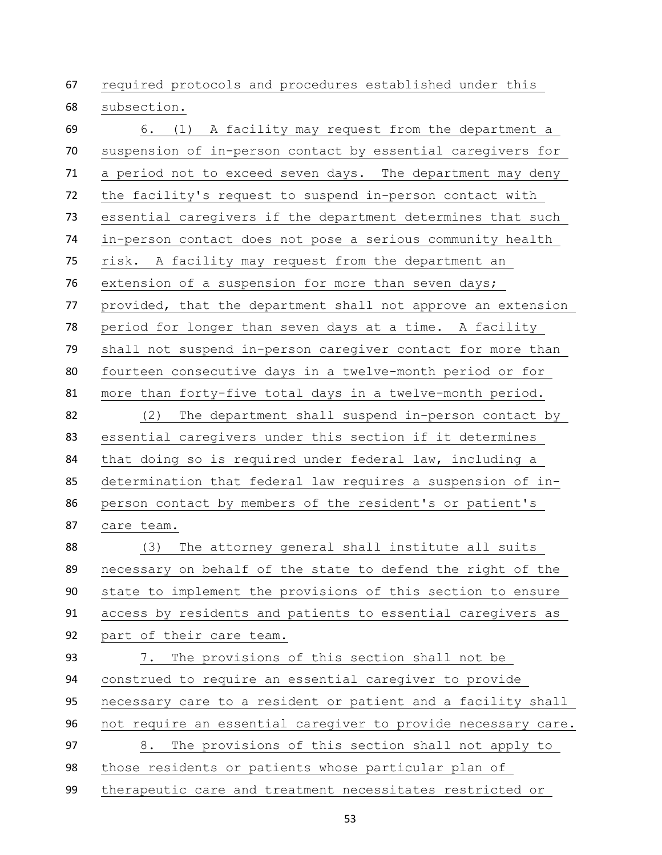required protocols and procedures established under this subsection.

 6. (1) A facility may request from the department a suspension of in-person contact by essential caregivers for a period not to exceed seven days. The department may deny the facility's request to suspend in-person contact with essential caregivers if the department determines that such in-person contact does not pose a serious community health risk. A facility may request from the department an extension of a suspension for more than seven days; provided, that the department shall not approve an extension period for longer than seven days at a time. A facility shall not suspend in-person caregiver contact for more than fourteen consecutive days in a twelve-month period or for more than forty-five total days in a twelve-month period. (2) The department shall suspend in-person contact by essential caregivers under this section if it determines that doing so is required under federal law, including a determination that federal law requires a suspension of in- person contact by members of the resident's or patient's care team. (3) The attorney general shall institute all suits necessary on behalf of the state to defend the right of the state to implement the provisions of this section to ensure access by residents and patients to essential caregivers as part of their care team. 7. The provisions of this section shall not be construed to require an essential caregiver to provide necessary care to a resident or patient and a facility shall not require an essential caregiver to provide necessary care. 8. The provisions of this section shall not apply to those residents or patients whose particular plan of therapeutic care and treatment necessitates restricted or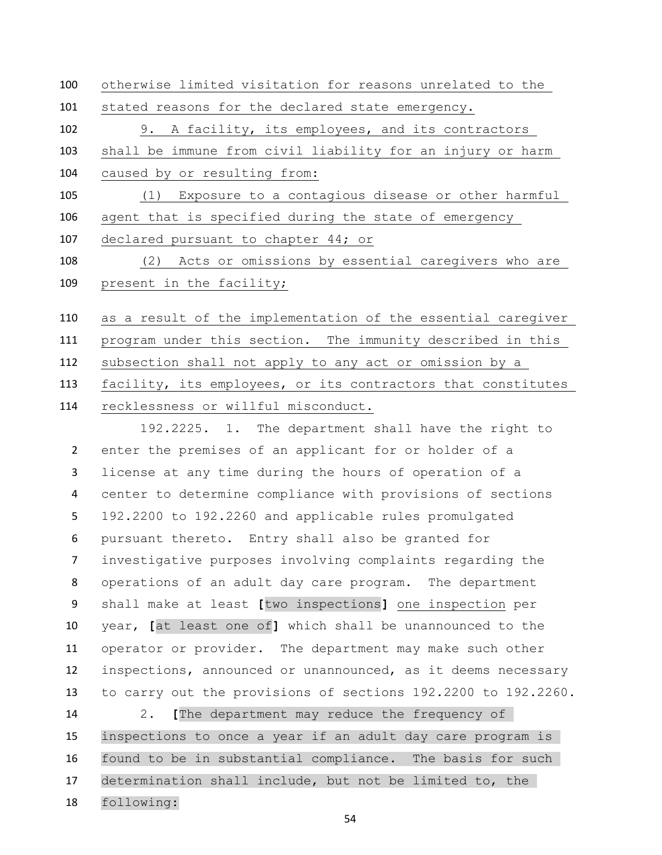otherwise limited visitation for reasons unrelated to the stated reasons for the declared state emergency. 9. A facility, its employees, and its contractors shall be immune from civil liability for an injury or harm caused by or resulting from: (1) Exposure to a contagious disease or other harmful agent that is specified during the state of emergency declared pursuant to chapter 44; or 108 (2) Acts or omissions by essential caregivers who are 109 present in the facility; as a result of the implementation of the essential caregiver

 program under this section. The immunity described in this subsection shall not apply to any act or omission by a facility, its employees, or its contractors that constitutes recklessness or willful misconduct.

 192.2225. 1. The department shall have the right to enter the premises of an applicant for or holder of a license at any time during the hours of operation of a center to determine compliance with provisions of sections 192.2200 to 192.2260 and applicable rules promulgated pursuant thereto. Entry shall also be granted for investigative purposes involving complaints regarding the operations of an adult day care program. The department shall make at least **[**two inspections**]** one inspection per year, **[**at least one of**]** which shall be unannounced to the operator or provider. The department may make such other inspections, announced or unannounced, as it deems necessary to carry out the provisions of sections 192.2200 to 192.2260.

 2. **[**The department may reduce the frequency of inspections to once a year if an adult day care program is found to be in substantial compliance. The basis for such determination shall include, but not be limited to, the following: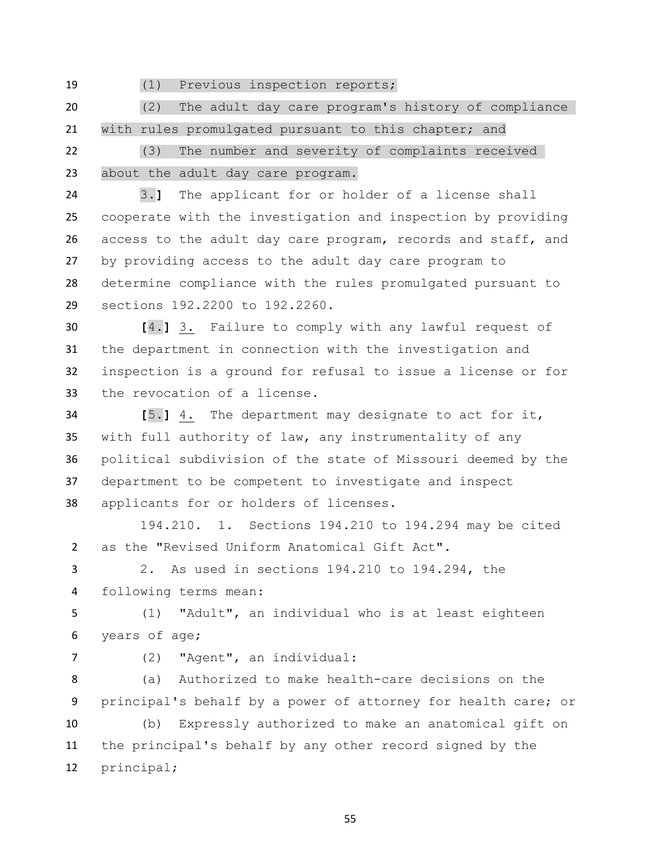(1) Previous inspection reports;

 (2) The adult day care program's history of compliance 21 with rules promulgated pursuant to this chapter; and

 (3) The number and severity of complaints received about the adult day care program.

 3.**]** The applicant for or holder of a license shall cooperate with the investigation and inspection by providing access to the adult day care program, records and staff, and by providing access to the adult day care program to determine compliance with the rules promulgated pursuant to sections 192.2200 to 192.2260.

 **[**4.**]** 3. Failure to comply with any lawful request of the department in connection with the investigation and inspection is a ground for refusal to issue a license or for the revocation of a license.

 **[**5.**]** 4. The department may designate to act for it, with full authority of law, any instrumentality of any political subdivision of the state of Missouri deemed by the department to be competent to investigate and inspect applicants for or holders of licenses.

 194.210. 1. Sections 194.210 to 194.294 may be cited as the "Revised Uniform Anatomical Gift Act".

 2. As used in sections 194.210 to 194.294, the following terms mean:

 (1) "Adult", an individual who is at least eighteen years of age;

(2) "Agent", an individual:

 (a) Authorized to make health-care decisions on the principal's behalf by a power of attorney for health care; or

 (b) Expressly authorized to make an anatomical gift on the principal's behalf by any other record signed by the principal;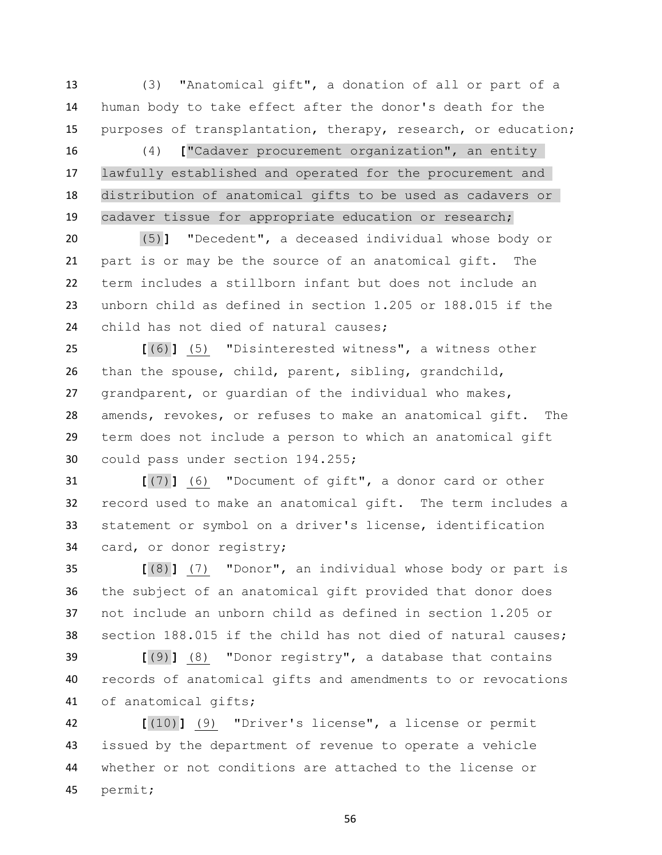(3) "Anatomical gift", a donation of all or part of a human body to take effect after the donor's death for the purposes of transplantation, therapy, research, or education;

 (4) **[**"Cadaver procurement organization", an entity lawfully established and operated for the procurement and distribution of anatomical gifts to be used as cadavers or cadaver tissue for appropriate education or research;

 (5)**]** "Decedent", a deceased individual whose body or part is or may be the source of an anatomical gift. The term includes a stillborn infant but does not include an unborn child as defined in section 1.205 or 188.015 if the child has not died of natural causes;

 **[**(6)**]** (5) "Disinterested witness", a witness other than the spouse, child, parent, sibling, grandchild, grandparent, or guardian of the individual who makes, amends, revokes, or refuses to make an anatomical gift. The term does not include a person to which an anatomical gift could pass under section 194.255;

 **[**(7)**]** (6) "Document of gift", a donor card or other record used to make an anatomical gift. The term includes a statement or symbol on a driver's license, identification card, or donor registry;

 **[**(8)**]** (7) "Donor", an individual whose body or part is the subject of an anatomical gift provided that donor does not include an unborn child as defined in section 1.205 or section 188.015 if the child has not died of natural causes;

 **[**(9)**]** (8) "Donor registry", a database that contains records of anatomical gifts and amendments to or revocations of anatomical gifts;

 **[**(10)**]** (9) "Driver's license", a license or permit issued by the department of revenue to operate a vehicle whether or not conditions are attached to the license or permit;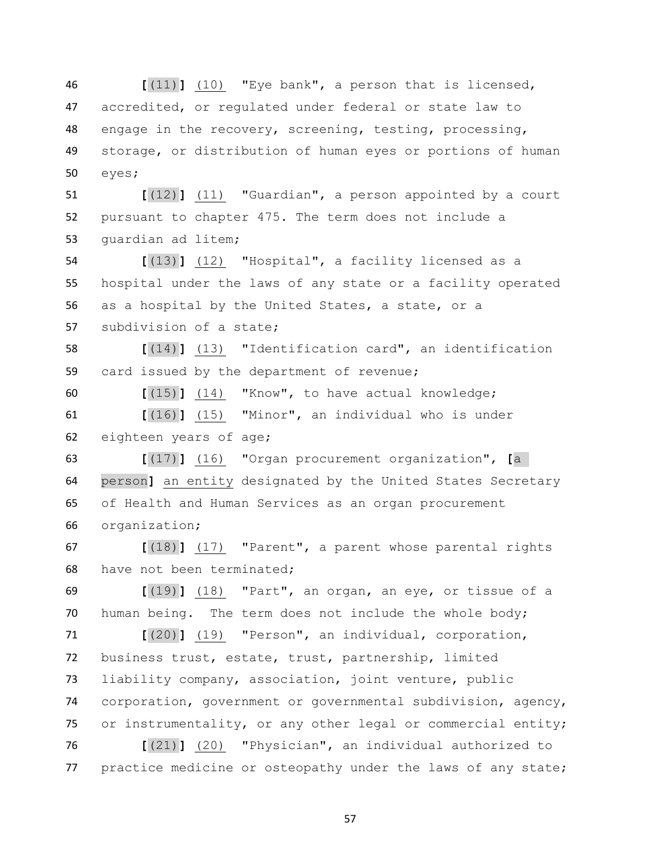**[**(11)**]** (10) "Eye bank", a person that is licensed, accredited, or regulated under federal or state law to engage in the recovery, screening, testing, processing, storage, or distribution of human eyes or portions of human eyes;

 **[**(12)**]** (11) "Guardian", a person appointed by a court pursuant to chapter 475. The term does not include a guardian ad litem;

 **[**(13)**]** (12) "Hospital", a facility licensed as a hospital under the laws of any state or a facility operated as a hospital by the United States, a state, or a subdivision of a state;

 **[**(14)**]** (13) "Identification card", an identification card issued by the department of revenue;

 **[**(15)**]** (14) "Know", to have actual knowledge; **[**(16)**]** (15) "Minor", an individual who is under

eighteen years of age;

 **[**(17)**]** (16) "Organ procurement organization", **[**a person**]** an entity designated by the United States Secretary of Health and Human Services as an organ procurement organization;

 **[**(18)**]** (17) "Parent", a parent whose parental rights have not been terminated;

 **[**(19)**]** (18) "Part", an organ, an eye, or tissue of a human being. The term does not include the whole body;

 **[**(20)**]** (19) "Person", an individual, corporation, business trust, estate, trust, partnership, limited liability company, association, joint venture, public corporation, government or governmental subdivision, agency, or instrumentality, or any other legal or commercial entity;

 **[**(21)**]** (20) "Physician", an individual authorized to 77 practice medicine or osteopathy under the laws of any state;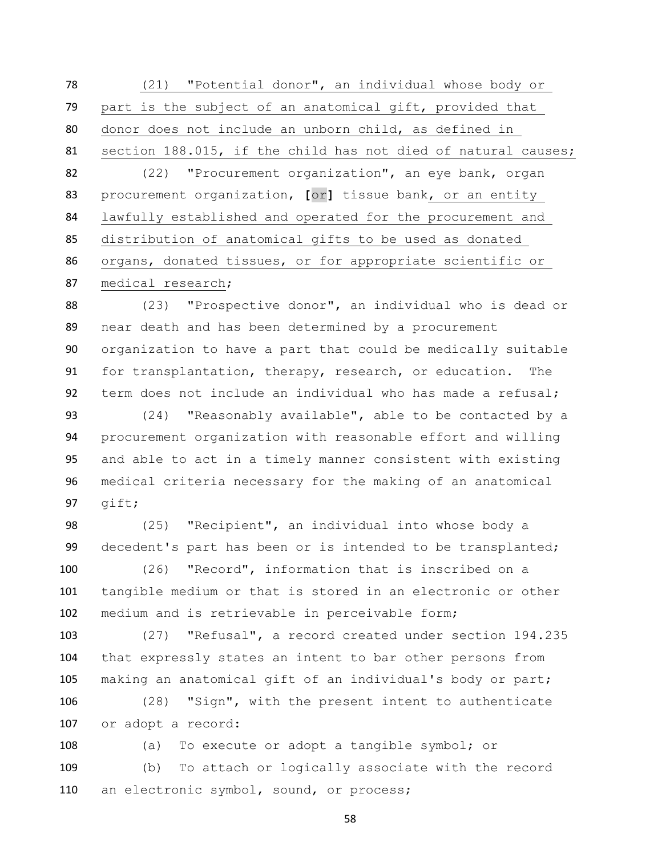(21) "Potential donor", an individual whose body or part is the subject of an anatomical gift, provided that donor does not include an unborn child, as defined in section 188.015, if the child has not died of natural causes; (22) "Procurement organization", an eye bank, organ procurement organization, **[**or**]** tissue bank, or an entity lawfully established and operated for the procurement and distribution of anatomical gifts to be used as donated organs, donated tissues, or for appropriate scientific or medical research;

 (23) "Prospective donor", an individual who is dead or near death and has been determined by a procurement organization to have a part that could be medically suitable for transplantation, therapy, research, or education. The term does not include an individual who has made a refusal;

 (24) "Reasonably available", able to be contacted by a procurement organization with reasonable effort and willing and able to act in a timely manner consistent with existing medical criteria necessary for the making of an anatomical gift;

 (25) "Recipient", an individual into whose body a decedent's part has been or is intended to be transplanted;

 (26) "Record", information that is inscribed on a tangible medium or that is stored in an electronic or other medium and is retrievable in perceivable form;

 (27) "Refusal", a record created under section 194.235 that expressly states an intent to bar other persons from making an anatomical gift of an individual's body or part;

 (28) "Sign", with the present intent to authenticate or adopt a record:

 (a) To execute or adopt a tangible symbol; or (b) To attach or logically associate with the record 110 an electronic symbol, sound, or process;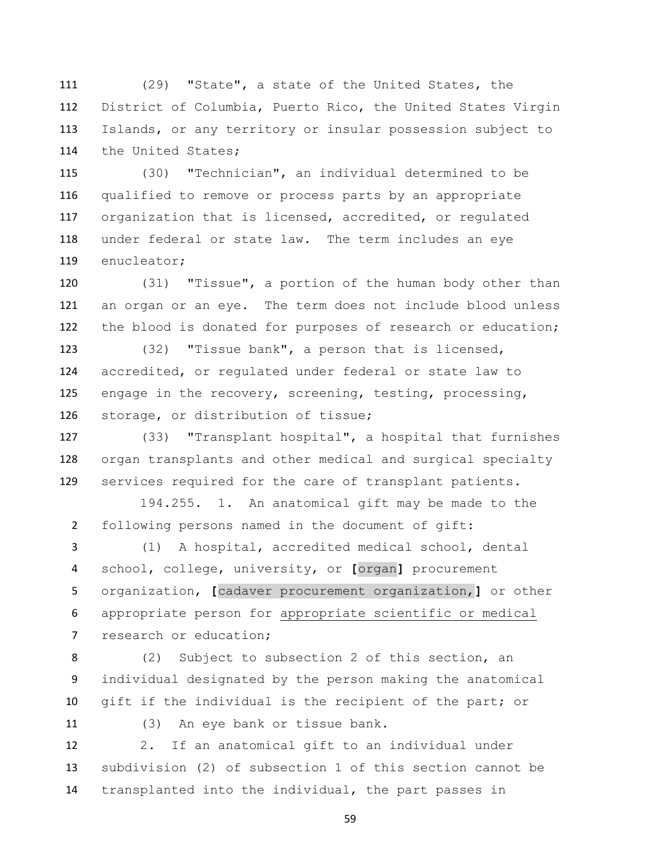(29) "State", a state of the United States, the District of Columbia, Puerto Rico, the United States Virgin Islands, or any territory or insular possession subject to the United States;

 (30) "Technician", an individual determined to be qualified to remove or process parts by an appropriate organization that is licensed, accredited, or regulated under federal or state law. The term includes an eye enucleator;

 (31) "Tissue", a portion of the human body other than an organ or an eye. The term does not include blood unless the blood is donated for purposes of research or education;

 (32) "Tissue bank", a person that is licensed, accredited, or regulated under federal or state law to engage in the recovery, screening, testing, processing, storage, or distribution of tissue;

 (33) "Transplant hospital", a hospital that furnishes organ transplants and other medical and surgical specialty services required for the care of transplant patients.

 194.255. 1. An anatomical gift may be made to the following persons named in the document of gift:

 (1) A hospital, accredited medical school, dental school, college, university, or **[**organ**]** procurement organization, **[**cadaver procurement organization,**]** or other appropriate person for appropriate scientific or medical 7 research or education;

 (2) Subject to subsection 2 of this section, an individual designated by the person making the anatomical gift if the individual is the recipient of the part; or

(3) An eye bank or tissue bank.

 2. If an anatomical gift to an individual under subdivision (2) of subsection 1 of this section cannot be transplanted into the individual, the part passes in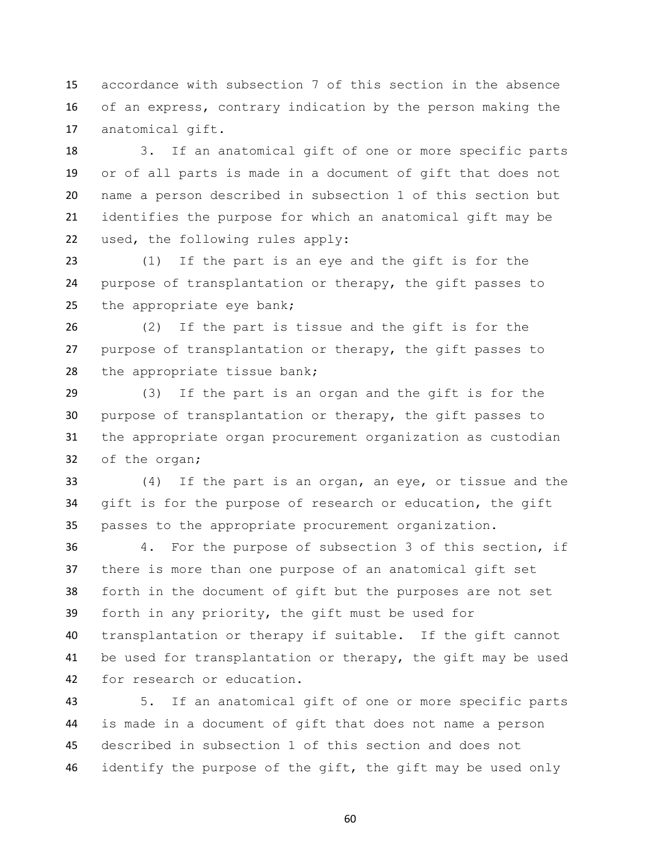accordance with subsection 7 of this section in the absence of an express, contrary indication by the person making the anatomical gift.

 3. If an anatomical gift of one or more specific parts or of all parts is made in a document of gift that does not name a person described in subsection 1 of this section but identifies the purpose for which an anatomical gift may be used, the following rules apply:

 (1) If the part is an eye and the gift is for the purpose of transplantation or therapy, the gift passes to the appropriate eye bank;

 (2) If the part is tissue and the gift is for the purpose of transplantation or therapy, the gift passes to the appropriate tissue bank;

 (3) If the part is an organ and the gift is for the purpose of transplantation or therapy, the gift passes to the appropriate organ procurement organization as custodian of the organ;

 (4) If the part is an organ, an eye, or tissue and the gift is for the purpose of research or education, the gift passes to the appropriate procurement organization.

 4. For the purpose of subsection 3 of this section, if there is more than one purpose of an anatomical gift set forth in the document of gift but the purposes are not set forth in any priority, the gift must be used for transplantation or therapy if suitable. If the gift cannot be used for transplantation or therapy, the gift may be used for research or education.

 5. If an anatomical gift of one or more specific parts is made in a document of gift that does not name a person described in subsection 1 of this section and does not 46 identify the purpose of the gift, the gift may be used only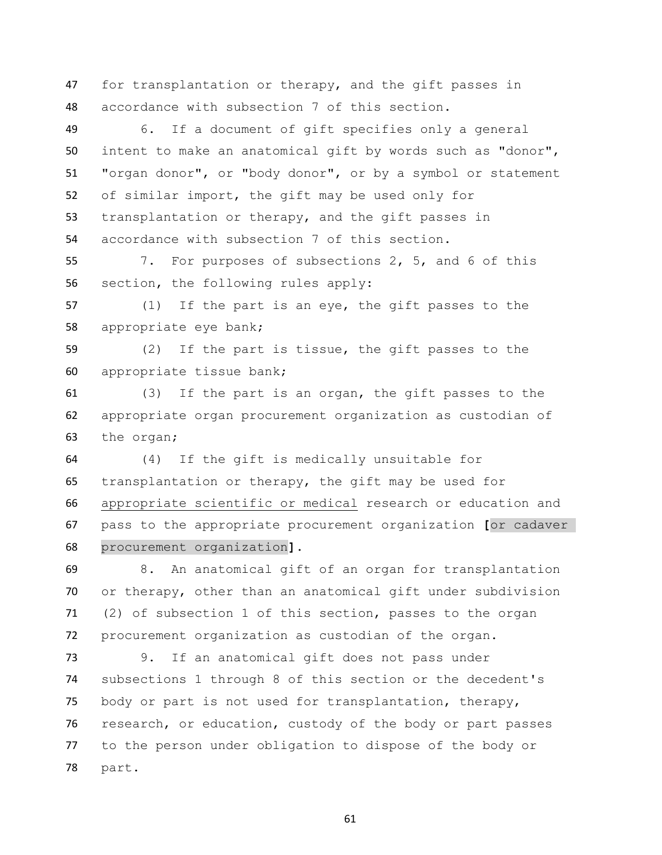for transplantation or therapy, and the gift passes in accordance with subsection 7 of this section.

 6. If a document of gift specifies only a general intent to make an anatomical gift by words such as "donor", "organ donor", or "body donor", or by a symbol or statement of similar import, the gift may be used only for transplantation or therapy, and the gift passes in accordance with subsection 7 of this section.

 7. For purposes of subsections 2, 5, and 6 of this section, the following rules apply:

 (1) If the part is an eye, the gift passes to the appropriate eye bank;

 (2) If the part is tissue, the gift passes to the appropriate tissue bank;

 (3) If the part is an organ, the gift passes to the appropriate organ procurement organization as custodian of the organ;

 (4) If the gift is medically unsuitable for transplantation or therapy, the gift may be used for appropriate scientific or medical research or education and pass to the appropriate procurement organization **[**or cadaver procurement organization**]**.

 8. An anatomical gift of an organ for transplantation or therapy, other than an anatomical gift under subdivision (2) of subsection 1 of this section, passes to the organ procurement organization as custodian of the organ.

 9. If an anatomical gift does not pass under subsections 1 through 8 of this section or the decedent's body or part is not used for transplantation, therapy, research, or education, custody of the body or part passes to the person under obligation to dispose of the body or part.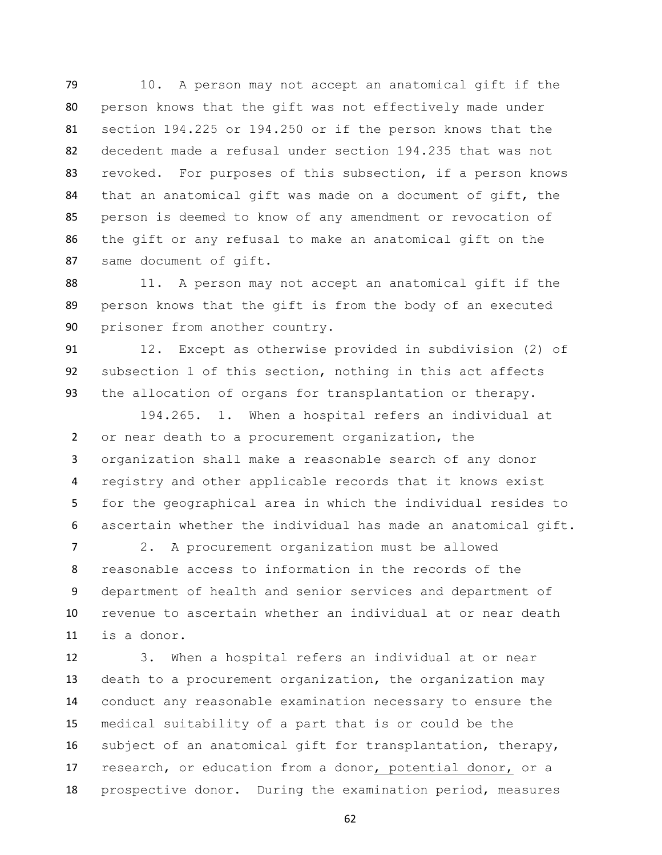10. A person may not accept an anatomical gift if the person knows that the gift was not effectively made under section 194.225 or 194.250 or if the person knows that the decedent made a refusal under section 194.235 that was not revoked. For purposes of this subsection, if a person knows that an anatomical gift was made on a document of gift, the person is deemed to know of any amendment or revocation of the gift or any refusal to make an anatomical gift on the same document of gift.

88 11. A person may not accept an anatomical gift if the person knows that the gift is from the body of an executed prisoner from another country.

 12. Except as otherwise provided in subdivision (2) of subsection 1 of this section, nothing in this act affects the allocation of organs for transplantation or therapy.

 194.265. 1. When a hospital refers an individual at or near death to a procurement organization, the organization shall make a reasonable search of any donor registry and other applicable records that it knows exist for the geographical area in which the individual resides to ascertain whether the individual has made an anatomical gift.

 2. A procurement organization must be allowed reasonable access to information in the records of the department of health and senior services and department of revenue to ascertain whether an individual at or near death is a donor.

 3. When a hospital refers an individual at or near death to a procurement organization, the organization may conduct any reasonable examination necessary to ensure the medical suitability of a part that is or could be the subject of an anatomical gift for transplantation, therapy, research, or education from a donor, potential donor, or a prospective donor. During the examination period, measures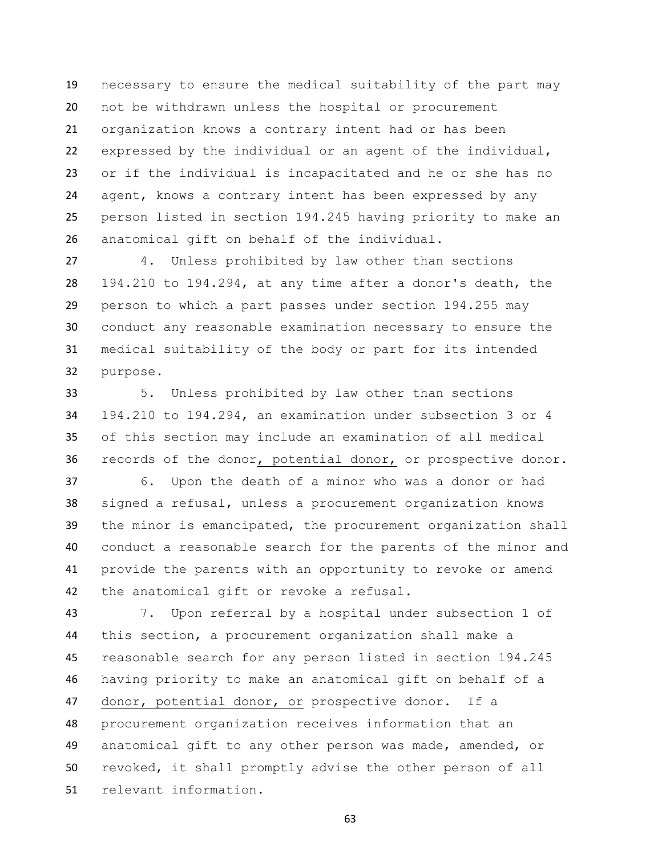necessary to ensure the medical suitability of the part may not be withdrawn unless the hospital or procurement organization knows a contrary intent had or has been expressed by the individual or an agent of the individual, or if the individual is incapacitated and he or she has no agent, knows a contrary intent has been expressed by any person listed in section 194.245 having priority to make an anatomical gift on behalf of the individual.

 4. Unless prohibited by law other than sections 194.210 to 194.294, at any time after a donor's death, the person to which a part passes under section 194.255 may conduct any reasonable examination necessary to ensure the medical suitability of the body or part for its intended purpose.

 5. Unless prohibited by law other than sections 194.210 to 194.294, an examination under subsection 3 or 4 of this section may include an examination of all medical 36 records of the donor, potential donor, or prospective donor.

 6. Upon the death of a minor who was a donor or had signed a refusal, unless a procurement organization knows the minor is emancipated, the procurement organization shall conduct a reasonable search for the parents of the minor and provide the parents with an opportunity to revoke or amend the anatomical gift or revoke a refusal.

 7. Upon referral by a hospital under subsection 1 of this section, a procurement organization shall make a reasonable search for any person listed in section 194.245 having priority to make an anatomical gift on behalf of a donor, potential donor, or prospective donor. If a procurement organization receives information that an anatomical gift to any other person was made, amended, or revoked, it shall promptly advise the other person of all relevant information.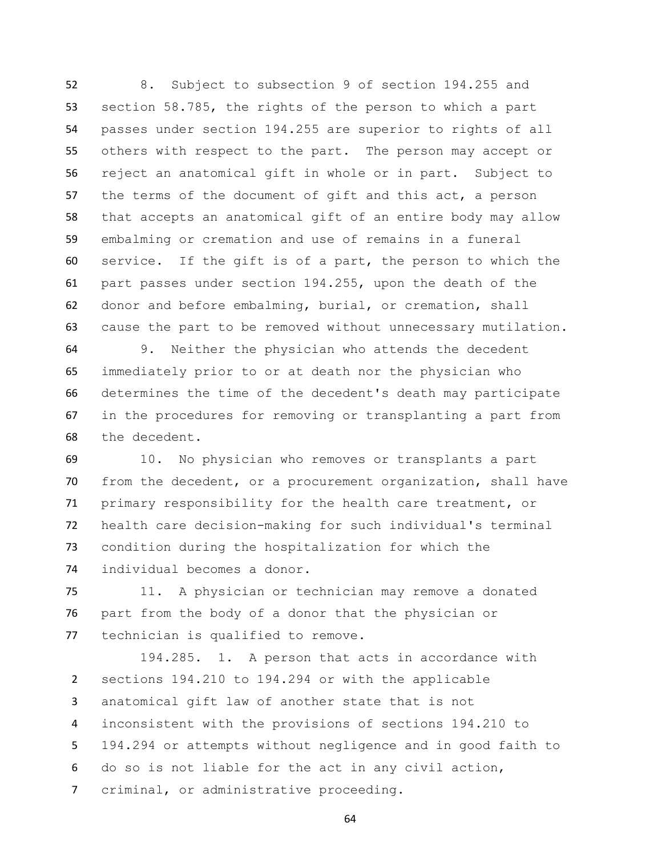8. Subject to subsection 9 of section 194.255 and section 58.785, the rights of the person to which a part passes under section 194.255 are superior to rights of all others with respect to the part. The person may accept or reject an anatomical gift in whole or in part. Subject to the terms of the document of gift and this act, a person that accepts an anatomical gift of an entire body may allow embalming or cremation and use of remains in a funeral service. If the gift is of a part, the person to which the part passes under section 194.255, upon the death of the donor and before embalming, burial, or cremation, shall cause the part to be removed without unnecessary mutilation.

 9. Neither the physician who attends the decedent immediately prior to or at death nor the physician who determines the time of the decedent's death may participate in the procedures for removing or transplanting a part from the decedent.

 10. No physician who removes or transplants a part from the decedent, or a procurement organization, shall have primary responsibility for the health care treatment, or health care decision-making for such individual's terminal condition during the hospitalization for which the individual becomes a donor.

 11. A physician or technician may remove a donated part from the body of a donor that the physician or technician is qualified to remove.

 194.285. 1. A person that acts in accordance with sections 194.210 to 194.294 or with the applicable anatomical gift law of another state that is not inconsistent with the provisions of sections 194.210 to 194.294 or attempts without negligence and in good faith to do so is not liable for the act in any civil action, criminal, or administrative proceeding.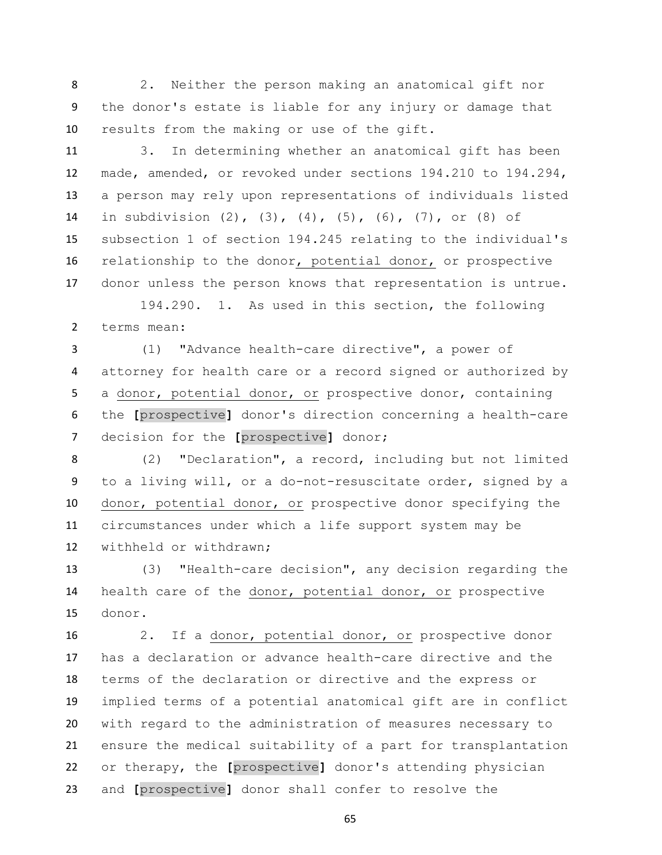2. Neither the person making an anatomical gift nor the donor's estate is liable for any injury or damage that results from the making or use of the gift.

 3. In determining whether an anatomical gift has been made, amended, or revoked under sections 194.210 to 194.294, a person may rely upon representations of individuals listed in subdivision (2), (3), (4), (5), (6), (7), or (8) of subsection 1 of section 194.245 relating to the individual's relationship to the donor, potential donor, or prospective donor unless the person knows that representation is untrue.

 194.290. 1. As used in this section, the following terms mean:

 (1) "Advance health-care directive", a power of attorney for health care or a record signed or authorized by a donor, potential donor, or prospective donor, containing the **[**prospective**]** donor's direction concerning a health-care decision for the **[**prospective**]** donor;

 (2) "Declaration", a record, including but not limited to a living will, or a do-not-resuscitate order, signed by a donor, potential donor, or prospective donor specifying the circumstances under which a life support system may be withheld or withdrawn;

 (3) "Health-care decision", any decision regarding the health care of the donor, potential donor, or prospective donor.

 2. If a donor, potential donor, or prospective donor has a declaration or advance health-care directive and the terms of the declaration or directive and the express or implied terms of a potential anatomical gift are in conflict with regard to the administration of measures necessary to ensure the medical suitability of a part for transplantation or therapy, the **[**prospective**]** donor's attending physician and **[**prospective**]** donor shall confer to resolve the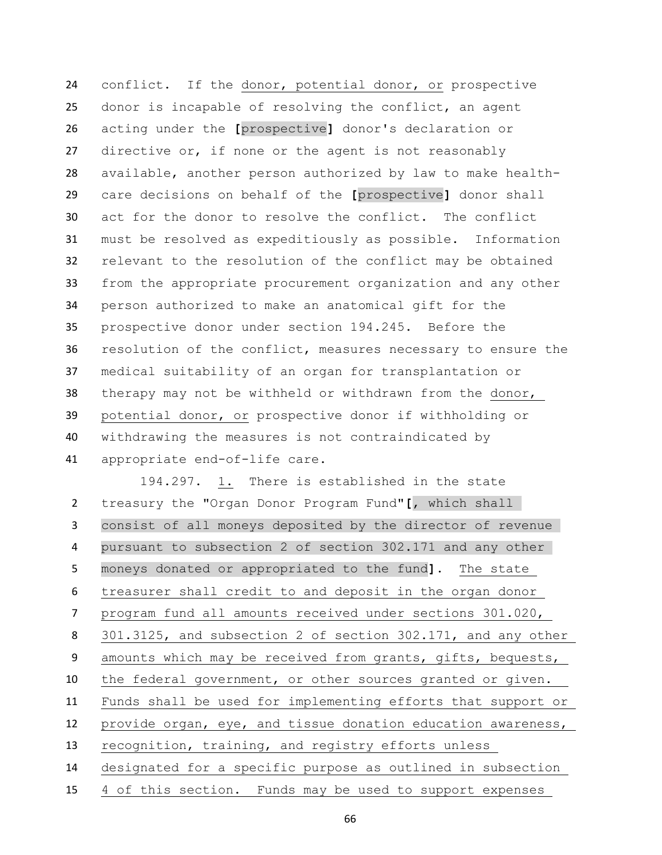conflict. If the donor, potential donor, or prospective donor is incapable of resolving the conflict, an agent acting under the **[**prospective**]** donor's declaration or directive or, if none or the agent is not reasonably available, another person authorized by law to make health- care decisions on behalf of the **[**prospective**]** donor shall act for the donor to resolve the conflict. The conflict must be resolved as expeditiously as possible. Information relevant to the resolution of the conflict may be obtained from the appropriate procurement organization and any other person authorized to make an anatomical gift for the prospective donor under section 194.245. Before the resolution of the conflict, measures necessary to ensure the medical suitability of an organ for transplantation or therapy may not be withheld or withdrawn from the donor, potential donor, or prospective donor if withholding or withdrawing the measures is not contraindicated by appropriate end-of-life care.

 194.297. 1. There is established in the state treasury the "Organ Donor Program Fund"**[**, which shall consist of all moneys deposited by the director of revenue pursuant to subsection 2 of section 302.171 and any other moneys donated or appropriated to the fund**]**. The state treasurer shall credit to and deposit in the organ donor program fund all amounts received under sections 301.020, 301.3125, and subsection 2 of section 302.171, and any other amounts which may be received from grants, gifts, bequests, the federal government, or other sources granted or given. Funds shall be used for implementing efforts that support or provide organ, eye, and tissue donation education awareness, recognition, training, and registry efforts unless designated for a specific purpose as outlined in subsection

4 of this section. Funds may be used to support expenses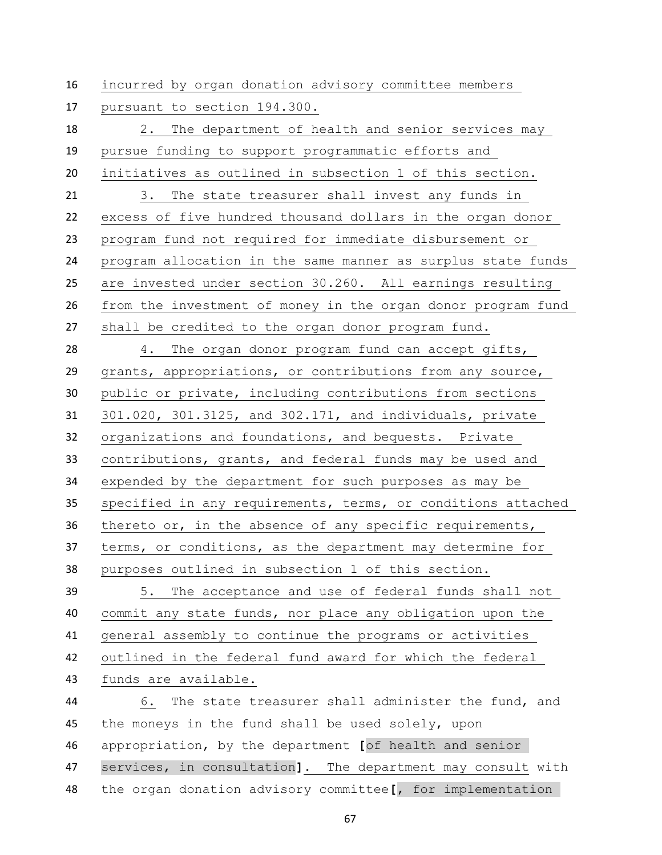incurred by organ donation advisory committee members

pursuant to section 194.300.

 2. The department of health and senior services may pursue funding to support programmatic efforts and initiatives as outlined in subsection 1 of this section. 3. The state treasurer shall invest any funds in excess of five hundred thousand dollars in the organ donor program fund not required for immediate disbursement or program allocation in the same manner as surplus state funds are invested under section 30.260. All earnings resulting from the investment of money in the organ donor program fund shall be credited to the organ donor program fund. 4. The organ donor program fund can accept gifts, grants, appropriations, or contributions from any source, public or private, including contributions from sections 301.020, 301.3125, and 302.171, and individuals, private organizations and foundations, and bequests. Private contributions, grants, and federal funds may be used and expended by the department for such purposes as may be specified in any requirements, terms, or conditions attached thereto or, in the absence of any specific requirements, terms, or conditions, as the department may determine for purposes outlined in subsection 1 of this section. 5. The acceptance and use of federal funds shall not commit any state funds, nor place any obligation upon the general assembly to continue the programs or activities outlined in the federal fund award for which the federal funds are available. 6. The state treasurer shall administer the fund, and the moneys in the fund shall be used solely, upon appropriation, by the department **[**of health and senior services, in consultation**]**. The department may consult with

the organ donation advisory committee**[**, for implementation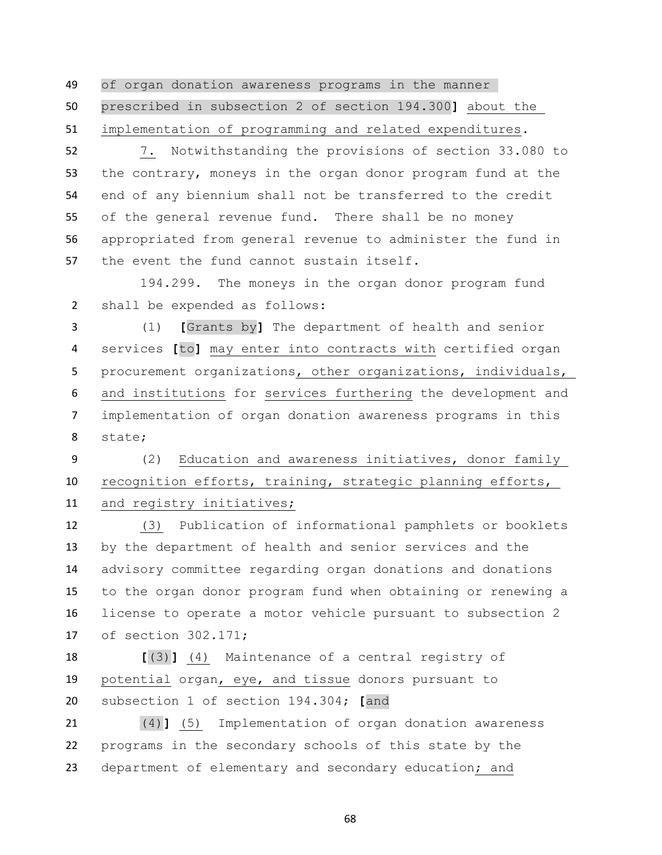of organ donation awareness programs in the manner prescribed in subsection 2 of section 194.300**]** about the implementation of programming and related expenditures.

 7. Notwithstanding the provisions of section 33.080 to the contrary, moneys in the organ donor program fund at the end of any biennium shall not be transferred to the credit of the general revenue fund. There shall be no money appropriated from general revenue to administer the fund in the event the fund cannot sustain itself.

 194.299. The moneys in the organ donor program fund shall be expended as follows:

 (1) **[**Grants by**]** The department of health and senior services **[**to**]** may enter into contracts with certified organ 5 procurement organizations, other organizations, individuals, and institutions for services furthering the development and implementation of organ donation awareness programs in this state;

 (2) Education and awareness initiatives, donor family recognition efforts, training, strategic planning efforts, and registry initiatives;

 (3) Publication of informational pamphlets or booklets by the department of health and senior services and the advisory committee regarding organ donations and donations to the organ donor program fund when obtaining or renewing a license to operate a motor vehicle pursuant to subsection 2 of section 302.171;

 **[**(3)**]** (4) Maintenance of a central registry of potential organ, eye, and tissue donors pursuant to subsection 1 of section 194.304; **[**and

 (4)**]** (5) Implementation of organ donation awareness programs in the secondary schools of this state by the department of elementary and secondary education; and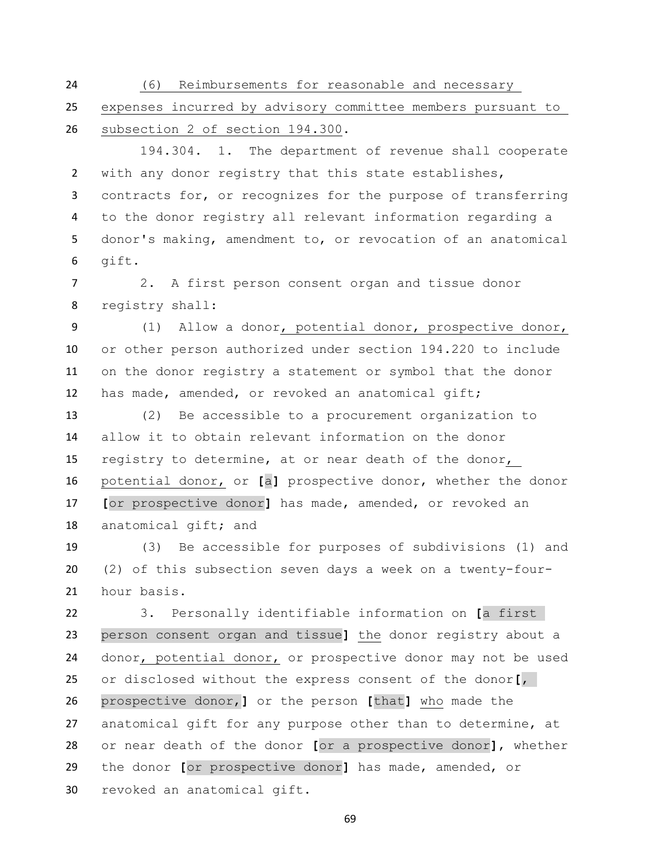(6) Reimbursements for reasonable and necessary

 expenses incurred by advisory committee members pursuant to subsection 2 of section 194.300.

 194.304. 1. The department of revenue shall cooperate with any donor registry that this state establishes, contracts for, or recognizes for the purpose of transferring to the donor registry all relevant information regarding a donor's making, amendment to, or revocation of an anatomical gift.

 2. A first person consent organ and tissue donor registry shall:

 (1) Allow a donor, potential donor, prospective donor, or other person authorized under section 194.220 to include on the donor registry a statement or symbol that the donor has made, amended, or revoked an anatomical gift;

 (2) Be accessible to a procurement organization to allow it to obtain relevant information on the donor registry to determine, at or near death of the donor, potential donor, or **[**a**]** prospective donor, whether the donor **[**or prospective donor**]** has made, amended, or revoked an anatomical gift; and

 (3) Be accessible for purposes of subdivisions (1) and (2) of this subsection seven days a week on a twenty-four-hour basis.

 3. Personally identifiable information on **[**a first person consent organ and tissue**]** the donor registry about a donor, potential donor, or prospective donor may not be used or disclosed without the express consent of the donor**[**, prospective donor,**]** or the person **[**that**]** who made the anatomical gift for any purpose other than to determine, at or near death of the donor **[**or a prospective donor**]**, whether the donor **[**or prospective donor**]** has made, amended, or revoked an anatomical gift.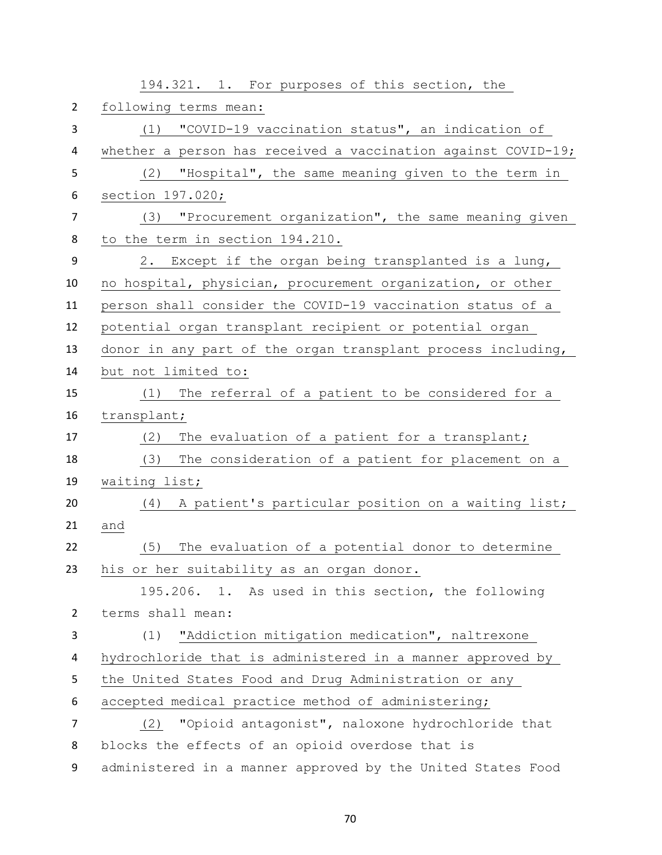|                | 194.321. 1. For purposes of this section, the                 |
|----------------|---------------------------------------------------------------|
| $\overline{2}$ | following terms mean:                                         |
| 3              | "COVID-19 vaccination status", an indication of<br>(1)        |
| 4              | whether a person has received a vaccination against COVID-19; |
| 5              | "Hospital", the same meaning given to the term in<br>(2)      |
| 6              | section 197.020;                                              |
| 7              | (3) "Procurement organization", the same meaning given        |
| 8              | to the term in section 194.210.                               |
| 9              | Except if the organ being transplanted is a lung,<br>2.       |
| 10             | no hospital, physician, procurement organization, or other    |
| 11             | person shall consider the COVID-19 vaccination status of a    |
| 12             | potential organ transplant recipient or potential organ       |
| 13             | donor in any part of the organ transplant process including,  |
| 14             | but not limited to:                                           |
| 15             | (1) The referral of a patient to be considered for a          |
| 16             | transplant;                                                   |
| 17             | The evaluation of a patient for a transplant;<br>(2)          |
| 18             | The consideration of a patient for placement on a<br>(3)      |
| 19             | waiting list;                                                 |
| 20             | (4) A patient's particular position on a waiting list;        |
| 21             | and                                                           |
| 22             | (5)<br>The evaluation of a potential donor to determine       |
| 23             | his or her suitability as an organ donor.                     |
|                | 195.206. 1. As used in this section, the following            |
| $\overline{2}$ | terms shall mean:                                             |
| 3              | "Addiction mitigation medication", naltrexone<br>(1)          |
| 4              | hydrochloride that is administered in a manner approved by    |
| 5              | the United States Food and Drug Administration or any         |
| 6              | accepted medical practice method of administering;            |
| 7              | "Opioid antagonist", naloxone hydrochloride that<br>(2)       |
| 8              | blocks the effects of an opioid overdose that is              |
| 9              | administered in a manner approved by the United States Food   |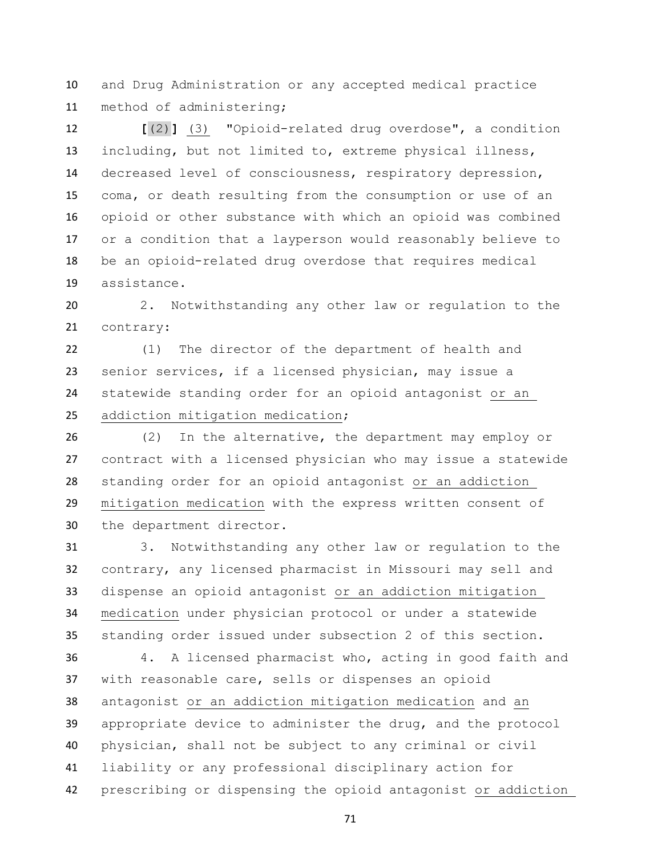and Drug Administration or any accepted medical practice method of administering;

 **[**(2)**]** (3) "Opioid-related drug overdose", a condition including, but not limited to, extreme physical illness, decreased level of consciousness, respiratory depression, coma, or death resulting from the consumption or use of an opioid or other substance with which an opioid was combined or a condition that a layperson would reasonably believe to be an opioid-related drug overdose that requires medical assistance.

 2. Notwithstanding any other law or regulation to the contrary:

 (1) The director of the department of health and senior services, if a licensed physician, may issue a statewide standing order for an opioid antagonist or an addiction mitigation medication;

 (2) In the alternative, the department may employ or contract with a licensed physician who may issue a statewide standing order for an opioid antagonist or an addiction mitigation medication with the express written consent of the department director.

 3. Notwithstanding any other law or regulation to the contrary, any licensed pharmacist in Missouri may sell and dispense an opioid antagonist or an addiction mitigation medication under physician protocol or under a statewide standing order issued under subsection 2 of this section.

 4. A licensed pharmacist who, acting in good faith and with reasonable care, sells or dispenses an opioid antagonist or an addiction mitigation medication and an appropriate device to administer the drug, and the protocol physician, shall not be subject to any criminal or civil liability or any professional disciplinary action for prescribing or dispensing the opioid antagonist or addiction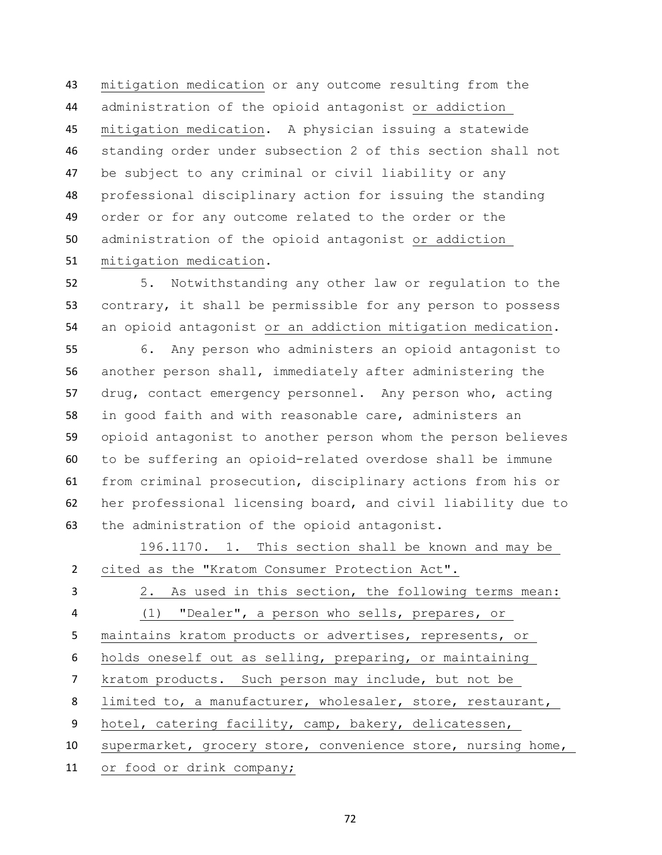mitigation medication or any outcome resulting from the administration of the opioid antagonist or addiction mitigation medication. A physician issuing a statewide standing order under subsection 2 of this section shall not be subject to any criminal or civil liability or any professional disciplinary action for issuing the standing order or for any outcome related to the order or the administration of the opioid antagonist or addiction mitigation medication.

 5. Notwithstanding any other law or regulation to the contrary, it shall be permissible for any person to possess an opioid antagonist or an addiction mitigation medication.

 6. Any person who administers an opioid antagonist to another person shall, immediately after administering the drug, contact emergency personnel. Any person who, acting in good faith and with reasonable care, administers an opioid antagonist to another person whom the person believes to be suffering an opioid-related overdose shall be immune from criminal prosecution, disciplinary actions from his or her professional licensing board, and civil liability due to the administration of the opioid antagonist.

|                | 196.1170. 1. This section shall be known and may be          |
|----------------|--------------------------------------------------------------|
| $\overline{2}$ | cited as the "Kratom Consumer Protection Act".               |
| 3              | 2. As used in this section, the following terms mean:        |
| 4              | (1) "Dealer", a person who sells, prepares, or               |
| 5              | maintains kratom products or advertises, represents, or      |
| 6              | holds oneself out as selling, preparing, or maintaining      |
| $\overline{7}$ | kratom products. Such person may include, but not be         |
| 8              | limited to, a manufacturer, wholesaler, store, restaurant,   |
| 9              | hotel, catering facility, camp, bakery, delicatessen,        |
| 10             | supermarket, grocery store, convenience store, nursing home, |
| 11             | or food or drink company;                                    |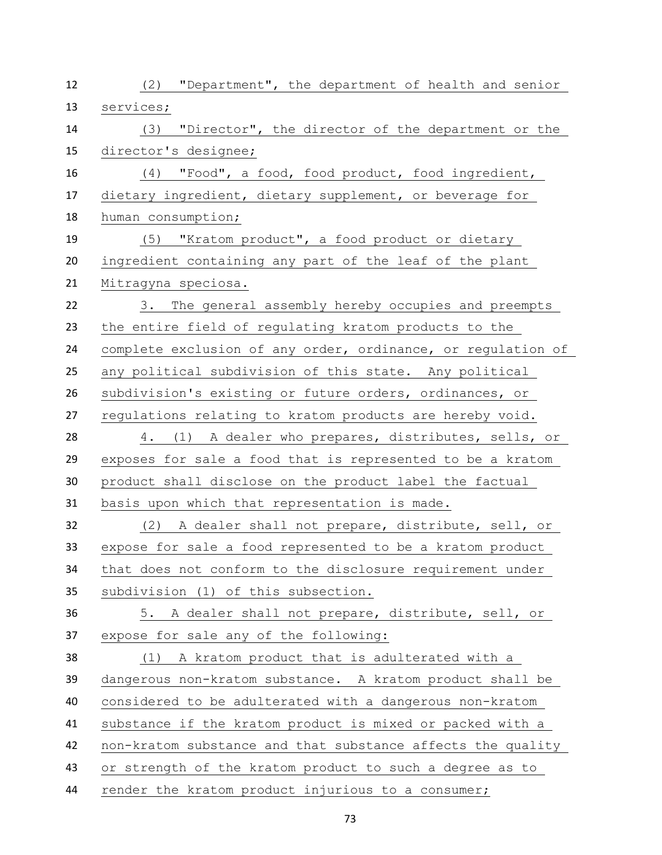| 12 | (2)<br>"Department", the department of health and senior     |
|----|--------------------------------------------------------------|
| 13 | services;                                                    |
| 14 | (3) "Director", the director of the department or the        |
| 15 | director's designee;                                         |
| 16 | (4) "Food", a food, food product, food ingredient,           |
| 17 | dietary ingredient, dietary supplement, or beverage for      |
| 18 | human consumption;                                           |
| 19 | (5) "Kratom product", a food product or dietary              |
| 20 | ingredient containing any part of the leaf of the plant      |
| 21 | Mitragyna speciosa.                                          |
| 22 | 3. The general assembly hereby occupies and preempts         |
| 23 | the entire field of regulating kratom products to the        |
| 24 | complete exclusion of any order, ordinance, or regulation of |
| 25 | any political subdivision of this state. Any political       |
| 26 | subdivision's existing or future orders, ordinances, or      |
| 27 | regulations relating to kratom products are hereby void.     |
| 28 | 4. (1) A dealer who prepares, distributes, sells, or         |
| 29 | exposes for sale a food that is represented to be a kratom   |
| 30 | product shall disclose on the product label the factual      |
| 31 | basis upon which that representation is made.                |
| 32 | (2) A dealer shall not prepare, distribute, sell, or         |
| 33 | expose for sale a food represented to be a kratom product    |
| 34 | that does not conform to the disclosure requirement under    |
| 35 | subdivision (1) of this subsection.                          |
| 36 | 5. A dealer shall not prepare, distribute, sell, or          |
| 37 | expose for sale any of the following:                        |
| 38 | (1) A kratom product that is adulterated with a              |
| 39 | dangerous non-kratom substance. A kratom product shall be    |
| 40 | considered to be adulterated with a dangerous non-kratom     |
| 41 | substance if the kratom product is mixed or packed with a    |
| 42 | non-kratom substance and that substance affects the quality  |
| 43 | or strength of the kratom product to such a degree as to     |
| 44 | render the kratom product injurious to a consumer;           |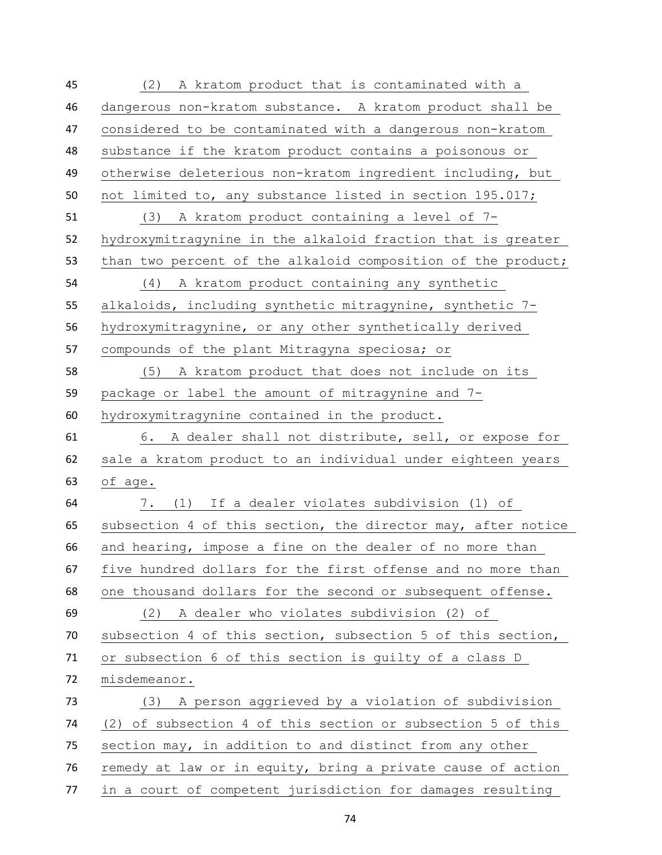(2) A kratom product that is contaminated with a dangerous non-kratom substance. A kratom product shall be considered to be contaminated with a dangerous non-kratom substance if the kratom product contains a poisonous or otherwise deleterious non-kratom ingredient including, but not limited to, any substance listed in section 195.017; (3) A kratom product containing a level of 7- hydroxymitragynine in the alkaloid fraction that is greater 53 than two percent of the alkaloid composition of the product; (4) A kratom product containing any synthetic alkaloids, including synthetic mitragynine, synthetic 7- hydroxymitragynine, or any other synthetically derived compounds of the plant Mitragyna speciosa; or (5) A kratom product that does not include on its package or label the amount of mitragynine and 7- hydroxymitragynine contained in the product. 6. A dealer shall not distribute, sell, or expose for sale a kratom product to an individual under eighteen years of age. 7. (1) If a dealer violates subdivision (1) of subsection 4 of this section, the director may, after notice and hearing, impose a fine on the dealer of no more than five hundred dollars for the first offense and no more than one thousand dollars for the second or subsequent offense. (2) A dealer who violates subdivision (2) of subsection 4 of this section, subsection 5 of this section, or subsection 6 of this section is guilty of a class D misdemeanor. (3) A person aggrieved by a violation of subdivision (2) of subsection 4 of this section or subsection 5 of this section may, in addition to and distinct from any other remedy at law or in equity, bring a private cause of action in a court of competent jurisdiction for damages resulting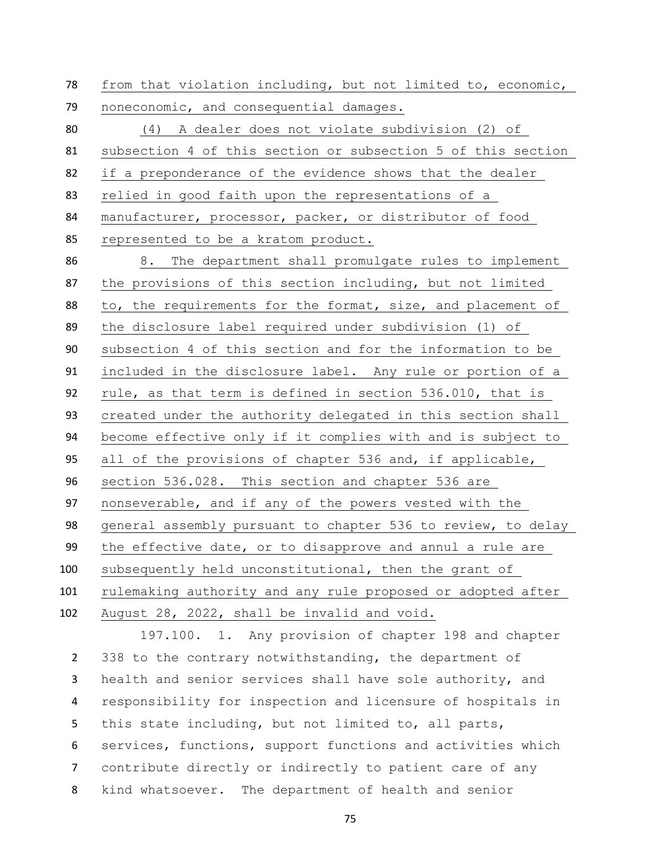from that violation including, but not limited to, economic, noneconomic, and consequential damages. (4) A dealer does not violate subdivision (2) of subsection 4 of this section or subsection 5 of this section if a preponderance of the evidence shows that the dealer relied in good faith upon the representations of a manufacturer, processor, packer, or distributor of food represented to be a kratom product. 8. The department shall promulgate rules to implement the provisions of this section including, but not limited 88 to, the requirements for the format, size, and placement of the disclosure label required under subdivision (1) of subsection 4 of this section and for the information to be included in the disclosure label. Any rule or portion of a rule, as that term is defined in section 536.010, that is created under the authority delegated in this section shall become effective only if it complies with and is subject to all of the provisions of chapter 536 and, if applicable, section 536.028. This section and chapter 536 are nonseverable, and if any of the powers vested with the general assembly pursuant to chapter 536 to review, to delay the effective date, or to disapprove and annul a rule are subsequently held unconstitutional, then the grant of rulemaking authority and any rule proposed or adopted after August 28, 2022, shall be invalid and void.

197.100. 1. Any provision of chapter 198 and chapter 2 338 to the contrary notwithstanding, the department of health and senior services shall have sole authority, and responsibility for inspection and licensure of hospitals in this state including, but not limited to, all parts, services, functions, support functions and activities which contribute directly or indirectly to patient care of any kind whatsoever. The department of health and senior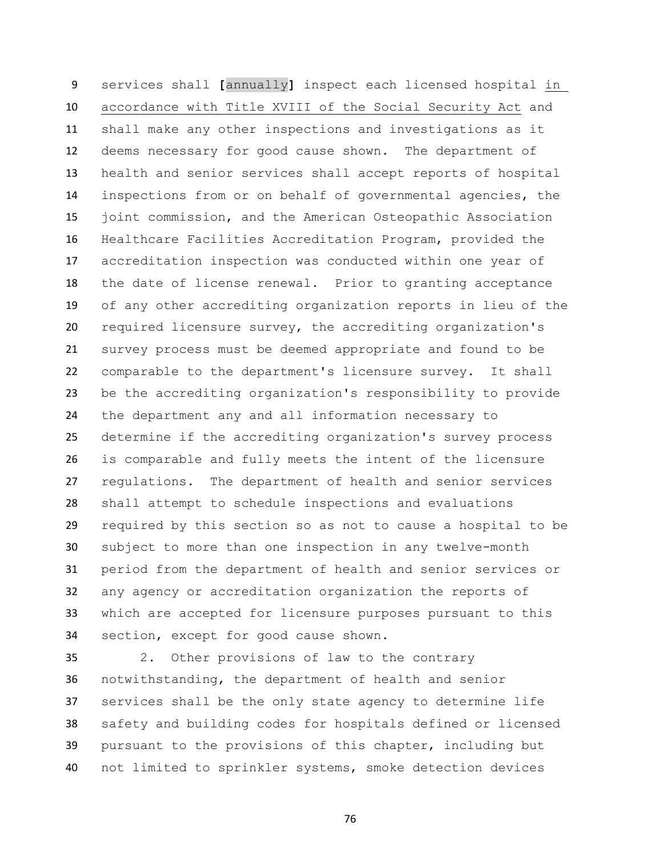services shall **[**annually**]** inspect each licensed hospital in accordance with Title XVIII of the Social Security Act and shall make any other inspections and investigations as it deems necessary for good cause shown. The department of health and senior services shall accept reports of hospital inspections from or on behalf of governmental agencies, the joint commission, and the American Osteopathic Association Healthcare Facilities Accreditation Program, provided the accreditation inspection was conducted within one year of the date of license renewal. Prior to granting acceptance of any other accrediting organization reports in lieu of the required licensure survey, the accrediting organization's survey process must be deemed appropriate and found to be comparable to the department's licensure survey. It shall be the accrediting organization's responsibility to provide the department any and all information necessary to determine if the accrediting organization's survey process is comparable and fully meets the intent of the licensure regulations. The department of health and senior services shall attempt to schedule inspections and evaluations required by this section so as not to cause a hospital to be subject to more than one inspection in any twelve-month period from the department of health and senior services or any agency or accreditation organization the reports of which are accepted for licensure purposes pursuant to this section, except for good cause shown.

 2. Other provisions of law to the contrary notwithstanding, the department of health and senior services shall be the only state agency to determine life safety and building codes for hospitals defined or licensed pursuant to the provisions of this chapter, including but not limited to sprinkler systems, smoke detection devices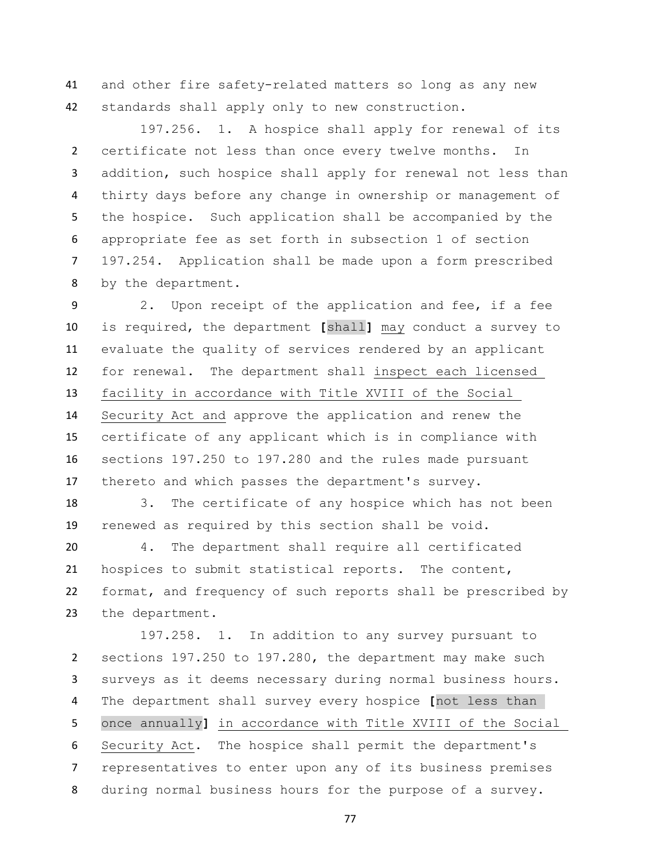and other fire safety-related matters so long as any new standards shall apply only to new construction.

197.256. 1. A hospice shall apply for renewal of its certificate not less than once every twelve months. In addition, such hospice shall apply for renewal not less than thirty days before any change in ownership or management of the hospice. Such application shall be accompanied by the appropriate fee as set forth in subsection 1 of section 197.254. Application shall be made upon a form prescribed by the department.

 2. Upon receipt of the application and fee, if a fee is required, the department **[**shall**]** may conduct a survey to evaluate the quality of services rendered by an applicant for renewal. The department shall inspect each licensed facility in accordance with Title XVIII of the Social Security Act and approve the application and renew the certificate of any applicant which is in compliance with sections 197.250 to 197.280 and the rules made pursuant thereto and which passes the department's survey.

 3. The certificate of any hospice which has not been renewed as required by this section shall be void.

 4. The department shall require all certificated hospices to submit statistical reports. The content, format, and frequency of such reports shall be prescribed by the department.

197.258. 1. In addition to any survey pursuant to sections 197.250 to 197.280, the department may make such surveys as it deems necessary during normal business hours. The department shall survey every hospice **[**not less than once annually**]** in accordance with Title XVIII of the Social Security Act. The hospice shall permit the department's representatives to enter upon any of its business premises during normal business hours for the purpose of a survey.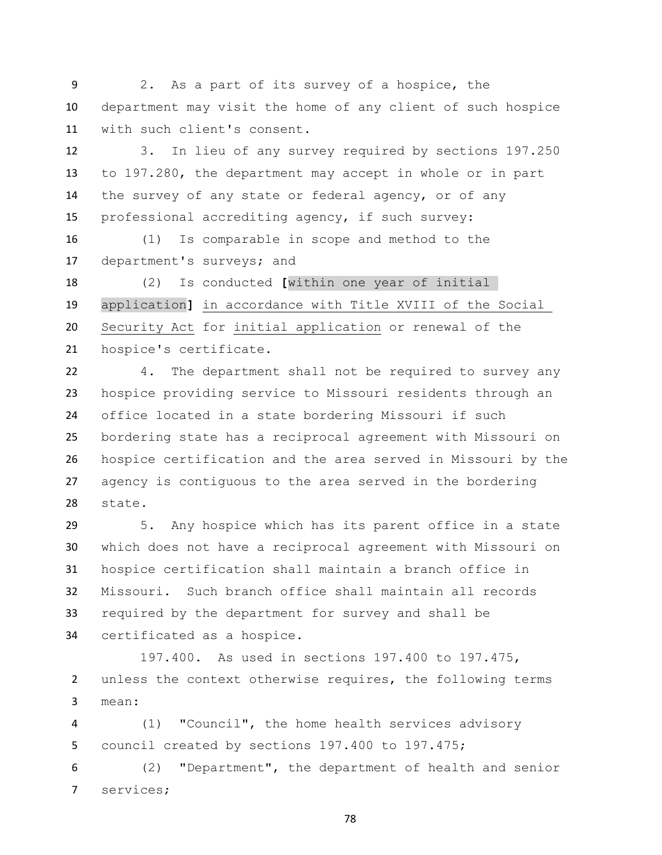2. As a part of its survey of a hospice, the department may visit the home of any client of such hospice with such client's consent.

 3. In lieu of any survey required by sections 197.250 to 197.280, the department may accept in whole or in part the survey of any state or federal agency, or of any professional accrediting agency, if such survey:

 (1) Is comparable in scope and method to the department's surveys; and

 (2) Is conducted **[**within one year of initial application**]** in accordance with Title XVIII of the Social Security Act for initial application or renewal of the hospice's certificate.

 4. The department shall not be required to survey any hospice providing service to Missouri residents through an office located in a state bordering Missouri if such bordering state has a reciprocal agreement with Missouri on hospice certification and the area served in Missouri by the agency is contiguous to the area served in the bordering state.

 5. Any hospice which has its parent office in a state which does not have a reciprocal agreement with Missouri on hospice certification shall maintain a branch office in Missouri. Such branch office shall maintain all records required by the department for survey and shall be certificated as a hospice.

 197.400. As used in sections 197.400 to 197.475, unless the context otherwise requires, the following terms mean:

 (1) "Council", the home health services advisory council created by sections 197.400 to 197.475;

 (2) "Department", the department of health and senior services;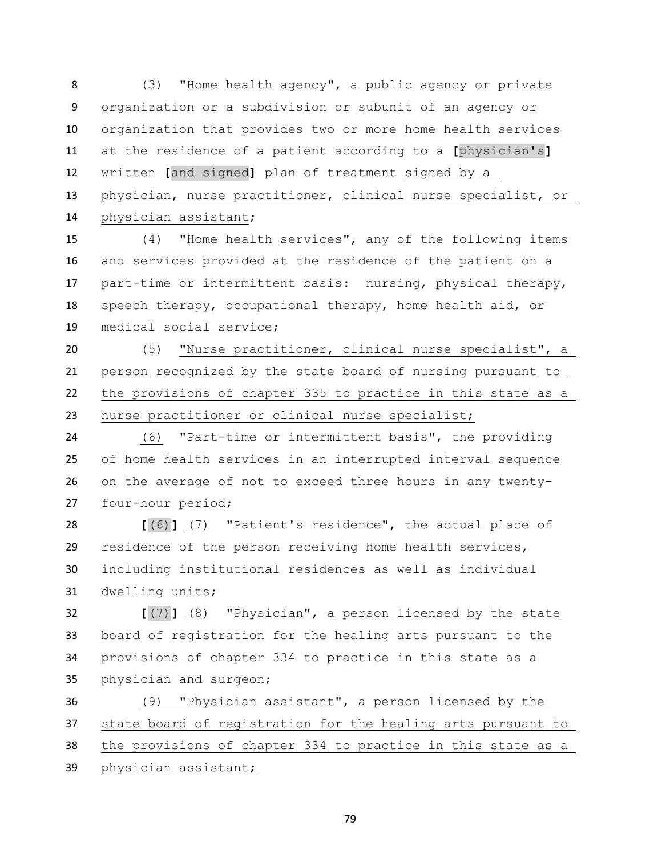(3) "Home health agency", a public agency or private organization or a subdivision or subunit of an agency or organization that provides two or more home health services at the residence of a patient according to a **[**physician's**]** written **[**and signed**]** plan of treatment signed by a physician, nurse practitioner, clinical nurse specialist, or physician assistant;

 (4) "Home health services", any of the following items and services provided at the residence of the patient on a part-time or intermittent basis: nursing, physical therapy, speech therapy, occupational therapy, home health aid, or medical social service;

 (5) "Nurse practitioner, clinical nurse specialist", a person recognized by the state board of nursing pursuant to the provisions of chapter 335 to practice in this state as a nurse practitioner or clinical nurse specialist;

 (6) "Part-time or intermittent basis", the providing of home health services in an interrupted interval sequence on the average of not to exceed three hours in any twenty-four-hour period;

 **[**(6)**]** (7) "Patient's residence", the actual place of residence of the person receiving home health services, including institutional residences as well as individual dwelling units;

 **[**(7)**]** (8) "Physician", a person licensed by the state board of registration for the healing arts pursuant to the provisions of chapter 334 to practice in this state as a physician and surgeon;

 (9) "Physician assistant", a person licensed by the state board of registration for the healing arts pursuant to the provisions of chapter 334 to practice in this state as a physician assistant;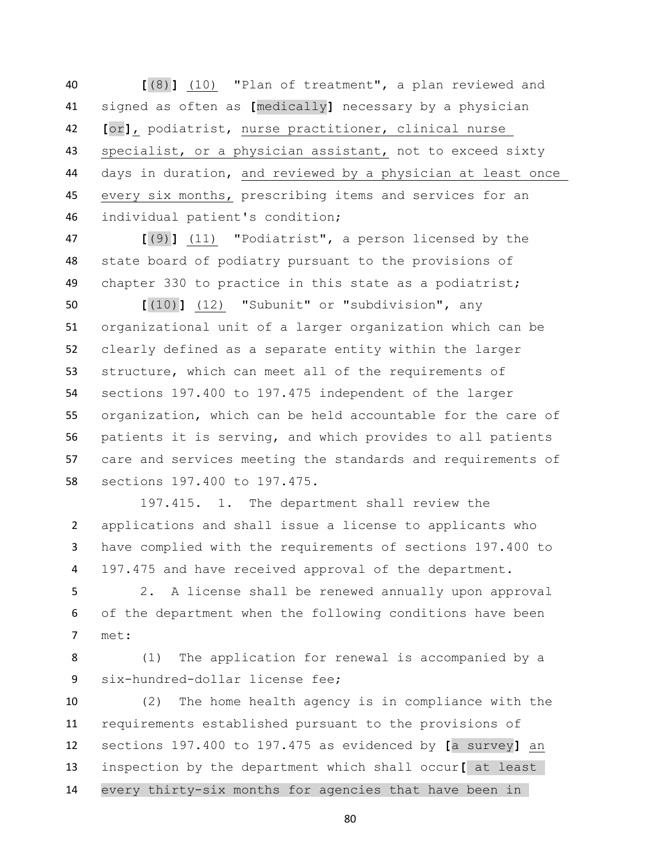**[**(8)**]** (10) "Plan of treatment", a plan reviewed and signed as often as **[**medically**]** necessary by a physician **[**or**]**, podiatrist, nurse practitioner, clinical nurse specialist, or a physician assistant, not to exceed sixty days in duration, and reviewed by a physician at least once every six months, prescribing items and services for an individual patient's condition;

 **[**(9)**]** (11) "Podiatrist", a person licensed by the state board of podiatry pursuant to the provisions of chapter 330 to practice in this state as a podiatrist;

 **[**(10)**]** (12) "Subunit" or "subdivision", any organizational unit of a larger organization which can be clearly defined as a separate entity within the larger structure, which can meet all of the requirements of sections 197.400 to 197.475 independent of the larger organization, which can be held accountable for the care of patients it is serving, and which provides to all patients care and services meeting the standards and requirements of sections 197.400 to 197.475.

 197.415. 1. The department shall review the applications and shall issue a license to applicants who have complied with the requirements of sections 197.400 to 197.475 and have received approval of the department.

 2. A license shall be renewed annually upon approval of the department when the following conditions have been met:

 (1) The application for renewal is accompanied by a six-hundred-dollar license fee;

 (2) The home health agency is in compliance with the requirements established pursuant to the provisions of sections 197.400 to 197.475 as evidenced by **[**a survey**]** an inspection by the department which shall occur**[** at least every thirty-six months for agencies that have been in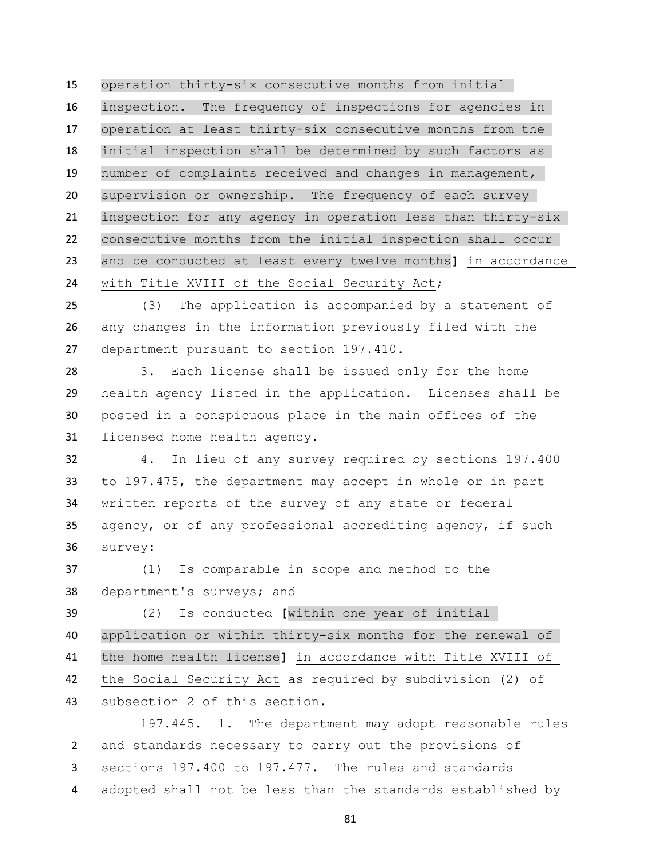operation thirty-six consecutive months from initial inspection. The frequency of inspections for agencies in operation at least thirty-six consecutive months from the initial inspection shall be determined by such factors as number of complaints received and changes in management, supervision or ownership. The frequency of each survey inspection for any agency in operation less than thirty-six consecutive months from the initial inspection shall occur and be conducted at least every twelve months**]** in accordance with Title XVIII of the Social Security Act;

 (3) The application is accompanied by a statement of any changes in the information previously filed with the department pursuant to section 197.410.

 3. Each license shall be issued only for the home health agency listed in the application. Licenses shall be posted in a conspicuous place in the main offices of the licensed home health agency.

 4. In lieu of any survey required by sections 197.400 to 197.475, the department may accept in whole or in part written reports of the survey of any state or federal agency, or of any professional accrediting agency, if such survey:

 (1) Is comparable in scope and method to the department's surveys; and

 (2) Is conducted **[**within one year of initial application or within thirty-six months for the renewal of the home health license**]** in accordance with Title XVIII of the Social Security Act as required by subdivision (2) of subsection 2 of this section.

197.445. 1. The department may adopt reasonable rules and standards necessary to carry out the provisions of sections 197.400 to 197.477. The rules and standards adopted shall not be less than the standards established by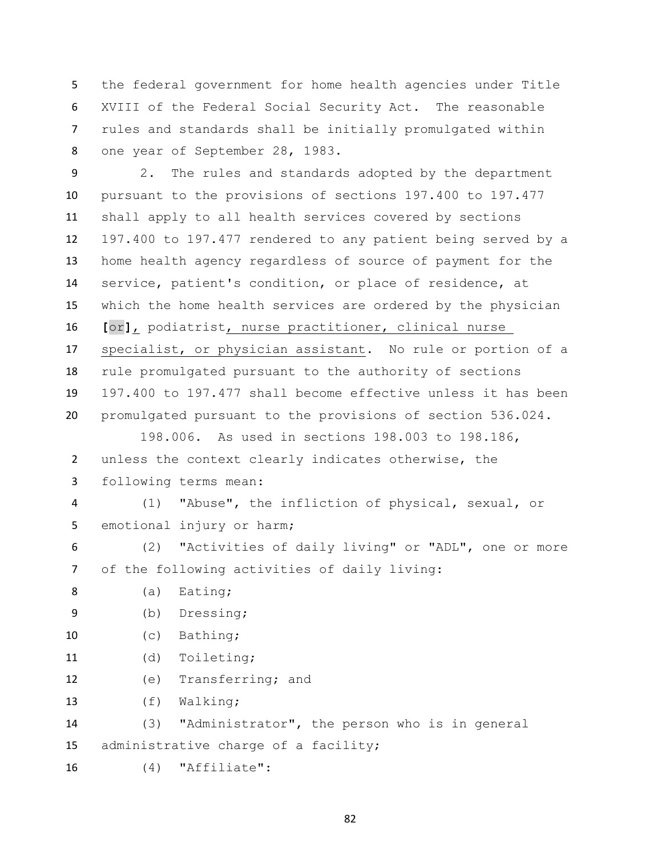the federal government for home health agencies under Title XVIII of the Federal Social Security Act. The reasonable rules and standards shall be initially promulgated within one year of September 28, 1983.

 2. The rules and standards adopted by the department pursuant to the provisions of sections 197.400 to 197.477 shall apply to all health services covered by sections 197.400 to 197.477 rendered to any patient being served by a home health agency regardless of source of payment for the service, patient's condition, or place of residence, at which the home health services are ordered by the physician **[**or**]**, podiatrist, nurse practitioner, clinical nurse specialist, or physician assistant. No rule or portion of a rule promulgated pursuant to the authority of sections 197.400 to 197.477 shall become effective unless it has been promulgated pursuant to the provisions of section 536.024.

 198.006. As used in sections 198.003 to 198.186, unless the context clearly indicates otherwise, the following terms mean:

 (1) "Abuse", the infliction of physical, sexual, or 5 emotional injury or harm;

 (2) "Activities of daily living" or "ADL", one or more of the following activities of daily living:

8 (a) Eating;

(b) Dressing;

(c) Bathing;

- (d) Toileting;
- (e) Transferring; and
- (f) Walking;

 (3) "Administrator", the person who is in general administrative charge of a facility;

(4) "Affiliate":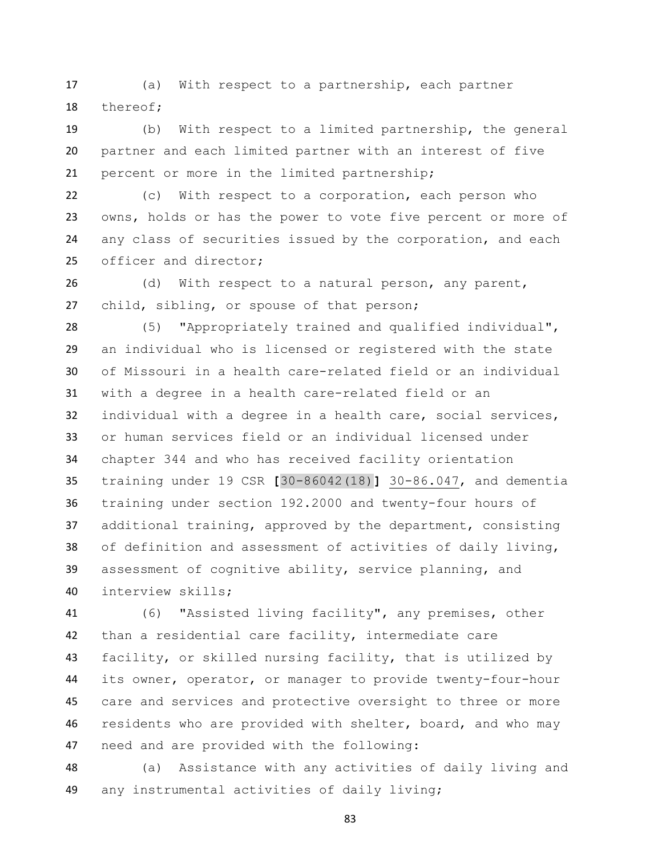(a) With respect to a partnership, each partner thereof;

 (b) With respect to a limited partnership, the general partner and each limited partner with an interest of five percent or more in the limited partnership;

 (c) With respect to a corporation, each person who owns, holds or has the power to vote five percent or more of any class of securities issued by the corporation, and each officer and director;

 (d) With respect to a natural person, any parent, child, sibling, or spouse of that person;

 (5) "Appropriately trained and qualified individual", an individual who is licensed or registered with the state of Missouri in a health care-related field or an individual with a degree in a health care-related field or an individual with a degree in a health care, social services, or human services field or an individual licensed under chapter 344 and who has received facility orientation training under 19 CSR **[**30-86042(18)**]** 30-86.047, and dementia training under section 192.2000 and twenty-four hours of additional training, approved by the department, consisting of definition and assessment of activities of daily living, assessment of cognitive ability, service planning, and interview skills;

 (6) "Assisted living facility", any premises, other than a residential care facility, intermediate care facility, or skilled nursing facility, that is utilized by its owner, operator, or manager to provide twenty-four-hour care and services and protective oversight to three or more residents who are provided with shelter, board, and who may need and are provided with the following:

 (a) Assistance with any activities of daily living and any instrumental activities of daily living;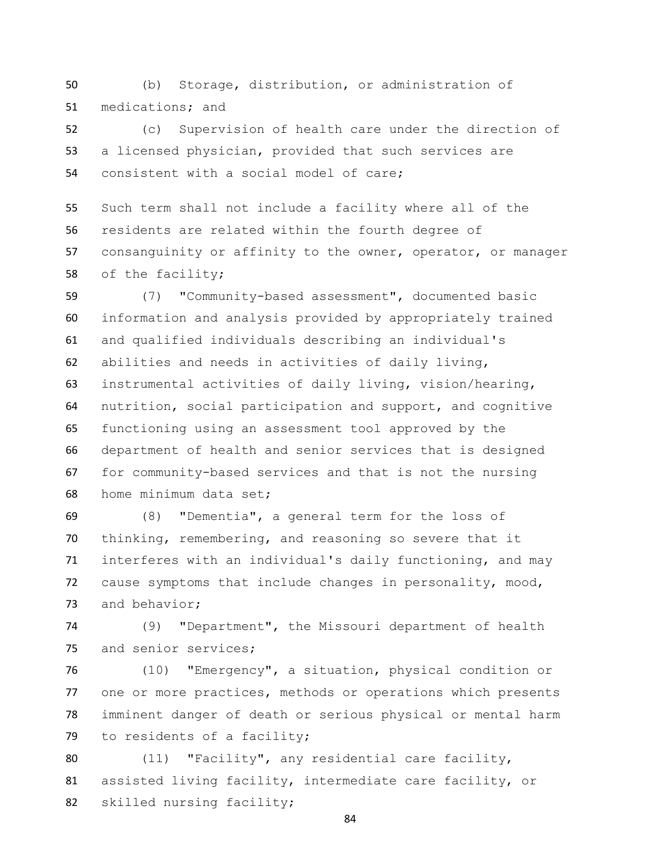(b) Storage, distribution, or administration of medications; and

 (c) Supervision of health care under the direction of a licensed physician, provided that such services are consistent with a social model of care;

 Such term shall not include a facility where all of the residents are related within the fourth degree of consanguinity or affinity to the owner, operator, or manager of the facility;

 (7) "Community-based assessment", documented basic information and analysis provided by appropriately trained and qualified individuals describing an individual's abilities and needs in activities of daily living, instrumental activities of daily living, vision/hearing, nutrition, social participation and support, and cognitive functioning using an assessment tool approved by the department of health and senior services that is designed for community-based services and that is not the nursing home minimum data set;

 (8) "Dementia", a general term for the loss of thinking, remembering, and reasoning so severe that it interferes with an individual's daily functioning, and may cause symptoms that include changes in personality, mood, and behavior;

 (9) "Department", the Missouri department of health and senior services;

 (10) "Emergency", a situation, physical condition or one or more practices, methods or operations which presents imminent danger of death or serious physical or mental harm to residents of a facility;

 (11) "Facility", any residential care facility, assisted living facility, intermediate care facility, or skilled nursing facility;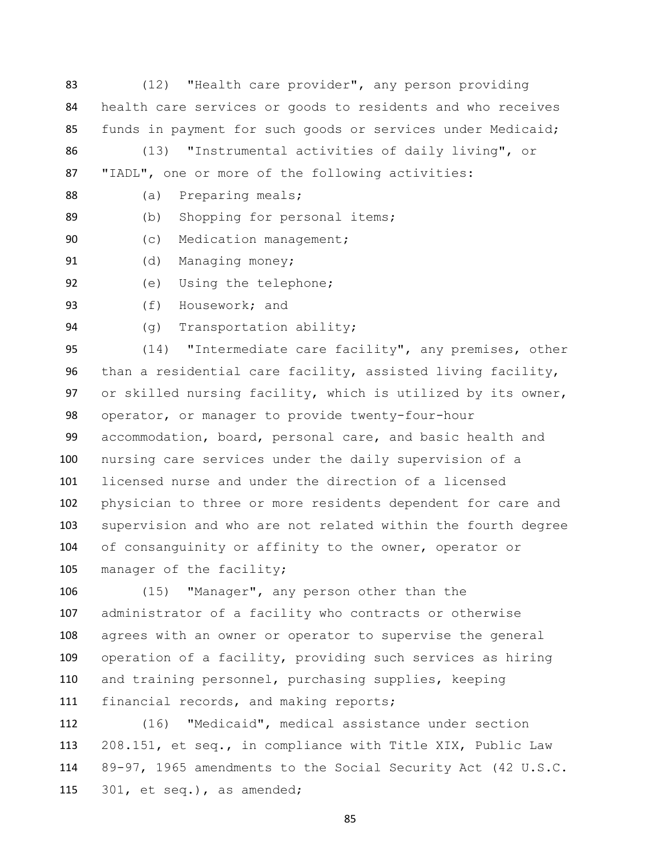- (12) "Health care provider", any person providing health care services or goods to residents and who receives funds in payment for such goods or services under Medicaid;
- (13) "Instrumental activities of daily living", or "IADL", one or more of the following activities:
- 88 (a) Preparing meals;
- (b) Shopping for personal items;
- 90 (c) Medication management;
- 91 (d) Managing money;
- (e) Using the telephone;
- (f) Housework; and
- 

(g) Transportation ability;

 (14) "Intermediate care facility", any premises, other than a residential care facility, assisted living facility, or skilled nursing facility, which is utilized by its owner, operator, or manager to provide twenty-four-hour accommodation, board, personal care, and basic health and nursing care services under the daily supervision of a licensed nurse and under the direction of a licensed physician to three or more residents dependent for care and supervision and who are not related within the fourth degree 104 of consanguinity or affinity to the owner, operator or 105 manager of the facility;

 (15) "Manager", any person other than the administrator of a facility who contracts or otherwise agrees with an owner or operator to supervise the general operation of a facility, providing such services as hiring and training personnel, purchasing supplies, keeping 111 financial records, and making reports;

 (16) "Medicaid", medical assistance under section 208.151, et seq., in compliance with Title XIX, Public Law 89-97, 1965 amendments to the Social Security Act (42 U.S.C. 301, et seq.), as amended;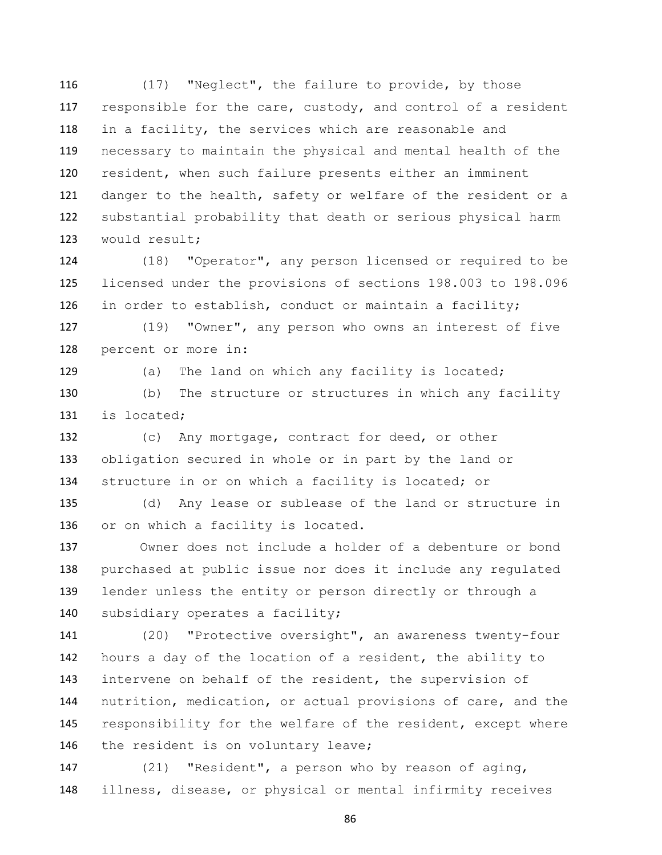(17) "Neglect", the failure to provide, by those responsible for the care, custody, and control of a resident in a facility, the services which are reasonable and necessary to maintain the physical and mental health of the resident, when such failure presents either an imminent 121 danger to the health, safety or welfare of the resident or a substantial probability that death or serious physical harm would result;

 (18) "Operator", any person licensed or required to be licensed under the provisions of sections 198.003 to 198.096 in order to establish, conduct or maintain a facility;

 (19) "Owner", any person who owns an interest of five percent or more in:

129 (a) The land on which any facility is located;

 (b) The structure or structures in which any facility is located;

 (c) Any mortgage, contract for deed, or other obligation secured in whole or in part by the land or 134 structure in or on which a facility is located; or

 (d) Any lease or sublease of the land or structure in or on which a facility is located.

 Owner does not include a holder of a debenture or bond purchased at public issue nor does it include any regulated lender unless the entity or person directly or through a 140 subsidiary operates a facility;

 (20) "Protective oversight", an awareness twenty-four hours a day of the location of a resident, the ability to intervene on behalf of the resident, the supervision of nutrition, medication, or actual provisions of care, and the responsibility for the welfare of the resident, except where 146 the resident is on voluntary leave;

 (21) "Resident", a person who by reason of aging, illness, disease, or physical or mental infirmity receives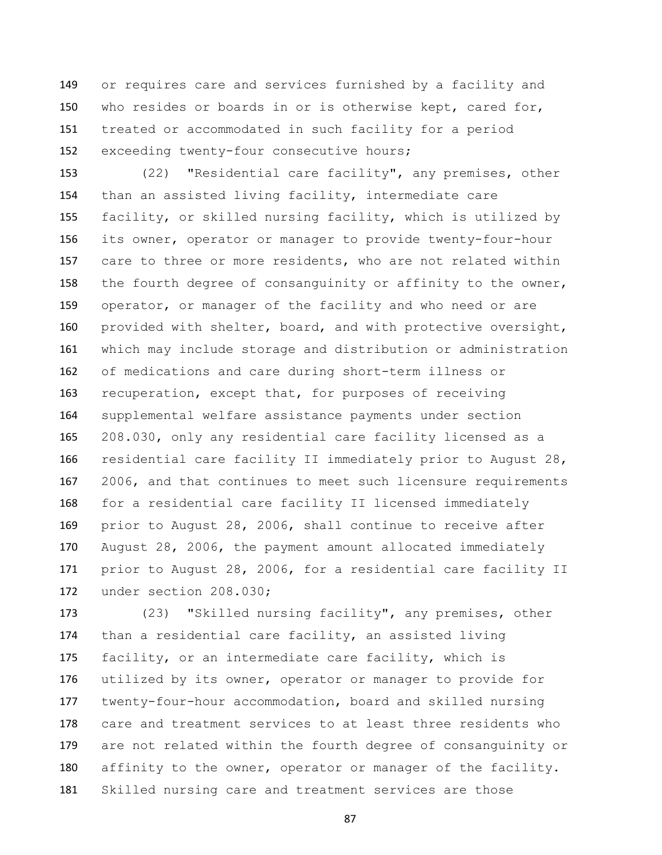or requires care and services furnished by a facility and who resides or boards in or is otherwise kept, cared for, treated or accommodated in such facility for a period exceeding twenty-four consecutive hours;

 (22) "Residential care facility", any premises, other than an assisted living facility, intermediate care facility, or skilled nursing facility, which is utilized by its owner, operator or manager to provide twenty-four-hour care to three or more residents, who are not related within 158 the fourth degree of consanguinity or affinity to the owner, operator, or manager of the facility and who need or are provided with shelter, board, and with protective oversight, which may include storage and distribution or administration of medications and care during short-term illness or recuperation, except that, for purposes of receiving supplemental welfare assistance payments under section 208.030, only any residential care facility licensed as a residential care facility II immediately prior to August 28, 2006, and that continues to meet such licensure requirements for a residential care facility II licensed immediately prior to August 28, 2006, shall continue to receive after August 28, 2006, the payment amount allocated immediately prior to August 28, 2006, for a residential care facility II under section 208.030;

 (23) "Skilled nursing facility", any premises, other than a residential care facility, an assisted living facility, or an intermediate care facility, which is utilized by its owner, operator or manager to provide for twenty-four-hour accommodation, board and skilled nursing care and treatment services to at least three residents who are not related within the fourth degree of consanguinity or 180 affinity to the owner, operator or manager of the facility. Skilled nursing care and treatment services are those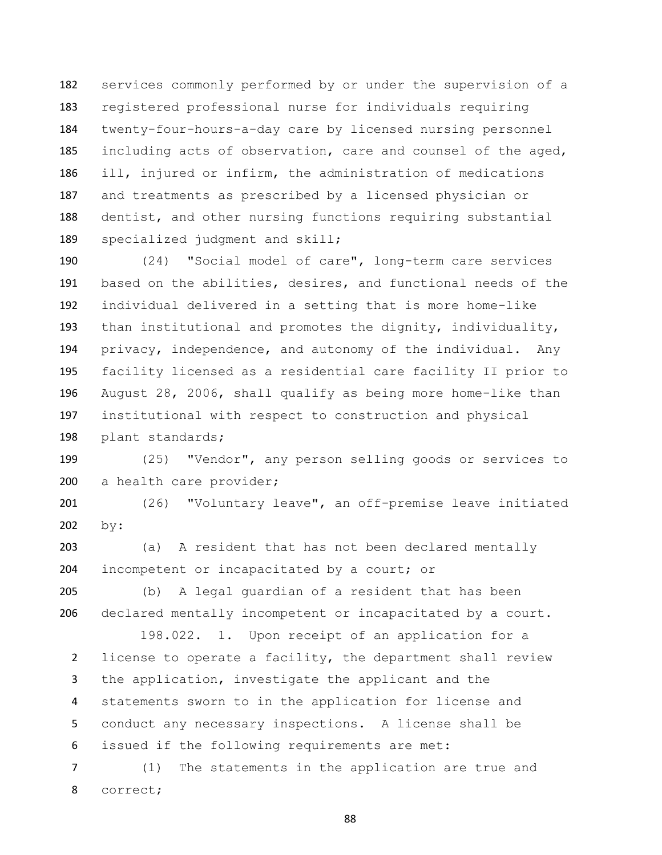services commonly performed by or under the supervision of a registered professional nurse for individuals requiring twenty-four-hours-a-day care by licensed nursing personnel including acts of observation, care and counsel of the aged, ill, injured or infirm, the administration of medications and treatments as prescribed by a licensed physician or dentist, and other nursing functions requiring substantial 189 specialized judgment and skill;

 (24) "Social model of care", long-term care services based on the abilities, desires, and functional needs of the individual delivered in a setting that is more home-like than institutional and promotes the dignity, individuality, privacy, independence, and autonomy of the individual. Any facility licensed as a residential care facility II prior to August 28, 2006, shall qualify as being more home-like than institutional with respect to construction and physical plant standards;

 (25) "Vendor", any person selling goods or services to a health care provider;

 (26) "Voluntary leave", an off-premise leave initiated by:

 (a) A resident that has not been declared mentally incompetent or incapacitated by a court; or

 (b) A legal guardian of a resident that has been declared mentally incompetent or incapacitated by a court.

 198.022. 1. Upon receipt of an application for a license to operate a facility, the department shall review the application, investigate the applicant and the statements sworn to in the application for license and conduct any necessary inspections. A license shall be issued if the following requirements are met:

 (1) The statements in the application are true and correct;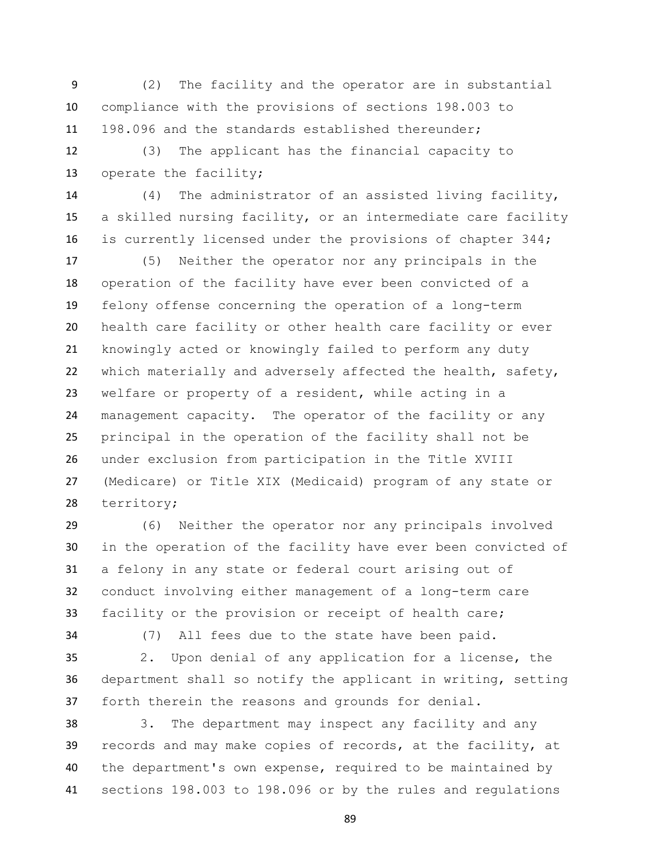(2) The facility and the operator are in substantial compliance with the provisions of sections 198.003 to 198.096 and the standards established thereunder;

 (3) The applicant has the financial capacity to operate the facility;

 (4) The administrator of an assisted living facility, a skilled nursing facility, or an intermediate care facility is currently licensed under the provisions of chapter 344;

 (5) Neither the operator nor any principals in the operation of the facility have ever been convicted of a felony offense concerning the operation of a long-term health care facility or other health care facility or ever knowingly acted or knowingly failed to perform any duty 22 which materially and adversely affected the health, safety, welfare or property of a resident, while acting in a management capacity. The operator of the facility or any principal in the operation of the facility shall not be under exclusion from participation in the Title XVIII (Medicare) or Title XIX (Medicaid) program of any state or territory;

 (6) Neither the operator nor any principals involved in the operation of the facility have ever been convicted of a felony in any state or federal court arising out of conduct involving either management of a long-term care facility or the provision or receipt of health care;

(7) All fees due to the state have been paid.

 2. Upon denial of any application for a license, the department shall so notify the applicant in writing, setting forth therein the reasons and grounds for denial.

 3. The department may inspect any facility and any records and may make copies of records, at the facility, at the department's own expense, required to be maintained by sections 198.003 to 198.096 or by the rules and regulations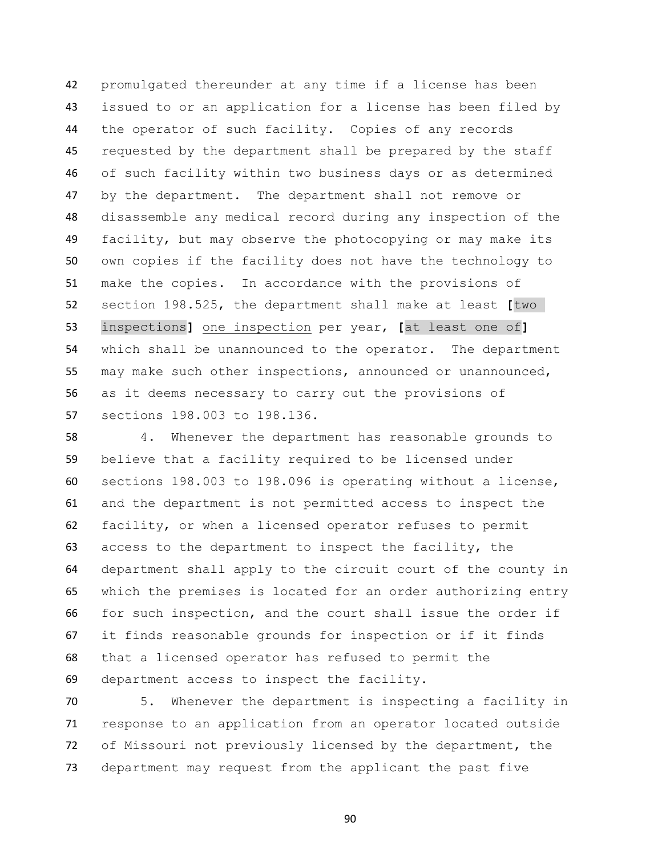promulgated thereunder at any time if a license has been issued to or an application for a license has been filed by the operator of such facility. Copies of any records requested by the department shall be prepared by the staff of such facility within two business days or as determined by the department. The department shall not remove or disassemble any medical record during any inspection of the facility, but may observe the photocopying or may make its own copies if the facility does not have the technology to make the copies. In accordance with the provisions of section 198.525, the department shall make at least **[**two inspections**]** one inspection per year, **[**at least one of**]** which shall be unannounced to the operator. The department may make such other inspections, announced or unannounced, as it deems necessary to carry out the provisions of sections 198.003 to 198.136.

 4. Whenever the department has reasonable grounds to believe that a facility required to be licensed under sections 198.003 to 198.096 is operating without a license, and the department is not permitted access to inspect the facility, or when a licensed operator refuses to permit access to the department to inspect the facility, the department shall apply to the circuit court of the county in which the premises is located for an order authorizing entry for such inspection, and the court shall issue the order if it finds reasonable grounds for inspection or if it finds that a licensed operator has refused to permit the department access to inspect the facility.

 5. Whenever the department is inspecting a facility in response to an application from an operator located outside of Missouri not previously licensed by the department, the department may request from the applicant the past five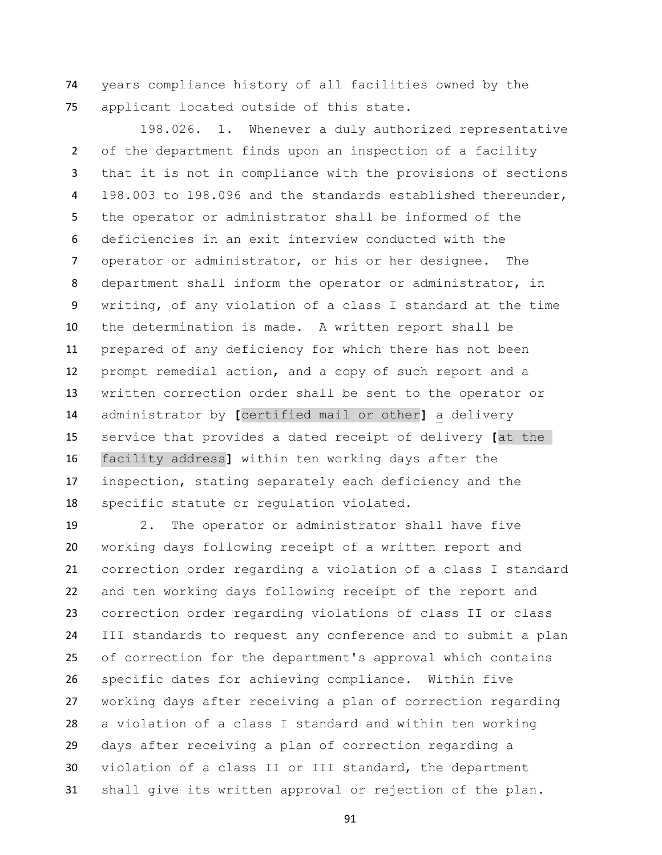years compliance history of all facilities owned by the applicant located outside of this state.

 198.026. 1. Whenever a duly authorized representative of the department finds upon an inspection of a facility that it is not in compliance with the provisions of sections 198.003 to 198.096 and the standards established thereunder, the operator or administrator shall be informed of the deficiencies in an exit interview conducted with the operator or administrator, or his or her designee. The department shall inform the operator or administrator, in writing, of any violation of a class I standard at the time the determination is made. A written report shall be prepared of any deficiency for which there has not been prompt remedial action, and a copy of such report and a written correction order shall be sent to the operator or administrator by **[**certified mail or other**]** a delivery service that provides a dated receipt of delivery **[**at the facility address**]** within ten working days after the inspection, stating separately each deficiency and the specific statute or regulation violated.

 2. The operator or administrator shall have five working days following receipt of a written report and correction order regarding a violation of a class I standard and ten working days following receipt of the report and correction order regarding violations of class II or class III standards to request any conference and to submit a plan of correction for the department's approval which contains specific dates for achieving compliance. Within five working days after receiving a plan of correction regarding a violation of a class I standard and within ten working days after receiving a plan of correction regarding a violation of a class II or III standard, the department shall give its written approval or rejection of the plan.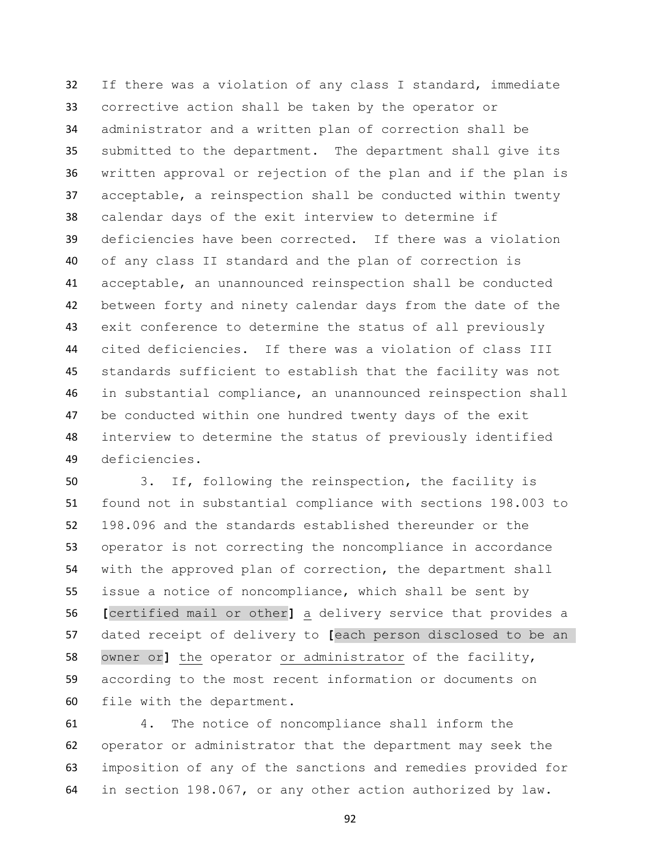If there was a violation of any class I standard, immediate corrective action shall be taken by the operator or administrator and a written plan of correction shall be submitted to the department. The department shall give its written approval or rejection of the plan and if the plan is acceptable, a reinspection shall be conducted within twenty calendar days of the exit interview to determine if deficiencies have been corrected. If there was a violation of any class II standard and the plan of correction is acceptable, an unannounced reinspection shall be conducted between forty and ninety calendar days from the date of the exit conference to determine the status of all previously cited deficiencies. If there was a violation of class III standards sufficient to establish that the facility was not in substantial compliance, an unannounced reinspection shall be conducted within one hundred twenty days of the exit interview to determine the status of previously identified deficiencies.

 3. If, following the reinspection, the facility is found not in substantial compliance with sections 198.003 to 198.096 and the standards established thereunder or the operator is not correcting the noncompliance in accordance with the approved plan of correction, the department shall issue a notice of noncompliance, which shall be sent by **[**certified mail or other**]** a delivery service that provides a dated receipt of delivery to **[**each person disclosed to be an owner or**]** the operator or administrator of the facility, according to the most recent information or documents on file with the department.

 4. The notice of noncompliance shall inform the operator or administrator that the department may seek the imposition of any of the sanctions and remedies provided for in section 198.067, or any other action authorized by law.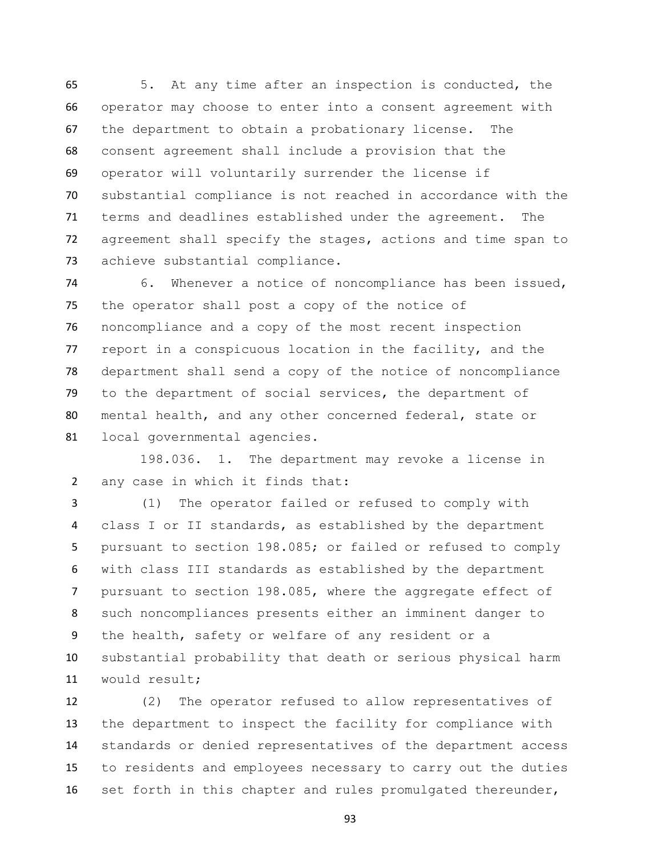5. At any time after an inspection is conducted, the operator may choose to enter into a consent agreement with the department to obtain a probationary license. The consent agreement shall include a provision that the operator will voluntarily surrender the license if substantial compliance is not reached in accordance with the terms and deadlines established under the agreement. The agreement shall specify the stages, actions and time span to achieve substantial compliance.

 6. Whenever a notice of noncompliance has been issued, the operator shall post a copy of the notice of noncompliance and a copy of the most recent inspection 77 report in a conspicuous location in the facility, and the department shall send a copy of the notice of noncompliance to the department of social services, the department of mental health, and any other concerned federal, state or local governmental agencies.

 198.036. 1. The department may revoke a license in any case in which it finds that:

 (1) The operator failed or refused to comply with class I or II standards, as established by the department pursuant to section 198.085; or failed or refused to comply with class III standards as established by the department pursuant to section 198.085, where the aggregate effect of such noncompliances presents either an imminent danger to the health, safety or welfare of any resident or a substantial probability that death or serious physical harm would result;

 (2) The operator refused to allow representatives of the department to inspect the facility for compliance with standards or denied representatives of the department access to residents and employees necessary to carry out the duties set forth in this chapter and rules promulgated thereunder,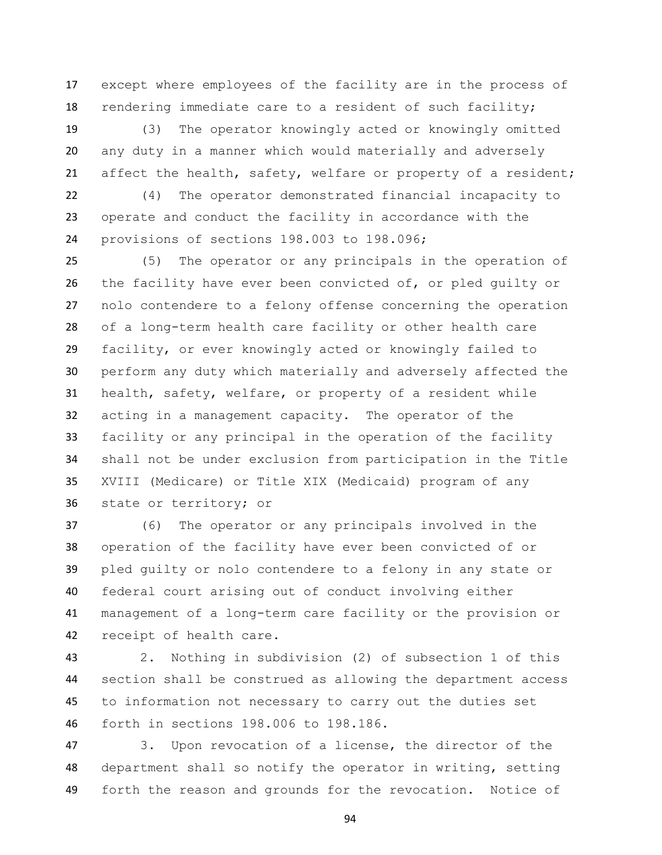except where employees of the facility are in the process of rendering immediate care to a resident of such facility;

 (3) The operator knowingly acted or knowingly omitted any duty in a manner which would materially and adversely affect the health, safety, welfare or property of a resident;

 (4) The operator demonstrated financial incapacity to operate and conduct the facility in accordance with the provisions of sections 198.003 to 198.096;

 (5) The operator or any principals in the operation of the facility have ever been convicted of, or pled guilty or nolo contendere to a felony offense concerning the operation of a long-term health care facility or other health care facility, or ever knowingly acted or knowingly failed to perform any duty which materially and adversely affected the health, safety, welfare, or property of a resident while acting in a management capacity. The operator of the facility or any principal in the operation of the facility shall not be under exclusion from participation in the Title XVIII (Medicare) or Title XIX (Medicaid) program of any state or territory; or

 (6) The operator or any principals involved in the operation of the facility have ever been convicted of or pled guilty or nolo contendere to a felony in any state or federal court arising out of conduct involving either management of a long-term care facility or the provision or receipt of health care.

 2. Nothing in subdivision (2) of subsection 1 of this section shall be construed as allowing the department access to information not necessary to carry out the duties set forth in sections 198.006 to 198.186.

 3. Upon revocation of a license, the director of the department shall so notify the operator in writing, setting forth the reason and grounds for the revocation. Notice of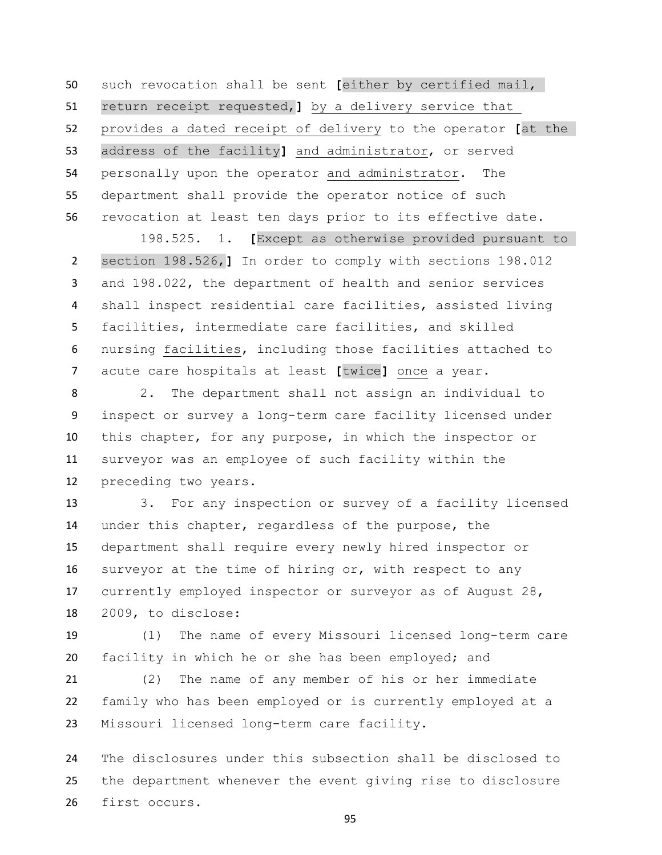such revocation shall be sent **[**either by certified mail, return receipt requested,**]** by a delivery service that provides a dated receipt of delivery to the operator **[**at the address of the facility**]** and administrator, or served personally upon the operator and administrator. The department shall provide the operator notice of such revocation at least ten days prior to its effective date.

 198.525. 1. **[**Except as otherwise provided pursuant to section 198.526,**]** In order to comply with sections 198.012 and 198.022, the department of health and senior services shall inspect residential care facilities, assisted living facilities, intermediate care facilities, and skilled nursing facilities, including those facilities attached to acute care hospitals at least **[**twice**]** once a year.

 2. The department shall not assign an individual to inspect or survey a long-term care facility licensed under this chapter, for any purpose, in which the inspector or surveyor was an employee of such facility within the preceding two years.

 3. For any inspection or survey of a facility licensed under this chapter, regardless of the purpose, the department shall require every newly hired inspector or surveyor at the time of hiring or, with respect to any currently employed inspector or surveyor as of August 28, 2009, to disclose:

 (1) The name of every Missouri licensed long-term care facility in which he or she has been employed; and

 (2) The name of any member of his or her immediate family who has been employed or is currently employed at a Missouri licensed long-term care facility.

 The disclosures under this subsection shall be disclosed to the department whenever the event giving rise to disclosure first occurs.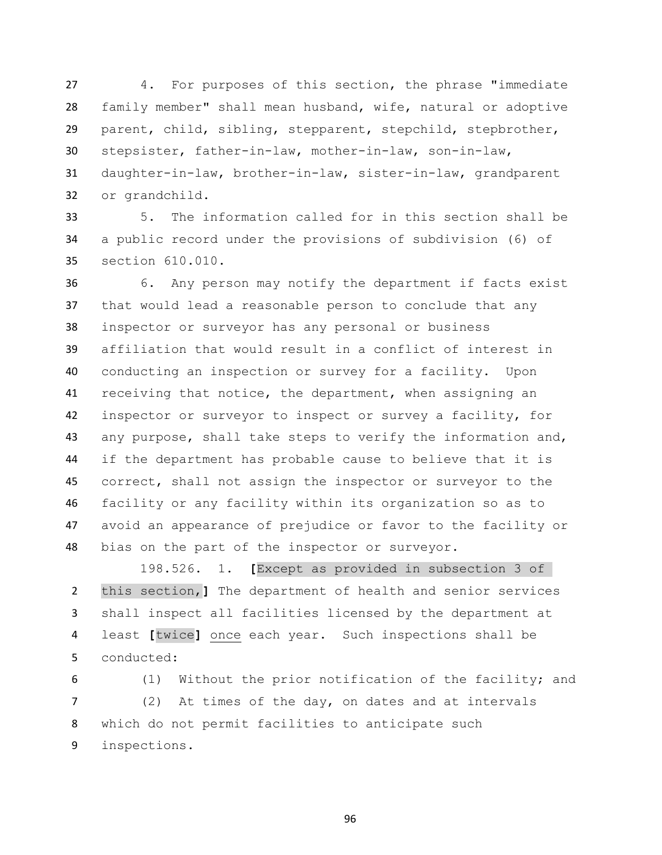4. For purposes of this section, the phrase "immediate family member" shall mean husband, wife, natural or adoptive parent, child, sibling, stepparent, stepchild, stepbrother, stepsister, father-in-law, mother-in-law, son-in-law, daughter-in-law, brother-in-law, sister-in-law, grandparent or grandchild.

 5. The information called for in this section shall be a public record under the provisions of subdivision (6) of section 610.010.

 6. Any person may notify the department if facts exist that would lead a reasonable person to conclude that any inspector or surveyor has any personal or business affiliation that would result in a conflict of interest in conducting an inspection or survey for a facility. Upon receiving that notice, the department, when assigning an inspector or surveyor to inspect or survey a facility, for any purpose, shall take steps to verify the information and, if the department has probable cause to believe that it is correct, shall not assign the inspector or surveyor to the facility or any facility within its organization so as to avoid an appearance of prejudice or favor to the facility or bias on the part of the inspector or surveyor.

 198.526. 1. **[**Except as provided in subsection 3 of this section,**]** The department of health and senior services shall inspect all facilities licensed by the department at least **[**twice**]** once each year. Such inspections shall be conducted:

 (1) Without the prior notification of the facility; and (2) At times of the day, on dates and at intervals which do not permit facilities to anticipate such inspections.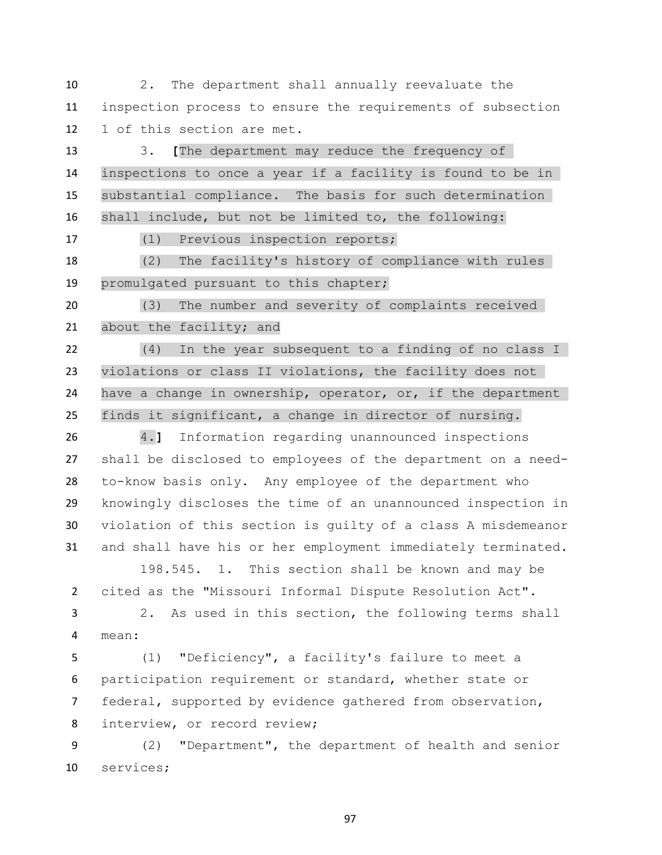2. The department shall annually reevaluate the inspection process to ensure the requirements of subsection 1 of this section are met.

 3. **[**The department may reduce the frequency of inspections to once a year if a facility is found to be in substantial compliance. The basis for such determination shall include, but not be limited to, the following:

(1) Previous inspection reports;

 (2) The facility's history of compliance with rules promulgated pursuant to this chapter;

 (3) The number and severity of complaints received 21 about the facility; and

 (4) In the year subsequent to a finding of no class I violations or class II violations, the facility does not have a change in ownership, operator, or, if the department finds it significant, a change in director of nursing.

 4.**]** Information regarding unannounced inspections shall be disclosed to employees of the department on a need- to-know basis only. Any employee of the department who knowingly discloses the time of an unannounced inspection in violation of this section is guilty of a class A misdemeanor and shall have his or her employment immediately terminated.

198.545. 1. This section shall be known and may be cited as the "Missouri Informal Dispute Resolution Act".

 2. As used in this section, the following terms shall mean:

 (1) "Deficiency", a facility's failure to meet a participation requirement or standard, whether state or federal, supported by evidence gathered from observation, 8 interview, or record review;

 (2) "Department", the department of health and senior services;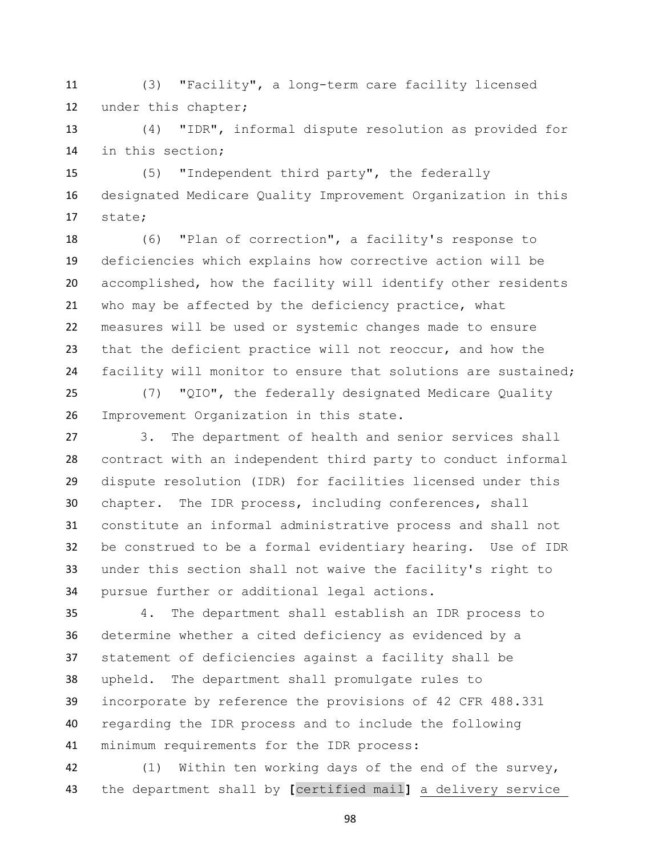(3) "Facility", a long-term care facility licensed under this chapter;

 (4) "IDR", informal dispute resolution as provided for in this section;

 (5) "Independent third party", the federally designated Medicare Quality Improvement Organization in this state;

 (6) "Plan of correction", a facility's response to deficiencies which explains how corrective action will be accomplished, how the facility will identify other residents who may be affected by the deficiency practice, what measures will be used or systemic changes made to ensure that the deficient practice will not reoccur, and how the facility will monitor to ensure that solutions are sustained;

 (7) "QIO", the federally designated Medicare Quality Improvement Organization in this state.

 3. The department of health and senior services shall contract with an independent third party to conduct informal dispute resolution (IDR) for facilities licensed under this chapter. The IDR process, including conferences, shall constitute an informal administrative process and shall not be construed to be a formal evidentiary hearing. Use of IDR under this section shall not waive the facility's right to pursue further or additional legal actions.

 4. The department shall establish an IDR process to determine whether a cited deficiency as evidenced by a statement of deficiencies against a facility shall be upheld. The department shall promulgate rules to incorporate by reference the provisions of 42 CFR 488.331 regarding the IDR process and to include the following minimum requirements for the IDR process:

 (1) Within ten working days of the end of the survey, the department shall by **[**certified mail**]** a delivery service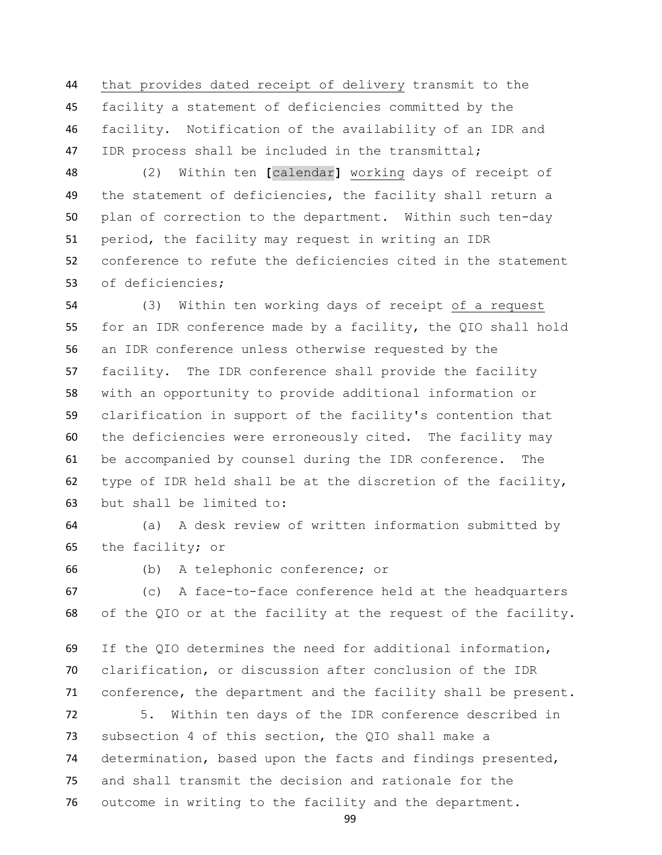that provides dated receipt of delivery transmit to the facility a statement of deficiencies committed by the facility. Notification of the availability of an IDR and IDR process shall be included in the transmittal;

 (2) Within ten **[**calendar**]** working days of receipt of the statement of deficiencies, the facility shall return a plan of correction to the department. Within such ten-day period, the facility may request in writing an IDR conference to refute the deficiencies cited in the statement of deficiencies;

 (3) Within ten working days of receipt of a request for an IDR conference made by a facility, the QIO shall hold an IDR conference unless otherwise requested by the facility. The IDR conference shall provide the facility with an opportunity to provide additional information or clarification in support of the facility's contention that the deficiencies were erroneously cited. The facility may be accompanied by counsel during the IDR conference. The type of IDR held shall be at the discretion of the facility, but shall be limited to:

 (a) A desk review of written information submitted by the facility; or

(b) A telephonic conference; or

 (c) A face-to-face conference held at the headquarters of the QIO or at the facility at the request of the facility.

 If the QIO determines the need for additional information, clarification, or discussion after conclusion of the IDR conference, the department and the facility shall be present.

 5. Within ten days of the IDR conference described in subsection 4 of this section, the QIO shall make a determination, based upon the facts and findings presented, and shall transmit the decision and rationale for the outcome in writing to the facility and the department.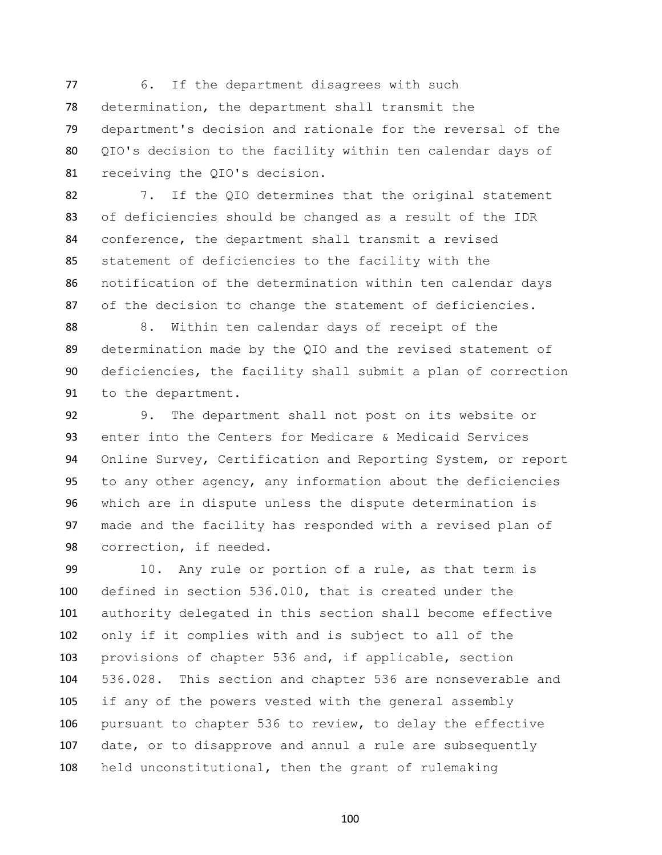77 6. If the department disagrees with such determination, the department shall transmit the department's decision and rationale for the reversal of the QIO's decision to the facility within ten calendar days of receiving the QIO's decision.

 7. If the QIO determines that the original statement of deficiencies should be changed as a result of the IDR conference, the department shall transmit a revised statement of deficiencies to the facility with the notification of the determination within ten calendar days of the decision to change the statement of deficiencies.

 8. Within ten calendar days of receipt of the determination made by the QIO and the revised statement of deficiencies, the facility shall submit a plan of correction to the department.

 9. The department shall not post on its website or enter into the Centers for Medicare & Medicaid Services Online Survey, Certification and Reporting System, or report to any other agency, any information about the deficiencies which are in dispute unless the dispute determination is made and the facility has responded with a revised plan of correction, if needed.

 10. Any rule or portion of a rule, as that term is defined in section 536.010, that is created under the authority delegated in this section shall become effective only if it complies with and is subject to all of the provisions of chapter 536 and, if applicable, section 536.028. This section and chapter 536 are nonseverable and if any of the powers vested with the general assembly pursuant to chapter 536 to review, to delay the effective date, or to disapprove and annul a rule are subsequently held unconstitutional, then the grant of rulemaking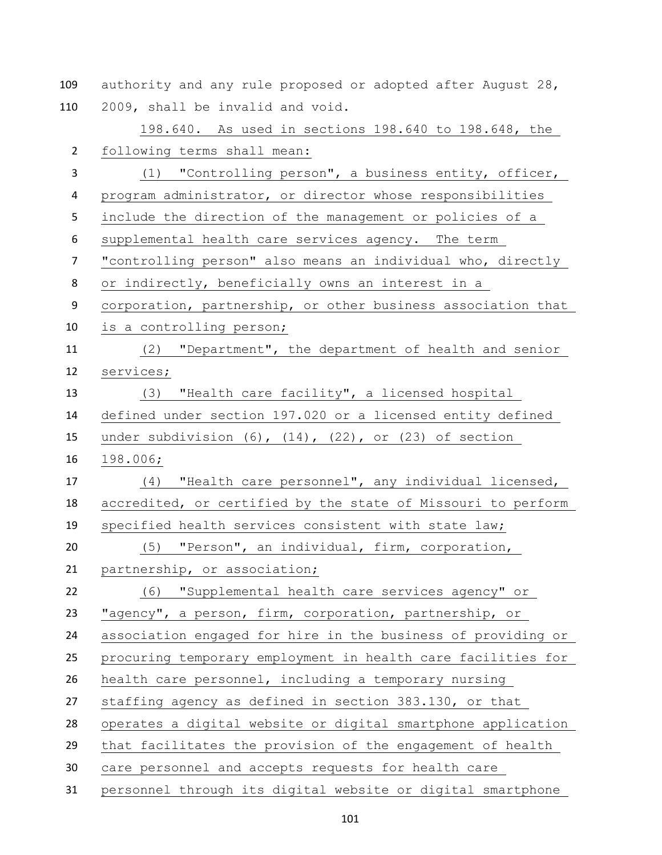authority and any rule proposed or adopted after August 28, 2009, shall be invalid and void.

 198.640. As used in sections 198.640 to 198.648, the following terms shall mean: (1) "Controlling person", a business entity, officer, program administrator, or director whose responsibilities include the direction of the management or policies of a supplemental health care services agency. The term "controlling person" also means an individual who, directly or indirectly, beneficially owns an interest in a corporation, partnership, or other business association that is a controlling person; (2) "Department", the department of health and senior services; (3) "Health care facility", a licensed hospital defined under section 197.020 or a licensed entity defined under subdivision (6), (14), (22), or (23) of section 198.006; (4) "Health care personnel", any individual licensed, accredited, or certified by the state of Missouri to perform specified health services consistent with state law; (5) "Person", an individual, firm, corporation, partnership, or association; (6) "Supplemental health care services agency" or "agency", a person, firm, corporation, partnership, or association engaged for hire in the business of providing or procuring temporary employment in health care facilities for health care personnel, including a temporary nursing staffing agency as defined in section 383.130, or that operates a digital website or digital smartphone application that facilitates the provision of the engagement of health care personnel and accepts requests for health care personnel through its digital website or digital smartphone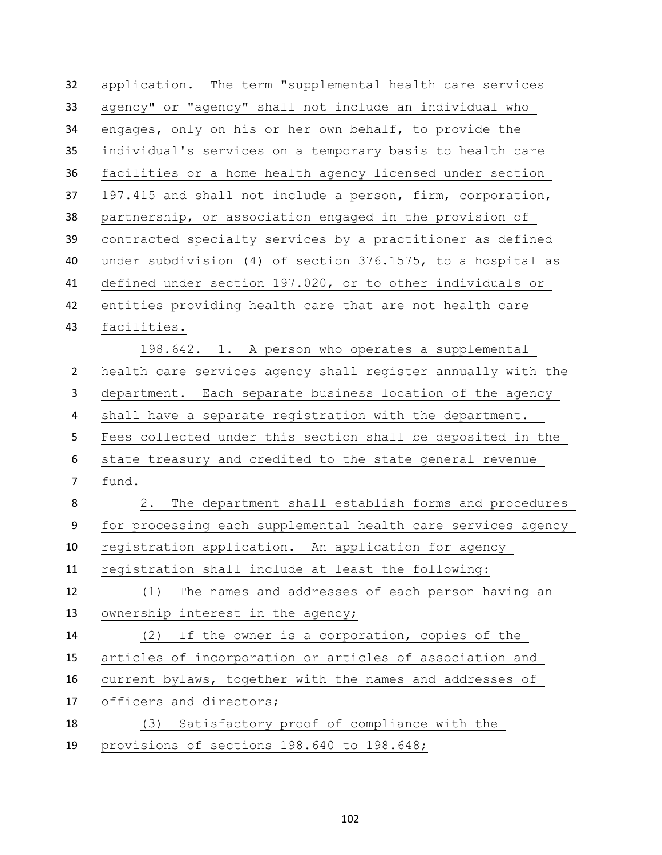| 32             | application. The term "supplemental health care services     |
|----------------|--------------------------------------------------------------|
| 33             | agency" or "agency" shall not include an individual who      |
| 34             | engages, only on his or her own behalf, to provide the       |
| 35             | individual's services on a temporary basis to health care    |
| 36             | facilities or a home health agency licensed under section    |
| 37             | 197.415 and shall not include a person, firm, corporation,   |
| 38             | partnership, or association engaged in the provision of      |
| 39             | contracted specialty services by a practitioner as defined   |
| 40             | under subdivision (4) of section 376.1575, to a hospital as  |
| 41             | defined under section 197.020, or to other individuals or    |
| 42             | entities providing health care that are not health care      |
| 43             | facilities.                                                  |
|                | 198.642. 1. A person who operates a supplemental             |
| $\overline{2}$ | health care services agency shall register annually with the |
| 3              | department. Each separate business location of the agency    |
| 4              | shall have a separate registration with the department.      |
| 5              | Fees collected under this section shall be deposited in the  |
| 6              | state treasury and credited to the state general revenue     |
| $\overline{7}$ | fund.                                                        |
| 8              | The department shall establish forms and procedures<br>2.    |
| 9              | for processing each supplemental health care services agency |
| 10             | registration application. An application for agency          |
| 11             | registration shall include at least the following:           |
| 12             | The names and addresses of each person having an<br>(1)      |
| 13             | ownership interest in the agency;                            |
| 14             | If the owner is a corporation, copies of the<br>(2)          |
| 15             | articles of incorporation or articles of association and     |
| 16             | current bylaws, together with the names and addresses of     |
| 17             | officers and directors;                                      |
| 18             | Satisfactory proof of compliance with the<br>(3)             |
| 19             | provisions of sections 198.640 to 198.648;                   |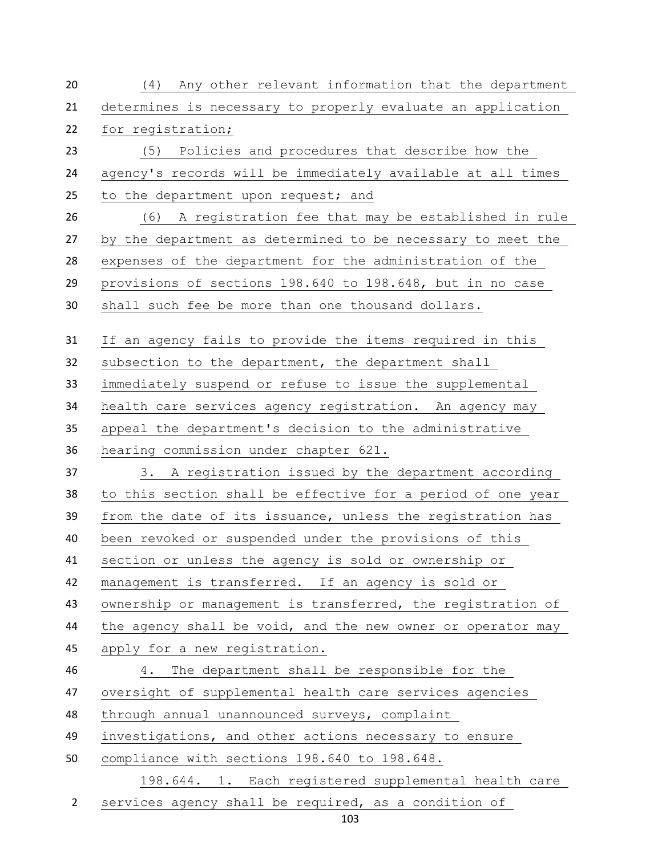| 20             | (4) Any other relevant information that the department      |
|----------------|-------------------------------------------------------------|
| 21             | determines is necessary to properly evaluate an application |
| 22             | for registration;                                           |
| 23             | (5) Policies and procedures that describe how the           |
| 24             | agency's records will be immediately available at all times |
| 25             | to the department upon request; and                         |
| 26             | A registration fee that may be established in rule<br>(6)   |
| 27             | by the department as determined to be necessary to meet the |
| 28             | expenses of the department for the administration of the    |
| 29             | provisions of sections 198.640 to 198.648, but in no case   |
| 30             | shall such fee be more than one thousand dollars.           |
| 31             | If an agency fails to provide the items required in this    |
| 32             | subsection to the department, the department shall          |
| 33             | immediately suspend or refuse to issue the supplemental     |
| 34             | health care services agency registration. An agency may     |
| 35             | appeal the department's decision to the administrative      |
| 36             | hearing commission under chapter 621.                       |
| 37             | 3. A registration issued by the department according        |
| 38             | to this section shall be effective for a period of one year |
| 39             | from the date of its issuance, unless the registration has  |
| 40             | been revoked or suspended under the provisions of this      |
| 41             | section or unless the agency is sold or ownership or        |
| 42             | management is transferred. If an agency is sold or          |
| 43             | ownership or management is transferred, the registration of |
| 44             | the agency shall be void, and the new owner or operator may |
| 45             | apply for a new registration.                               |
| 46             | The department shall be responsible for the<br>4.           |
| 47             | oversight of supplemental health care services agencies     |
| 48             | through annual unannounced surveys, complaint               |
| 49             | investigations, and other actions necessary to ensure       |
| 50             | compliance with sections 198.640 to 198.648.                |
|                | 198.644. 1. Each registered supplemental health care        |
| $\overline{2}$ | services agency shall be required, as a condition of        |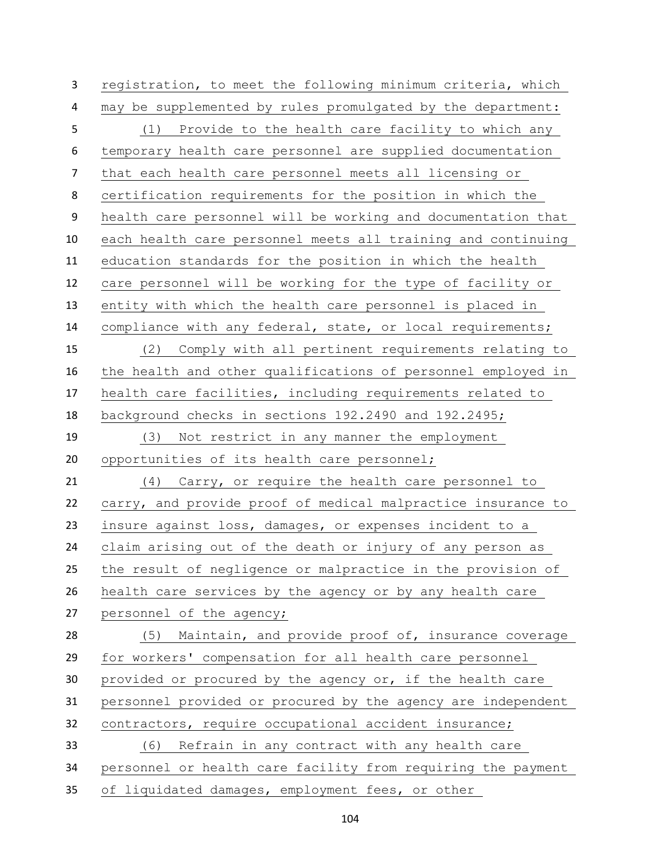registration, to meet the following minimum criteria, which may be supplemented by rules promulgated by the department: (1) Provide to the health care facility to which any temporary health care personnel are supplied documentation that each health care personnel meets all licensing or certification requirements for the position in which the health care personnel will be working and documentation that each health care personnel meets all training and continuing education standards for the position in which the health care personnel will be working for the type of facility or entity with which the health care personnel is placed in compliance with any federal, state, or local requirements; (2) Comply with all pertinent requirements relating to the health and other qualifications of personnel employed in health care facilities, including requirements related to background checks in sections 192.2490 and 192.2495; (3) Not restrict in any manner the employment opportunities of its health care personnel; (4) Carry, or require the health care personnel to carry, and provide proof of medical malpractice insurance to insure against loss, damages, or expenses incident to a claim arising out of the death or injury of any person as the result of negligence or malpractice in the provision of health care services by the agency or by any health care personnel of the agency; (5) Maintain, and provide proof of, insurance coverage for workers' compensation for all health care personnel provided or procured by the agency or, if the health care personnel provided or procured by the agency are independent contractors, require occupational accident insurance; (6) Refrain in any contract with any health care personnel or health care facility from requiring the payment of liquidated damages, employment fees, or other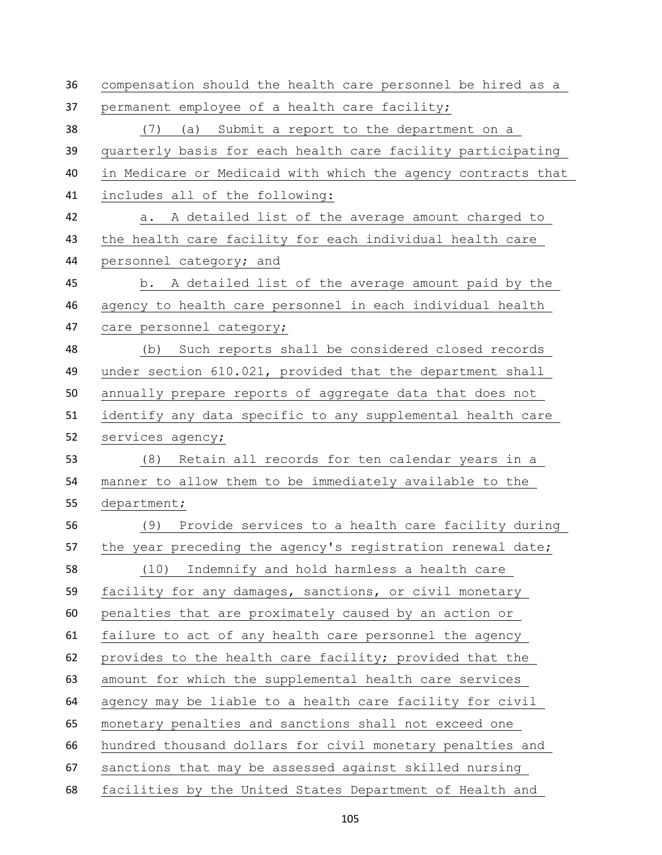compensation should the health care personnel be hired as a permanent employee of a health care facility; (7) (a) Submit a report to the department on a quarterly basis for each health care facility participating in Medicare or Medicaid with which the agency contracts that includes all of the following: a. A detailed list of the average amount charged to the health care facility for each individual health care personnel category; and b. A detailed list of the average amount paid by the agency to health care personnel in each individual health care personnel category; (b) Such reports shall be considered closed records under section 610.021, provided that the department shall annually prepare reports of aggregate data that does not identify any data specific to any supplemental health care services agency; (8) Retain all records for ten calendar years in a manner to allow them to be immediately available to the department; (9) Provide services to a health care facility during 57 the year preceding the agency's registration renewal date; (10) Indemnify and hold harmless a health care facility for any damages, sanctions, or civil monetary penalties that are proximately caused by an action or failure to act of any health care personnel the agency provides to the health care facility; provided that the amount for which the supplemental health care services agency may be liable to a health care facility for civil monetary penalties and sanctions shall not exceed one hundred thousand dollars for civil monetary penalties and sanctions that may be assessed against skilled nursing facilities by the United States Department of Health and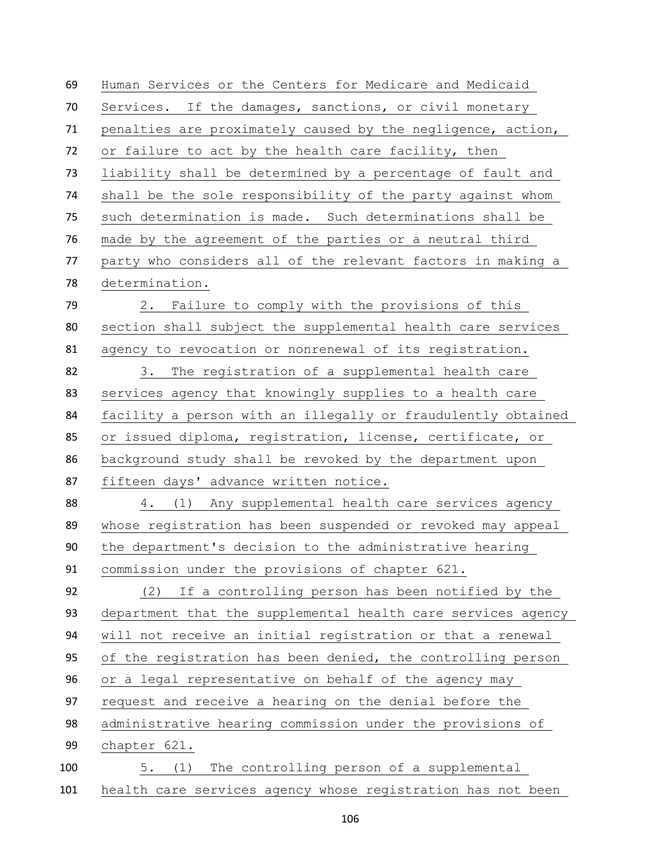Human Services or the Centers for Medicare and Medicaid Services. If the damages, sanctions, or civil monetary penalties are proximately caused by the negligence, action, or failure to act by the health care facility, then liability shall be determined by a percentage of fault and shall be the sole responsibility of the party against whom such determination is made. Such determinations shall be made by the agreement of the parties or a neutral third party who considers all of the relevant factors in making a determination. 2. Failure to comply with the provisions of this section shall subject the supplemental health care services agency to revocation or nonrenewal of its registration. 3. The registration of a supplemental health care services agency that knowingly supplies to a health care facility a person with an illegally or fraudulently obtained or issued diploma, registration, license, certificate, or background study shall be revoked by the department upon fifteen days' advance written notice. 4. (1) Any supplemental health care services agency whose registration has been suspended or revoked may appeal the department's decision to the administrative hearing commission under the provisions of chapter 621. (2) If a controlling person has been notified by the department that the supplemental health care services agency will not receive an initial registration or that a renewal of the registration has been denied, the controlling person or a legal representative on behalf of the agency may request and receive a hearing on the denial before the administrative hearing commission under the provisions of chapter 621. 5. (1) The controlling person of a supplemental health care services agency whose registration has not been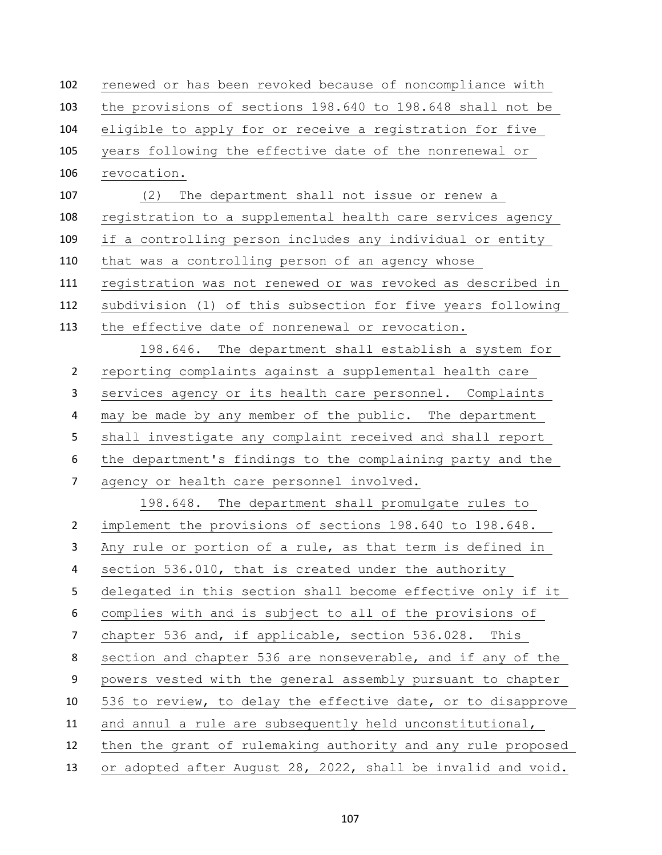| 102            | renewed or has been revoked because of noncompliance with    |
|----------------|--------------------------------------------------------------|
| 103            | the provisions of sections 198.640 to 198.648 shall not be   |
| 104            | eligible to apply for or receive a registration for five     |
| 105            | years following the effective date of the nonrenewal or      |
| 106            | revocation.                                                  |
| 107            | The department shall not issue or renew a<br>(2)             |
| 108            | registration to a supplemental health care services agency   |
| 109            | if a controlling person includes any individual or entity    |
| 110            | that was a controlling person of an agency whose             |
| 111            | registration was not renewed or was revoked as described in  |
| 112            | subdivision (1) of this subsection for five years following  |
| 113            | the effective date of nonrenewal or revocation.              |
|                | 198.646. The department shall establish a system for         |
| $\overline{2}$ | reporting complaints against a supplemental health care      |
| 3              | services agency or its health care personnel. Complaints     |
| 4              | may be made by any member of the public. The department      |
| 5              | shall investigate any complaint received and shall report    |
| 6              | the department's findings to the complaining party and the   |
| $\overline{7}$ | agency or health care personnel involved.                    |
|                | 198.648. The department shall promulgate rules to            |
| $\overline{2}$ | implement the provisions of sections 198.640 to 198.648.     |
| 3              | Any rule or portion of a rule, as that term is defined in    |
| 4              | section 536.010, that is created under the authority         |
| 5              | delegated in this section shall become effective only if it  |
| 6              | complies with and is subject to all of the provisions of     |
| 7              | chapter 536 and, if applicable, section 536.028. This        |
| 8              | section and chapter 536 are nonseverable, and if any of the  |
| 9              | powers vested with the general assembly pursuant to chapter  |
| 10             | 536 to review, to delay the effective date, or to disapprove |
| 11             | and annul a rule are subsequently held unconstitutional,     |
| 12             | then the grant of rulemaking authority and any rule proposed |
| 13             | or adopted after August 28, 2022, shall be invalid and void. |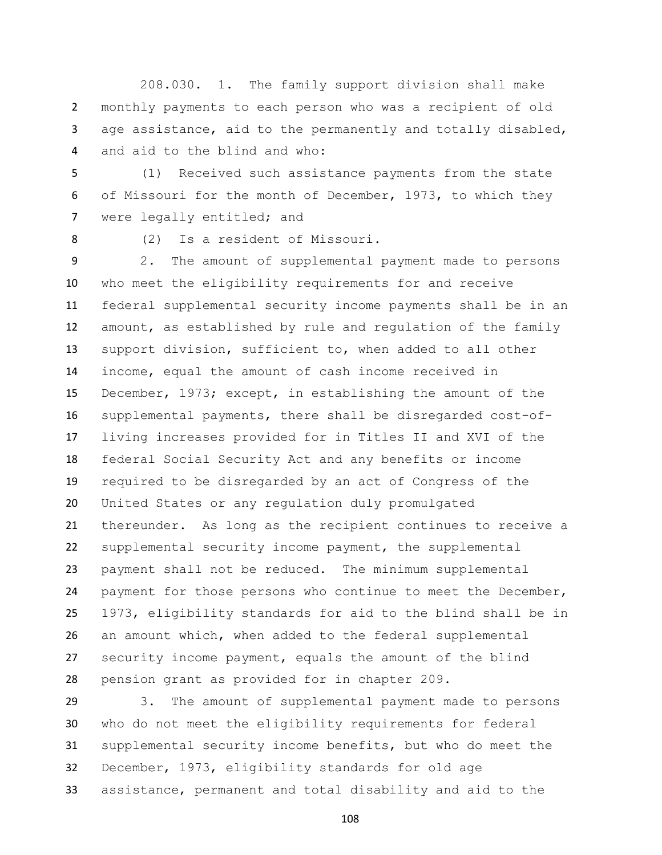208.030. 1. The family support division shall make monthly payments to each person who was a recipient of old age assistance, aid to the permanently and totally disabled, and aid to the blind and who:

 (1) Received such assistance payments from the state of Missouri for the month of December, 1973, to which they 7 were legally entitled; and

(2) Is a resident of Missouri.

 2. The amount of supplemental payment made to persons who meet the eligibility requirements for and receive federal supplemental security income payments shall be in an amount, as established by rule and regulation of the family support division, sufficient to, when added to all other income, equal the amount of cash income received in December, 1973; except, in establishing the amount of the supplemental payments, there shall be disregarded cost-of- living increases provided for in Titles II and XVI of the federal Social Security Act and any benefits or income required to be disregarded by an act of Congress of the United States or any regulation duly promulgated thereunder. As long as the recipient continues to receive a supplemental security income payment, the supplemental payment shall not be reduced. The minimum supplemental payment for those persons who continue to meet the December, 1973, eligibility standards for aid to the blind shall be in an amount which, when added to the federal supplemental security income payment, equals the amount of the blind pension grant as provided for in chapter 209.

 3. The amount of supplemental payment made to persons who do not meet the eligibility requirements for federal supplemental security income benefits, but who do meet the December, 1973, eligibility standards for old age assistance, permanent and total disability and aid to the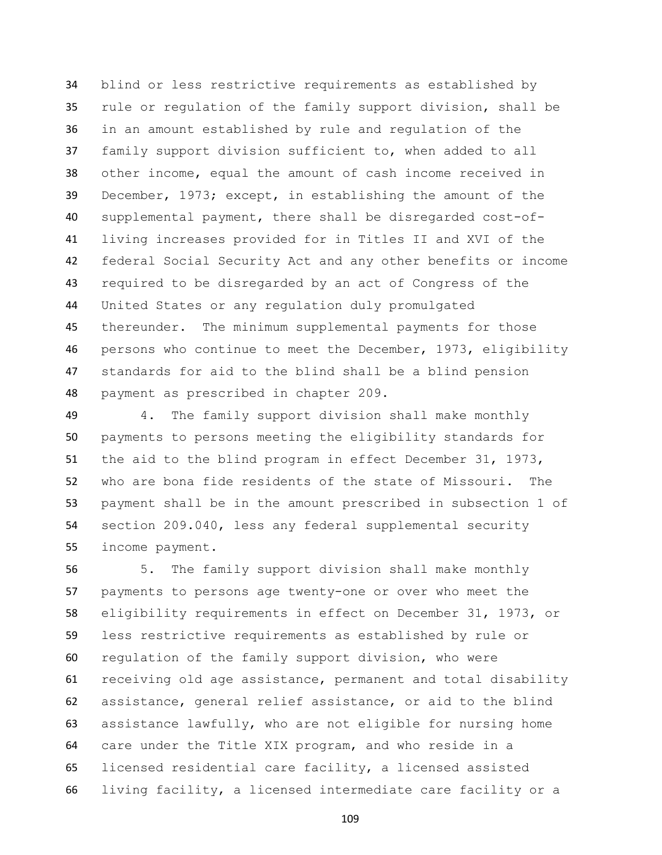blind or less restrictive requirements as established by rule or regulation of the family support division, shall be in an amount established by rule and regulation of the family support division sufficient to, when added to all other income, equal the amount of cash income received in December, 1973; except, in establishing the amount of the supplemental payment, there shall be disregarded cost-of- living increases provided for in Titles II and XVI of the federal Social Security Act and any other benefits or income required to be disregarded by an act of Congress of the United States or any regulation duly promulgated thereunder. The minimum supplemental payments for those persons who continue to meet the December, 1973, eligibility standards for aid to the blind shall be a blind pension payment as prescribed in chapter 209.

 4. The family support division shall make monthly payments to persons meeting the eligibility standards for the aid to the blind program in effect December 31, 1973, who are bona fide residents of the state of Missouri. The payment shall be in the amount prescribed in subsection 1 of section 209.040, less any federal supplemental security income payment.

 5. The family support division shall make monthly payments to persons age twenty-one or over who meet the eligibility requirements in effect on December 31, 1973, or less restrictive requirements as established by rule or regulation of the family support division, who were receiving old age assistance, permanent and total disability assistance, general relief assistance, or aid to the blind assistance lawfully, who are not eligible for nursing home care under the Title XIX program, and who reside in a licensed residential care facility, a licensed assisted living facility, a licensed intermediate care facility or a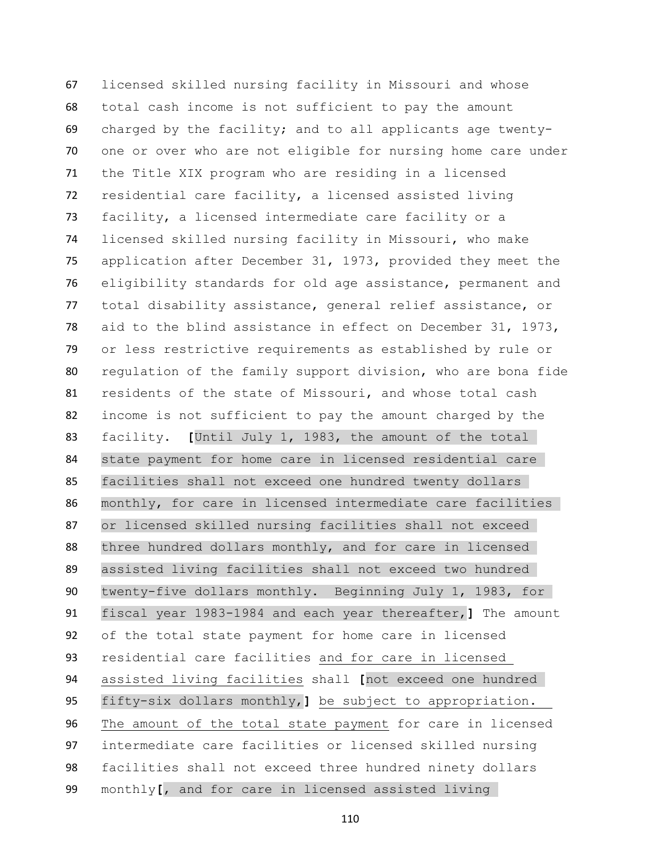licensed skilled nursing facility in Missouri and whose total cash income is not sufficient to pay the amount charged by the facility; and to all applicants age twenty- one or over who are not eligible for nursing home care under the Title XIX program who are residing in a licensed residential care facility, a licensed assisted living facility, a licensed intermediate care facility or a licensed skilled nursing facility in Missouri, who make application after December 31, 1973, provided they meet the eligibility standards for old age assistance, permanent and total disability assistance, general relief assistance, or aid to the blind assistance in effect on December 31, 1973, or less restrictive requirements as established by rule or regulation of the family support division, who are bona fide residents of the state of Missouri, and whose total cash income is not sufficient to pay the amount charged by the facility. **[**Until July 1, 1983, the amount of the total 84 state payment for home care in licensed residential care facilities shall not exceed one hundred twenty dollars monthly, for care in licensed intermediate care facilities or licensed skilled nursing facilities shall not exceed 88 three hundred dollars monthly, and for care in licensed assisted living facilities shall not exceed two hundred 90 twenty-five dollars monthly. Beginning July 1, 1983, for fiscal year 1983-1984 and each year thereafter,**]** The amount of the total state payment for home care in licensed residential care facilities and for care in licensed assisted living facilities shall **[**not exceed one hundred fifty-six dollars monthly,**]** be subject to appropriation. The amount of the total state payment for care in licensed intermediate care facilities or licensed skilled nursing facilities shall not exceed three hundred ninety dollars monthly**[**, and for care in licensed assisted living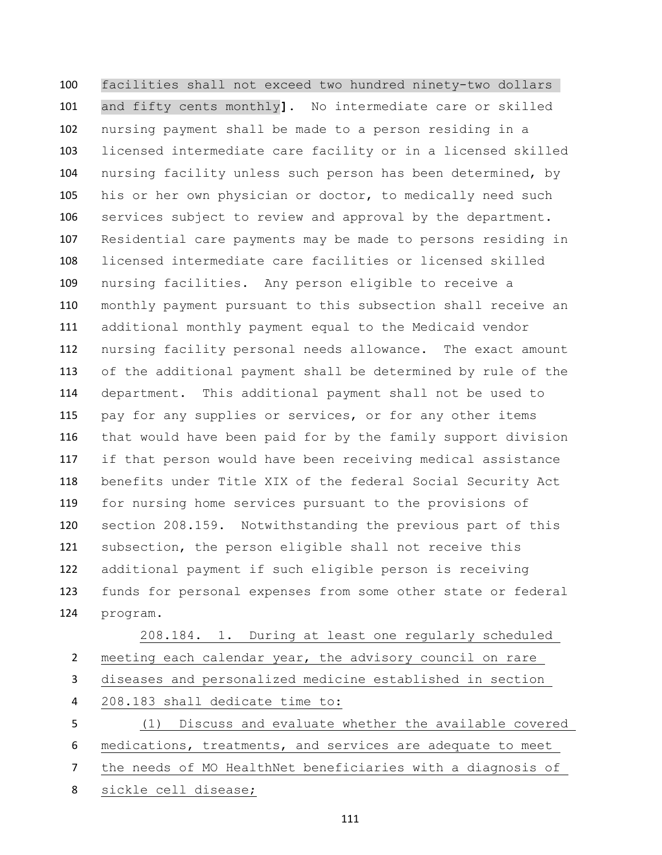facilities shall not exceed two hundred ninety-two dollars and fifty cents monthly**]**. No intermediate care or skilled nursing payment shall be made to a person residing in a licensed intermediate care facility or in a licensed skilled nursing facility unless such person has been determined, by his or her own physician or doctor, to medically need such services subject to review and approval by the department. Residential care payments may be made to persons residing in licensed intermediate care facilities or licensed skilled nursing facilities. Any person eligible to receive a monthly payment pursuant to this subsection shall receive an additional monthly payment equal to the Medicaid vendor nursing facility personal needs allowance. The exact amount of the additional payment shall be determined by rule of the department. This additional payment shall not be used to pay for any supplies or services, or for any other items that would have been paid for by the family support division if that person would have been receiving medical assistance benefits under Title XIX of the federal Social Security Act for nursing home services pursuant to the provisions of section 208.159. Notwithstanding the previous part of this subsection, the person eligible shall not receive this additional payment if such eligible person is receiving funds for personal expenses from some other state or federal program.

 208.184. 1. During at least one regularly scheduled meeting each calendar year, the advisory council on rare diseases and personalized medicine established in section 208.183 shall dedicate time to: (1) Discuss and evaluate whether the available covered medications, treatments, and services are adequate to meet the needs of MO HealthNet beneficiaries with a diagnosis of sickle cell disease;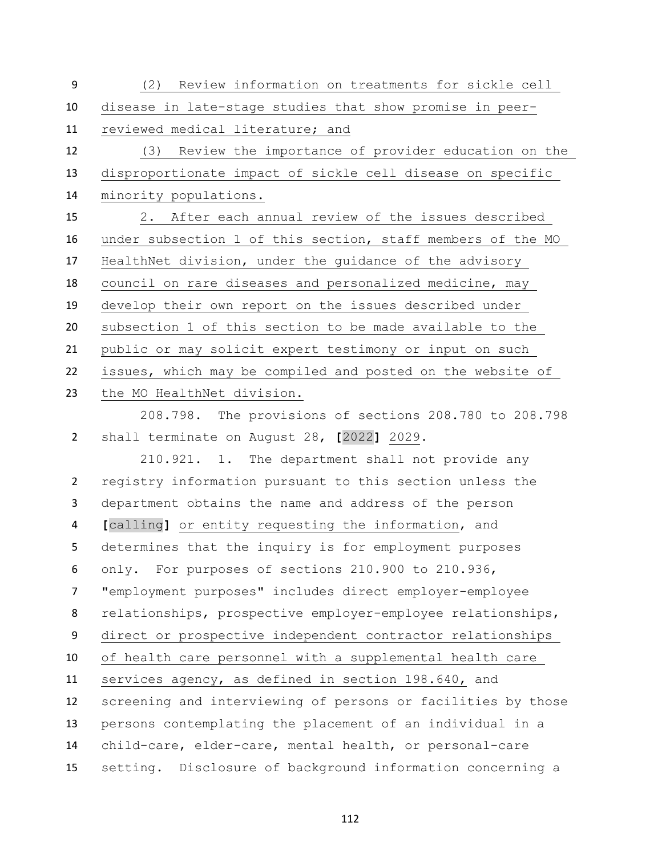(2) Review information on treatments for sickle cell disease in late-stage studies that show promise in peer- reviewed medical literature; and (3) Review the importance of provider education on the disproportionate impact of sickle cell disease on specific minority populations. 2. After each annual review of the issues described under subsection 1 of this section, staff members of the MO HealthNet division, under the guidance of the advisory council on rare diseases and personalized medicine, may develop their own report on the issues described under subsection 1 of this section to be made available to the public or may solicit expert testimony or input on such issues, which may be compiled and posted on the website of the MO HealthNet division.

 208.798. The provisions of sections 208.780 to 208.798 shall terminate on August 28, **[**2022**]** 2029.

210.921. 1. The department shall not provide any registry information pursuant to this section unless the department obtains the name and address of the person **[**calling**]** or entity requesting the information, and determines that the inquiry is for employment purposes only. For purposes of sections 210.900 to 210.936, "employment purposes" includes direct employer-employee relationships, prospective employer-employee relationships, direct or prospective independent contractor relationships of health care personnel with a supplemental health care services agency, as defined in section 198.640, and screening and interviewing of persons or facilities by those persons contemplating the placement of an individual in a child-care, elder-care, mental health, or personal-care setting. Disclosure of background information concerning a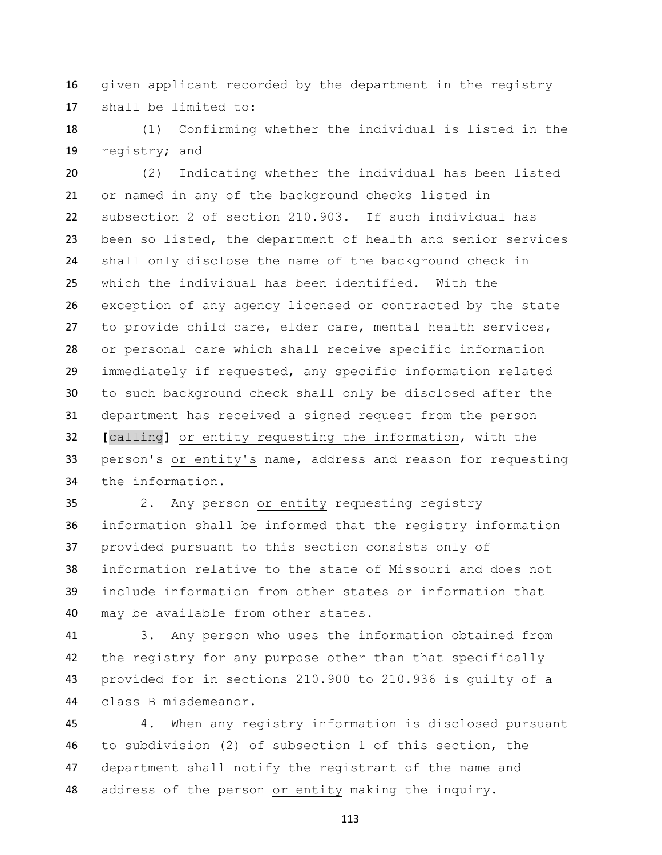given applicant recorded by the department in the registry shall be limited to:

 (1) Confirming whether the individual is listed in the registry; and

 (2) Indicating whether the individual has been listed or named in any of the background checks listed in subsection 2 of section 210.903. If such individual has been so listed, the department of health and senior services shall only disclose the name of the background check in which the individual has been identified. With the exception of any agency licensed or contracted by the state to provide child care, elder care, mental health services, or personal care which shall receive specific information immediately if requested, any specific information related to such background check shall only be disclosed after the department has received a signed request from the person **[**calling**]** or entity requesting the information, with the person's or entity's name, address and reason for requesting the information.

 2. Any person or entity requesting registry information shall be informed that the registry information provided pursuant to this section consists only of information relative to the state of Missouri and does not include information from other states or information that may be available from other states.

 3. Any person who uses the information obtained from the registry for any purpose other than that specifically provided for in sections 210.900 to 210.936 is guilty of a class B misdemeanor.

 4. When any registry information is disclosed pursuant to subdivision (2) of subsection 1 of this section, the department shall notify the registrant of the name and address of the person or entity making the inquiry.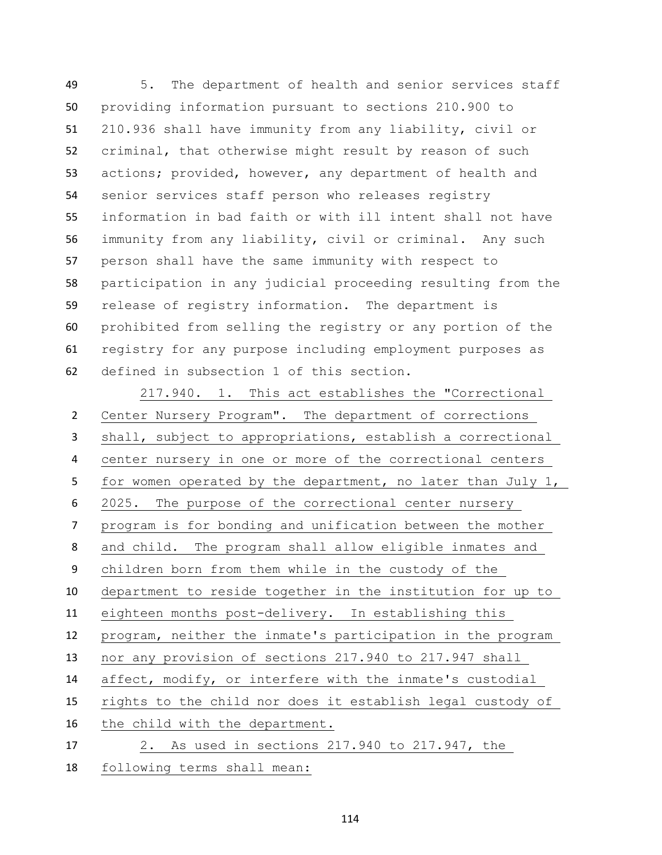5. The department of health and senior services staff providing information pursuant to sections 210.900 to 210.936 shall have immunity from any liability, civil or criminal, that otherwise might result by reason of such actions; provided, however, any department of health and senior services staff person who releases registry information in bad faith or with ill intent shall not have immunity from any liability, civil or criminal. Any such person shall have the same immunity with respect to participation in any judicial proceeding resulting from the release of registry information. The department is prohibited from selling the registry or any portion of the registry for any purpose including employment purposes as defined in subsection 1 of this section.

217.940. 1. This act establishes the "Correctional Center Nursery Program". The department of corrections shall, subject to appropriations, establish a correctional center nursery in one or more of the correctional centers for women operated by the department, no later than July 1, 2025. The purpose of the correctional center nursery program is for bonding and unification between the mother and child. The program shall allow eligible inmates and children born from them while in the custody of the department to reside together in the institution for up to eighteen months post-delivery. In establishing this program, neither the inmate's participation in the program nor any provision of sections 217.940 to 217.947 shall affect, modify, or interfere with the inmate's custodial rights to the child nor does it establish legal custody of the child with the department. 2. As used in sections 217.940 to 217.947, the following terms shall mean: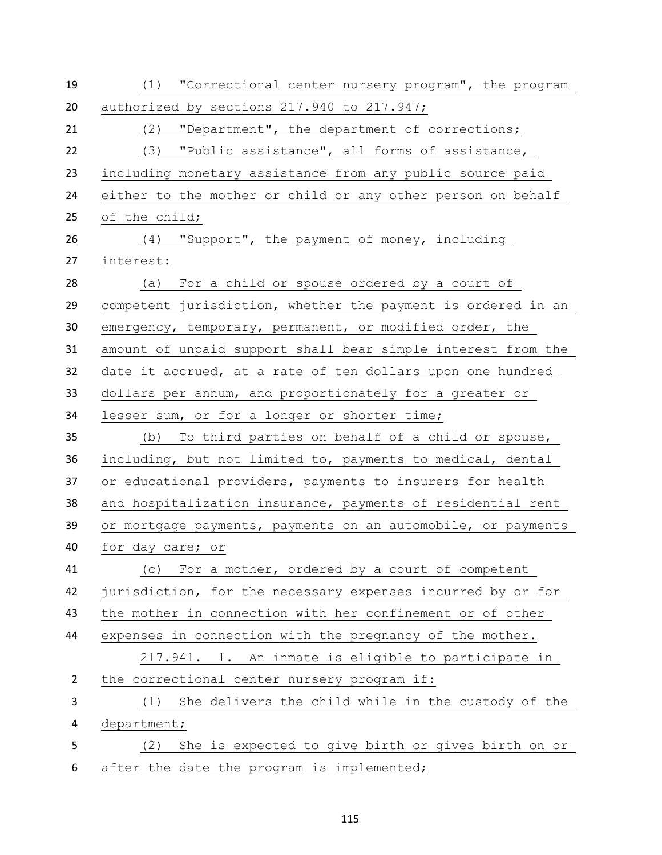| 19             | (1) "Correctional center nursery program", the program       |
|----------------|--------------------------------------------------------------|
| 20             | authorized by sections 217.940 to 217.947;                   |
| 21             | (2)<br>"Department", the department of corrections;          |
| 22             | (3) "Public assistance", all forms of assistance,            |
| 23             | including monetary assistance from any public source paid    |
| 24             | either to the mother or child or any other person on behalf  |
| 25             | of the child;                                                |
| 26             | (4) "Support", the payment of money, including               |
| 27             | interest:                                                    |
| 28             | (a) For a child or spouse ordered by a court of              |
| 29             | competent jurisdiction, whether the payment is ordered in an |
| 30             | emergency, temporary, permanent, or modified order, the      |
| 31             | amount of unpaid support shall bear simple interest from the |
| 32             | date it accrued, at a rate of ten dollars upon one hundred   |
| 33             | dollars per annum, and proportionately for a greater or      |
| 34             | lesser sum, or for a longer or shorter time;                 |
| 35             | (b) To third parties on behalf of a child or spouse,         |
| 36             | including, but not limited to, payments to medical, dental   |
| 37             | or educational providers, payments to insurers for health    |
| 38             | and hospitalization insurance, payments of residential rent  |
| 39             | or mortgage payments, payments on an automobile, or payments |
| 40             | for day care; or                                             |
| 41             | (c) For a mother, ordered by a court of competent            |
| 42             | jurisdiction, for the necessary expenses incurred by or for  |
| 43             | the mother in connection with her confinement or of other    |
| 44             | expenses in connection with the pregnancy of the mother.     |
|                | 217.941. 1. An inmate is eligible to participate in          |
| $\overline{2}$ | the correctional center nursery program if:                  |
| 3              | She delivers the child while in the custody of the<br>(1)    |
| 4              | department;                                                  |
| 5              | She is expected to give birth or gives birth on or<br>(2)    |
| 6              | after the date the program is implemented;                   |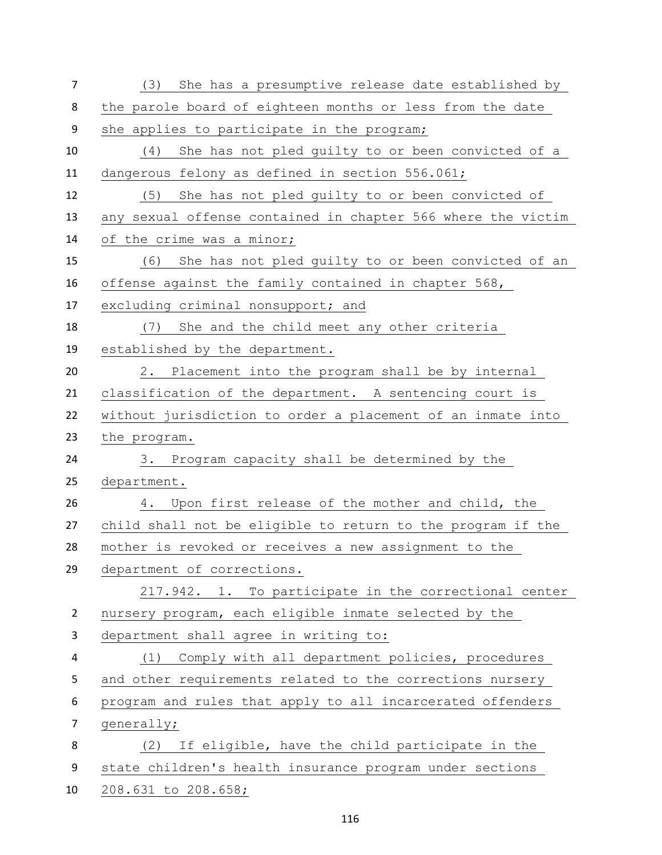| $\overline{7}$ | (3) She has a presumptive release date established by        |
|----------------|--------------------------------------------------------------|
| 8              | the parole board of eighteen months or less from the date    |
| 9              | she applies to participate in the program;                   |
| 10             | (4) She has not pled guilty to or been convicted of a        |
| 11             | dangerous felony as defined in section 556.061;              |
| 12             | (5) She has not pled quilty to or been convicted of          |
| 13             | any sexual offense contained in chapter 566 where the victim |
| 14             | of the crime was a minor;                                    |
| 15             | (6) She has not pled guilty to or been convicted of an       |
| 16             | offense against the family contained in chapter 568,         |
| 17             | excluding criminal nonsupport; and                           |
| 18             | (7) She and the child meet any other criteria                |
| 19             | established by the department.                               |
| 20             | 2. Placement into the program shall be by internal           |
| 21             | classification of the department. A sentencing court is      |
| 22             | without jurisdiction to order a placement of an inmate into  |
| 23             | the program.                                                 |
| 24             | 3. Program capacity shall be determined by the               |
| 25             | department.                                                  |
| 26             | Upon first release of the mother and child, the<br>4.        |
| 27             | child shall not be eligible to return to the program if the  |
| 28             | mother is revoked or receives a new assignment to the        |
| 29             | department of corrections.                                   |
|                | 217.942. 1. To participate in the correctional center        |
| $\overline{2}$ | nursery program, each eligible inmate selected by the        |
| 3              | department shall agree in writing to:                        |
| 4              | Comply with all department policies, procedures<br>(1)       |
| 5              | and other requirements related to the corrections nursery    |
| 6              | program and rules that apply to all incarcerated offenders   |
| 7              | generally;                                                   |
| 8              | If eligible, have the child participate in the<br>(2)        |
| 9              | state children's health insurance program under sections     |
| 10             | 208.631 to 208.658;                                          |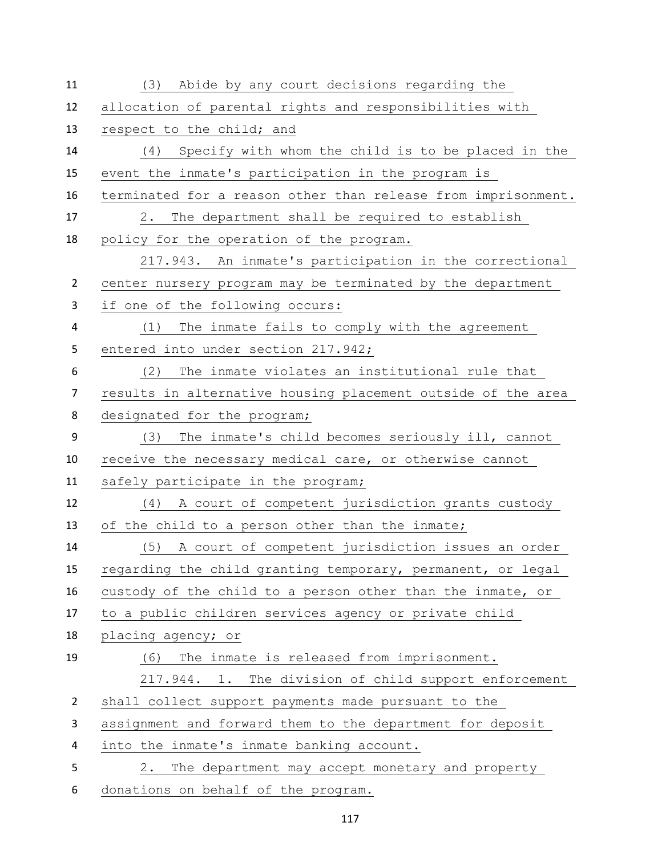| 11             | (3)<br>Abide by any court decisions regarding the             |
|----------------|---------------------------------------------------------------|
| 12             | allocation of parental rights and responsibilities with       |
| 13             | respect to the child; and                                     |
| 14             | (4) Specify with whom the child is to be placed in the        |
| 15             | event the inmate's participation in the program is            |
| 16             | terminated for a reason other than release from imprisonment. |
| 17             | The department shall be required to establish<br>2.           |
| 18             | policy for the operation of the program.                      |
|                | 217.943. An inmate's participation in the correctional        |
| $\overline{2}$ | center nursery program may be terminated by the department    |
| 3              | if one of the following occurs:                               |
| 4              | The inmate fails to comply with the agreement<br>(1)          |
| 5              | entered into under section 217.942;                           |
| 6              | The inmate violates an institutional rule that<br>(2)         |
| $\overline{7}$ | results in alternative housing placement outside of the area  |
| 8              | designated for the program;                                   |
| 9              | The inmate's child becomes seriously ill, cannot<br>(3)       |
| 10             | receive the necessary medical care, or otherwise cannot       |
| 11             | safely participate in the program;                            |
| 12             | A court of competent jurisdiction grants custody<br>(4)       |
| 13             | of the child to a person other than the inmate;               |
| 14             | (5) A court of competent jurisdiction issues an order         |
| 15             | regarding the child granting temporary, permanent, or legal   |
| 16             | custody of the child to a person other than the inmate, or    |
| 17             | to a public children services agency or private child         |
| 18             | placing agency; or                                            |
| 19             | The inmate is released from imprisonment.<br>(6)              |
|                | 217.944. 1. The division of child support enforcement         |
| $\overline{2}$ | shall collect support payments made pursuant to the           |
| 3              | assignment and forward them to the department for deposit     |
| 4              | into the inmate's inmate banking account.                     |
| 5              | The department may accept monetary and property<br>2.         |
| 6              | donations on behalf of the program.                           |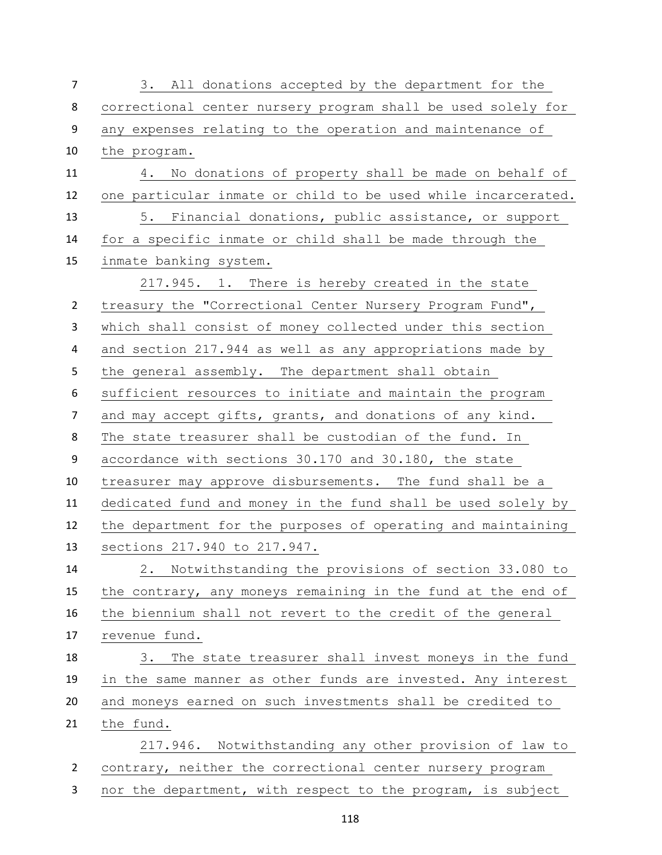| $\overline{7}$ | 3. All donations accepted by the department for the           |
|----------------|---------------------------------------------------------------|
| 8              | correctional center nursery program shall be used solely for  |
| 9              | any expenses relating to the operation and maintenance of     |
| 10             | the program.                                                  |
| 11             | 4. No donations of property shall be made on behalf of        |
| 12             | one particular inmate or child to be used while incarcerated. |
| 13             | 5. Financial donations, public assistance, or support         |
| 14             | for a specific inmate or child shall be made through the      |
| 15             | inmate banking system.                                        |
|                | 217.945. 1. There is hereby created in the state              |
| $\overline{2}$ | treasury the "Correctional Center Nursery Program Fund",      |
| 3              | which shall consist of money collected under this section     |
| 4              | and section 217.944 as well as any appropriations made by     |
| 5              | the general assembly. The department shall obtain             |
| 6              | sufficient resources to initiate and maintain the program     |
| $\overline{7}$ | and may accept gifts, grants, and donations of any kind.      |
| 8              | The state treasurer shall be custodian of the fund. In        |
| 9              | accordance with sections 30.170 and 30.180, the state         |
| 10             | treasurer may approve disbursements. The fund shall be a      |
| 11             | dedicated fund and money in the fund shall be used solely by  |
| 12             | the department for the purposes of operating and maintaining  |
| 13             | sections 217.940 to 217.947.                                  |
| 14             | Notwithstanding the provisions of section 33.080 to<br>2.     |
| 15             | the contrary, any moneys remaining in the fund at the end of  |
| 16             | the biennium shall not revert to the credit of the general    |
| 17             | revenue fund.                                                 |
| 18             | 3. The state treasurer shall invest moneys in the fund        |
| 19             | in the same manner as other funds are invested. Any interest  |
| 20             | and moneys earned on such investments shall be credited to    |
| 21             | the fund.                                                     |
|                | 217.946. Notwithstanding any other provision of law to        |
| $\overline{2}$ | contrary, neither the correctional center nursery program     |
| 3              | nor the department, with respect to the program, is subject   |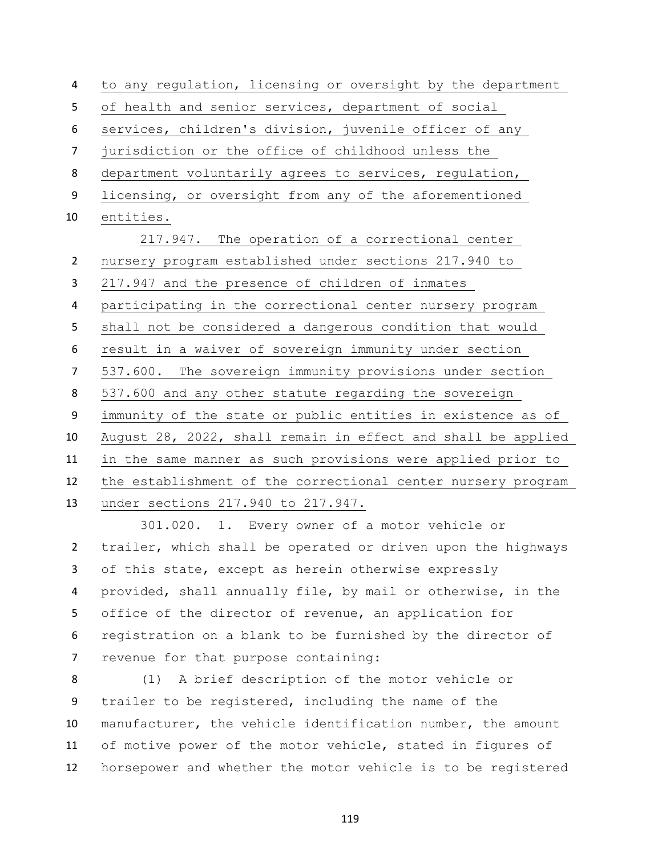to any regulation, licensing or oversight by the department of health and senior services, department of social services, children's division, juvenile officer of any jurisdiction or the office of childhood unless the department voluntarily agrees to services, regulation, licensing, or oversight from any of the aforementioned entities. 217.947. The operation of a correctional center nursery program established under sections 217.940 to 217.947 and the presence of children of inmates participating in the correctional center nursery program shall not be considered a dangerous condition that would result in a waiver of sovereign immunity under section 537.600. The sovereign immunity provisions under section 8 537.600 and any other statute regarding the sovereign immunity of the state or public entities in existence as of August 28, 2022, shall remain in effect and shall be applied in the same manner as such provisions were applied prior to the establishment of the correctional center nursery program under sections 217.940 to 217.947.

 301.020. 1. Every owner of a motor vehicle or trailer, which shall be operated or driven upon the highways of this state, except as herein otherwise expressly provided, shall annually file, by mail or otherwise, in the office of the director of revenue, an application for registration on a blank to be furnished by the director of revenue for that purpose containing:

 (1) A brief description of the motor vehicle or trailer to be registered, including the name of the manufacturer, the vehicle identification number, the amount of motive power of the motor vehicle, stated in figures of horsepower and whether the motor vehicle is to be registered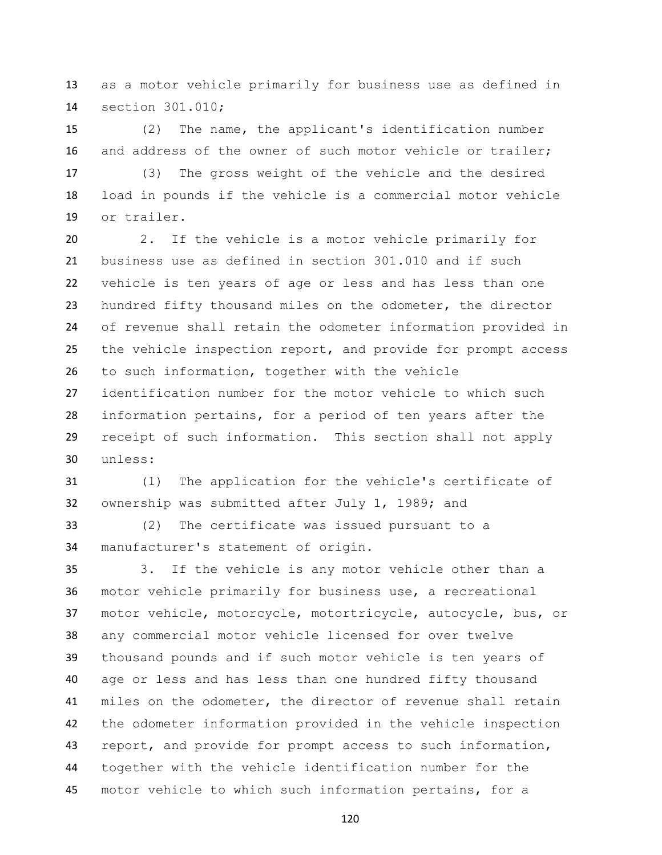as a motor vehicle primarily for business use as defined in section 301.010;

 (2) The name, the applicant's identification number and address of the owner of such motor vehicle or trailer;

 (3) The gross weight of the vehicle and the desired load in pounds if the vehicle is a commercial motor vehicle or trailer.

 2. If the vehicle is a motor vehicle primarily for business use as defined in section 301.010 and if such vehicle is ten years of age or less and has less than one hundred fifty thousand miles on the odometer, the director of revenue shall retain the odometer information provided in the vehicle inspection report, and provide for prompt access to such information, together with the vehicle identification number for the motor vehicle to which such information pertains, for a period of ten years after the receipt of such information. This section shall not apply unless:

 (1) The application for the vehicle's certificate of ownership was submitted after July 1, 1989; and

 (2) The certificate was issued pursuant to a manufacturer's statement of origin.

 3. If the vehicle is any motor vehicle other than a motor vehicle primarily for business use, a recreational motor vehicle, motorcycle, motortricycle, autocycle, bus, or any commercial motor vehicle licensed for over twelve thousand pounds and if such motor vehicle is ten years of age or less and has less than one hundred fifty thousand miles on the odometer, the director of revenue shall retain the odometer information provided in the vehicle inspection report, and provide for prompt access to such information, together with the vehicle identification number for the motor vehicle to which such information pertains, for a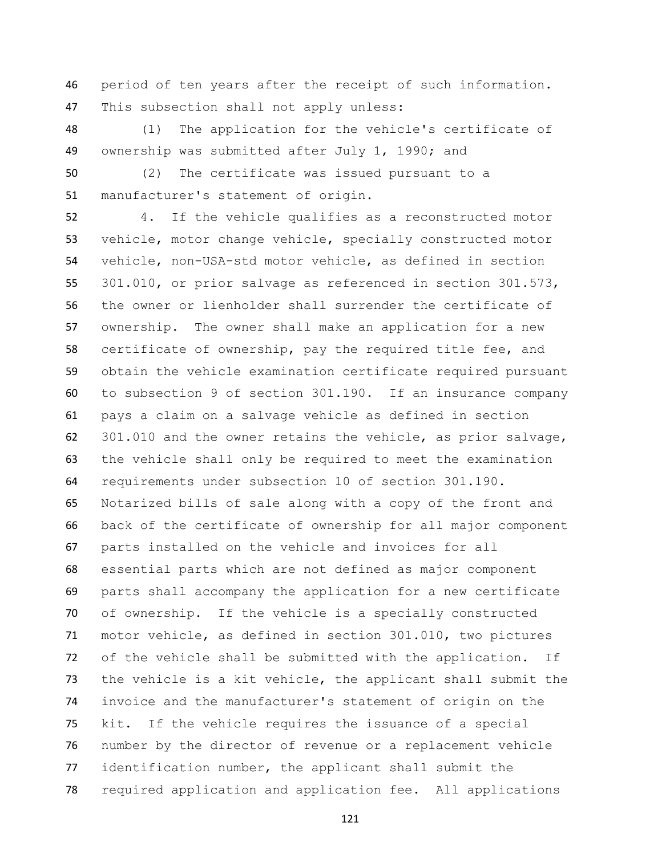period of ten years after the receipt of such information. This subsection shall not apply unless:

 (1) The application for the vehicle's certificate of ownership was submitted after July 1, 1990; and

 (2) The certificate was issued pursuant to a manufacturer's statement of origin.

 4. If the vehicle qualifies as a reconstructed motor vehicle, motor change vehicle, specially constructed motor vehicle, non-USA-std motor vehicle, as defined in section 301.010, or prior salvage as referenced in section 301.573, the owner or lienholder shall surrender the certificate of ownership. The owner shall make an application for a new certificate of ownership, pay the required title fee, and obtain the vehicle examination certificate required pursuant to subsection 9 of section 301.190. If an insurance company pays a claim on a salvage vehicle as defined in section 301.010 and the owner retains the vehicle, as prior salvage, the vehicle shall only be required to meet the examination requirements under subsection 10 of section 301.190. Notarized bills of sale along with a copy of the front and back of the certificate of ownership for all major component parts installed on the vehicle and invoices for all essential parts which are not defined as major component parts shall accompany the application for a new certificate of ownership. If the vehicle is a specially constructed motor vehicle, as defined in section 301.010, two pictures of the vehicle shall be submitted with the application. If the vehicle is a kit vehicle, the applicant shall submit the invoice and the manufacturer's statement of origin on the kit. If the vehicle requires the issuance of a special number by the director of revenue or a replacement vehicle identification number, the applicant shall submit the required application and application fee. All applications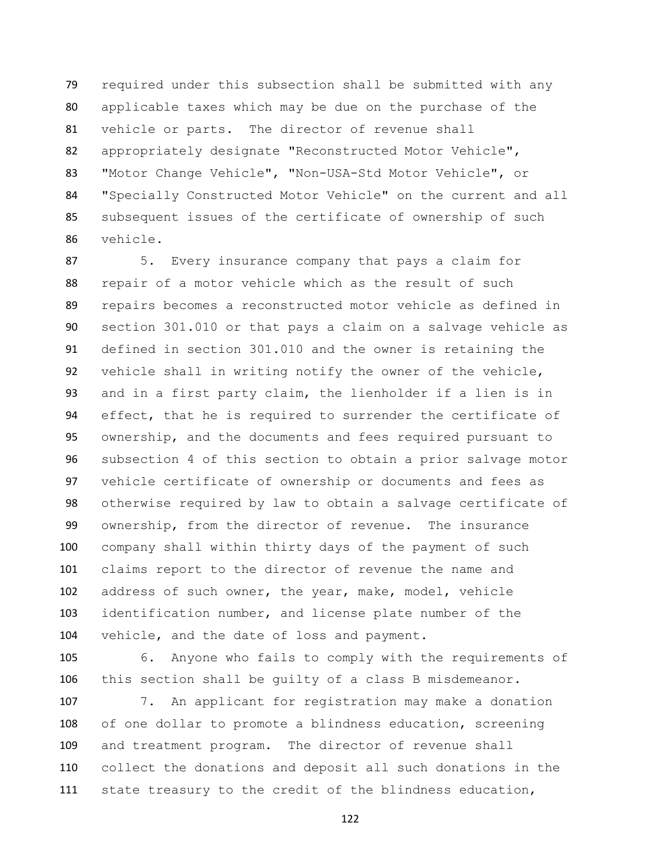required under this subsection shall be submitted with any applicable taxes which may be due on the purchase of the vehicle or parts. The director of revenue shall appropriately designate "Reconstructed Motor Vehicle", "Motor Change Vehicle", "Non-USA-Std Motor Vehicle", or "Specially Constructed Motor Vehicle" on the current and all subsequent issues of the certificate of ownership of such vehicle.

 5. Every insurance company that pays a claim for repair of a motor vehicle which as the result of such repairs becomes a reconstructed motor vehicle as defined in section 301.010 or that pays a claim on a salvage vehicle as defined in section 301.010 and the owner is retaining the vehicle shall in writing notify the owner of the vehicle, and in a first party claim, the lienholder if a lien is in effect, that he is required to surrender the certificate of ownership, and the documents and fees required pursuant to subsection 4 of this section to obtain a prior salvage motor vehicle certificate of ownership or documents and fees as otherwise required by law to obtain a salvage certificate of ownership, from the director of revenue. The insurance company shall within thirty days of the payment of such claims report to the director of revenue the name and address of such owner, the year, make, model, vehicle identification number, and license plate number of the vehicle, and the date of loss and payment.

 6. Anyone who fails to comply with the requirements of this section shall be guilty of a class B misdemeanor.

 7. An applicant for registration may make a donation of one dollar to promote a blindness education, screening and treatment program. The director of revenue shall collect the donations and deposit all such donations in the state treasury to the credit of the blindness education,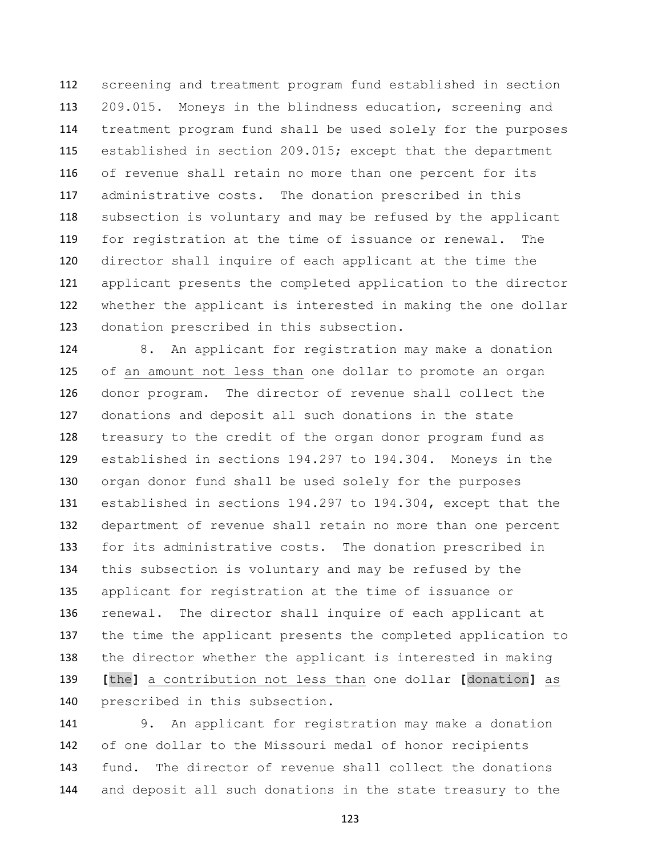screening and treatment program fund established in section 209.015. Moneys in the blindness education, screening and treatment program fund shall be used solely for the purposes established in section 209.015; except that the department of revenue shall retain no more than one percent for its administrative costs. The donation prescribed in this subsection is voluntary and may be refused by the applicant for registration at the time of issuance or renewal. The director shall inquire of each applicant at the time the applicant presents the completed application to the director whether the applicant is interested in making the one dollar donation prescribed in this subsection.

 8. An applicant for registration may make a donation of an amount not less than one dollar to promote an organ donor program. The director of revenue shall collect the donations and deposit all such donations in the state treasury to the credit of the organ donor program fund as established in sections 194.297 to 194.304. Moneys in the organ donor fund shall be used solely for the purposes established in sections 194.297 to 194.304, except that the department of revenue shall retain no more than one percent for its administrative costs. The donation prescribed in this subsection is voluntary and may be refused by the applicant for registration at the time of issuance or renewal. The director shall inquire of each applicant at the time the applicant presents the completed application to the director whether the applicant is interested in making **[**the**]** a contribution not less than one dollar **[**donation**]** as prescribed in this subsection.

 9. An applicant for registration may make a donation of one dollar to the Missouri medal of honor recipients fund. The director of revenue shall collect the donations and deposit all such donations in the state treasury to the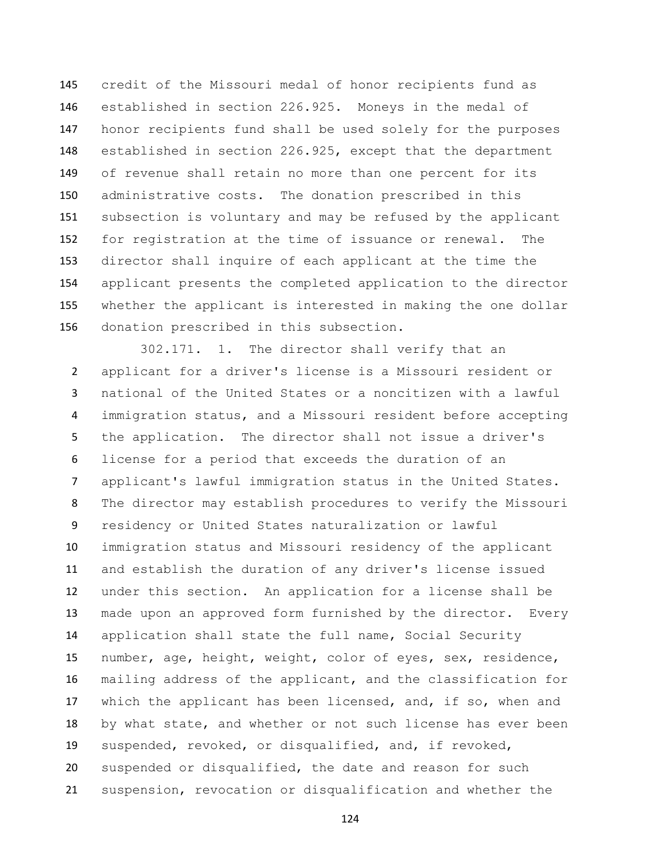credit of the Missouri medal of honor recipients fund as established in section 226.925. Moneys in the medal of honor recipients fund shall be used solely for the purposes established in section 226.925, except that the department of revenue shall retain no more than one percent for its administrative costs. The donation prescribed in this subsection is voluntary and may be refused by the applicant for registration at the time of issuance or renewal. The director shall inquire of each applicant at the time the applicant presents the completed application to the director whether the applicant is interested in making the one dollar donation prescribed in this subsection.

 302.171. 1. The director shall verify that an applicant for a driver's license is a Missouri resident or national of the United States or a noncitizen with a lawful immigration status, and a Missouri resident before accepting the application. The director shall not issue a driver's license for a period that exceeds the duration of an applicant's lawful immigration status in the United States. The director may establish procedures to verify the Missouri residency or United States naturalization or lawful immigration status and Missouri residency of the applicant and establish the duration of any driver's license issued under this section. An application for a license shall be made upon an approved form furnished by the director. Every application shall state the full name, Social Security number, age, height, weight, color of eyes, sex, residence, mailing address of the applicant, and the classification for 17 which the applicant has been licensed, and, if so, when and by what state, and whether or not such license has ever been suspended, revoked, or disqualified, and, if revoked, suspended or disqualified, the date and reason for such suspension, revocation or disqualification and whether the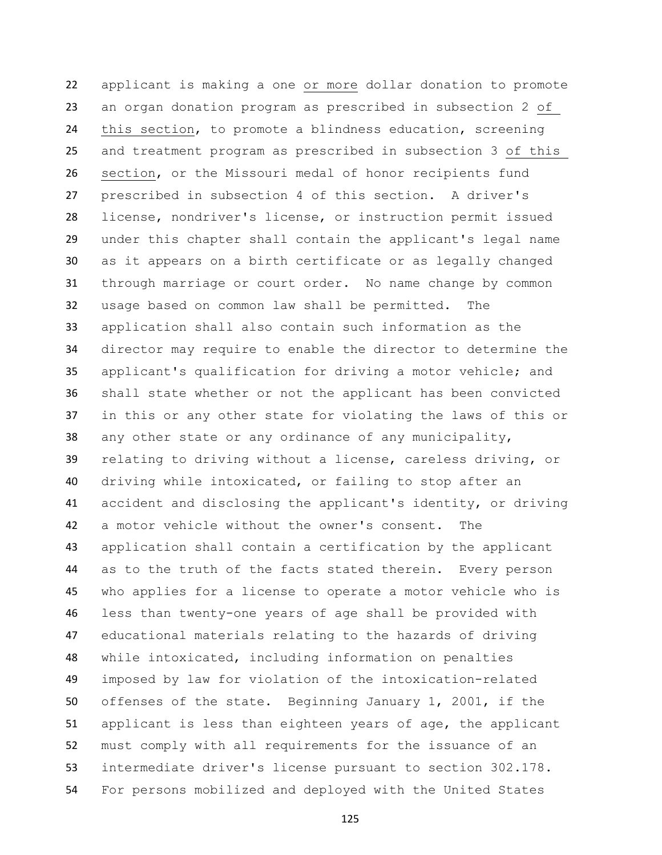applicant is making a one or more dollar donation to promote an organ donation program as prescribed in subsection 2 of this section, to promote a blindness education, screening and treatment program as prescribed in subsection 3 of this section, or the Missouri medal of honor recipients fund prescribed in subsection 4 of this section. A driver's license, nondriver's license, or instruction permit issued under this chapter shall contain the applicant's legal name as it appears on a birth certificate or as legally changed through marriage or court order. No name change by common usage based on common law shall be permitted. The application shall also contain such information as the director may require to enable the director to determine the applicant's qualification for driving a motor vehicle; and shall state whether or not the applicant has been convicted in this or any other state for violating the laws of this or any other state or any ordinance of any municipality, relating to driving without a license, careless driving, or driving while intoxicated, or failing to stop after an accident and disclosing the applicant's identity, or driving a motor vehicle without the owner's consent. The application shall contain a certification by the applicant as to the truth of the facts stated therein. Every person who applies for a license to operate a motor vehicle who is less than twenty-one years of age shall be provided with educational materials relating to the hazards of driving while intoxicated, including information on penalties imposed by law for violation of the intoxication-related offenses of the state. Beginning January 1, 2001, if the applicant is less than eighteen years of age, the applicant must comply with all requirements for the issuance of an intermediate driver's license pursuant to section 302.178. For persons mobilized and deployed with the United States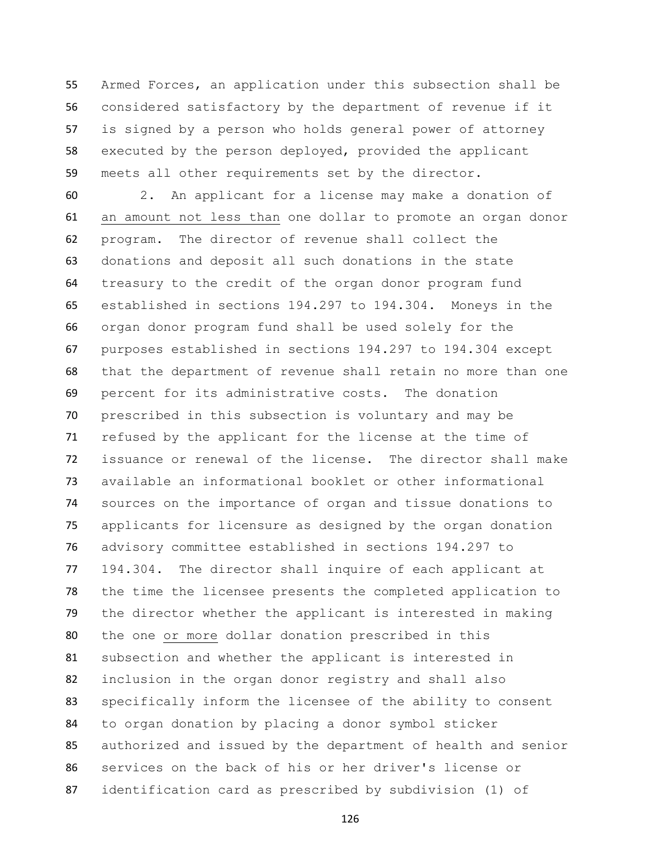Armed Forces, an application under this subsection shall be considered satisfactory by the department of revenue if it is signed by a person who holds general power of attorney executed by the person deployed, provided the applicant meets all other requirements set by the director.

 2. An applicant for a license may make a donation of an amount not less than one dollar to promote an organ donor program. The director of revenue shall collect the donations and deposit all such donations in the state treasury to the credit of the organ donor program fund established in sections 194.297 to 194.304. Moneys in the organ donor program fund shall be used solely for the purposes established in sections 194.297 to 194.304 except that the department of revenue shall retain no more than one percent for its administrative costs. The donation prescribed in this subsection is voluntary and may be refused by the applicant for the license at the time of issuance or renewal of the license. The director shall make available an informational booklet or other informational sources on the importance of organ and tissue donations to applicants for licensure as designed by the organ donation advisory committee established in sections 194.297 to 194.304. The director shall inquire of each applicant at the time the licensee presents the completed application to the director whether the applicant is interested in making the one or more dollar donation prescribed in this subsection and whether the applicant is interested in inclusion in the organ donor registry and shall also specifically inform the licensee of the ability to consent to organ donation by placing a donor symbol sticker authorized and issued by the department of health and senior services on the back of his or her driver's license or identification card as prescribed by subdivision (1) of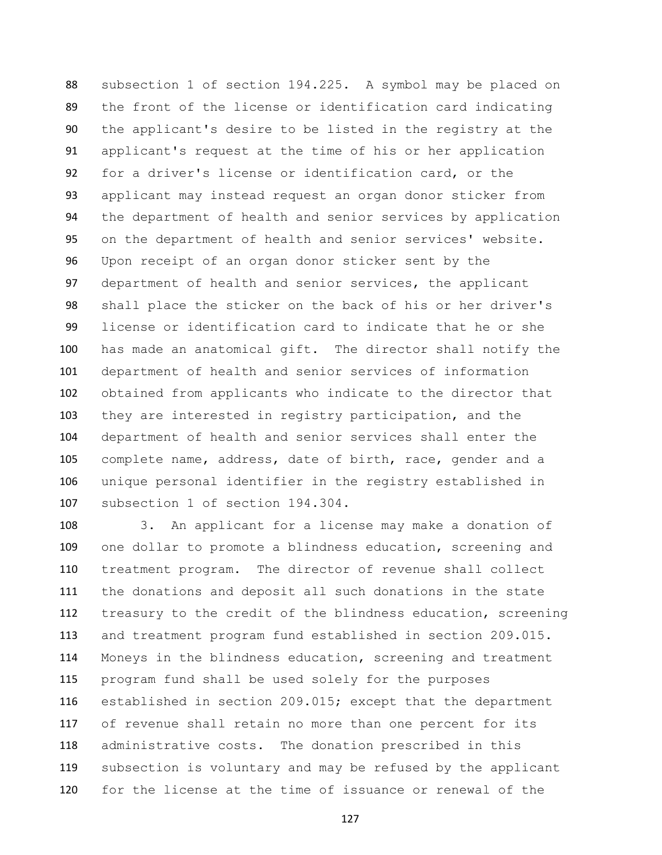subsection 1 of section 194.225. A symbol may be placed on the front of the license or identification card indicating the applicant's desire to be listed in the registry at the applicant's request at the time of his or her application for a driver's license or identification card, or the applicant may instead request an organ donor sticker from the department of health and senior services by application on the department of health and senior services' website. Upon receipt of an organ donor sticker sent by the department of health and senior services, the applicant shall place the sticker on the back of his or her driver's license or identification card to indicate that he or she has made an anatomical gift. The director shall notify the department of health and senior services of information obtained from applicants who indicate to the director that they are interested in registry participation, and the department of health and senior services shall enter the complete name, address, date of birth, race, gender and a unique personal identifier in the registry established in subsection 1 of section 194.304.

 3. An applicant for a license may make a donation of one dollar to promote a blindness education, screening and treatment program. The director of revenue shall collect the donations and deposit all such donations in the state treasury to the credit of the blindness education, screening and treatment program fund established in section 209.015. Moneys in the blindness education, screening and treatment program fund shall be used solely for the purposes established in section 209.015; except that the department of revenue shall retain no more than one percent for its administrative costs. The donation prescribed in this subsection is voluntary and may be refused by the applicant for the license at the time of issuance or renewal of the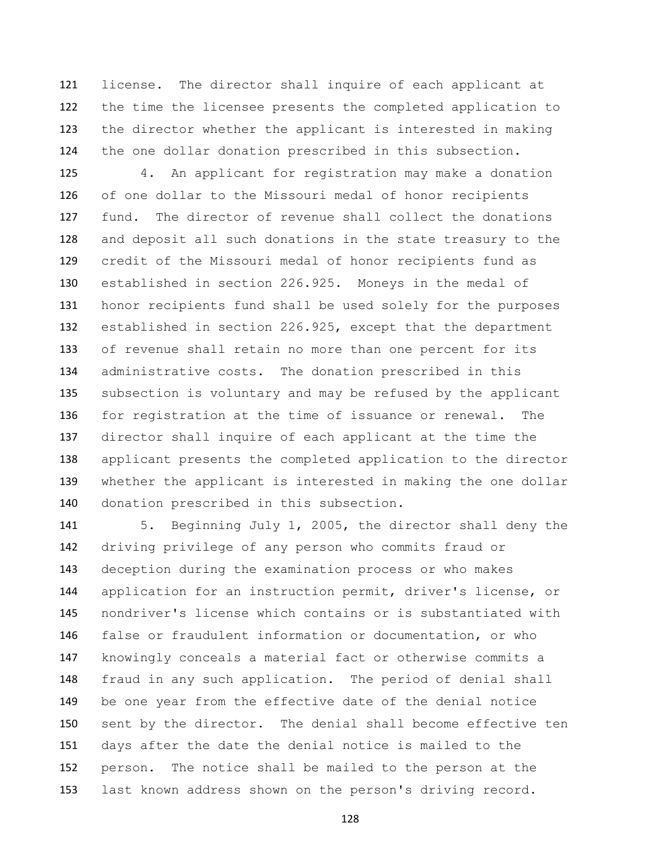license. The director shall inquire of each applicant at the time the licensee presents the completed application to the director whether the applicant is interested in making the one dollar donation prescribed in this subsection.

 4. An applicant for registration may make a donation of one dollar to the Missouri medal of honor recipients fund. The director of revenue shall collect the donations and deposit all such donations in the state treasury to the credit of the Missouri medal of honor recipients fund as established in section 226.925. Moneys in the medal of honor recipients fund shall be used solely for the purposes established in section 226.925, except that the department of revenue shall retain no more than one percent for its administrative costs. The donation prescribed in this subsection is voluntary and may be refused by the applicant for registration at the time of issuance or renewal. The director shall inquire of each applicant at the time the applicant presents the completed application to the director whether the applicant is interested in making the one dollar donation prescribed in this subsection.

 5. Beginning July 1, 2005, the director shall deny the driving privilege of any person who commits fraud or deception during the examination process or who makes application for an instruction permit, driver's license, or nondriver's license which contains or is substantiated with false or fraudulent information or documentation, or who knowingly conceals a material fact or otherwise commits a fraud in any such application. The period of denial shall be one year from the effective date of the denial notice sent by the director. The denial shall become effective ten days after the date the denial notice is mailed to the person. The notice shall be mailed to the person at the last known address shown on the person's driving record.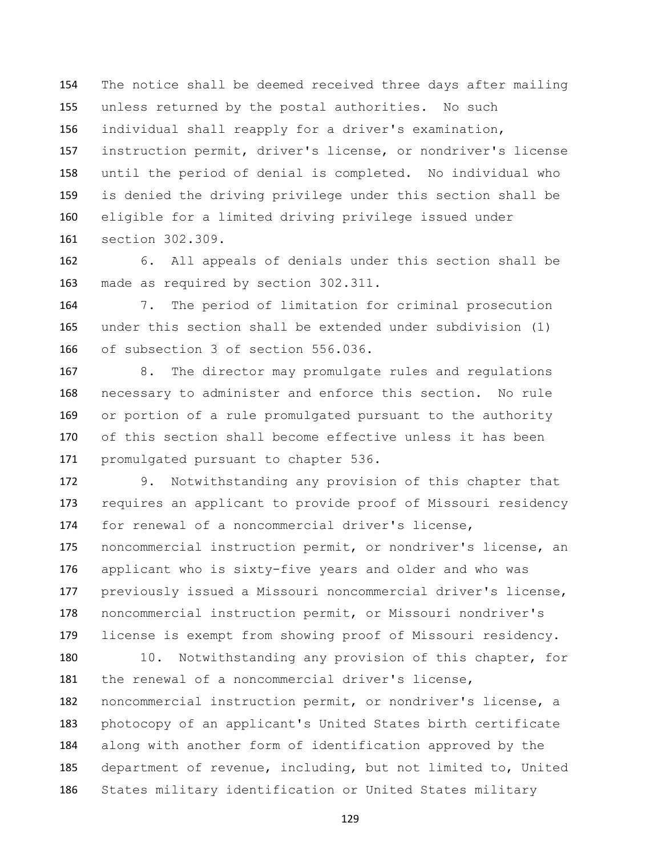The notice shall be deemed received three days after mailing unless returned by the postal authorities. No such individual shall reapply for a driver's examination, instruction permit, driver's license, or nondriver's license until the period of denial is completed. No individual who is denied the driving privilege under this section shall be eligible for a limited driving privilege issued under section 302.309.

 6. All appeals of denials under this section shall be made as required by section 302.311.

 7. The period of limitation for criminal prosecution under this section shall be extended under subdivision (1) of subsection 3 of section 556.036.

 8. The director may promulgate rules and regulations necessary to administer and enforce this section. No rule or portion of a rule promulgated pursuant to the authority of this section shall become effective unless it has been promulgated pursuant to chapter 536.

 9. Notwithstanding any provision of this chapter that requires an applicant to provide proof of Missouri residency for renewal of a noncommercial driver's license, noncommercial instruction permit, or nondriver's license, an applicant who is sixty-five years and older and who was previously issued a Missouri noncommercial driver's license, noncommercial instruction permit, or Missouri nondriver's license is exempt from showing proof of Missouri residency.

180 10. Notwithstanding any provision of this chapter, for the renewal of a noncommercial driver's license, noncommercial instruction permit, or nondriver's license, a photocopy of an applicant's United States birth certificate along with another form of identification approved by the department of revenue, including, but not limited to, United States military identification or United States military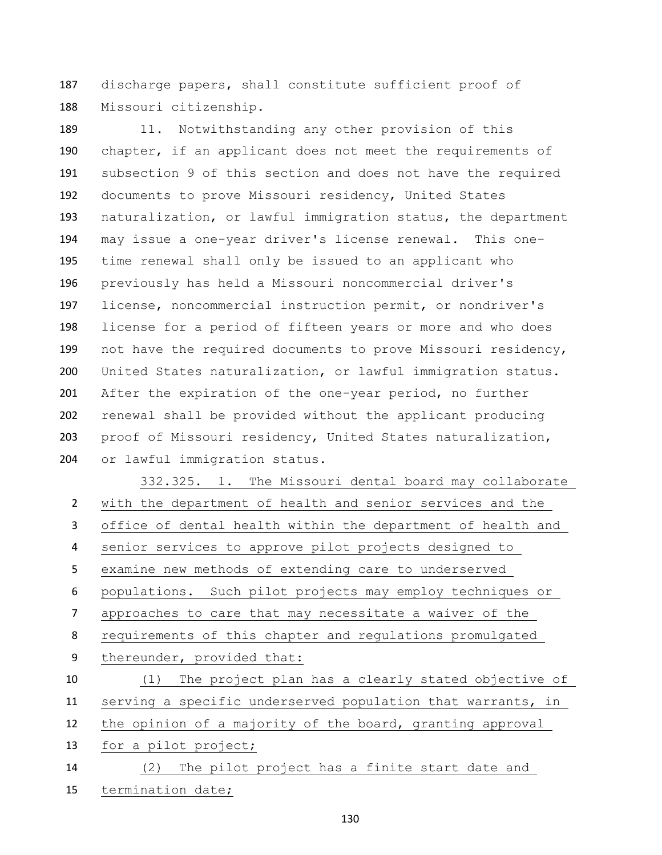discharge papers, shall constitute sufficient proof of Missouri citizenship.

189 11. Notwithstanding any other provision of this chapter, if an applicant does not meet the requirements of subsection 9 of this section and does not have the required documents to prove Missouri residency, United States naturalization, or lawful immigration status, the department may issue a one-year driver's license renewal. This one- time renewal shall only be issued to an applicant who previously has held a Missouri noncommercial driver's license, noncommercial instruction permit, or nondriver's license for a period of fifteen years or more and who does not have the required documents to prove Missouri residency, United States naturalization, or lawful immigration status. After the expiration of the one-year period, no further renewal shall be provided without the applicant producing proof of Missouri residency, United States naturalization, or lawful immigration status.

 332.325. 1. The Missouri dental board may collaborate with the department of health and senior services and the office of dental health within the department of health and senior services to approve pilot projects designed to examine new methods of extending care to underserved populations. Such pilot projects may employ techniques or approaches to care that may necessitate a waiver of the requirements of this chapter and regulations promulgated thereunder, provided that: (1) The project plan has a clearly stated objective of serving a specific underserved population that warrants, in the opinion of a majority of the board, granting approval for a pilot project; (2) The pilot project has a finite start date and termination date;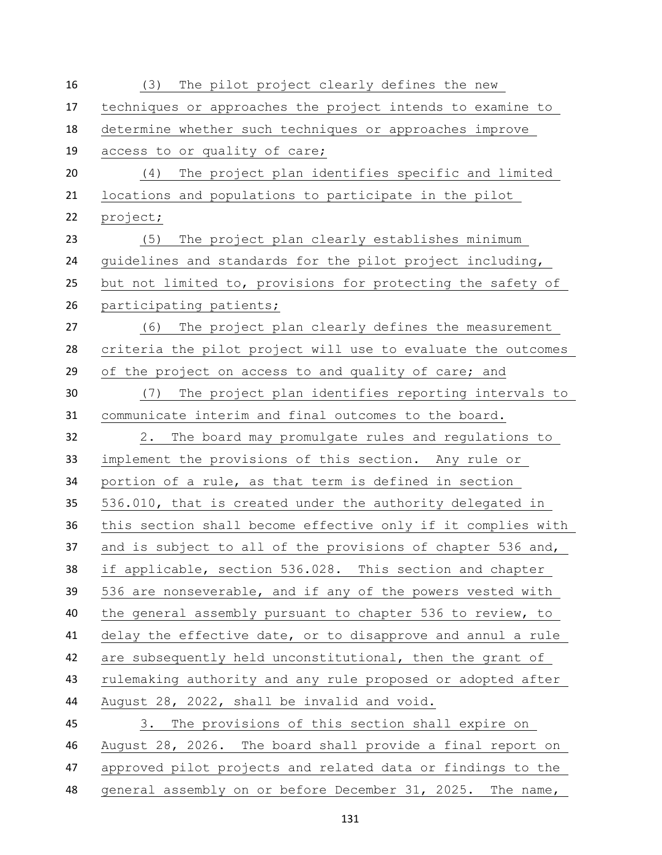| 16 | (3)<br>The pilot project clearly defines the new             |
|----|--------------------------------------------------------------|
| 17 | techniques or approaches the project intends to examine to   |
| 18 | determine whether such techniques or approaches improve      |
| 19 | access to or quality of care;                                |
| 20 | The project plan identifies specific and limited<br>(4)      |
| 21 | locations and populations to participate in the pilot        |
| 22 | project;                                                     |
| 23 | The project plan clearly establishes minimum<br>(5)          |
| 24 | guidelines and standards for the pilot project including,    |
| 25 | but not limited to, provisions for protecting the safety of  |
| 26 | participating patients;                                      |
| 27 | The project plan clearly defines the measurement<br>(6)      |
| 28 | criteria the pilot project will use to evaluate the outcomes |
| 29 | of the project on access to and quality of care; and         |
| 30 | The project plan identifies reporting intervals to<br>(7)    |
| 31 | communicate interim and final outcomes to the board.         |
| 32 | The board may promulgate rules and regulations to<br>2.      |
| 33 | implement the provisions of this section. Any rule or        |
| 34 | portion of a rule, as that term is defined in section        |
| 35 | 536.010, that is created under the authority delegated in    |
| 36 | this section shall become effective only if it complies with |
| 37 | and is subject to all of the provisions of chapter 536 and,  |
| 38 | if applicable, section 536.028. This section and chapter     |
| 39 | 536 are nonseverable, and if any of the powers vested with   |
| 40 | the general assembly pursuant to chapter 536 to review, to   |
| 41 | delay the effective date, or to disapprove and annul a rule  |
| 42 | are subsequently held unconstitutional, then the grant of    |
| 43 | rulemaking authority and any rule proposed or adopted after  |
| 44 | August 28, 2022, shall be invalid and void.                  |
| 45 | The provisions of this section shall expire on<br>3.         |
| 46 | August 28, 2026. The board shall provide a final report on   |
| 47 | approved pilot projects and related data or findings to the  |
| 48 | general assembly on or before December 31, 2025. The name,   |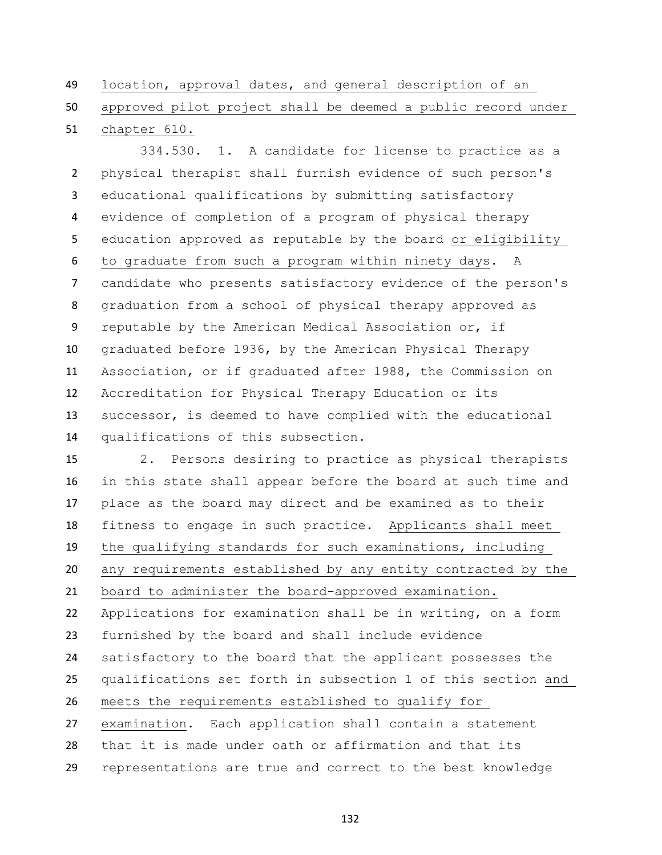location, approval dates, and general description of an

chapter 610.

approved pilot project shall be deemed a public record under

 334.530. 1. A candidate for license to practice as a physical therapist shall furnish evidence of such person's educational qualifications by submitting satisfactory evidence of completion of a program of physical therapy education approved as reputable by the board or eligibility to graduate from such a program within ninety days. A candidate who presents satisfactory evidence of the person's graduation from a school of physical therapy approved as reputable by the American Medical Association or, if graduated before 1936, by the American Physical Therapy Association, or if graduated after 1988, the Commission on Accreditation for Physical Therapy Education or its successor, is deemed to have complied with the educational qualifications of this subsection.

 2. Persons desiring to practice as physical therapists in this state shall appear before the board at such time and place as the board may direct and be examined as to their fitness to engage in such practice. Applicants shall meet the qualifying standards for such examinations, including any requirements established by any entity contracted by the board to administer the board-approved examination. Applications for examination shall be in writing, on a form furnished by the board and shall include evidence satisfactory to the board that the applicant possesses the qualifications set forth in subsection 1 of this section and meets the requirements established to qualify for examination. Each application shall contain a statement that it is made under oath or affirmation and that its representations are true and correct to the best knowledge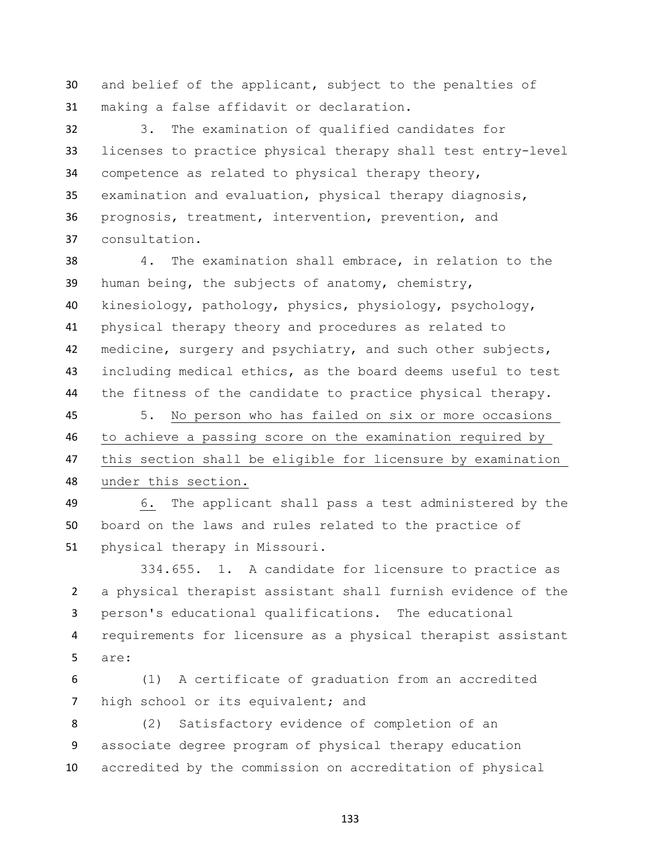and belief of the applicant, subject to the penalties of making a false affidavit or declaration.

 3. The examination of qualified candidates for licenses to practice physical therapy shall test entry-level competence as related to physical therapy theory, examination and evaluation, physical therapy diagnosis, prognosis, treatment, intervention, prevention, and consultation.

 4. The examination shall embrace, in relation to the human being, the subjects of anatomy, chemistry, kinesiology, pathology, physics, physiology, psychology, physical therapy theory and procedures as related to medicine, surgery and psychiatry, and such other subjects, including medical ethics, as the board deems useful to test the fitness of the candidate to practice physical therapy.

 5. No person who has failed on six or more occasions to achieve a passing score on the examination required by this section shall be eligible for licensure by examination under this section.

 6. The applicant shall pass a test administered by the board on the laws and rules related to the practice of physical therapy in Missouri.

334.655. 1. A candidate for licensure to practice as a physical therapist assistant shall furnish evidence of the person's educational qualifications. The educational requirements for licensure as a physical therapist assistant are:

 (1) A certificate of graduation from an accredited 7 high school or its equivalent; and

 (2) Satisfactory evidence of completion of an associate degree program of physical therapy education accredited by the commission on accreditation of physical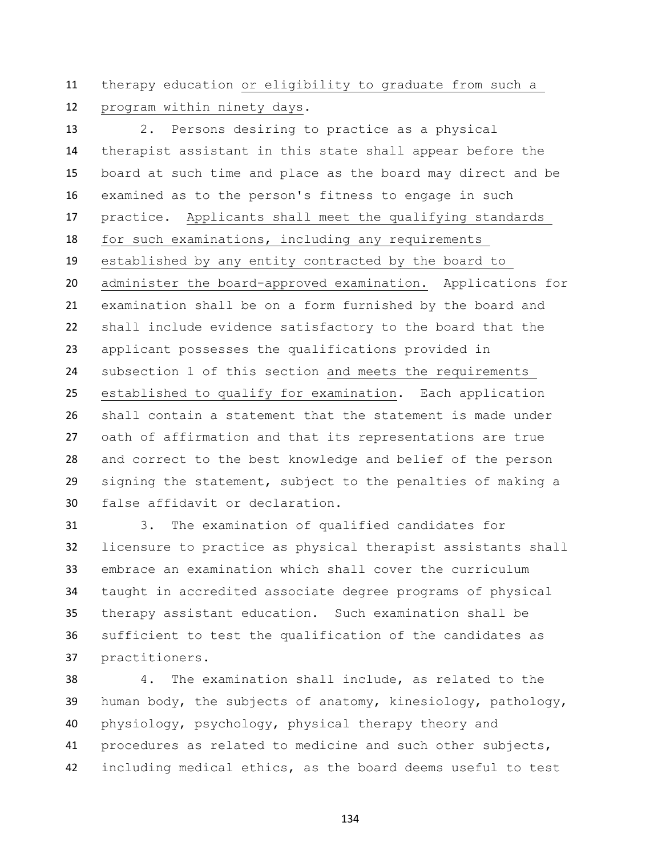therapy education or eligibility to graduate from such a program within ninety days.

 2. Persons desiring to practice as a physical therapist assistant in this state shall appear before the board at such time and place as the board may direct and be examined as to the person's fitness to engage in such practice. Applicants shall meet the qualifying standards for such examinations, including any requirements established by any entity contracted by the board to administer the board-approved examination. Applications for examination shall be on a form furnished by the board and shall include evidence satisfactory to the board that the applicant possesses the qualifications provided in subsection 1 of this section and meets the requirements established to qualify for examination. Each application shall contain a statement that the statement is made under oath of affirmation and that its representations are true and correct to the best knowledge and belief of the person signing the statement, subject to the penalties of making a false affidavit or declaration.

 3. The examination of qualified candidates for licensure to practice as physical therapist assistants shall embrace an examination which shall cover the curriculum taught in accredited associate degree programs of physical therapy assistant education. Such examination shall be sufficient to test the qualification of the candidates as practitioners.

 4. The examination shall include, as related to the human body, the subjects of anatomy, kinesiology, pathology, physiology, psychology, physical therapy theory and procedures as related to medicine and such other subjects, including medical ethics, as the board deems useful to test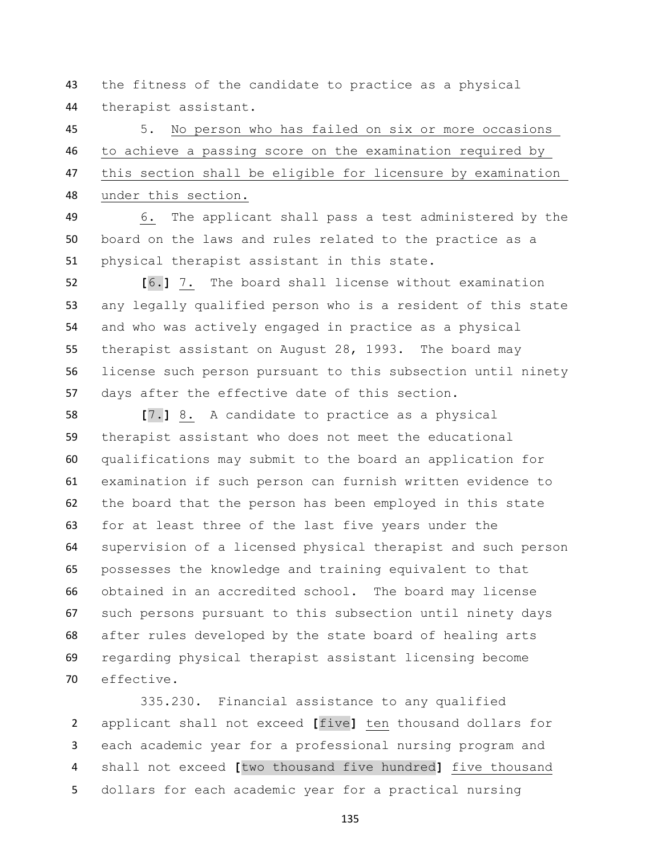the fitness of the candidate to practice as a physical therapist assistant.

 5. No person who has failed on six or more occasions to achieve a passing score on the examination required by this section shall be eligible for licensure by examination under this section.

 6. The applicant shall pass a test administered by the board on the laws and rules related to the practice as a physical therapist assistant in this state.

 **[**6.**]** 7. The board shall license without examination any legally qualified person who is a resident of this state and who was actively engaged in practice as a physical therapist assistant on August 28, 1993. The board may license such person pursuant to this subsection until ninety days after the effective date of this section.

 **[**7.**]** 8. A candidate to practice as a physical therapist assistant who does not meet the educational qualifications may submit to the board an application for examination if such person can furnish written evidence to the board that the person has been employed in this state for at least three of the last five years under the supervision of a licensed physical therapist and such person possesses the knowledge and training equivalent to that obtained in an accredited school. The board may license such persons pursuant to this subsection until ninety days after rules developed by the state board of healing arts regarding physical therapist assistant licensing become effective.

 335.230. Financial assistance to any qualified applicant shall not exceed **[**five**]** ten thousand dollars for each academic year for a professional nursing program and shall not exceed **[**two thousand five hundred**]** five thousand dollars for each academic year for a practical nursing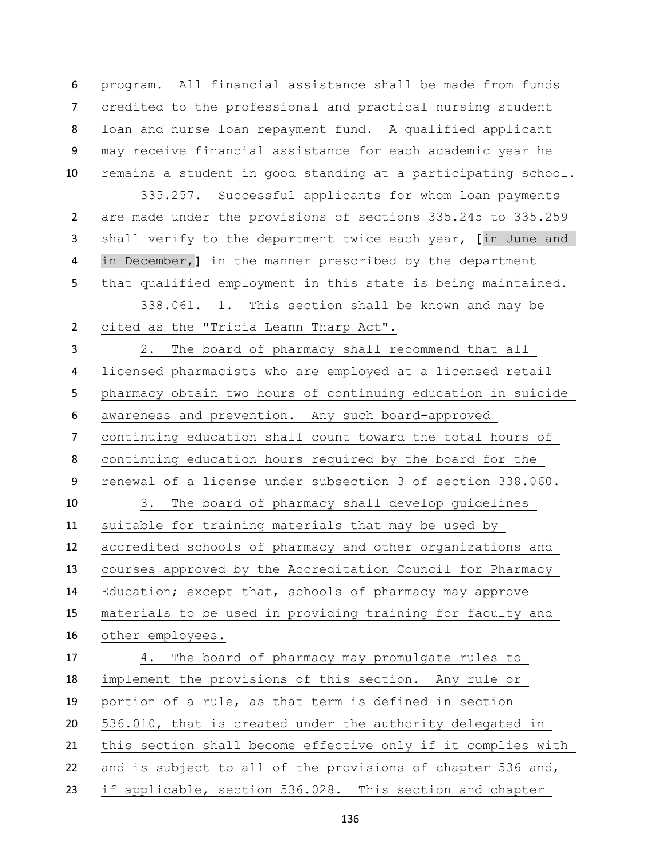program. All financial assistance shall be made from funds credited to the professional and practical nursing student loan and nurse loan repayment fund. A qualified applicant may receive financial assistance for each academic year he remains a student in good standing at a participating school.

 335.257. Successful applicants for whom loan payments are made under the provisions of sections 335.245 to 335.259 shall verify to the department twice each year, **[**in June and in December,**]** in the manner prescribed by the department that qualified employment in this state is being maintained.

 338.061. 1. This section shall be known and may be cited as the "Tricia Leann Tharp Act".

 2. The board of pharmacy shall recommend that all licensed pharmacists who are employed at a licensed retail pharmacy obtain two hours of continuing education in suicide awareness and prevention. Any such board-approved continuing education shall count toward the total hours of continuing education hours required by the board for the renewal of a license under subsection 3 of section 338.060. 3. The board of pharmacy shall develop guidelines suitable for training materials that may be used by accredited schools of pharmacy and other organizations and courses approved by the Accreditation Council for Pharmacy Education; except that, schools of pharmacy may approve materials to be used in providing training for faculty and other employees. 4. The board of pharmacy may promulgate rules to implement the provisions of this section. Any rule or portion of a rule, as that term is defined in section 536.010, that is created under the authority delegated in this section shall become effective only if it complies with 22 and is subject to all of the provisions of chapter 536 and, if applicable, section 536.028. This section and chapter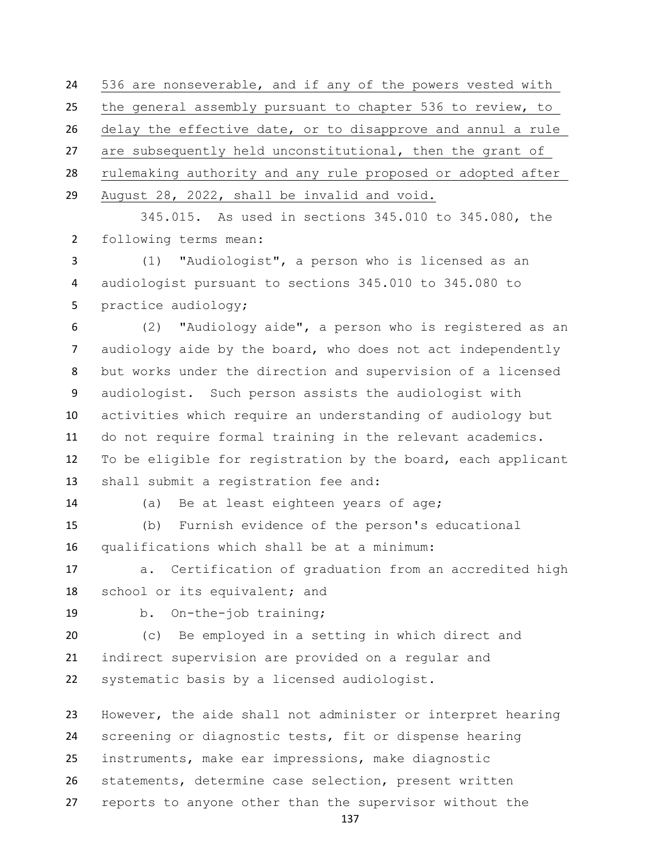536 are nonseverable, and if any of the powers vested with the general assembly pursuant to chapter 536 to review, to delay the effective date, or to disapprove and annul a rule are subsequently held unconstitutional, then the grant of rulemaking authority and any rule proposed or adopted after August 28, 2022, shall be invalid and void.

 345.015. As used in sections 345.010 to 345.080, the following terms mean:

 (1) "Audiologist", a person who is licensed as an audiologist pursuant to sections 345.010 to 345.080 to practice audiology;

 (2) "Audiology aide", a person who is registered as an audiology aide by the board, who does not act independently but works under the direction and supervision of a licensed audiologist. Such person assists the audiologist with activities which require an understanding of audiology but do not require formal training in the relevant academics. To be eligible for registration by the board, each applicant shall submit a registration fee and:

(a) Be at least eighteen years of age;

 (b) Furnish evidence of the person's educational qualifications which shall be at a minimum:

 a. Certification of graduation from an accredited high 18 school or its equivalent; and

b. On-the-job training;

 (c) Be employed in a setting in which direct and indirect supervision are provided on a regular and systematic basis by a licensed audiologist.

 However, the aide shall not administer or interpret hearing screening or diagnostic tests, fit or dispense hearing instruments, make ear impressions, make diagnostic statements, determine case selection, present written reports to anyone other than the supervisor without the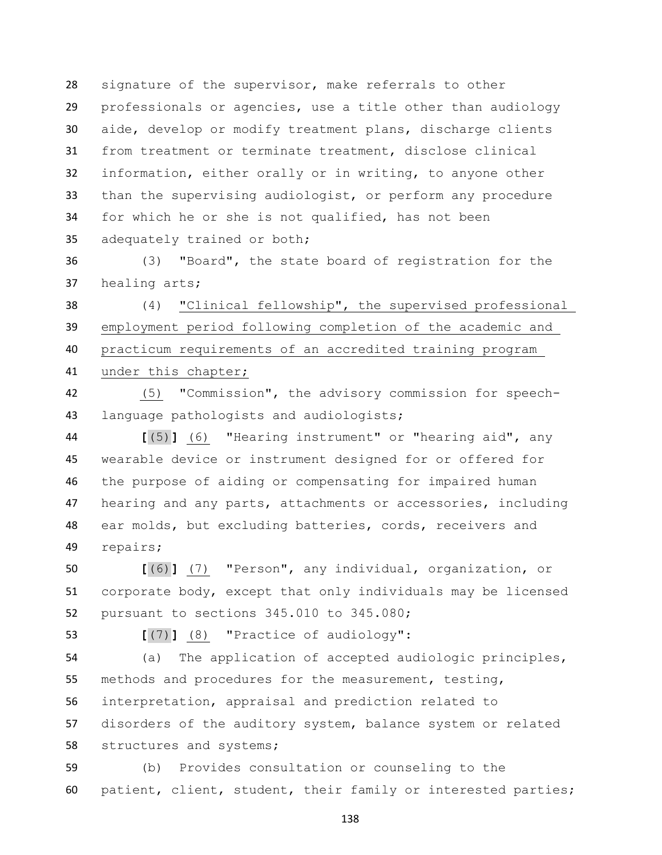signature of the supervisor, make referrals to other professionals or agencies, use a title other than audiology aide, develop or modify treatment plans, discharge clients from treatment or terminate treatment, disclose clinical information, either orally or in writing, to anyone other than the supervising audiologist, or perform any procedure for which he or she is not qualified, has not been adequately trained or both;

 (3) "Board", the state board of registration for the healing arts;

 (4) "Clinical fellowship", the supervised professional employment period following completion of the academic and practicum requirements of an accredited training program under this chapter;

 (5) "Commission", the advisory commission for speech-language pathologists and audiologists;

 **[**(5)**]** (6) "Hearing instrument" or "hearing aid", any wearable device or instrument designed for or offered for the purpose of aiding or compensating for impaired human hearing and any parts, attachments or accessories, including ear molds, but excluding batteries, cords, receivers and repairs;

 **[**(6)**]** (7) "Person", any individual, organization, or corporate body, except that only individuals may be licensed pursuant to sections 345.010 to 345.080;

**[**(7)**]** (8) "Practice of audiology":

 (a) The application of accepted audiologic principles, methods and procedures for the measurement, testing, interpretation, appraisal and prediction related to disorders of the auditory system, balance system or related structures and systems;

 (b) Provides consultation or counseling to the patient, client, student, their family or interested parties;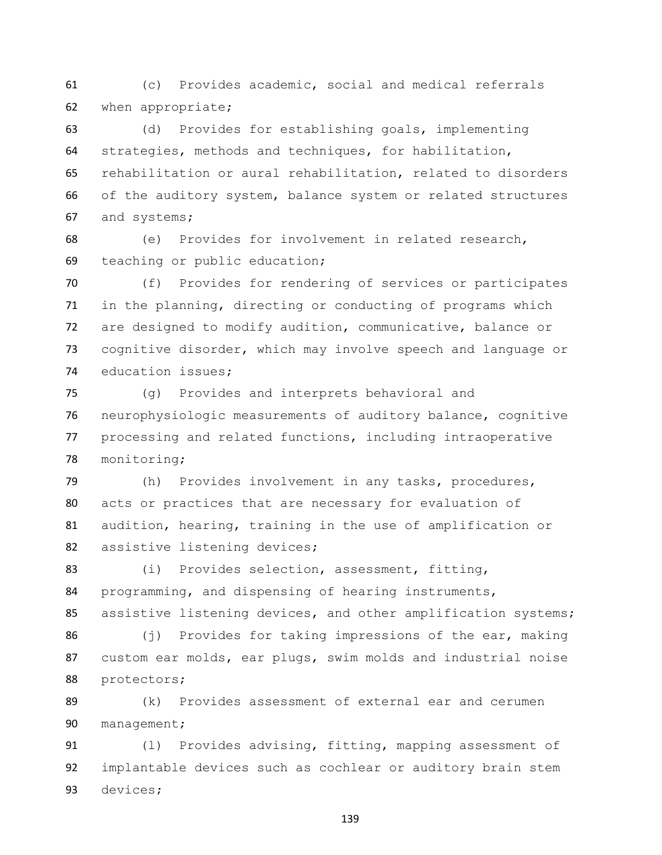(c) Provides academic, social and medical referrals when appropriate;

 (d) Provides for establishing goals, implementing strategies, methods and techniques, for habilitation, rehabilitation or aural rehabilitation, related to disorders of the auditory system, balance system or related structures and systems;

 (e) Provides for involvement in related research, teaching or public education;

 (f) Provides for rendering of services or participates in the planning, directing or conducting of programs which are designed to modify audition, communicative, balance or cognitive disorder, which may involve speech and language or education issues;

 (g) Provides and interprets behavioral and neurophysiologic measurements of auditory balance, cognitive processing and related functions, including intraoperative monitoring;

 (h) Provides involvement in any tasks, procedures, acts or practices that are necessary for evaluation of audition, hearing, training in the use of amplification or 82 assistive listening devices;

 (i) Provides selection, assessment, fitting, programming, and dispensing of hearing instruments, 85 assistive listening devices, and other amplification systems;

 (j) Provides for taking impressions of the ear, making custom ear molds, ear plugs, swim molds and industrial noise protectors;

 (k) Provides assessment of external ear and cerumen management;

91 (1) Provides advising, fitting, mapping assessment of implantable devices such as cochlear or auditory brain stem devices;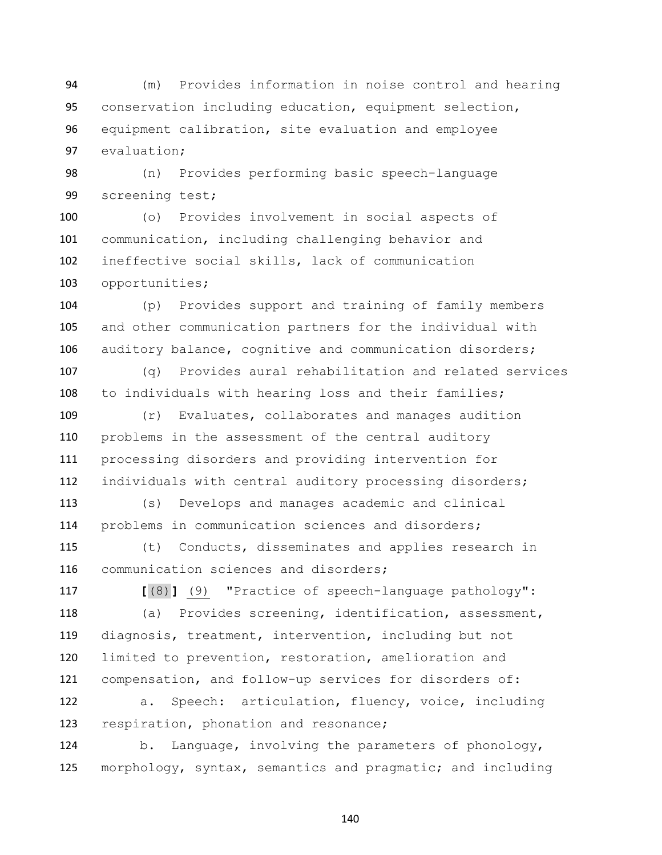(m) Provides information in noise control and hearing conservation including education, equipment selection, equipment calibration, site evaluation and employee evaluation;

 (n) Provides performing basic speech-language screening test;

 (o) Provides involvement in social aspects of communication, including challenging behavior and ineffective social skills, lack of communication opportunities;

 (p) Provides support and training of family members and other communication partners for the individual with auditory balance, cognitive and communication disorders;

 (q) Provides aural rehabilitation and related services to individuals with hearing loss and their families;

 (r) Evaluates, collaborates and manages audition problems in the assessment of the central auditory processing disorders and providing intervention for individuals with central auditory processing disorders;

 (s) Develops and manages academic and clinical problems in communication sciences and disorders;

 (t) Conducts, disseminates and applies research in communication sciences and disorders;

 **[**(8)**]** (9) "Practice of speech-language pathology": (a) Provides screening, identification, assessment, diagnosis, treatment, intervention, including but not limited to prevention, restoration, amelioration and compensation, and follow-up services for disorders of:

 a. Speech: articulation, fluency, voice, including respiration, phonation and resonance;

 b. Language, involving the parameters of phonology, morphology, syntax, semantics and pragmatic; and including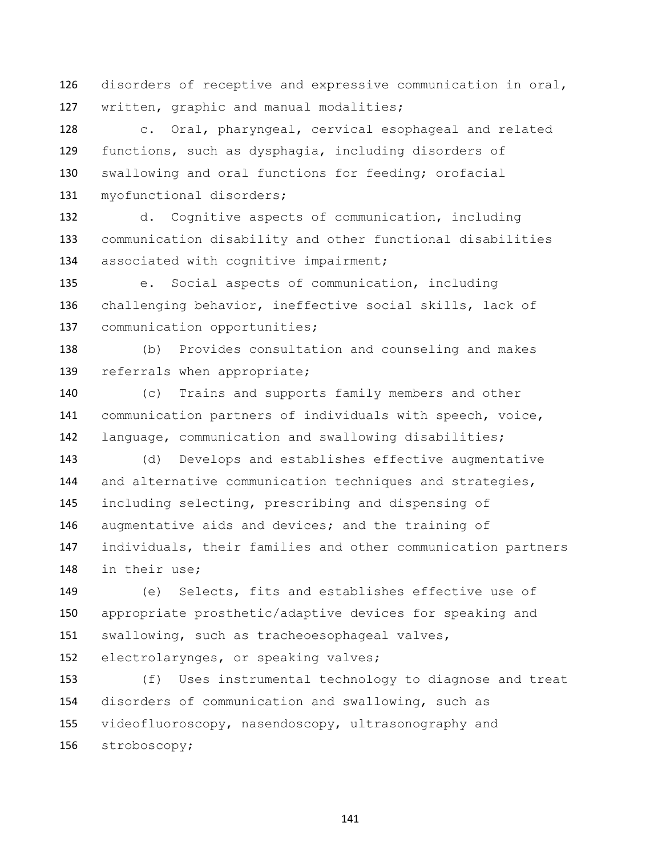disorders of receptive and expressive communication in oral, written, graphic and manual modalities;

 c. Oral, pharyngeal, cervical esophageal and related functions, such as dysphagia, including disorders of swallowing and oral functions for feeding; orofacial myofunctional disorders;

 d. Cognitive aspects of communication, including communication disability and other functional disabilities 134 associated with cognitive impairment;

 e. Social aspects of communication, including challenging behavior, ineffective social skills, lack of 137 communication opportunities;

 (b) Provides consultation and counseling and makes 139 referrals when appropriate;

 (c) Trains and supports family members and other communication partners of individuals with speech, voice, language, communication and swallowing disabilities;

 (d) Develops and establishes effective augmentative 144 and alternative communication techniques and strategies, including selecting, prescribing and dispensing of augmentative aids and devices; and the training of individuals, their families and other communication partners in their use;

 (e) Selects, fits and establishes effective use of appropriate prosthetic/adaptive devices for speaking and swallowing, such as tracheoesophageal valves, electrolarynges, or speaking valves;

 (f) Uses instrumental technology to diagnose and treat disorders of communication and swallowing, such as videofluoroscopy, nasendoscopy, ultrasonography and stroboscopy;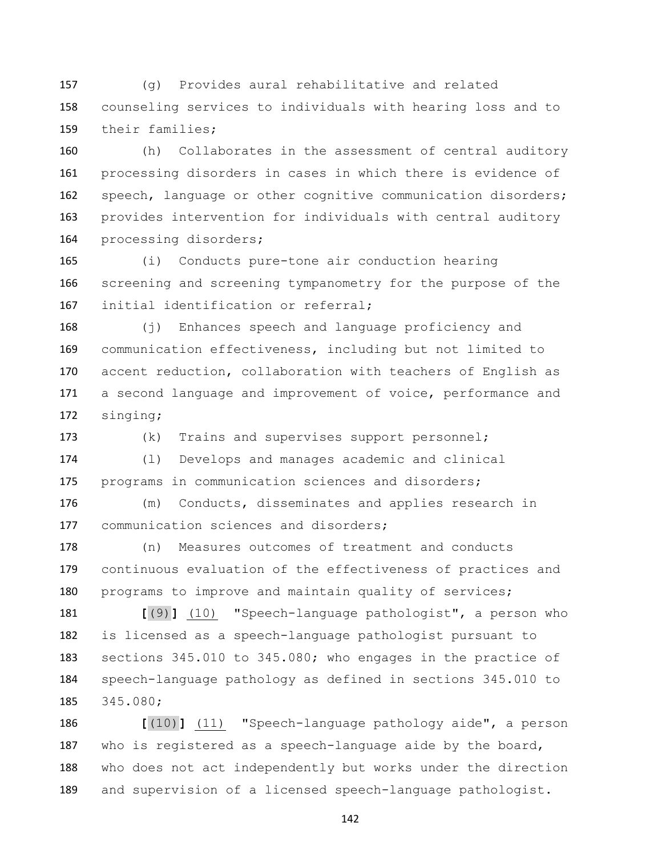(g) Provides aural rehabilitative and related counseling services to individuals with hearing loss and to their families;

 (h) Collaborates in the assessment of central auditory processing disorders in cases in which there is evidence of 162 speech, language or other cognitive communication disorders; provides intervention for individuals with central auditory processing disorders;

 (i) Conducts pure-tone air conduction hearing screening and screening tympanometry for the purpose of the 167 initial identification or referral;

 (j) Enhances speech and language proficiency and communication effectiveness, including but not limited to accent reduction, collaboration with teachers of English as a second language and improvement of voice, performance and singing;

(k) Trains and supervises support personnel;

 (l) Develops and manages academic and clinical programs in communication sciences and disorders;

 (m) Conducts, disseminates and applies research in 177 communication sciences and disorders;

 (n) Measures outcomes of treatment and conducts continuous evaluation of the effectiveness of practices and programs to improve and maintain quality of services;

 **[**(9)**]** (10) "Speech-language pathologist", a person who is licensed as a speech-language pathologist pursuant to sections 345.010 to 345.080; who engages in the practice of speech-language pathology as defined in sections 345.010 to 345.080;

 **[**(10)**]** (11) "Speech-language pathology aide", a person who is registered as a speech-language aide by the board, who does not act independently but works under the direction and supervision of a licensed speech-language pathologist.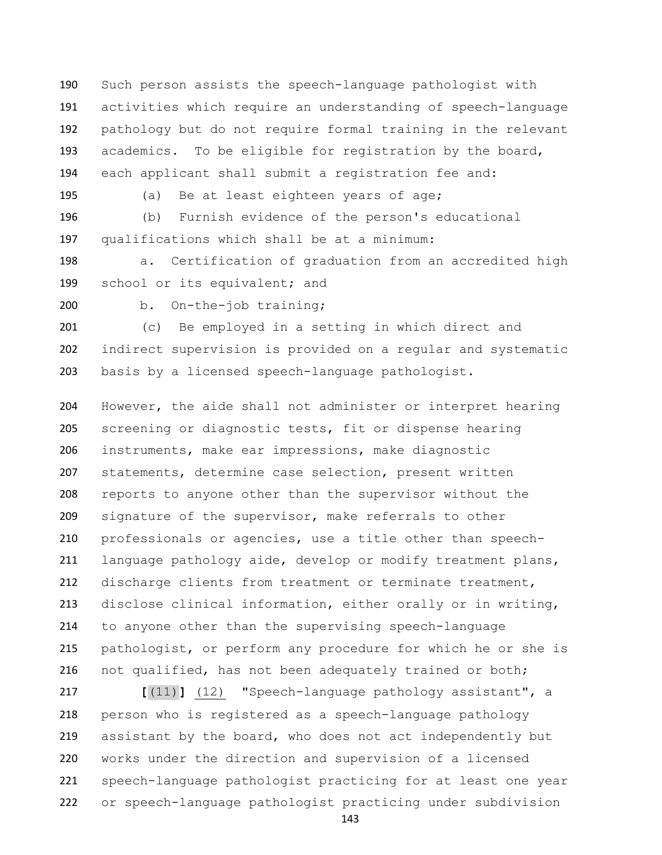Such person assists the speech-language pathologist with activities which require an understanding of speech-language pathology but do not require formal training in the relevant academics. To be eligible for registration by the board, each applicant shall submit a registration fee and:

(a) Be at least eighteen years of age;

 (b) Furnish evidence of the person's educational qualifications which shall be at a minimum:

 a. Certification of graduation from an accredited high 199 school or its equivalent; and

b. On-the-job training;

 (c) Be employed in a setting in which direct and indirect supervision is provided on a regular and systematic basis by a licensed speech-language pathologist.

 However, the aide shall not administer or interpret hearing screening or diagnostic tests, fit or dispense hearing instruments, make ear impressions, make diagnostic statements, determine case selection, present written reports to anyone other than the supervisor without the signature of the supervisor, make referrals to other professionals or agencies, use a title other than speech- language pathology aide, develop or modify treatment plans, discharge clients from treatment or terminate treatment, disclose clinical information, either orally or in writing, to anyone other than the supervising speech-language pathologist, or perform any procedure for which he or she is not qualified, has not been adequately trained or both;

 **[**(11)**]** (12) "Speech-language pathology assistant", a person who is registered as a speech-language pathology 219 assistant by the board, who does not act independently but works under the direction and supervision of a licensed speech-language pathologist practicing for at least one year or speech-language pathologist practicing under subdivision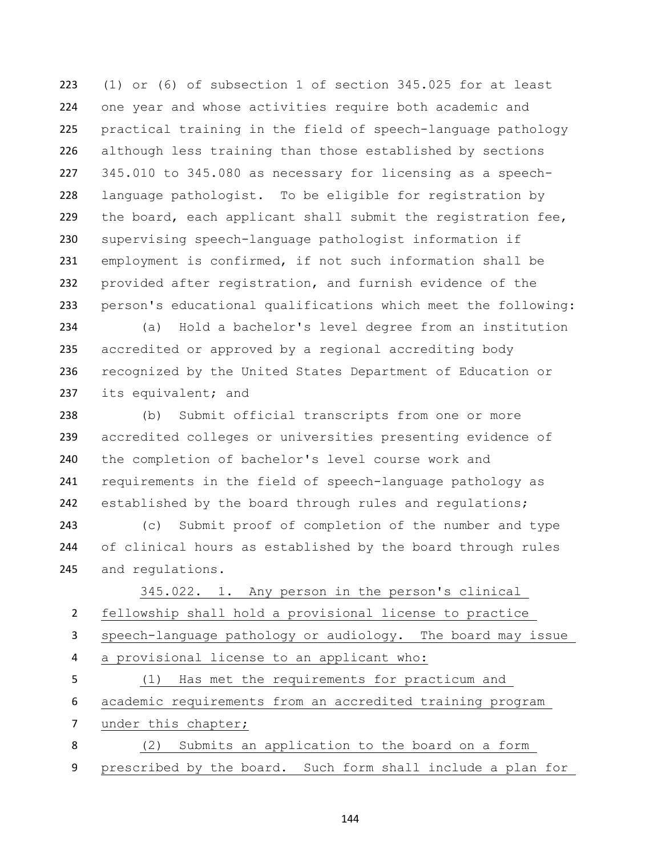(1) or (6) of subsection 1 of section 345.025 for at least one year and whose activities require both academic and practical training in the field of speech-language pathology although less training than those established by sections 345.010 to 345.080 as necessary for licensing as a speech- language pathologist. To be eligible for registration by 229 the board, each applicant shall submit the registration fee, supervising speech-language pathologist information if employment is confirmed, if not such information shall be provided after registration, and furnish evidence of the person's educational qualifications which meet the following:

 (a) Hold a bachelor's level degree from an institution accredited or approved by a regional accrediting body recognized by the United States Department of Education or 237 its equivalent; and

 (b) Submit official transcripts from one or more accredited colleges or universities presenting evidence of the completion of bachelor's level course work and requirements in the field of speech-language pathology as 242 established by the board through rules and regulations;

 (c) Submit proof of completion of the number and type of clinical hours as established by the board through rules and regulations.

 345.022. 1. Any person in the person's clinical fellowship shall hold a provisional license to practice speech-language pathology or audiology. The board may issue a provisional license to an applicant who: (1) Has met the requirements for practicum and academic requirements from an accredited training program 7 under this chapter; (2) Submits an application to the board on a form

prescribed by the board. Such form shall include a plan for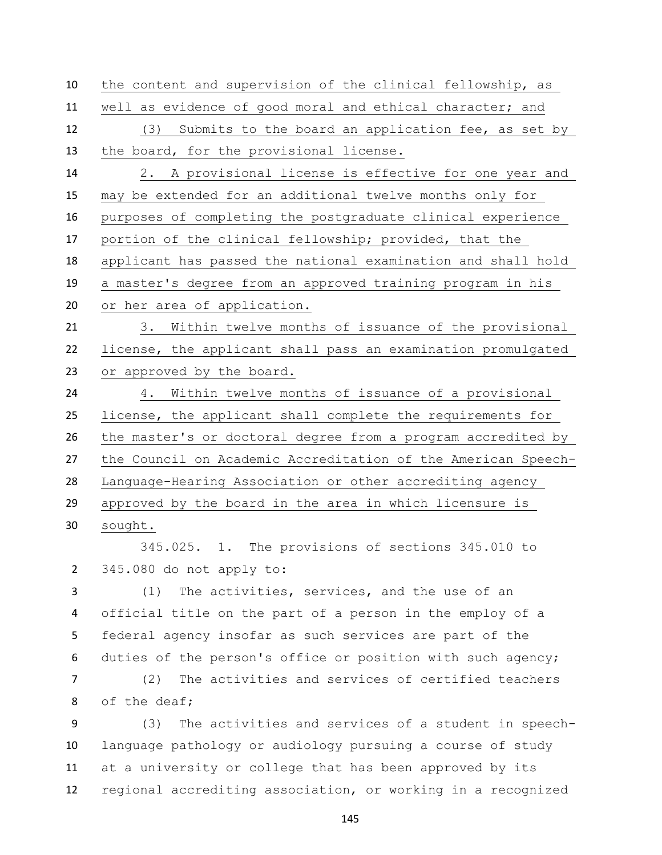the content and supervision of the clinical fellowship, as well as evidence of good moral and ethical character; and (3) Submits to the board an application fee, as set by the board, for the provisional license. 2. A provisional license is effective for one year and may be extended for an additional twelve months only for purposes of completing the postgraduate clinical experience portion of the clinical fellowship; provided, that the applicant has passed the national examination and shall hold a master's degree from an approved training program in his or her area of application. 3. Within twelve months of issuance of the provisional license, the applicant shall pass an examination promulgated or approved by the board. 4. Within twelve months of issuance of a provisional license, the applicant shall complete the requirements for the master's or doctoral degree from a program accredited by the Council on Academic Accreditation of the American Speech- Language-Hearing Association or other accrediting agency approved by the board in the area in which licensure is sought. 345.025. 1. The provisions of sections 345.010 to

345.080 do not apply to:

 (1) The activities, services, and the use of an official title on the part of a person in the employ of a federal agency insofar as such services are part of the duties of the person's office or position with such agency;

 (2) The activities and services of certified teachers of the deaf;

 (3) The activities and services of a student in speech- language pathology or audiology pursuing a course of study at a university or college that has been approved by its regional accrediting association, or working in a recognized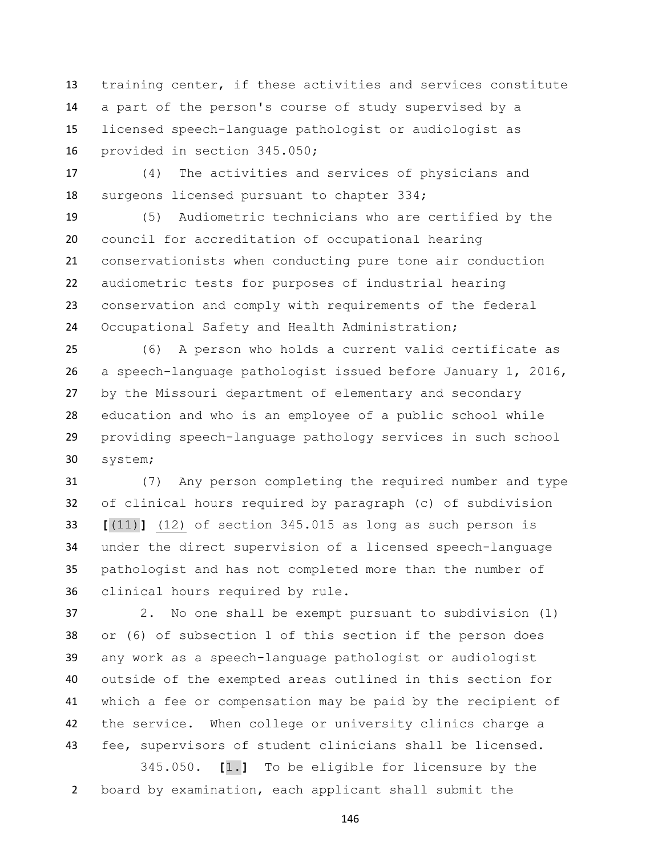training center, if these activities and services constitute a part of the person's course of study supervised by a licensed speech-language pathologist or audiologist as provided in section 345.050;

 (4) The activities and services of physicians and surgeons licensed pursuant to chapter 334;

 (5) Audiometric technicians who are certified by the council for accreditation of occupational hearing conservationists when conducting pure tone air conduction audiometric tests for purposes of industrial hearing conservation and comply with requirements of the federal Occupational Safety and Health Administration;

 (6) A person who holds a current valid certificate as a speech-language pathologist issued before January 1, 2016, by the Missouri department of elementary and secondary education and who is an employee of a public school while providing speech-language pathology services in such school system;

 (7) Any person completing the required number and type of clinical hours required by paragraph (c) of subdivision **[**(11)**]** (12) of section 345.015 as long as such person is under the direct supervision of a licensed speech-language pathologist and has not completed more than the number of clinical hours required by rule.

 2. No one shall be exempt pursuant to subdivision (1) or (6) of subsection 1 of this section if the person does any work as a speech-language pathologist or audiologist outside of the exempted areas outlined in this section for which a fee or compensation may be paid by the recipient of the service. When college or university clinics charge a fee, supervisors of student clinicians shall be licensed.

 345.050. **[**1.**]** To be eligible for licensure by the board by examination, each applicant shall submit the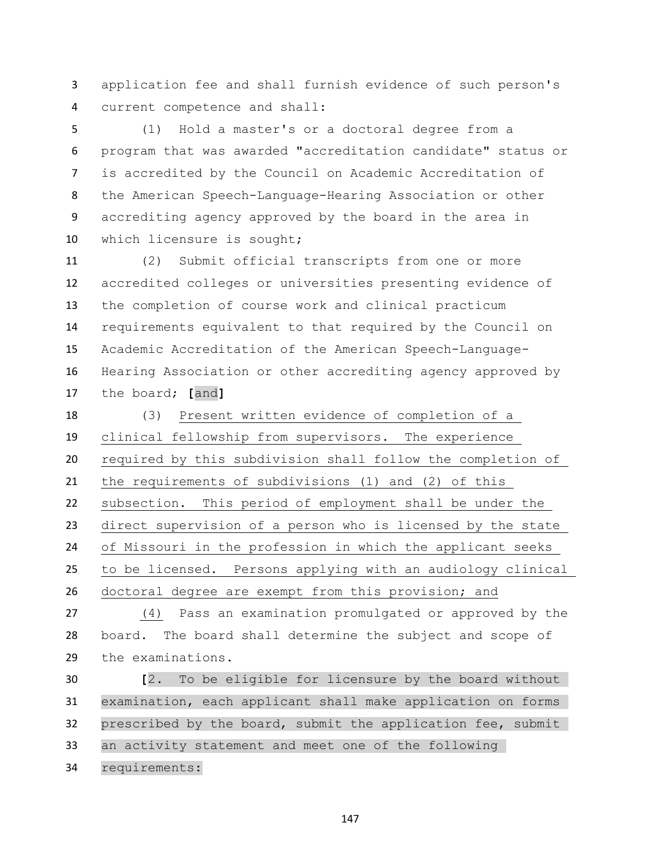application fee and shall furnish evidence of such person's current competence and shall:

 (1) Hold a master's or a doctoral degree from a program that was awarded "accreditation candidate" status or is accredited by the Council on Academic Accreditation of the American Speech-Language-Hearing Association or other accrediting agency approved by the board in the area in which licensure is sought;

 (2) Submit official transcripts from one or more accredited colleges or universities presenting evidence of the completion of course work and clinical practicum requirements equivalent to that required by the Council on Academic Accreditation of the American Speech-Language- Hearing Association or other accrediting agency approved by the board; **[**and**]**

 (3) Present written evidence of completion of a clinical fellowship from supervisors. The experience required by this subdivision shall follow the completion of the requirements of subdivisions (1) and (2) of this subsection. This period of employment shall be under the direct supervision of a person who is licensed by the state of Missouri in the profession in which the applicant seeks to be licensed. Persons applying with an audiology clinical doctoral degree are exempt from this provision; and

 (4) Pass an examination promulgated or approved by the board. The board shall determine the subject and scope of the examinations.

 **[**2. To be eligible for licensure by the board without examination, each applicant shall make application on forms prescribed by the board, submit the application fee, submit an activity statement and meet one of the following requirements: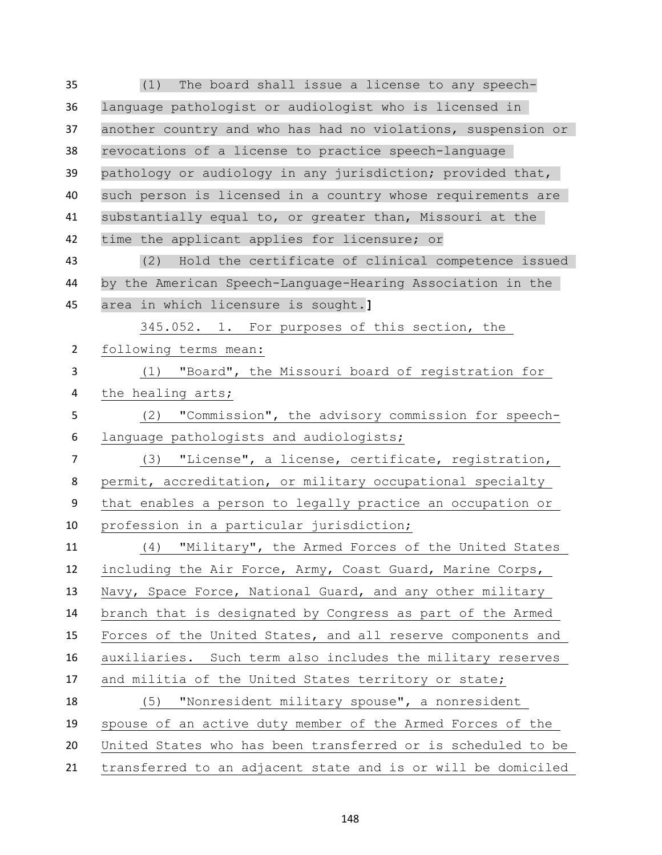(1) The board shall issue a license to any speech- language pathologist or audiologist who is licensed in another country and who has had no violations, suspension or revocations of a license to practice speech-language pathology or audiology in any jurisdiction; provided that, such person is licensed in a country whose requirements are substantially equal to, or greater than, Missouri at the time the applicant applies for licensure; or (2) Hold the certificate of clinical competence issued by the American Speech-Language-Hearing Association in the area in which licensure is sought.**]** 345.052. 1. For purposes of this section, the following terms mean: (1) "Board", the Missouri board of registration for the healing arts; (2) "Commission", the advisory commission for speech- language pathologists and audiologists; (3) "License", a license, certificate, registration, permit, accreditation, or military occupational specialty that enables a person to legally practice an occupation or profession in a particular jurisdiction; (4) "Military", the Armed Forces of the United States including the Air Force, Army, Coast Guard, Marine Corps, Navy, Space Force, National Guard, and any other military branch that is designated by Congress as part of the Armed Forces of the United States, and all reserve components and auxiliaries. Such term also includes the military reserves and militia of the United States territory or state; (5) "Nonresident military spouse", a nonresident spouse of an active duty member of the Armed Forces of the United States who has been transferred or is scheduled to be transferred to an adjacent state and is or will be domiciled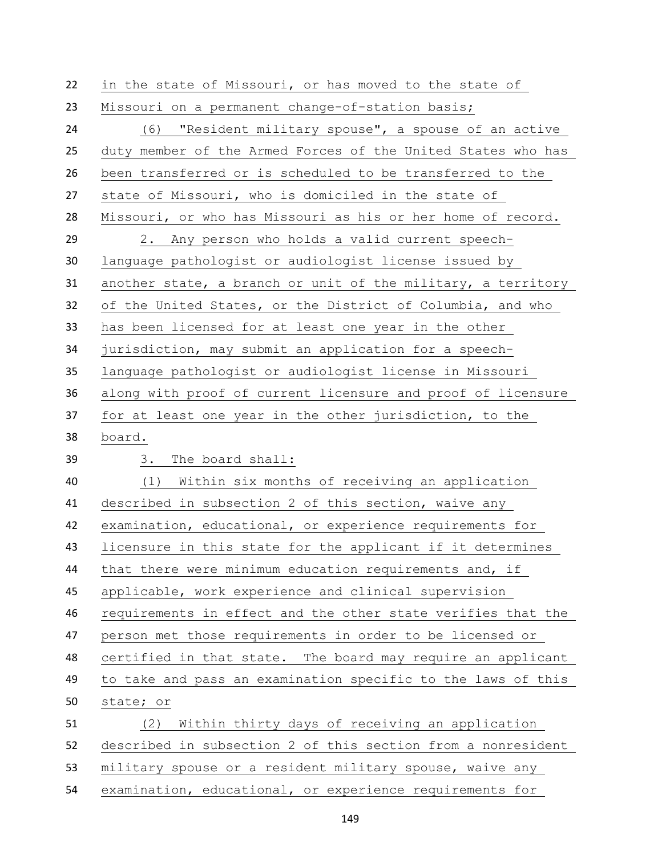| 22 | in the state of Missouri, or has moved to the state of       |
|----|--------------------------------------------------------------|
| 23 | Missouri on a permanent change-of-station basis;             |
| 24 | (6)<br>"Resident military spouse", a spouse of an active     |
| 25 | duty member of the Armed Forces of the United States who has |
| 26 | been transferred or is scheduled to be transferred to the    |
| 27 | state of Missouri, who is domiciled in the state of          |
| 28 | Missouri, or who has Missouri as his or her home of record.  |
| 29 | 2. Any person who holds a valid current speech-              |
| 30 | language pathologist or audiologist license issued by        |
| 31 | another state, a branch or unit of the military, a territory |
| 32 | of the United States, or the District of Columbia, and who   |
| 33 | has been licensed for at least one year in the other         |
| 34 | jurisdiction, may submit an application for a speech-        |
| 35 | language pathologist or audiologist license in Missouri      |
| 36 | along with proof of current licensure and proof of licensure |
| 37 | for at least one year in the other jurisdiction, to the      |
| 38 | board.                                                       |
| 39 | The board shall:<br>3.                                       |
| 40 | (1) Within six months of receiving an application            |
| 41 | described in subsection 2 of this section, waive any         |
| 42 | examination, educational, or experience requirements for     |
| 43 | licensure in this state for the applicant if it determines   |
| 44 | that there were minimum education requirements and, if       |
| 45 | applicable, work experience and clinical supervision         |
| 46 | requirements in effect and the other state verifies that the |
| 47 | person met those requirements in order to be licensed or     |
| 48 | certified in that state. The board may require an applicant  |
| 49 | to take and pass an examination specific to the laws of this |
| 50 | state; or                                                    |
| 51 | Within thirty days of receiving an application<br>(2)        |
| 52 | described in subsection 2 of this section from a nonresident |
| 53 | military spouse or a resident military spouse, waive any     |
| 54 | examination, educational, or experience requirements for     |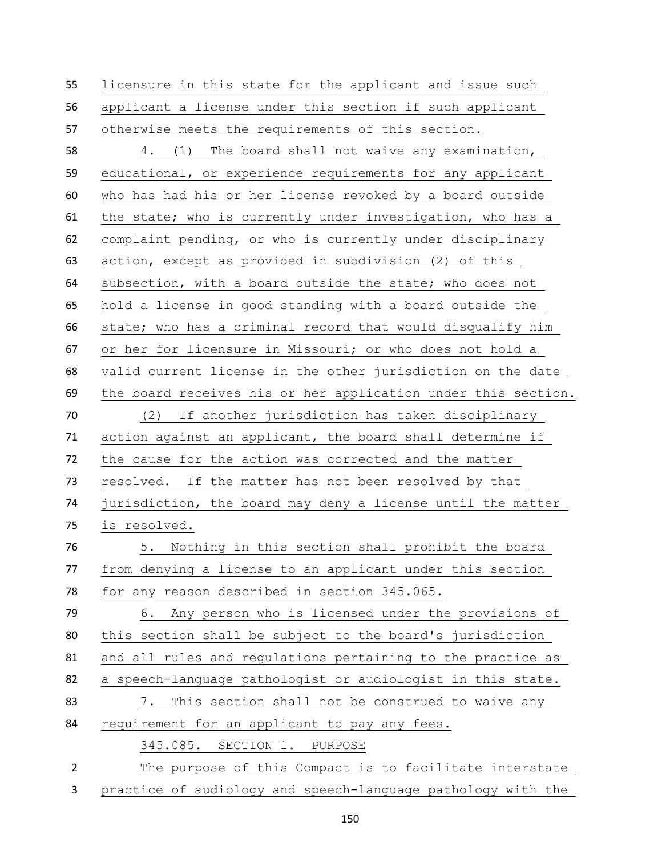licensure in this state for the applicant and issue such applicant a license under this section if such applicant otherwise meets the requirements of this section. 4. (1) The board shall not waive any examination, educational, or experience requirements for any applicant who has had his or her license revoked by a board outside the state; who is currently under investigation, who has a complaint pending, or who is currently under disciplinary action, except as provided in subdivision (2) of this subsection, with a board outside the state; who does not hold a license in good standing with a board outside the state; who has a criminal record that would disqualify him or her for licensure in Missouri; or who does not hold a valid current license in the other jurisdiction on the date the board receives his or her application under this section. (2) If another jurisdiction has taken disciplinary action against an applicant, the board shall determine if the cause for the action was corrected and the matter resolved. If the matter has not been resolved by that jurisdiction, the board may deny a license until the matter is resolved. 5. Nothing in this section shall prohibit the board from denying a license to an applicant under this section for any reason described in section 345.065. 6. Any person who is licensed under the provisions of this section shall be subject to the board's jurisdiction and all rules and regulations pertaining to the practice as a speech-language pathologist or audiologist in this state. 7. This section shall not be construed to waive any requirement for an applicant to pay any fees. 345.085. SECTION 1. PURPOSE The purpose of this Compact is to facilitate interstate

practice of audiology and speech-language pathology with the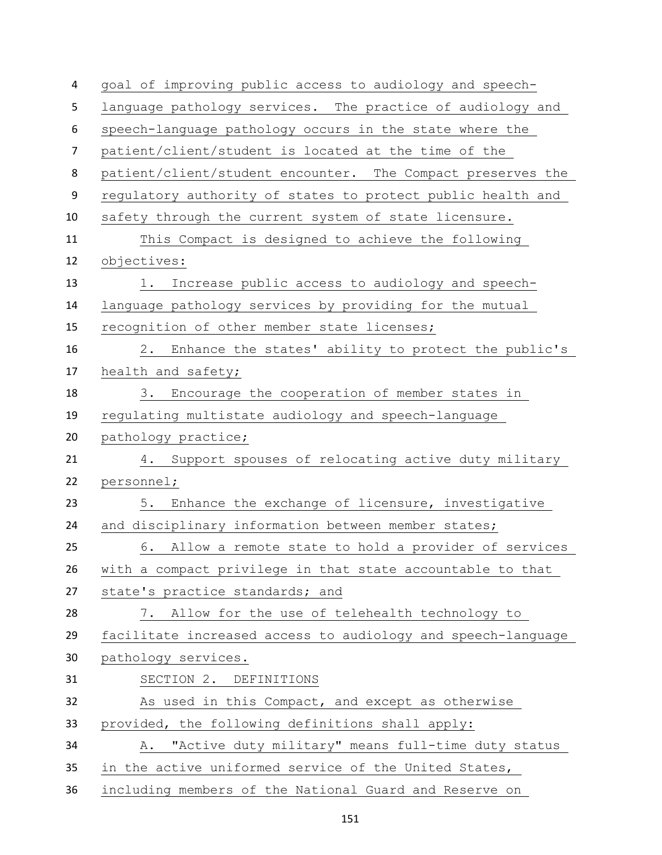| 4                | goal of improving public access to audiology and speech-     |
|------------------|--------------------------------------------------------------|
| 5                | language pathology services. The practice of audiology and   |
| 6                | speech-language pathology occurs in the state where the      |
| $\overline{7}$   | patient/client/student is located at the time of the         |
| 8                | patient/client/student encounter. The Compact preserves the  |
| $\boldsymbol{9}$ | regulatory authority of states to protect public health and  |
| 10               | safety through the current system of state licensure.        |
| 11               | This Compact is designed to achieve the following            |
| 12               | objectives:                                                  |
| 13               | Increase public access to audiology and speech-<br>1.        |
| 14               | language pathology services by providing for the mutual      |
| 15               | recognition of other member state licenses;                  |
| 16               | Enhance the states' ability to protect the public's<br>2.    |
| 17               | health and safety;                                           |
| 18               | Encourage the cooperation of member states in<br>3.          |
| 19               | regulating multistate audiology and speech-language          |
| 20               | pathology practice;                                          |
| 21               | 4. Support spouses of relocating active duty military        |
| 22               | personnel;                                                   |
| 23               | Enhance the exchange of licensure, investigative<br>5.       |
| 24               | and disciplinary information between member states;          |
| 25               | 6. Allow a remote state to hold a provider of services       |
| 26               | with a compact privilege in that state accountable to that   |
| 27               | state's practice standards; and                              |
| 28               | 7. Allow for the use of telehealth technology to             |
| 29               | facilitate increased access to audiology and speech-language |
| 30               | pathology services.                                          |
| 31               | SECTION 2. DEFINITIONS                                       |
| 32               | As used in this Compact, and except as otherwise             |
| 33               | provided, the following definitions shall apply:             |
| 34               | "Active duty military" means full-time duty status<br>Α.     |
| 35               | in the active uniformed service of the United States,        |
| 36               | including members of the National Guard and Reserve on       |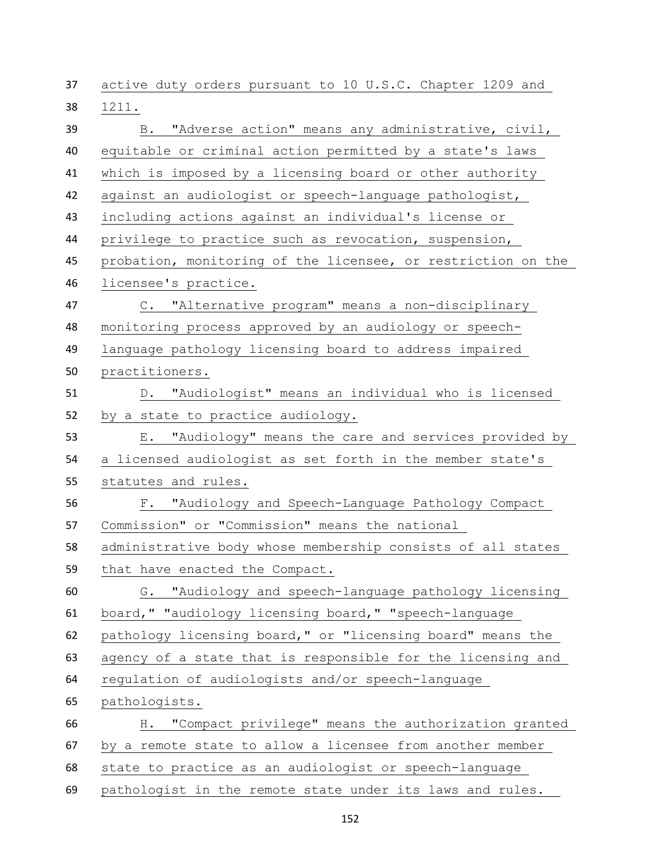active duty orders pursuant to 10 U.S.C. Chapter 1209 and 1211. B. "Adverse action" means any administrative, civil, equitable or criminal action permitted by a state's laws which is imposed by a licensing board or other authority against an audiologist or speech-language pathologist, including actions against an individual's license or privilege to practice such as revocation, suspension, probation, monitoring of the licensee, or restriction on the licensee's practice. C. "Alternative program" means a non-disciplinary monitoring process approved by an audiology or speech- language pathology licensing board to address impaired practitioners. D. "Audiologist" means an individual who is licensed by a state to practice audiology. E. "Audiology" means the care and services provided by a licensed audiologist as set forth in the member state's statutes and rules. F. "Audiology and Speech-Language Pathology Compact Commission" or "Commission" means the national administrative body whose membership consists of all states that have enacted the Compact. G. "Audiology and speech-language pathology licensing board," "audiology licensing board," "speech-language pathology licensing board," or "licensing board" means the agency of a state that is responsible for the licensing and regulation of audiologists and/or speech-language pathologists. H. "Compact privilege" means the authorization granted by a remote state to allow a licensee from another member state to practice as an audiologist or speech-language pathologist in the remote state under its laws and rules.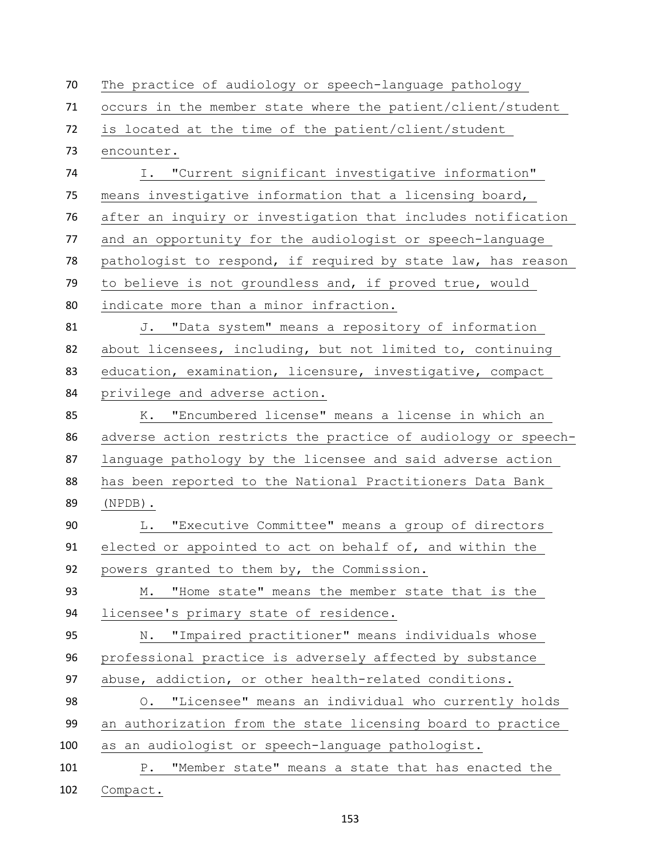| 70  | The practice of audiology or speech-language pathology        |
|-----|---------------------------------------------------------------|
| 71  | occurs in the member state where the patient/client/student   |
| 72  | is located at the time of the patient/client/student          |
| 73  | encounter.                                                    |
| 74  | I. "Current significant investigative information"            |
| 75  | means investigative information that a licensing board,       |
| 76  | after an inquiry or investigation that includes notification  |
| 77  | and an opportunity for the audiologist or speech-language     |
| 78  | pathologist to respond, if required by state law, has reason  |
| 79  | to believe is not groundless and, if proved true, would       |
| 80  | indicate more than a minor infraction.                        |
| 81  | J. "Data system" means a repository of information            |
| 82  | about licensees, including, but not limited to, continuing    |
| 83  | education, examination, licensure, investigative, compact     |
| 84  | privilege and adverse action.                                 |
| 85  | "Encumbered license" means a license in which an<br>К.        |
| 86  | adverse action restricts the practice of audiology or speech- |
| 87  | language pathology by the licensee and said adverse action    |
| 88  | has been reported to the National Practitioners Data Bank     |
| 89  | $(NPDB)$ .                                                    |
| 90  | "Executive Committee" means a group of directors<br>L.        |
| 91  | elected or appointed to act on behalf of, and within the      |
| 92  | powers granted to them by, the Commission.                    |
| 93  | "Home state" means the member state that is the<br>М.         |
| 94  | licensee's primary state of residence.                        |
| 95  | "Impaired practitioner" means individuals whose<br>Ν.         |
| 96  | professional practice is adversely affected by substance      |
| 97  | abuse, addiction, or other health-related conditions.         |
| 98  | O. "Licensee" means an individual who currently holds         |
| 99  | an authorization from the state licensing board to practice   |
| 100 | as an audiologist or speech-language pathologist.             |
| 101 | "Member state" means a state that has enacted the<br>P.       |
| 102 | Compact.                                                      |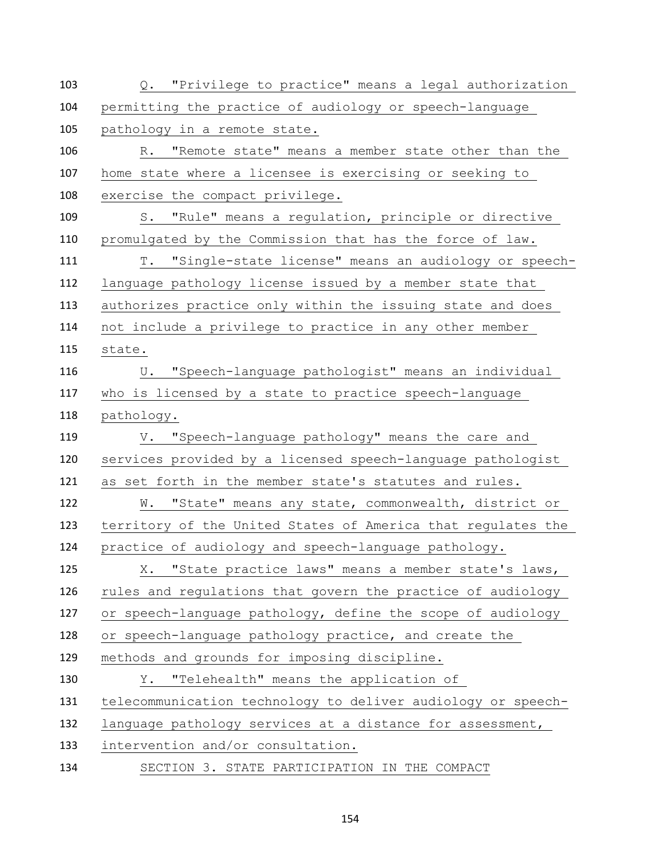| 103 | Q. "Privilege to practice" means a legal authorization       |
|-----|--------------------------------------------------------------|
| 104 | permitting the practice of audiology or speech-language      |
| 105 | pathology in a remote state.                                 |
| 106 | R. "Remote state" means a member state other than the        |
| 107 | home state where a licensee is exercising or seeking to      |
| 108 | exercise the compact privilege.                              |
| 109 | S. "Rule" means a regulation, principle or directive         |
| 110 | promulgated by the Commission that has the force of law.     |
| 111 | T. "Single-state license" means an audiology or speech-      |
| 112 | language pathology license issued by a member state that     |
| 113 | authorizes practice only within the issuing state and does   |
| 114 | not include a privilege to practice in any other member      |
| 115 | state.                                                       |
| 116 | U. "Speech-language pathologist" means an individual         |
| 117 | who is licensed by a state to practice speech-language       |
| 118 | pathology.                                                   |
| 119 | V. "Speech-language pathology" means the care and            |
| 120 | services provided by a licensed speech-language pathologist  |
| 121 | as set forth in the member state's statutes and rules.       |
| 122 | W. "State" means any state, commonwealth, district or        |
| 123 | territory of the United States of America that regulates the |
| 124 | practice of audiology and speech-language pathology.         |
| 125 | X. "State practice laws" means a member state's laws,        |
| 126 | rules and regulations that govern the practice of audiology  |
| 127 | or speech-language pathology, define the scope of audiology  |
| 128 | or speech-language pathology practice, and create the        |
| 129 | methods and grounds for imposing discipline.                 |
| 130 | Y. "Telehealth" means the application of                     |
| 131 | telecommunication technology to deliver audiology or speech- |
| 132 | language pathology services at a distance for assessment,    |
|     |                                                              |
| 133 | intervention and/or consultation.                            |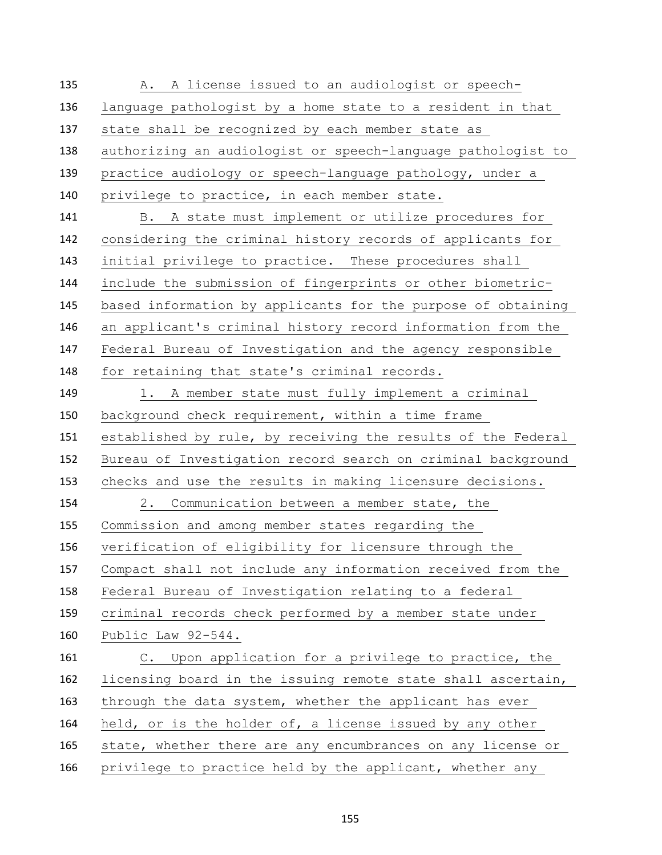A. A license issued to an audiologist or speech- language pathologist by a home state to a resident in that state shall be recognized by each member state as authorizing an audiologist or speech-language pathologist to practice audiology or speech-language pathology, under a privilege to practice, in each member state. B. A state must implement or utilize procedures for considering the criminal history records of applicants for initial privilege to practice. These procedures shall include the submission of fingerprints or other biometric- based information by applicants for the purpose of obtaining an applicant's criminal history record information from the Federal Bureau of Investigation and the agency responsible for retaining that state's criminal records. 149 1. A member state must fully implement a criminal background check requirement, within a time frame established by rule, by receiving the results of the Federal Bureau of Investigation record search on criminal background checks and use the results in making licensure decisions. 2. Communication between a member state, the Commission and among member states regarding the verification of eligibility for licensure through the Compact shall not include any information received from the Federal Bureau of Investigation relating to a federal criminal records check performed by a member state under Public Law 92-544. C. Upon application for a privilege to practice, the licensing board in the issuing remote state shall ascertain, 163 through the data system, whether the applicant has ever 164 held, or is the holder of, a license issued by any other state, whether there are any encumbrances on any license or 166 privilege to practice held by the applicant, whether any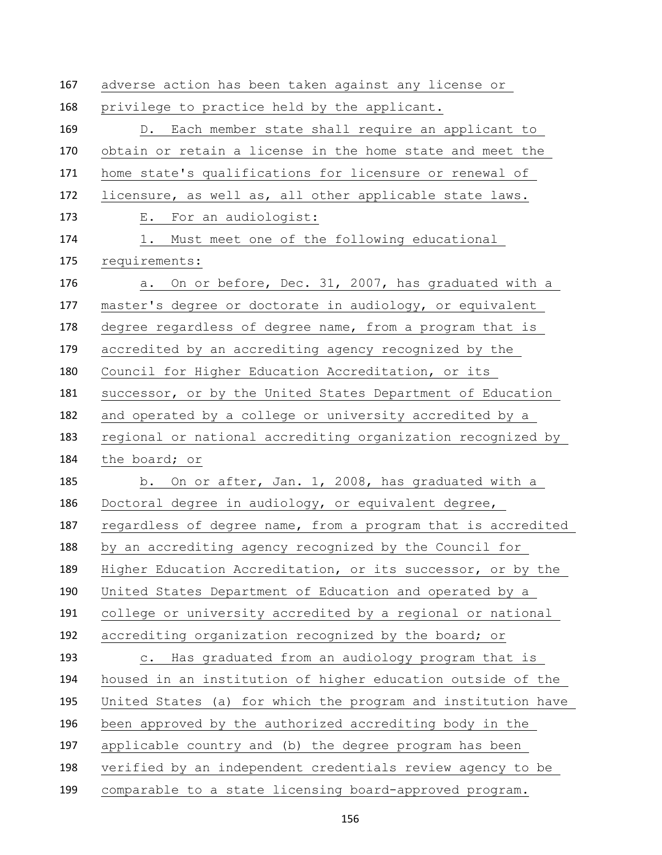adverse action has been taken against any license or privilege to practice held by the applicant. D. Each member state shall require an applicant to obtain or retain a license in the home state and meet the home state's qualifications for licensure or renewal of licensure, as well as, all other applicable state laws. E. For an audiologist: 1. Must meet one of the following educational requirements: a. On or before, Dec. 31, 2007, has graduated with a master's degree or doctorate in audiology, or equivalent degree regardless of degree name, from a program that is accredited by an accrediting agency recognized by the Council for Higher Education Accreditation, or its successor, or by the United States Department of Education and operated by a college or university accredited by a regional or national accrediting organization recognized by the board; or b. On or after, Jan. 1, 2008, has graduated with a Doctoral degree in audiology, or equivalent degree, regardless of degree name, from a program that is accredited by an accrediting agency recognized by the Council for Higher Education Accreditation, or its successor, or by the United States Department of Education and operated by a college or university accredited by a regional or national accrediting organization recognized by the board; or c. Has graduated from an audiology program that is housed in an institution of higher education outside of the United States (a) for which the program and institution have been approved by the authorized accrediting body in the applicable country and (b) the degree program has been verified by an independent credentials review agency to be comparable to a state licensing board-approved program.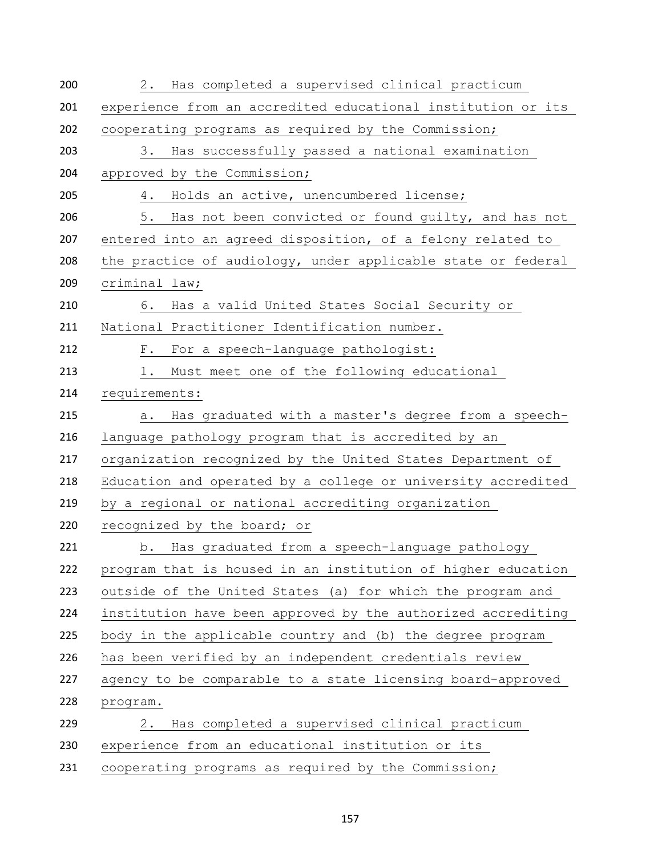| 200 | 2. Has completed a supervised clinical practicum             |
|-----|--------------------------------------------------------------|
| 201 | experience from an accredited educational institution or its |
| 202 | cooperating programs as required by the Commission;          |
| 203 | 3. Has successfully passed a national examination            |
| 204 | approved by the Commission;                                  |
| 205 | 4. Holds an active, unencumbered license;                    |
| 206 | 5. Has not been convicted or found quilty, and has not       |
| 207 | entered into an agreed disposition, of a felony related to   |
| 208 | the practice of audiology, under applicable state or federal |
| 209 | criminal law;                                                |
| 210 | 6. Has a valid United States Social Security or              |
| 211 | National Practitioner Identification number.                 |
| 212 | F. For a speech-language pathologist:                        |
| 213 | Must meet one of the following educational<br>1.             |
| 214 | requirements:                                                |
| 215 | Has graduated with a master's degree from a speech-<br>a.    |
| 216 | language pathology program that is accredited by an          |
| 217 | organization recognized by the United States Department of   |
| 218 | Education and operated by a college or university accredited |
| 219 | by a regional or national accrediting organization           |
| 220 | recognized by the board; or                                  |
| 221 | b. Has graduated from a speech-language pathology            |
| 222 | program that is housed in an institution of higher education |
| 223 | outside of the United States (a) for which the program and   |
| 224 | institution have been approved by the authorized accrediting |
| 225 | body in the applicable country and (b) the degree program    |
| 226 | has been verified by an independent credentials review       |
| 227 | agency to be comparable to a state licensing board-approved  |
| 228 | program.                                                     |
| 229 | Has completed a supervised clinical practicum<br>2.          |
| 230 | experience from an educational institution or its            |
| 231 | cooperating programs as required by the Commission;          |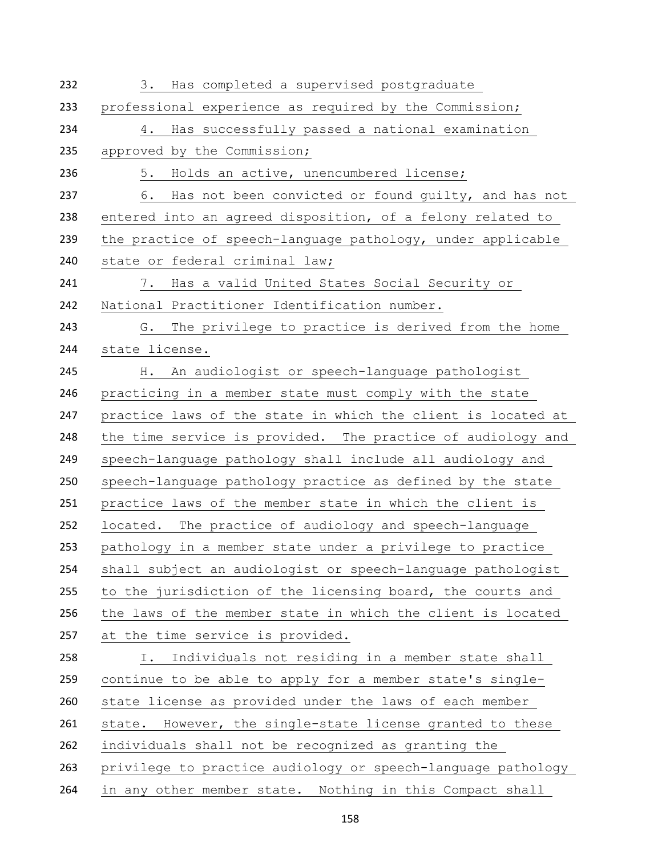| Has completed a supervised postgraduate<br>3.                |
|--------------------------------------------------------------|
| professional experience as required by the Commission;       |
| Has successfully passed a national examination<br>4.         |
| approved by the Commission;                                  |
| 5.<br>Holds an active, unencumbered license;                 |
| Has not been convicted or found guilty, and has not<br>6.    |
| entered into an agreed disposition, of a felony related to   |
| the practice of speech-language pathology, under applicable  |
| state or federal criminal law;                               |
| 7. Has a valid United States Social Security or              |
| National Practitioner Identification number.                 |
| The privilege to practice is derived from the home<br>G.     |
| state license.                                               |
| An audiologist or speech-language pathologist<br>H.          |
| practicing in a member state must comply with the state      |
| practice laws of the state in which the client is located at |
| the time service is provided. The practice of audiology and  |
| speech-language pathology shall include all audiology and    |
| speech-language pathology practice as defined by the state   |
| practice laws of the member state in which the client is     |
| located. The practice of audiology and speech-language       |
| pathology in a member state under a privilege to practice    |
| shall subject an audiologist or speech-language pathologist  |
| to the jurisdiction of the licensing board, the courts and   |
| the laws of the member state in which the client is located  |
| at the time service is provided.                             |
| Individuals not residing in a member state shall<br>I.       |
| continue to be able to apply for a member state's single-    |
| state license as provided under the laws of each member      |
| state. However, the single-state license granted to these    |
| individuals shall not be recognized as granting the          |
| privilege to practice audiology or speech-language pathology |
| in any other member state. Nothing in this Compact shall     |
|                                                              |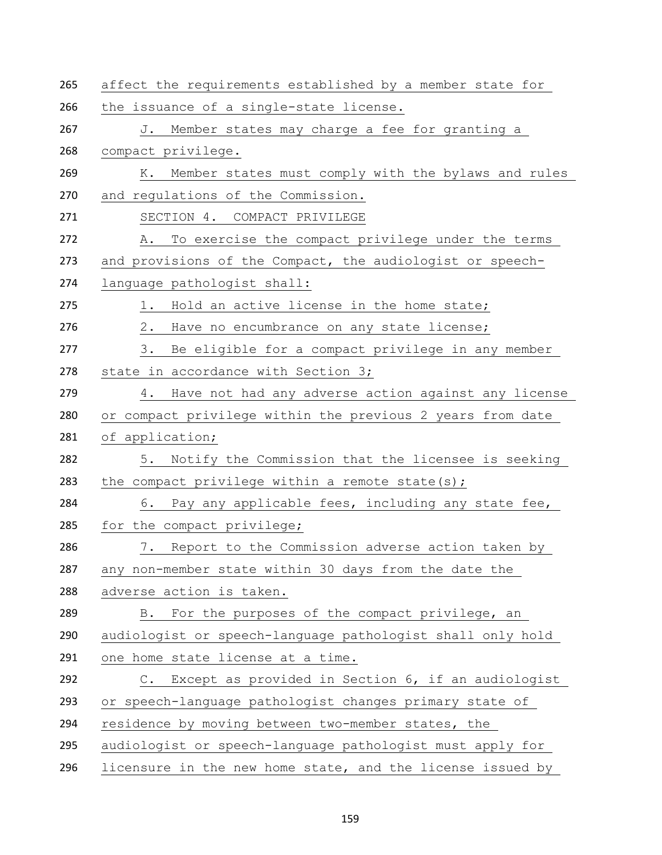| affect the requirements established by a member state for           |  |
|---------------------------------------------------------------------|--|
| the issuance of a single-state license.                             |  |
| J. Member states may charge a fee for granting a                    |  |
| compact privilege.                                                  |  |
| K. Member states must comply with the bylaws and rules              |  |
| and regulations of the Commission.                                  |  |
| SECTION 4. COMPACT PRIVILEGE                                        |  |
| To exercise the compact privilege under the terms<br>Α.             |  |
| and provisions of the Compact, the audiologist or speech-           |  |
| language pathologist shall:                                         |  |
| 1. Hold an active license in the home state;                        |  |
| 2.<br>Have no encumbrance on any state license;                     |  |
| 3. Be eligible for a compact privilege in any member                |  |
| state in accordance with Section 3;                                 |  |
| 4. Have not had any adverse action against any license              |  |
| or compact privilege within the previous 2 years from date          |  |
| of application;                                                     |  |
| 5. Notify the Commission that the licensee is seeking               |  |
| the compact privilege within a remote state(s);                     |  |
| Pay any applicable fees, including any state fee,<br>6.             |  |
| for the compact privilege;                                          |  |
| 7. Report to the Commission adverse action taken by                 |  |
| any non-member state within 30 days from the date the               |  |
| adverse action is taken.                                            |  |
| For the purposes of the compact privilege, an<br>B.                 |  |
| audiologist or speech-language pathologist shall only hold          |  |
| one home state license at a time.                                   |  |
| Except as provided in Section 6, if an audiologist<br>$\mathbb C$ . |  |
| or speech-language pathologist changes primary state of             |  |
| residence by moving between two-member states, the                  |  |
| audiologist or speech-language pathologist must apply for           |  |
| licensure in the new home state, and the license issued by          |  |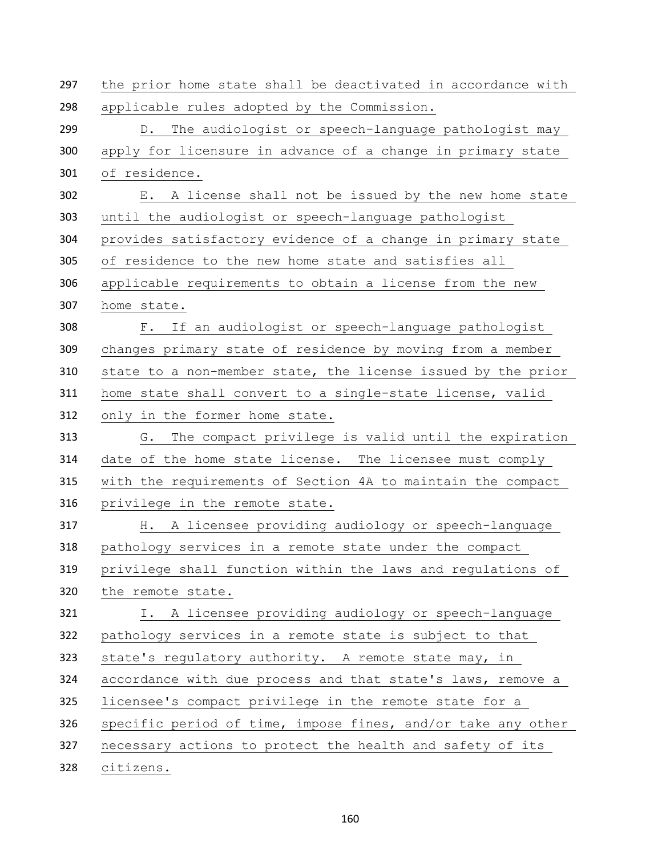| 297 | the prior home state shall be deactivated in accordance with |
|-----|--------------------------------------------------------------|
| 298 | applicable rules adopted by the Commission.                  |
| 299 | D. The audiologist or speech-language pathologist may        |
| 300 | apply for licensure in advance of a change in primary state  |
| 301 | of residence.                                                |
| 302 | E. A license shall not be issued by the new home state       |
| 303 | until the audiologist or speech-language pathologist         |
| 304 | provides satisfactory evidence of a change in primary state  |
| 305 | of residence to the new home state and satisfies all         |
| 306 | applicable requirements to obtain a license from the new     |
| 307 | home state.                                                  |
| 308 | F. If an audiologist or speech-language pathologist          |
| 309 | changes primary state of residence by moving from a member   |
| 310 | state to a non-member state, the license issued by the prior |
| 311 | home state shall convert to a single-state license, valid    |
| 312 | only in the former home state.                               |
| 313 | The compact privilege is valid until the expiration<br>G.    |
| 314 | date of the home state license. The licensee must comply     |
| 315 | with the requirements of Section 4A to maintain the compact  |
| 316 | privilege in the remote state.                               |
| 317 | H. A licensee providing audiology or speech-language         |
| 318 | pathology services in a remote state under the compact       |
| 319 | privilege shall function within the laws and regulations of  |
| 320 | the remote state.                                            |
| 321 | I. A licensee providing audiology or speech-language         |
| 322 | pathology services in a remote state is subject to that      |
| 323 | state's regulatory authority. A remote state may, in         |
| 324 | accordance with due process and that state's laws, remove a  |
| 325 | licensee's compact privilege in the remote state for a       |
| 326 | specific period of time, impose fines, and/or take any other |
| 327 | necessary actions to protect the health and safety of its    |
|     |                                                              |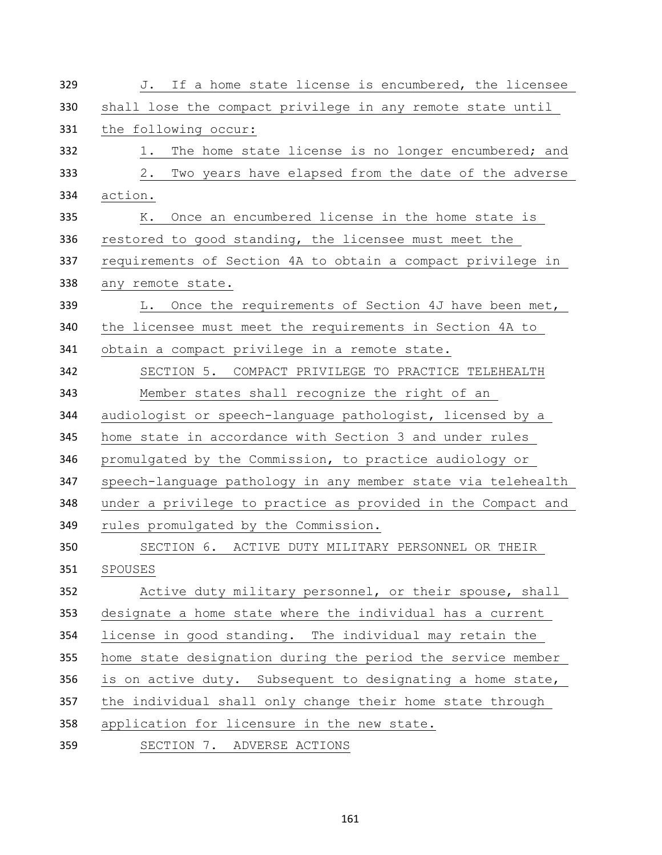| 329 | J. If a home state license is encumbered, the licensee       |
|-----|--------------------------------------------------------------|
| 330 | shall lose the compact privilege in any remote state until   |
| 331 | the following occur:                                         |
| 332 | The home state license is no longer encumbered; and<br>1.    |
| 333 | Two years have elapsed from the date of the adverse<br>2.    |
| 334 | action.                                                      |
| 335 | Once an encumbered license in the home state is<br>К.        |
| 336 | restored to good standing, the licensee must meet the        |
| 337 | requirements of Section 4A to obtain a compact privilege in  |
| 338 | any remote state.                                            |
| 339 | L. Once the requirements of Section 4J have been met,        |
| 340 | the licensee must meet the requirements in Section 4A to     |
| 341 | obtain a compact privilege in a remote state.                |
| 342 | SECTION 5. COMPACT PRIVILEGE TO PRACTICE TELEHEALTH          |
| 343 | Member states shall recognize the right of an                |
| 344 | audiologist or speech-language pathologist, licensed by a    |
| 345 | home state in accordance with Section 3 and under rules      |
| 346 | promulgated by the Commission, to practice audiology or      |
| 347 | speech-language pathology in any member state via telehealth |
| 348 | under a privilege to practice as provided in the Compact and |
| 349 | rules promulgated by the Commission.                         |
| 350 | SECTION 6. ACTIVE DUTY MILITARY PERSONNEL OR THEIR           |
| 351 | SPOUSES                                                      |
| 352 | Active duty military personnel, or their spouse, shall       |
| 353 | designate a home state where the individual has a current    |
| 354 | license in good standing. The individual may retain the      |
| 355 | home state designation during the period the service member  |
| 356 | is on active duty. Subsequent to designating a home state,   |
| 357 | the individual shall only change their home state through    |
| 358 | application for licensure in the new state.                  |
| 359 | SECTION 7. ADVERSE ACTIONS                                   |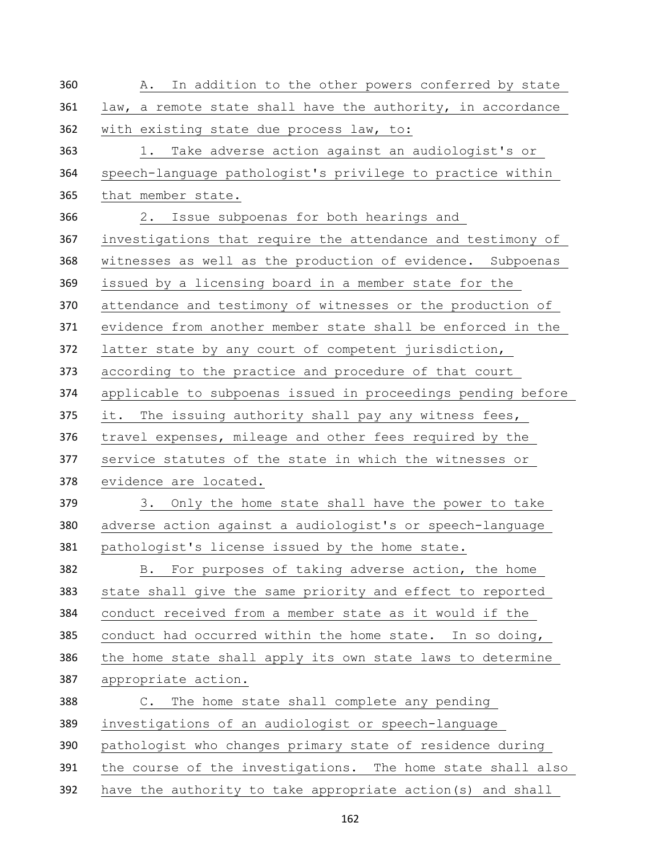| 360 | In addition to the other powers conferred by state<br>Α.     |
|-----|--------------------------------------------------------------|
| 361 | law, a remote state shall have the authority, in accordance  |
| 362 | with existing state due process law, to:                     |
| 363 | 1. Take adverse action against an audiologist's or           |
| 364 | speech-language pathologist's privilege to practice within   |
| 365 | that member state.                                           |
| 366 | 2. Issue subpoenas for both hearings and                     |
| 367 | investigations that require the attendance and testimony of  |
| 368 | witnesses as well as the production of evidence. Subpoenas   |
| 369 | issued by a licensing board in a member state for the        |
| 370 | attendance and testimony of witnesses or the production of   |
| 371 | evidence from another member state shall be enforced in the  |
| 372 | latter state by any court of competent jurisdiction,         |
| 373 | according to the practice and procedure of that court        |
| 374 | applicable to subpoenas issued in proceedings pending before |
| 375 | it. The issuing authority shall pay any witness fees,        |
| 376 | travel expenses, mileage and other fees required by the      |
| 377 | service statutes of the state in which the witnesses or      |
| 378 | evidence are located.                                        |
| 379 | Only the home state shall have the power to take<br>3.       |
| 380 | adverse action against a audiologist's or speech-language    |
| 381 | pathologist's license issued by the home state.              |
| 382 | For purposes of taking adverse action, the home<br>B.        |
| 383 | state shall give the same priority and effect to reported    |
| 384 | conduct received from a member state as it would if the      |
| 385 | conduct had occurred within the home state. In so doing,     |
| 386 | the home state shall apply its own state laws to determine   |
| 387 | appropriate action.                                          |
| 388 | C. The home state shall complete any pending                 |
| 389 | investigations of an audiologist or speech-language          |
| 390 | pathologist who changes primary state of residence during    |
| 391 | the course of the investigations. The home state shall also  |
| 392 | have the authority to take appropriate action (s) and shall  |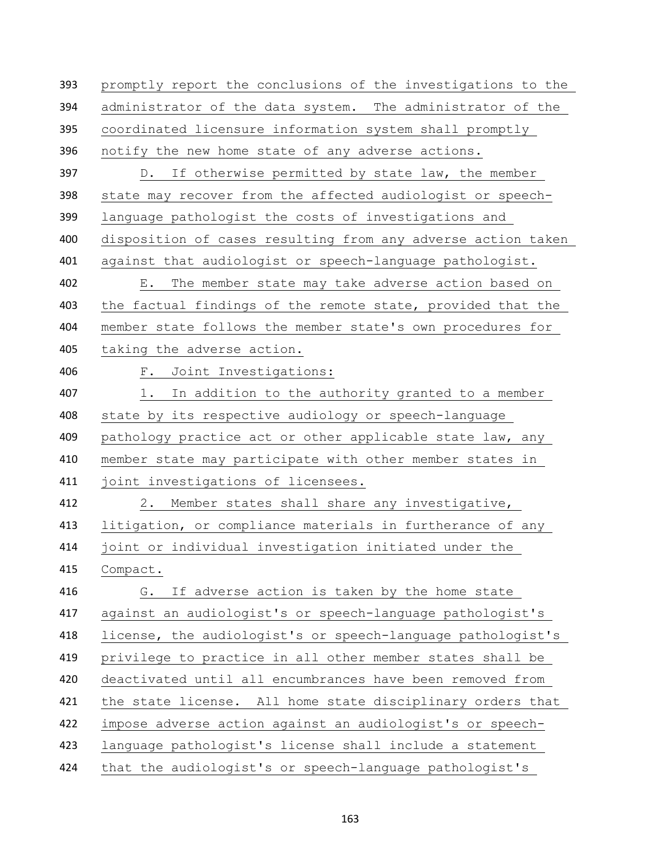promptly report the conclusions of the investigations to the administrator of the data system. The administrator of the coordinated licensure information system shall promptly notify the new home state of any adverse actions. D. If otherwise permitted by state law, the member state may recover from the affected audiologist or speech- language pathologist the costs of investigations and disposition of cases resulting from any adverse action taken against that audiologist or speech-language pathologist. E. The member state may take adverse action based on the factual findings of the remote state, provided that the member state follows the member state's own procedures for taking the adverse action. F. Joint Investigations: 1. In addition to the authority granted to a member state by its respective audiology or speech-language pathology practice act or other applicable state law, any member state may participate with other member states in joint investigations of licensees. 2. Member states shall share any investigative, litigation, or compliance materials in furtherance of any joint or individual investigation initiated under the Compact. G. If adverse action is taken by the home state against an audiologist's or speech-language pathologist's license, the audiologist's or speech-language pathologist's privilege to practice in all other member states shall be deactivated until all encumbrances have been removed from 421 the state license. All home state disciplinary orders that impose adverse action against an audiologist's or speech- language pathologist's license shall include a statement that the audiologist's or speech-language pathologist's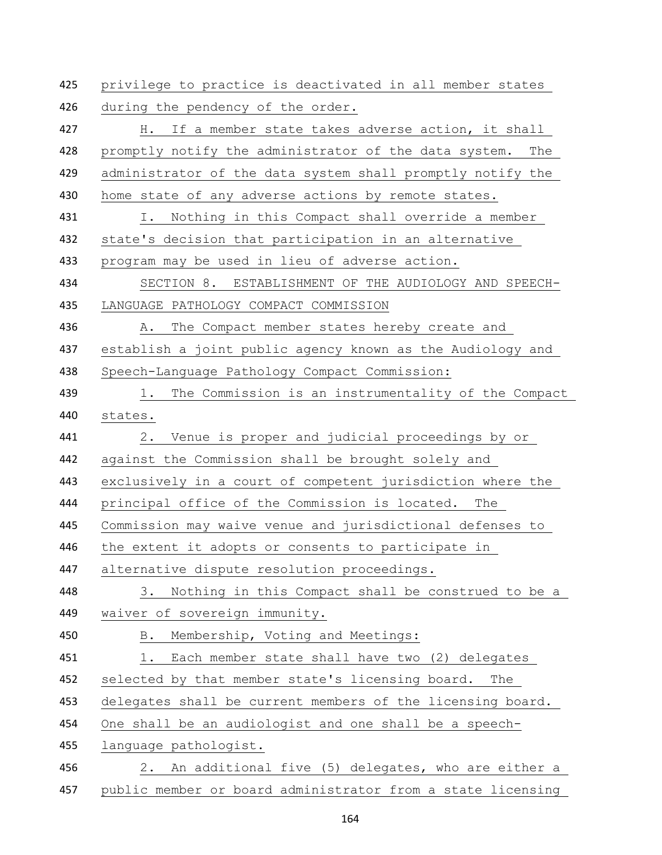privilege to practice is deactivated in all member states 426 during the pendency of the order. H. If a member state takes adverse action, it shall promptly notify the administrator of the data system. The administrator of the data system shall promptly notify the 430 home state of any adverse actions by remote states. I. Nothing in this Compact shall override a member state's decision that participation in an alternative program may be used in lieu of adverse action. SECTION 8. ESTABLISHMENT OF THE AUDIOLOGY AND SPEECH- LANGUAGE PATHOLOGY COMPACT COMMISSION 436 A. The Compact member states hereby create and establish a joint public agency known as the Audiology and Speech-Language Pathology Compact Commission: 439 1. The Commission is an instrumentality of the Compact states. 2. Venue is proper and judicial proceedings by or against the Commission shall be brought solely and exclusively in a court of competent jurisdiction where the principal office of the Commission is located. The Commission may waive venue and jurisdictional defenses to the extent it adopts or consents to participate in alternative dispute resolution proceedings. 3. Nothing in this Compact shall be construed to be a waiver of sovereign immunity. B. Membership, Voting and Meetings: 1. Each member state shall have two (2) delegates selected by that member state's licensing board. The 453 delegates shall be current members of the licensing board. One shall be an audiologist and one shall be a speech- language pathologist. 2. An additional five (5) delegates, who are either a public member or board administrator from a state licensing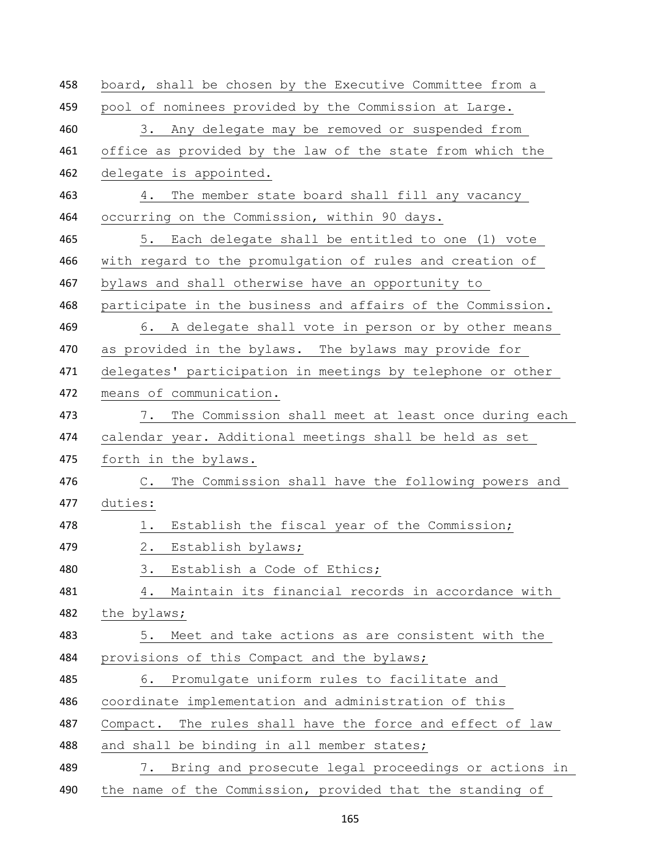| 458 | board, shall be chosen by the Executive Committee from a             |
|-----|----------------------------------------------------------------------|
| 459 | pool of nominees provided by the Commission at Large.                |
| 460 | 3. Any delegate may be removed or suspended from                     |
| 461 | office as provided by the law of the state from which the            |
| 462 | delegate is appointed.                                               |
| 463 | The member state board shall fill any vacancy<br>4.                  |
| 464 | occurring on the Commission, within 90 days.                         |
| 465 | 5. Each delegate shall be entitled to one (1) vote                   |
| 466 | with regard to the promulgation of rules and creation of             |
| 467 | bylaws and shall otherwise have an opportunity to                    |
| 468 | participate in the business and affairs of the Commission.           |
| 469 | 6. A delegate shall vote in person or by other means                 |
| 470 | as provided in the bylaws. The bylaws may provide for                |
| 471 | delegates' participation in meetings by telephone or other           |
| 472 | means of communication.                                              |
| 473 | 7. The Commission shall meet at least once during each               |
| 474 | calendar year. Additional meetings shall be held as set              |
| 475 | forth in the bylaws.                                                 |
| 476 | The Commission shall have the following powers and<br>$\mathbb{C}$ . |
| 477 | duties:                                                              |
| 478 | Establish the fiscal year of the Commission;<br>1.                   |
| 479 | $2$ .<br>Establish bylaws;                                           |
| 480 | Establish a Code of Ethics;<br>3.                                    |
| 481 | 4. Maintain its financial records in accordance with                 |
| 482 | the bylaws;                                                          |
| 483 | 5. Meet and take actions as are consistent with the                  |
| 484 | provisions of this Compact and the bylaws;                           |
| 485 | Promulgate uniform rules to facilitate and<br>6.                     |
| 486 | coordinate implementation and administration of this                 |
| 487 | The rules shall have the force and effect of law<br>Compact.         |
| 488 | and shall be binding in all member states;                           |
| 489 | Bring and prosecute legal proceedings or actions in<br>7.            |
| 490 | the name of the Commission, provided that the standing of            |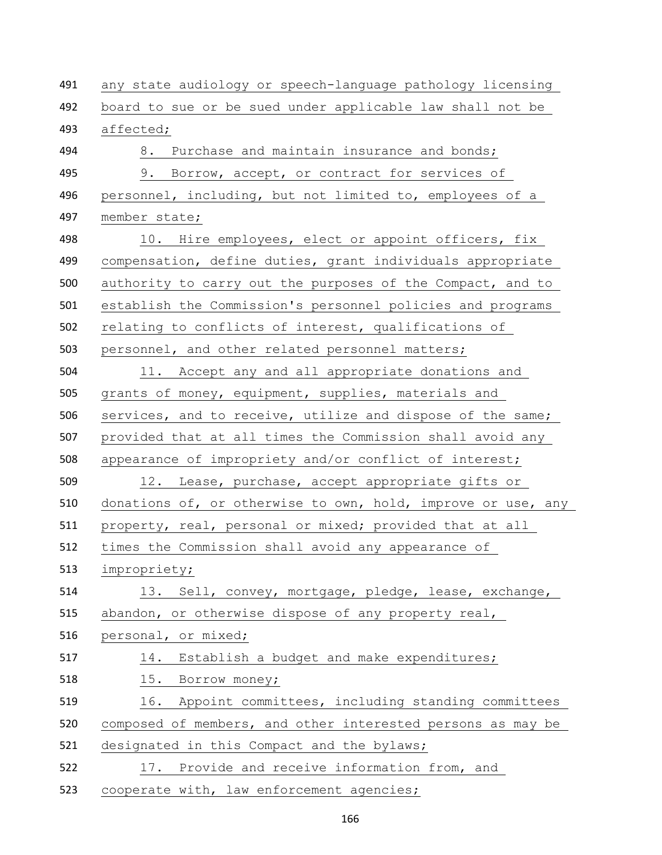any state audiology or speech-language pathology licensing board to sue or be sued under applicable law shall not be affected; 494 8. Purchase and maintain insurance and bonds; 9. Borrow, accept, or contract for services of personnel, including, but not limited to, employees of a member state; 498 10. Hire employees, elect or appoint officers, fix compensation, define duties, grant individuals appropriate authority to carry out the purposes of the Compact, and to establish the Commission's personnel policies and programs relating to conflicts of interest, qualifications of personnel, and other related personnel matters; 11. Accept any and all appropriate donations and grants of money, equipment, supplies, materials and services, and to receive, utilize and dispose of the same; provided that at all times the Commission shall avoid any appearance of impropriety and/or conflict of interest; 12. Lease, purchase, accept appropriate gifts or donations of, or otherwise to own, hold, improve or use, any property, real, personal or mixed; provided that at all times the Commission shall avoid any appearance of impropriety; 13. Sell, convey, mortgage, pledge, lease, exchange, 515 abandon, or otherwise dispose of any property real, personal, or mixed; 14. Establish a budget and make expenditures; 518 15. Borrow money; 519 16. Appoint committees, including standing committees composed of members, and other interested persons as may be 521 designated in this Compact and the bylaws; 17. Provide and receive information from, and 523 cooperate with, law enforcement agencies;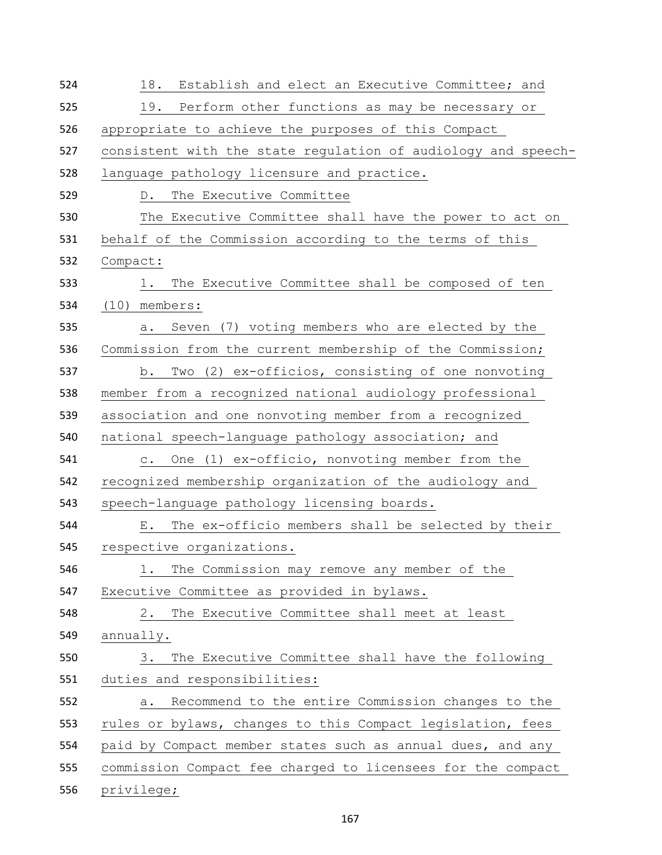| 524 | 18. Establish and elect an Executive Committee; and             |
|-----|-----------------------------------------------------------------|
| 525 | 19.<br>Perform other functions as may be necessary or           |
| 526 | appropriate to achieve the purposes of this Compact             |
| 527 | consistent with the state regulation of audiology and speech-   |
| 528 | language pathology licensure and practice.                      |
| 529 | The Executive Committee<br>$D_{\bullet}$                        |
| 530 | The Executive Committee shall have the power to act on          |
| 531 | behalf of the Commission according to the terms of this         |
| 532 | Compact:                                                        |
| 533 | The Executive Committee shall be composed of ten<br>1.          |
| 534 | $(10)$ members:                                                 |
| 535 | Seven (7) voting members who are elected by the<br>а.           |
| 536 | Commission from the current membership of the Commission;       |
| 537 | Two (2) ex-officios, consisting of one nonvoting<br>b.          |
| 538 | member from a recognized national audiology professional        |
| 539 | association and one nonvoting member from a recognized          |
| 540 | national speech-language pathology association; and             |
| 541 | One (1) ex-officio, nonvoting member from the<br>$\mathsf{C}$ . |
| 542 | recognized membership organization of the audiology and         |
| 543 | speech-language pathology licensing boards.                     |
| 544 | The ex-officio members shall be selected by their<br>Е.         |
| 545 | respective organizations.                                       |
| 546 | The Commission may remove any member of the<br>1.               |
| 547 | Executive Committee as provided in bylaws.                      |
| 548 | The Executive Committee shall meet at least<br>2.               |
| 549 | annually.                                                       |
| 550 | The Executive Committee shall have the following<br>3.          |
| 551 | duties and responsibilities:                                    |
| 552 | Recommend to the entire Commission changes to the<br>а.         |
| 553 | rules or bylaws, changes to this Compact legislation, fees      |
| 554 | paid by Compact member states such as annual dues, and any      |
| 555 | commission Compact fee charged to licensees for the compact     |
| 556 | privilege;                                                      |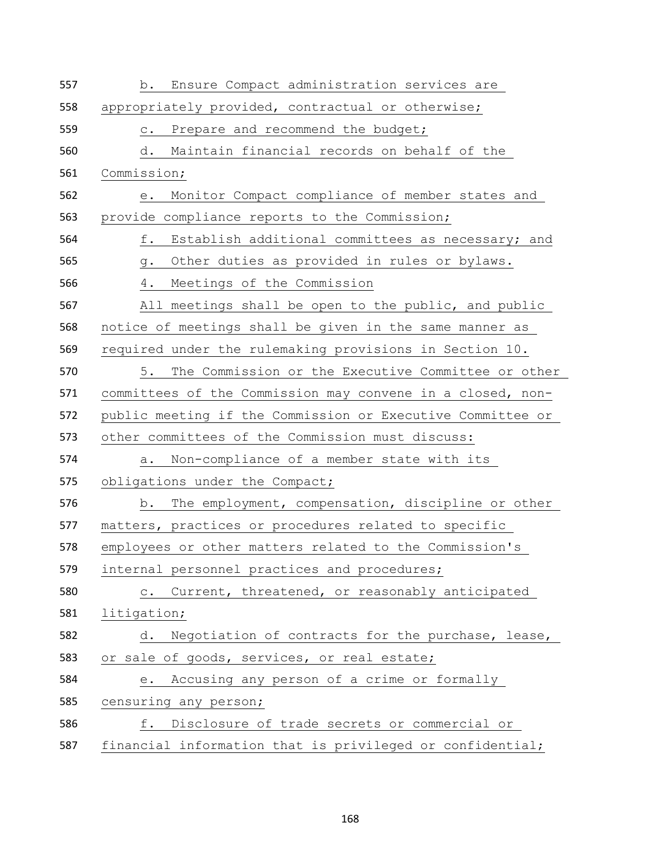| 557 | b. Ensure Compact administration services are              |
|-----|------------------------------------------------------------|
| 558 | appropriately provided, contractual or otherwise;          |
| 559 | c. Prepare and recommend the budget;                       |
| 560 | Maintain financial records on behalf of the<br>d.          |
| 561 | Commission;                                                |
| 562 | e. Monitor Compact compliance of member states and         |
| 563 | provide compliance reports to the Commission;              |
| 564 | f. Establish additional committees as necessary; and       |
| 565 | Other duties as provided in rules or bylaws.<br>g.         |
| 566 | Meetings of the Commission<br>4.                           |
| 567 | All meetings shall be open to the public, and public       |
| 568 | notice of meetings shall be given in the same manner as    |
| 569 | required under the rulemaking provisions in Section 10.    |
| 570 | The Commission or the Executive Committee or other<br>5.   |
| 571 | committees of the Commission may convene in a closed, non- |
| 572 | public meeting if the Commission or Executive Committee or |
| 573 | other committees of the Commission must discuss:           |
| 574 | Non-compliance of a member state with its<br>а.            |
| 575 | obligations under the Compact;                             |
| 576 | The employment, compensation, discipline or other<br>b.    |
| 577 | matters, practices or procedures related to specific       |
| 578 | employees or other matters related to the Commission's     |
| 579 | internal personnel practices and procedures;               |
| 580 | c. Current, threatened, or reasonably anticipated          |
| 581 | litigation;                                                |
| 582 | Negotiation of contracts for the purchase, lease,<br>d.    |
| 583 | or sale of goods, services, or real estate;                |
| 584 | Accusing any person of a crime or formally<br>е.           |
| 585 | censuring any person;                                      |
| 586 | f. Disclosure of trade secrets or commercial or            |
| 587 | financial information that is privileged or confidential;  |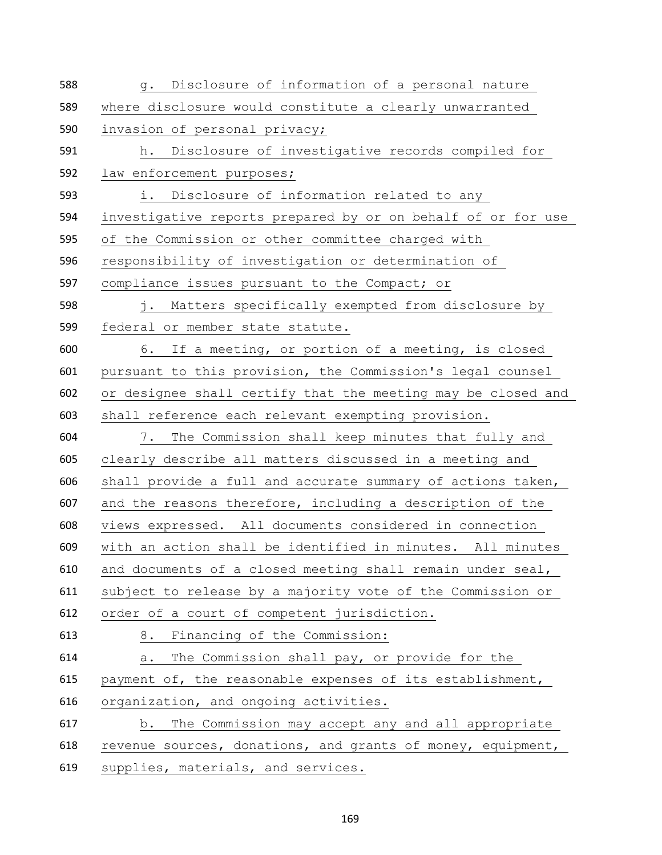| 588 | g. Disclosure of information of a personal nature            |
|-----|--------------------------------------------------------------|
| 589 | where disclosure would constitute a clearly unwarranted      |
| 590 | invasion of personal privacy;                                |
| 591 | h. Disclosure of investigative records compiled for          |
| 592 | law enforcement purposes;                                    |
| 593 | i. Disclosure of information related to any                  |
| 594 | investigative reports prepared by or on behalf of or for use |
| 595 | of the Commission or other committee charged with            |
| 596 | responsibility of investigation or determination of          |
| 597 | compliance issues pursuant to the Compact; or                |
| 598 | j. Matters specifically exempted from disclosure by          |
| 599 | federal or member state statute.                             |
| 600 | 6. If a meeting, or portion of a meeting, is closed          |
| 601 | pursuant to this provision, the Commission's legal counsel   |
| 602 | or designee shall certify that the meeting may be closed and |
| 603 | shall reference each relevant exempting provision.           |
| 604 | 7. The Commission shall keep minutes that fully and          |
| 605 | clearly describe all matters discussed in a meeting and      |
| 606 | shall provide a full and accurate summary of actions taken,  |
| 607 | and the reasons therefore, including a description of the    |
| 608 | views expressed. All documents considered in connection      |
| 609 | with an action shall be identified in minutes. All minutes   |
| 610 | and documents of a closed meeting shall remain under seal,   |
| 611 | subject to release by a majority vote of the Commission or   |
| 612 | order of a court of competent jurisdiction.                  |
| 613 | 8. Financing of the Commission:                              |
| 614 | The Commission shall pay, or provide for the<br>а.           |
| 615 | payment of, the reasonable expenses of its establishment,    |
| 616 | organization, and ongoing activities.                        |
| 617 | b. The Commission may accept any and all appropriate         |
| 618 | revenue sources, donations, and grants of money, equipment,  |
| 619 | supplies, materials, and services.                           |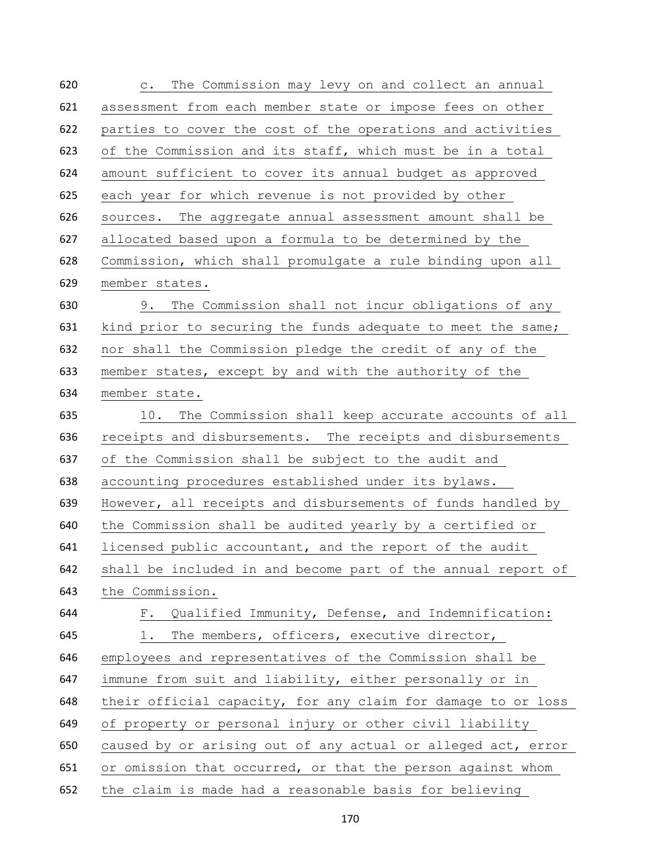| 620 | The Commission may levy on and collect an annual<br>$\circ$ . |
|-----|---------------------------------------------------------------|
| 621 | assessment from each member state or impose fees on other     |
| 622 | parties to cover the cost of the operations and activities    |
| 623 | of the Commission and its staff, which must be in a total     |
| 624 | amount sufficient to cover its annual budget as approved      |
| 625 | each year for which revenue is not provided by other          |
| 626 | sources. The aggregate annual assessment amount shall be      |
| 627 | allocated based upon a formula to be determined by the        |
| 628 | Commission, which shall promulgate a rule binding upon all    |
| 629 | member states.                                                |
| 630 | 9. The Commission shall not incur obligations of any          |
| 631 | kind prior to securing the funds adequate to meet the same;   |
| 632 | nor shall the Commission pledge the credit of any of the      |
| 633 | member states, except by and with the authority of the        |
| 634 | member state.                                                 |
| 635 | 10. The Commission shall keep accurate accounts of all        |
| 636 | receipts and disbursements. The receipts and disbursements    |
| 637 | of the Commission shall be subject to the audit and           |
| 638 | accounting procedures established under its bylaws.           |
| 639 | However, all receipts and disbursements of funds handled by   |
| 640 | the Commission shall be audited yearly by a certified or      |
| 641 | licensed public accountant, and the report of the audit       |
| 642 | shall be included in and become part of the annual report of  |
| 643 | the Commission.                                               |
| 644 | F. Qualified Immunity, Defense, and Indemnification:          |
| 645 | 1. The members, officers, executive director,                 |
| 646 | employees and representatives of the Commission shall be      |
| 647 | immune from suit and liability, either personally or in       |
| 648 | their official capacity, for any claim for damage to or loss  |
| 649 | of property or personal injury or other civil liability       |
| 650 | caused by or arising out of any actual or alleged act, error  |
| 651 | or omission that occurred, or that the person against whom    |
| 652 | the claim is made had a reasonable basis for believing        |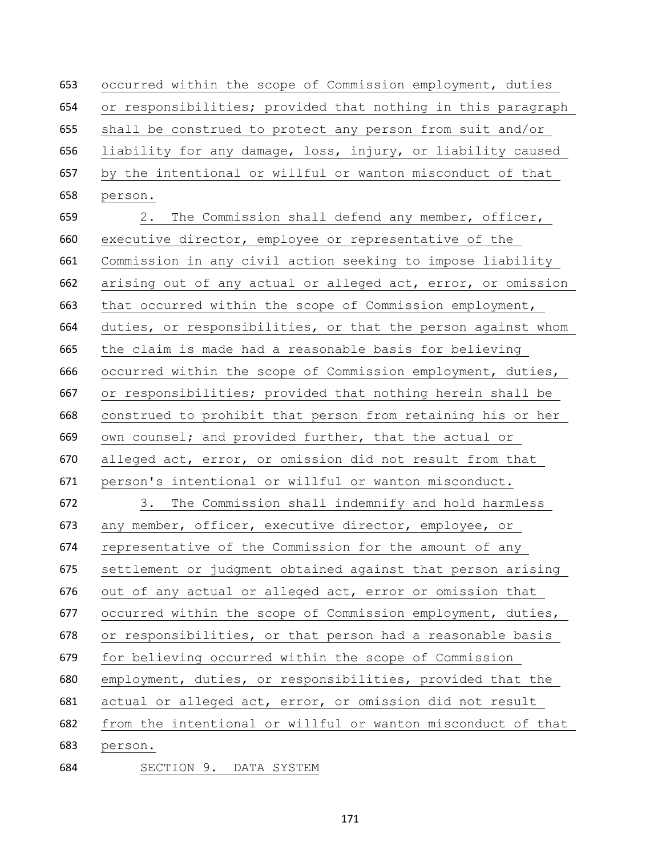occurred within the scope of Commission employment, duties or responsibilities; provided that nothing in this paragraph shall be construed to protect any person from suit and/or liability for any damage, loss, injury, or liability caused by the intentional or willful or wanton misconduct of that person.

 2. The Commission shall defend any member, officer, executive director, employee or representative of the Commission in any civil action seeking to impose liability arising out of any actual or alleged act, error, or omission that occurred within the scope of Commission employment, duties, or responsibilities, or that the person against whom the claim is made had a reasonable basis for believing occurred within the scope of Commission employment, duties, or responsibilities; provided that nothing herein shall be construed to prohibit that person from retaining his or her own counsel; and provided further, that the actual or alleged act, error, or omission did not result from that person's intentional or willful or wanton misconduct. 3. The Commission shall indemnify and hold harmless any member, officer, executive director, employee, or representative of the Commission for the amount of any settlement or judgment obtained against that person arising out of any actual or alleged act, error or omission that occurred within the scope of Commission employment, duties, or responsibilities, or that person had a reasonable basis for believing occurred within the scope of Commission employment, duties, or responsibilities, provided that the actual or alleged act, error, or omission did not result from the intentional or willful or wanton misconduct of that person.

SECTION 9. DATA SYSTEM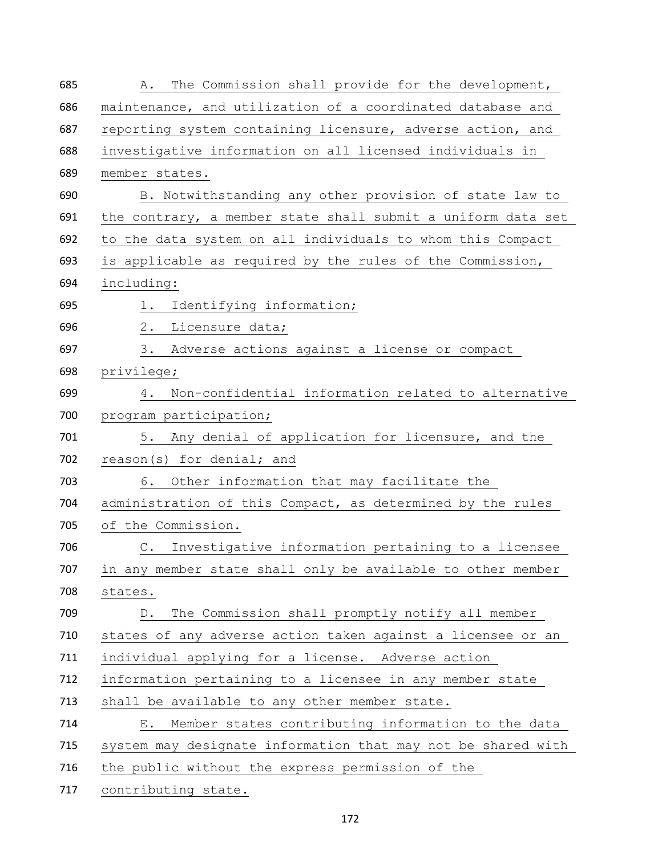| 685 | The Commission shall provide for the development,<br>Α.      |
|-----|--------------------------------------------------------------|
| 686 | maintenance, and utilization of a coordinated database and   |
| 687 | reporting system containing licensure, adverse action, and   |
| 688 | investigative information on all licensed individuals in     |
| 689 | member states.                                               |
| 690 | B. Notwithstanding any other provision of state law to       |
| 691 | the contrary, a member state shall submit a uniform data set |
| 692 | to the data system on all individuals to whom this Compact   |
| 693 | is applicable as required by the rules of the Commission,    |
| 694 | including:                                                   |
| 695 | 1. Identifying information;                                  |
| 696 | 2. Licensure data;                                           |
| 697 | 3. Adverse actions against a license or compact              |
| 698 | privilege;                                                   |
| 699 | 4. Non-confidential information related to alternative       |
| 700 | program participation;                                       |
| 701 | 5. Any denial of application for licensure, and the          |
| 702 | reason(s) for denial; and                                    |
| 703 | 6. Other information that may facilitate the                 |
| 704 | administration of this Compact, as determined by the rules   |
| 705 | of the Commission.                                           |
| 706 | C. Investigative information pertaining to a licensee        |
| 707 | in any member state shall only be available to other member  |
| 708 | states.                                                      |
| 709 | The Commission shall promptly notify all member<br>$D$ .     |
| 710 | states of any adverse action taken against a licensee or an  |
| 711 | individual applying for a license. Adverse action            |
| 712 | information pertaining to a licensee in any member state     |
| 713 | shall be available to any other member state.                |
| 714 | Member states contributing information to the data<br>$E$ .  |
| 715 | system may designate information that may not be shared with |
| 716 | the public without the express permission of the             |
| 717 | contributing state.                                          |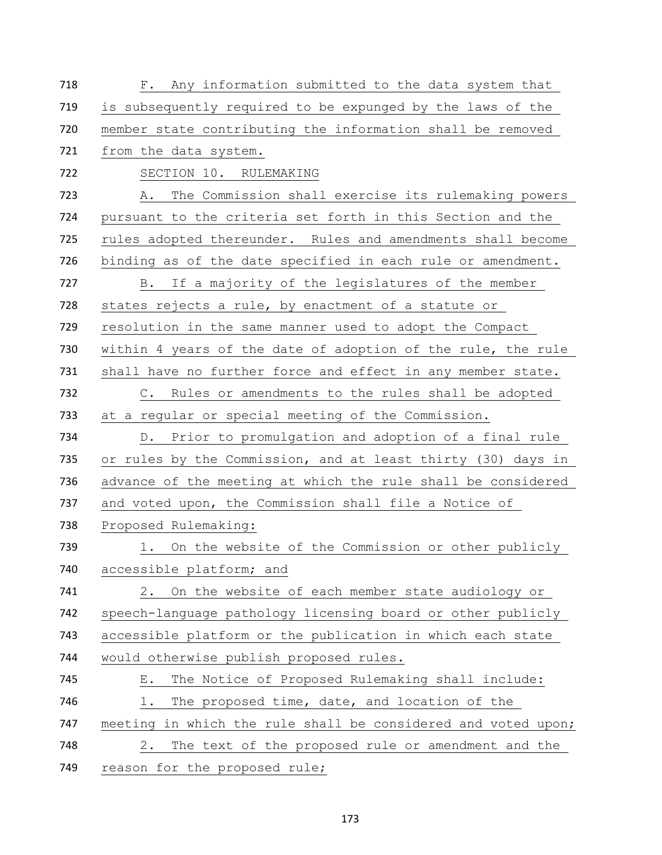| 718 | F. Any information submitted to the data system that          |
|-----|---------------------------------------------------------------|
| 719 | is subsequently required to be expunged by the laws of the    |
| 720 | member state contributing the information shall be removed    |
| 721 | from the data system.                                         |
| 722 | SECTION 10. RULEMAKING                                        |
| 723 | The Commission shall exercise its rulemaking powers<br>Α.     |
| 724 | pursuant to the criteria set forth in this Section and the    |
| 725 | rules adopted thereunder. Rules and amendments shall become   |
| 726 | binding as of the date specified in each rule or amendment.   |
| 727 | B. If a majority of the legislatures of the member            |
| 728 | states rejects a rule, by enactment of a statute or           |
| 729 | resolution in the same manner used to adopt the Compact       |
| 730 | within 4 years of the date of adoption of the rule, the rule  |
| 731 | shall have no further force and effect in any member state.   |
| 732 | C. Rules or amendments to the rules shall be adopted          |
| 733 | at a regular or special meeting of the Commission.            |
| 734 | D. Prior to promulgation and adoption of a final rule         |
| 735 | or rules by the Commission, and at least thirty (30) days in  |
| 736 | advance of the meeting at which the rule shall be considered  |
| 737 | and voted upon, the Commission shall file a Notice of         |
| 738 | Proposed Rulemaking:                                          |
| 739 | 1. On the website of the Commission or other publicly         |
| 740 | accessible platform; and                                      |
| 741 | 2. On the website of each member state audiology or           |
| 742 |                                                               |
|     | speech-language pathology licensing board or other publicly   |
| 743 | accessible platform or the publication in which each state    |
| 744 | would otherwise publish proposed rules.                       |
| 745 | The Notice of Proposed Rulemaking shall include:<br>Е.        |
| 746 | 1.<br>The proposed time, date, and location of the            |
| 747 | meeting in which the rule shall be considered and voted upon; |
| 748 | The text of the proposed rule or amendment and the<br>2.      |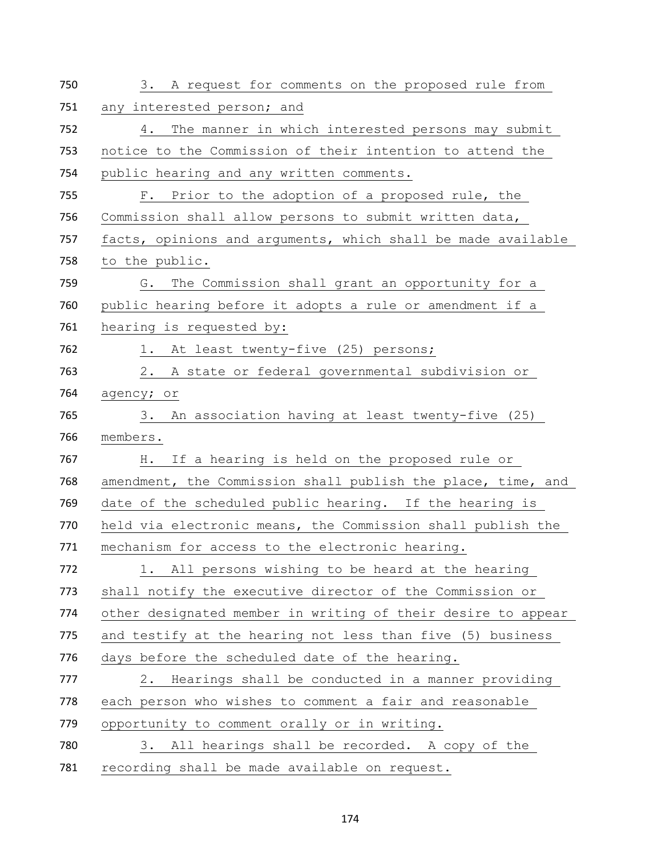| 750 | 3. A request for comments on the proposed rule from          |
|-----|--------------------------------------------------------------|
| 751 | any interested person; and                                   |
| 752 | 4. The manner in which interested persons may submit         |
| 753 | notice to the Commission of their intention to attend the    |
| 754 | public hearing and any written comments.                     |
| 755 | F. Prior to the adoption of a proposed rule, the             |
| 756 | Commission shall allow persons to submit written data,       |
| 757 | facts, opinions and arguments, which shall be made available |
| 758 | to the public.                                               |
| 759 | G. The Commission shall grant an opportunity for a           |
| 760 | public hearing before it adopts a rule or amendment if a     |
| 761 | hearing is requested by:                                     |
| 762 | 1. At least twenty-five (25) persons;                        |
| 763 | 2. A state or federal governmental subdivision or            |
| 764 | agency; or                                                   |
| 765 | 3. An association having at least twenty-five (25)           |
| 766 | members.                                                     |
| 767 |                                                              |
|     | If a hearing is held on the proposed rule or<br>H.           |
| 768 | amendment, the Commission shall publish the place, time, and |
| 769 | date of the scheduled public hearing. If the hearing is      |
| 770 | held via electronic means, the Commission shall publish the  |
| 771 | mechanism for access to the electronic hearing.              |
| 772 | 1. All persons wishing to be heard at the hearing            |
| 773 | shall notify the executive director of the Commission or     |
| 774 | other designated member in writing of their desire to appear |
| 775 | and testify at the hearing not less than five (5) business   |
| 776 | days before the scheduled date of the hearing.               |
| 777 | 2. Hearings shall be conducted in a manner providing         |
| 778 | each person who wishes to comment a fair and reasonable      |
| 779 | opportunity to comment orally or in writing.                 |
| 780 | 3. All hearings shall be recorded. A copy of the             |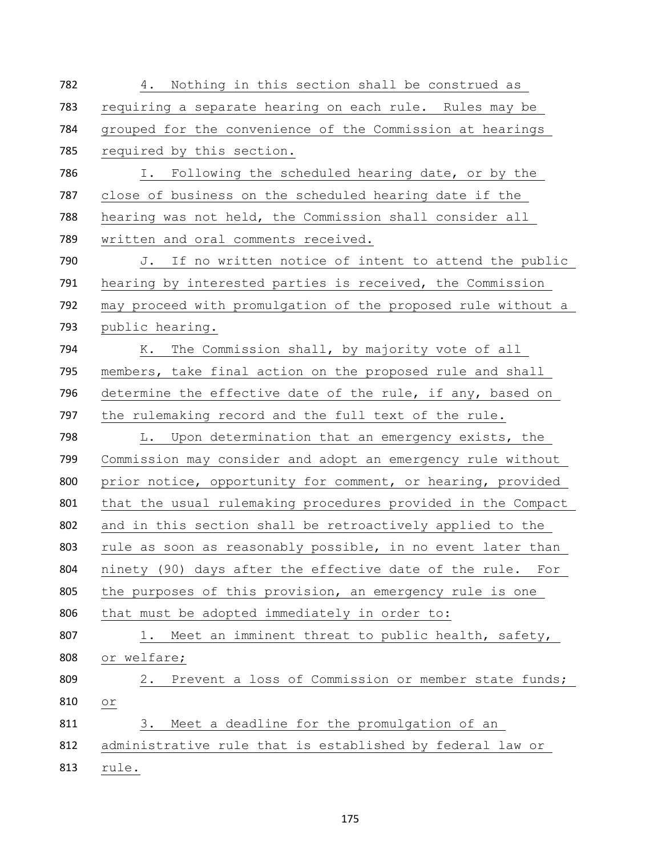| 782 | 4. Nothing in this section shall be construed as             |
|-----|--------------------------------------------------------------|
| 783 | requiring a separate hearing on each rule. Rules may be      |
| 784 | grouped for the convenience of the Commission at hearings    |
| 785 | required by this section.                                    |
| 786 | I. Following the scheduled hearing date, or by the           |
| 787 | close of business on the scheduled hearing date if the       |
| 788 | hearing was not held, the Commission shall consider all      |
| 789 | written and oral comments received.                          |
| 790 | J. If no written notice of intent to attend the public       |
| 791 | hearing by interested parties is received, the Commission    |
| 792 | may proceed with promulgation of the proposed rule without a |
| 793 | public hearing.                                              |
| 794 | K. The Commission shall, by majority vote of all             |
| 795 | members, take final action on the proposed rule and shall    |
| 796 | determine the effective date of the rule, if any, based on   |
| 797 | the rulemaking record and the full text of the rule.         |
| 798 | L. Upon determination that an emergency exists, the          |
| 799 | Commission may consider and adopt an emergency rule without  |
| 800 | prior notice, opportunity for comment, or hearing, provided  |
| 801 | that the usual rulemaking procedures provided in the Compact |
| 802 | and in this section shall be retroactively applied to the    |
| 803 | rule as soon as reasonably possible, in no event later than  |
| 804 | ninety (90) days after the effective date of the rule. For   |
| 805 | the purposes of this provision, an emergency rule is one     |
| 806 | that must be adopted immediately in order to:                |
| 807 | 1. Meet an imminent threat to public health, safety,         |
| 808 | or welfare;                                                  |
| 809 | Prevent a loss of Commission or member state funds;<br>2.    |
| 810 | $\circ$ $\,$ $\,$                                            |
| 811 | 3. Meet a deadline for the promulgation of an                |
| 812 | administrative rule that is established by federal law or    |
| 813 | rule.                                                        |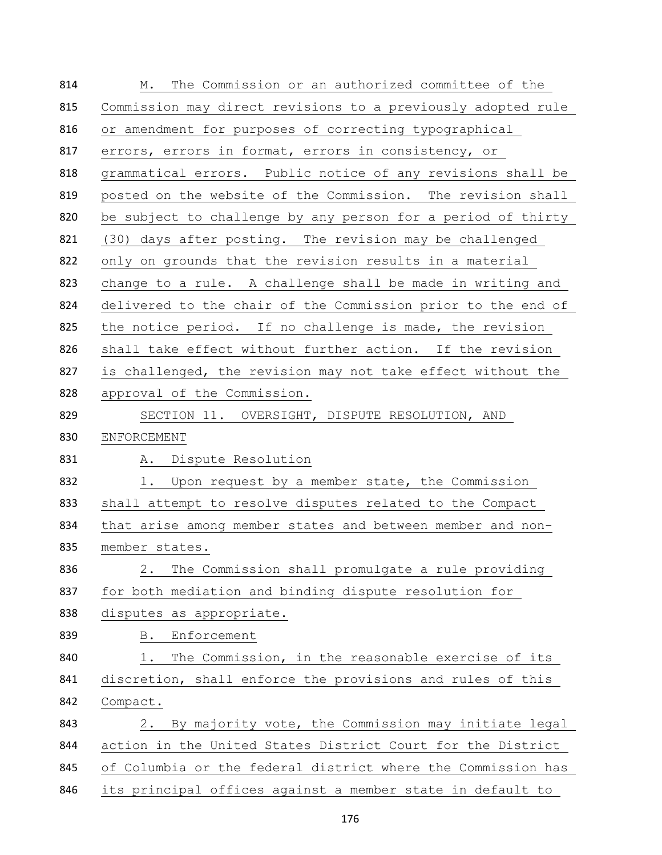| 814 | The Commission or an authorized committee of the<br>М.       |
|-----|--------------------------------------------------------------|
| 815 | Commission may direct revisions to a previously adopted rule |
| 816 | or amendment for purposes of correcting typographical        |
| 817 | errors, errors in format, errors in consistency, or          |
| 818 | grammatical errors. Public notice of any revisions shall be  |
| 819 | posted on the website of the Commission. The revision shall  |
| 820 | be subject to challenge by any person for a period of thirty |
| 821 | (30) days after posting. The revision may be challenged      |
| 822 | only on grounds that the revision results in a material      |
| 823 | change to a rule. A challenge shall be made in writing and   |
| 824 | delivered to the chair of the Commission prior to the end of |
| 825 | the notice period. If no challenge is made, the revision     |
| 826 | shall take effect without further action. If the revision    |
| 827 | is challenged, the revision may not take effect without the  |
| 828 | approval of the Commission.                                  |
| 829 | SECTION 11. OVERSIGHT, DISPUTE RESOLUTION, AND               |
| 830 | ENFORCEMENT                                                  |
| 831 | A. Dispute Resolution                                        |
| 832 | 1. Upon request by a member state, the Commission            |
| 833 | shall attempt to resolve disputes related to the Compact     |
| 834 | that arise among member states and between member and non-   |
| 835 | member states.                                               |
| 836 | The Commission shall promulgate a rule providing<br>2.       |
| 837 | for both mediation and binding dispute resolution for        |
| 838 | disputes as appropriate.                                     |
| 839 | <b>B</b> .<br>Enforcement                                    |
| 840 | The Commission, in the reasonable exercise of its<br>1.      |
| 841 | discretion, shall enforce the provisions and rules of this   |
| 842 | Compact.                                                     |
| 843 | By majority vote, the Commission may initiate legal<br>2.    |
| 844 | action in the United States District Court for the District  |
| 845 | of Columbia or the federal district where the Commission has |
| 846 | its principal offices against a member state in default to   |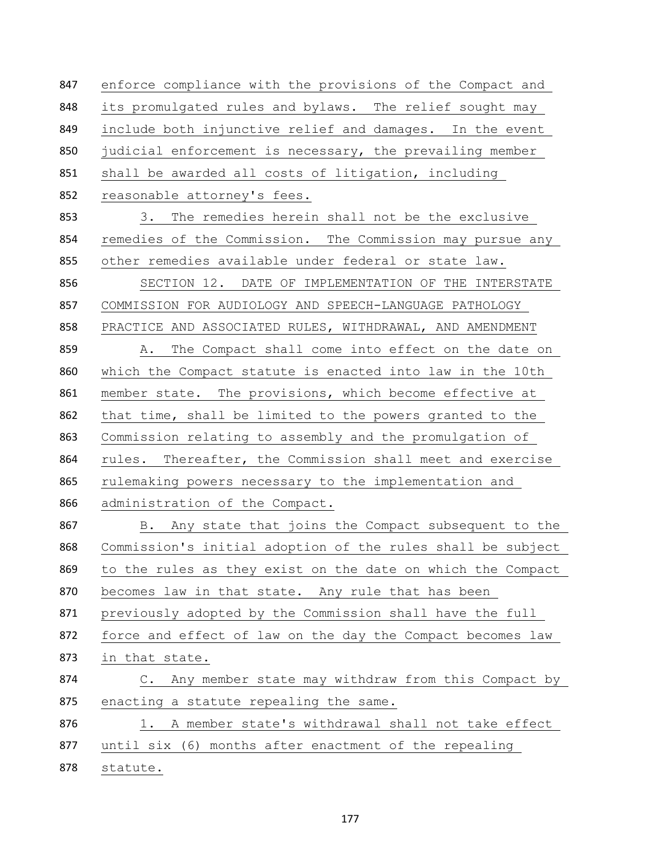enforce compliance with the provisions of the Compact and its promulgated rules and bylaws. The relief sought may include both injunctive relief and damages. In the event 850 judicial enforcement is necessary, the prevailing member shall be awarded all costs of litigation, including reasonable attorney's fees. 3. The remedies herein shall not be the exclusive remedies of the Commission. The Commission may pursue any other remedies available under federal or state law. SECTION 12. DATE OF IMPLEMENTATION OF THE INTERSTATE COMMISSION FOR AUDIOLOGY AND SPEECH-LANGUAGE PATHOLOGY PRACTICE AND ASSOCIATED RULES, WITHDRAWAL, AND AMENDMENT A. The Compact shall come into effect on the date on which the Compact statute is enacted into law in the 10th member state. The provisions, which become effective at that time, shall be limited to the powers granted to the Commission relating to assembly and the promulgation of rules. Thereafter, the Commission shall meet and exercise rulemaking powers necessary to the implementation and administration of the Compact. B. Any state that joins the Compact subsequent to the Commission's initial adoption of the rules shall be subject to the rules as they exist on the date on which the Compact 870 becomes law in that state. Any rule that has been previously adopted by the Commission shall have the full force and effect of law on the day the Compact becomes law in that state. 874 C. Any member state may withdraw from this Compact by 875 enacting a statute repealing the same. 876 1. A member state's withdrawal shall not take effect until six (6) months after enactment of the repealing statute.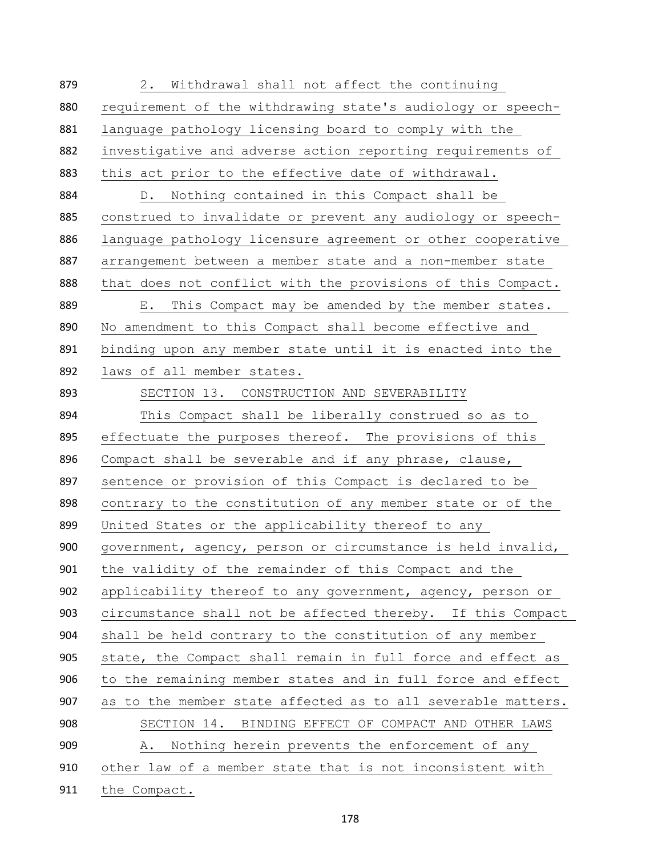2. Withdrawal shall not affect the continuing requirement of the withdrawing state's audiology or speech- language pathology licensing board to comply with the investigative and adverse action reporting requirements of this act prior to the effective date of withdrawal. D. Nothing contained in this Compact shall be construed to invalidate or prevent any audiology or speech- language pathology licensure agreement or other cooperative 887 arrangement between a member state and a non-member state 888 that does not conflict with the provisions of this Compact. E. This Compact may be amended by the member states. No amendment to this Compact shall become effective and binding upon any member state until it is enacted into the laws of all member states. SECTION 13. CONSTRUCTION AND SEVERABILITY This Compact shall be liberally construed so as to 895 effectuate the purposes thereof. The provisions of this Compact shall be severable and if any phrase, clause, sentence or provision of this Compact is declared to be contrary to the constitution of any member state or of the United States or the applicability thereof to any government, agency, person or circumstance is held invalid, the validity of the remainder of this Compact and the applicability thereof to any government, agency, person or circumstance shall not be affected thereby. If this Compact shall be held contrary to the constitution of any member state, the Compact shall remain in full force and effect as to the remaining member states and in full force and effect 907 as to the member state affected as to all severable matters. SECTION 14. BINDING EFFECT OF COMPACT AND OTHER LAWS A. Nothing herein prevents the enforcement of any other law of a member state that is not inconsistent with the Compact.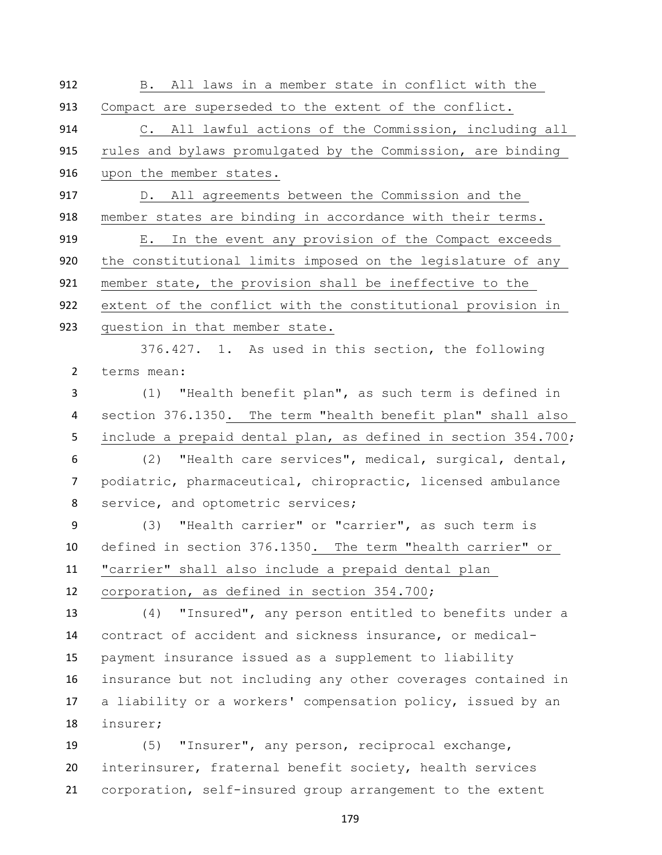| 912            | B. All laws in a member state in conflict with the            |
|----------------|---------------------------------------------------------------|
| 913            | Compact are superseded to the extent of the conflict.         |
| 914            | C. All lawful actions of the Commission, including all        |
| 915            | rules and bylaws promulgated by the Commission, are binding   |
| 916            | upon the member states.                                       |
| 917            | D. All agreements between the Commission and the              |
| 918            | member states are binding in accordance with their terms.     |
| 919            | E. In the event any provision of the Compact exceeds          |
| 920            | the constitutional limits imposed on the legislature of any   |
| 921            | member state, the provision shall be ineffective to the       |
| 922            | extent of the conflict with the constitutional provision in   |
| 923            | question in that member state.                                |
|                | 376.427. 1. As used in this section, the following            |
| $\overline{2}$ | terms mean:                                                   |
| 3              | (1) "Health benefit plan", as such term is defined in         |
| 4              | section 376.1350. The term "health benefit plan" shall also   |
| 5              | include a prepaid dental plan, as defined in section 354.700; |
| 6              | (2) "Health care services", medical, surgical, dental,        |
| 7              | podiatric, pharmaceutical, chiropractic, licensed ambulance   |
| 8              | service, and optometric services;                             |
| 9              | (3) "Health carrier" or "carrier", as such term is            |
| 10             | defined in section 376.1350. The term "health carrier" or     |
| 11             | "carrier" shall also include a prepaid dental plan            |
| 12             | corporation, as defined in section 354.700;                   |
| 13             | "Insured", any person entitled to benefits under a<br>(4)     |
| 14             | contract of accident and sickness insurance, or medical-      |
| 15             | payment insurance issued as a supplement to liability         |
| 16             | insurance but not including any other coverages contained in  |
| 17             | a liability or a workers' compensation policy, issued by an   |
| 18             | insurer;                                                      |
| 19             | "Insurer", any person, reciprocal exchange,<br>(5)            |
| 20             | interinsurer, fraternal benefit society, health services      |
| 21             | corporation, self-insured group arrangement to the extent     |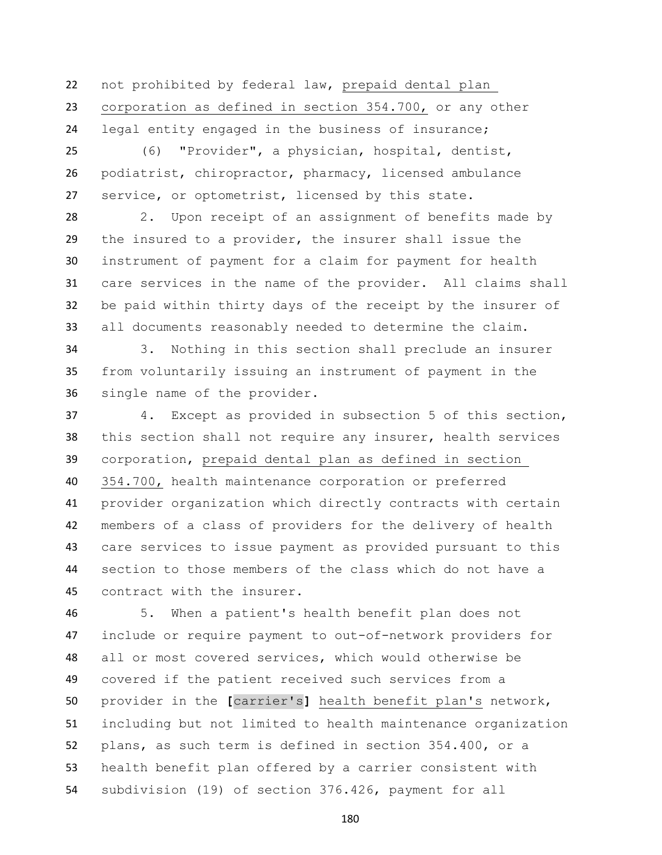not prohibited by federal law, prepaid dental plan corporation as defined in section 354.700, or any other legal entity engaged in the business of insurance;

 (6) "Provider", a physician, hospital, dentist, podiatrist, chiropractor, pharmacy, licensed ambulance service, or optometrist, licensed by this state.

 2. Upon receipt of an assignment of benefits made by the insured to a provider, the insurer shall issue the instrument of payment for a claim for payment for health care services in the name of the provider. All claims shall be paid within thirty days of the receipt by the insurer of all documents reasonably needed to determine the claim.

 3. Nothing in this section shall preclude an insurer from voluntarily issuing an instrument of payment in the single name of the provider.

 4. Except as provided in subsection 5 of this section, this section shall not require any insurer, health services corporation, prepaid dental plan as defined in section 354.700, health maintenance corporation or preferred provider organization which directly contracts with certain members of a class of providers for the delivery of health care services to issue payment as provided pursuant to this section to those members of the class which do not have a contract with the insurer.

 5. When a patient's health benefit plan does not include or require payment to out-of-network providers for all or most covered services, which would otherwise be covered if the patient received such services from a provider in the **[**carrier's**]** health benefit plan's network, including but not limited to health maintenance organization plans, as such term is defined in section 354.400, or a health benefit plan offered by a carrier consistent with subdivision (19) of section 376.426, payment for all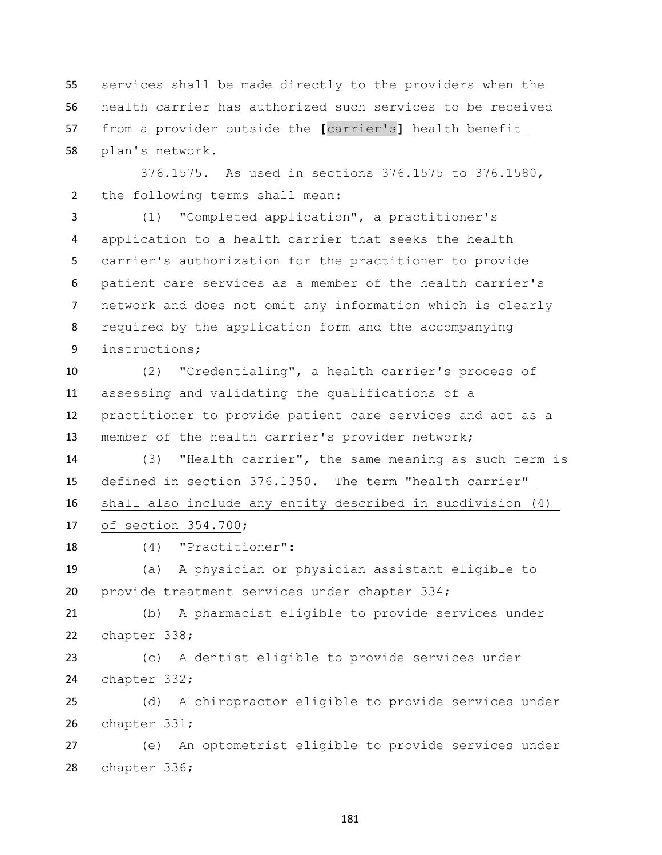services shall be made directly to the providers when the health carrier has authorized such services to be received from a provider outside the **[**carrier's**]** health benefit plan's network.

 376.1575. As used in sections 376.1575 to 376.1580, the following terms shall mean:

 (1) "Completed application", a practitioner's application to a health carrier that seeks the health carrier's authorization for the practitioner to provide patient care services as a member of the health carrier's network and does not omit any information which is clearly required by the application form and the accompanying instructions;

 (2) "Credentialing", a health carrier's process of assessing and validating the qualifications of a practitioner to provide patient care services and act as a member of the health carrier's provider network;

 (3) "Health carrier", the same meaning as such term is defined in section 376.1350. The term "health carrier" shall also include any entity described in subdivision (4)

of section 354.700;

(4) "Practitioner":

 (a) A physician or physician assistant eligible to provide treatment services under chapter 334;

 (b) A pharmacist eligible to provide services under chapter 338;

 (c) A dentist eligible to provide services under chapter 332;

 (d) A chiropractor eligible to provide services under chapter 331;

 (e) An optometrist eligible to provide services under chapter 336;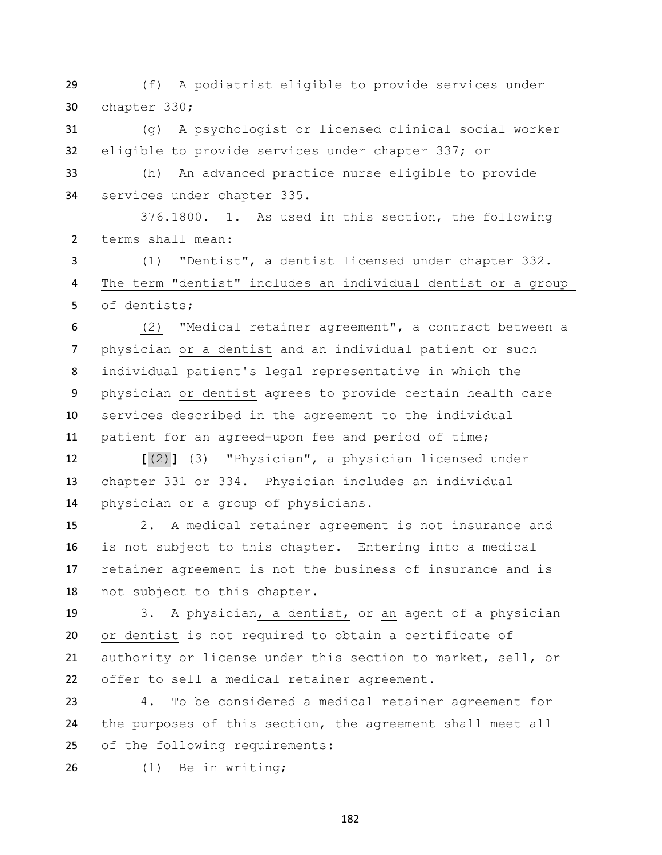(f) A podiatrist eligible to provide services under chapter 330;

 (g) A psychologist or licensed clinical social worker eligible to provide services under chapter 337; or

 (h) An advanced practice nurse eligible to provide services under chapter 335.

 376.1800. 1. As used in this section, the following terms shall mean:

 (1) "Dentist", a dentist licensed under chapter 332. The term "dentist" includes an individual dentist or a group of dentists;

 (2) "Medical retainer agreement", a contract between a physician or a dentist and an individual patient or such individual patient's legal representative in which the physician or dentist agrees to provide certain health care services described in the agreement to the individual patient for an agreed-upon fee and period of time;

 **[**(2)**]** (3) "Physician", a physician licensed under chapter 331 or 334. Physician includes an individual physician or a group of physicians.

 2. A medical retainer agreement is not insurance and is not subject to this chapter. Entering into a medical retainer agreement is not the business of insurance and is not subject to this chapter.

 3. A physician, a dentist, or an agent of a physician or dentist is not required to obtain a certificate of authority or license under this section to market, sell, or offer to sell a medical retainer agreement.

 4. To be considered a medical retainer agreement for the purposes of this section, the agreement shall meet all of the following requirements:

(1) Be in writing;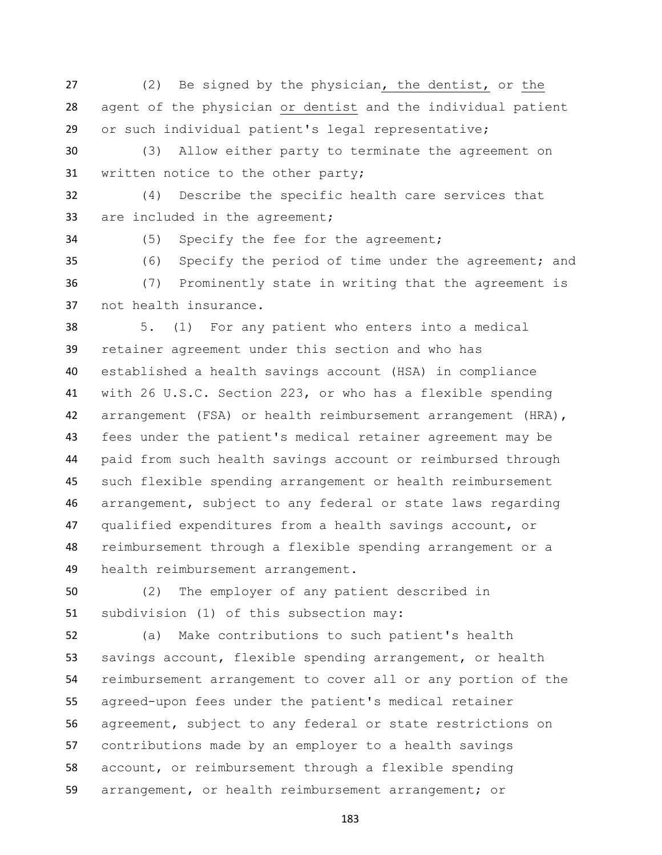(2) Be signed by the physician, the dentist, or the agent of the physician or dentist and the individual patient or such individual patient's legal representative;

 (3) Allow either party to terminate the agreement on written notice to the other party;

 (4) Describe the specific health care services that are included in the agreement;

(5) Specify the fee for the agreement;

 (6) Specify the period of time under the agreement; and (7) Prominently state in writing that the agreement is not health insurance.

 5. (1) For any patient who enters into a medical retainer agreement under this section and who has established a health savings account (HSA) in compliance with 26 U.S.C. Section 223, or who has a flexible spending arrangement (FSA) or health reimbursement arrangement (HRA), fees under the patient's medical retainer agreement may be paid from such health savings account or reimbursed through such flexible spending arrangement or health reimbursement arrangement, subject to any federal or state laws regarding qualified expenditures from a health savings account, or reimbursement through a flexible spending arrangement or a health reimbursement arrangement.

 (2) The employer of any patient described in subdivision (1) of this subsection may:

 (a) Make contributions to such patient's health savings account, flexible spending arrangement, or health reimbursement arrangement to cover all or any portion of the agreed-upon fees under the patient's medical retainer agreement, subject to any federal or state restrictions on contributions made by an employer to a health savings account, or reimbursement through a flexible spending arrangement, or health reimbursement arrangement; or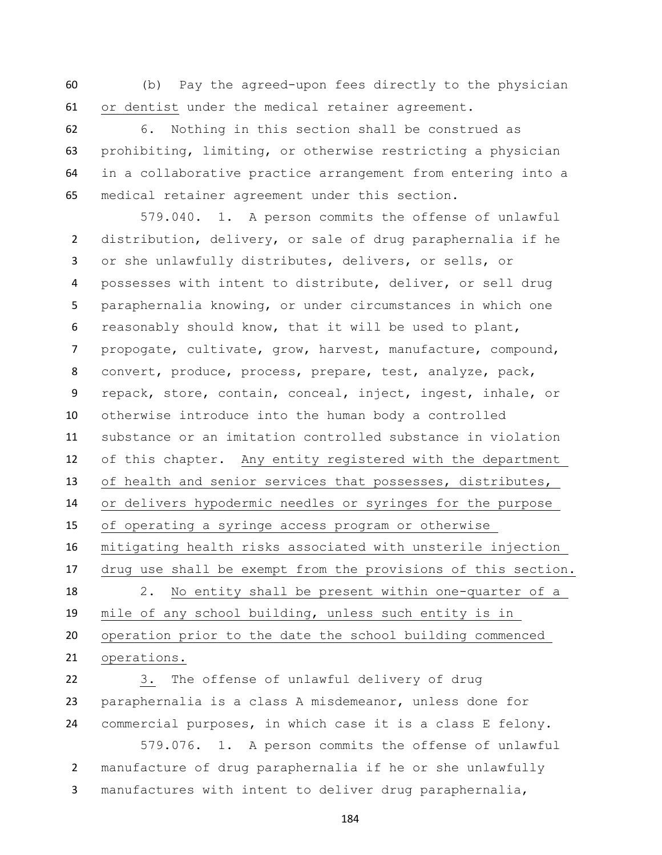(b) Pay the agreed-upon fees directly to the physician or dentist under the medical retainer agreement.

 6. Nothing in this section shall be construed as prohibiting, limiting, or otherwise restricting a physician in a collaborative practice arrangement from entering into a medical retainer agreement under this section.

579.040. 1. A person commits the offense of unlawful distribution, delivery, or sale of drug paraphernalia if he or she unlawfully distributes, delivers, or sells, or possesses with intent to distribute, deliver, or sell drug paraphernalia knowing, or under circumstances in which one reasonably should know, that it will be used to plant, propogate, cultivate, grow, harvest, manufacture, compound, convert, produce, process, prepare, test, analyze, pack, repack, store, contain, conceal, inject, ingest, inhale, or otherwise introduce into the human body a controlled substance or an imitation controlled substance in violation of this chapter. Any entity registered with the department of health and senior services that possesses, distributes, or delivers hypodermic needles or syringes for the purpose of operating a syringe access program or otherwise mitigating health risks associated with unsterile injection drug use shall be exempt from the provisions of this section. 2. No entity shall be present within one-quarter of a mile of any school building, unless such entity is in operation prior to the date the school building commenced operations.

 3. The offense of unlawful delivery of drug paraphernalia is a class A misdemeanor, unless done for commercial purposes, in which case it is a class E felony.

579.076. 1. A person commits the offense of unlawful manufacture of drug paraphernalia if he or she unlawfully manufactures with intent to deliver drug paraphernalia,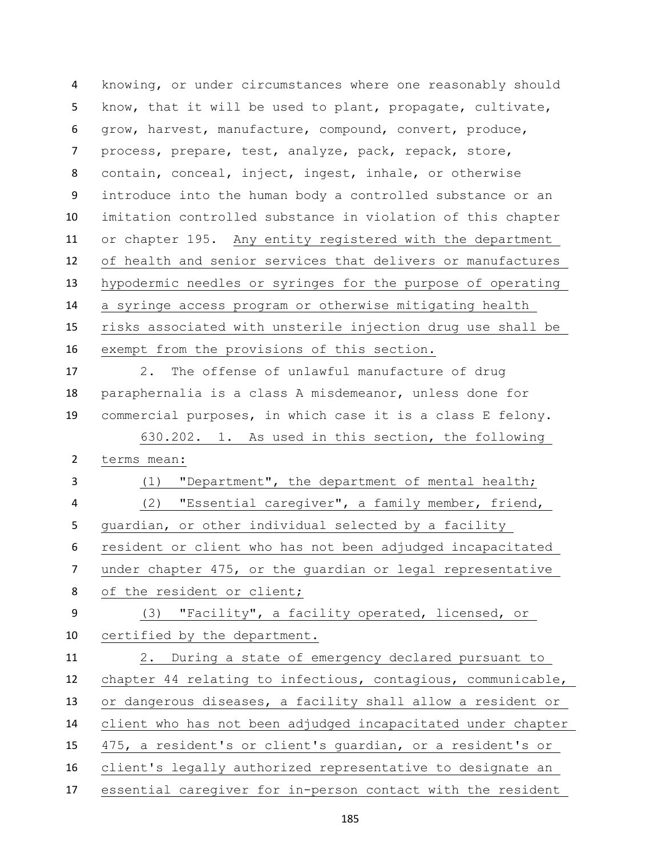knowing, or under circumstances where one reasonably should know, that it will be used to plant, propagate, cultivate, grow, harvest, manufacture, compound, convert, produce, process, prepare, test, analyze, pack, repack, store, contain, conceal, inject, ingest, inhale, or otherwise introduce into the human body a controlled substance or an imitation controlled substance in violation of this chapter or chapter 195. Any entity registered with the department of health and senior services that delivers or manufactures hypodermic needles or syringes for the purpose of operating a syringe access program or otherwise mitigating health risks associated with unsterile injection drug use shall be exempt from the provisions of this section. 2. The offense of unlawful manufacture of drug paraphernalia is a class A misdemeanor, unless done for commercial purposes, in which case it is a class E felony. 630.202. 1. As used in this section, the following terms mean: (1) "Department", the department of mental health; (2) "Essential caregiver", a family member, friend, guardian, or other individual selected by a facility resident or client who has not been adjudged incapacitated under chapter 475, or the guardian or legal representative of the resident or client; (3) "Facility", a facility operated, licensed, or certified by the department. 2. During a state of emergency declared pursuant to chapter 44 relating to infectious, contagious, communicable, or dangerous diseases, a facility shall allow a resident or client who has not been adjudged incapacitated under chapter 475, a resident's or client's guardian, or a resident's or client's legally authorized representative to designate an essential caregiver for in-person contact with the resident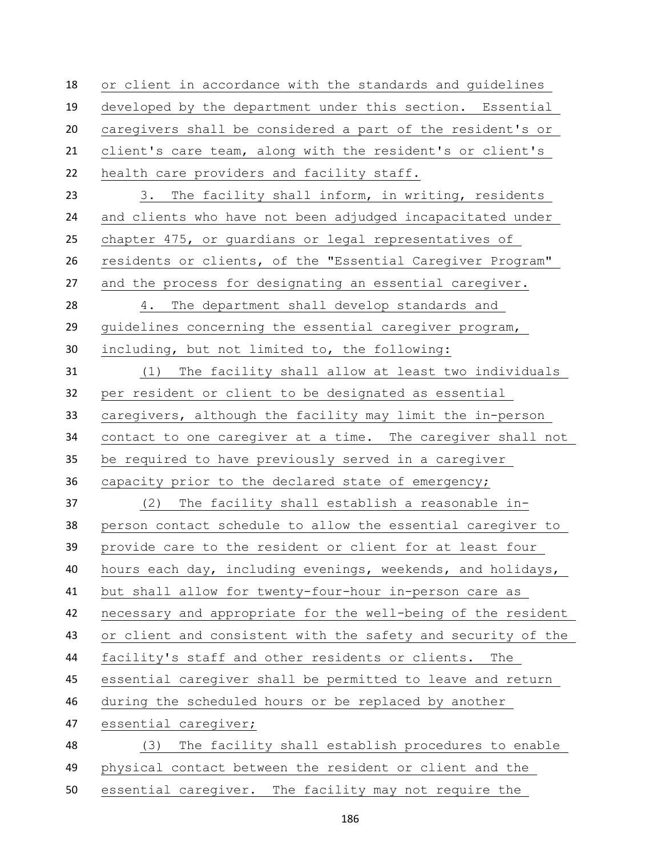or client in accordance with the standards and guidelines developed by the department under this section. Essential caregivers shall be considered a part of the resident's or client's care team, along with the resident's or client's health care providers and facility staff. 3. The facility shall inform, in writing, residents and clients who have not been adjudged incapacitated under chapter 475, or guardians or legal representatives of residents or clients, of the "Essential Caregiver Program" and the process for designating an essential caregiver. 4. The department shall develop standards and guidelines concerning the essential caregiver program, including, but not limited to, the following: (1) The facility shall allow at least two individuals per resident or client to be designated as essential caregivers, although the facility may limit the in-person contact to one caregiver at a time. The caregiver shall not be required to have previously served in a caregiver capacity prior to the declared state of emergency; (2) The facility shall establish a reasonable in- person contact schedule to allow the essential caregiver to provide care to the resident or client for at least four hours each day, including evenings, weekends, and holidays, but shall allow for twenty-four-hour in-person care as necessary and appropriate for the well-being of the resident or client and consistent with the safety and security of the facility's staff and other residents or clients. The essential caregiver shall be permitted to leave and return during the scheduled hours or be replaced by another essential caregiver; (3) The facility shall establish procedures to enable physical contact between the resident or client and the essential caregiver. The facility may not require the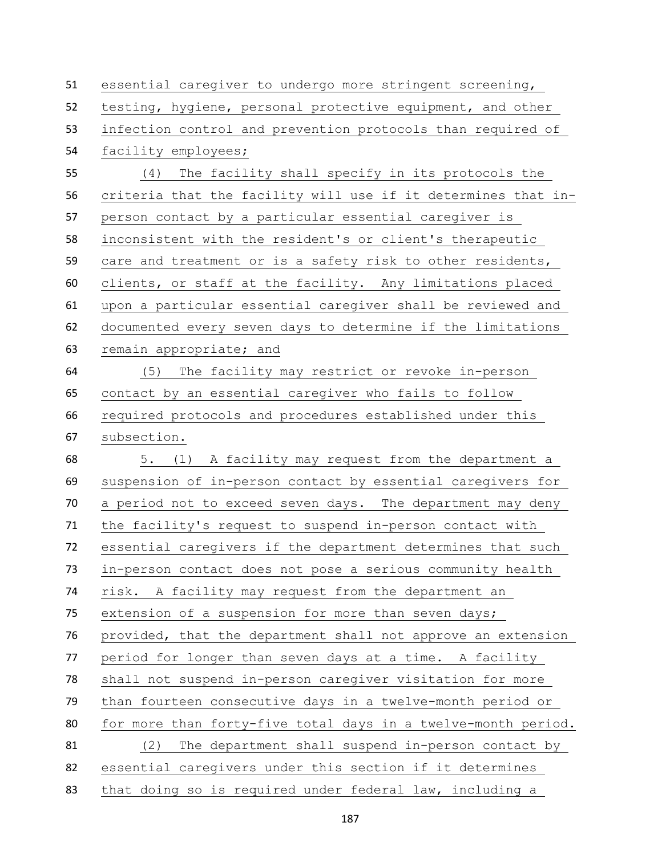| 51 | essential caregiver to undergo more stringent screening,      |
|----|---------------------------------------------------------------|
| 52 | testing, hygiene, personal protective equipment, and other    |
| 53 | infection control and prevention protocols than required of   |
| 54 | facility employees;                                           |
| 55 | (4) The facility shall specify in its protocols the           |
| 56 | criteria that the facility will use if it determines that in- |
| 57 | person contact by a particular essential caregiver is         |
| 58 | inconsistent with the resident's or client's therapeutic      |
| 59 | care and treatment or is a safety risk to other residents,    |
| 60 | clients, or staff at the facility. Any limitations placed     |
| 61 | upon a particular essential caregiver shall be reviewed and   |
| 62 | documented every seven days to determine if the limitations   |
| 63 | remain appropriate; and                                       |
| 64 | (5)<br>The facility may restrict or revoke in-person          |
| 65 | contact by an essential caregiver who fails to follow         |
| 66 | required protocols and procedures established under this      |
| 67 | subsection.                                                   |
| 68 | 5. (1) A facility may request from the department a           |
| 69 | suspension of in-person contact by essential caregivers for   |
| 70 | a period not to exceed seven days. The department may deny    |
| 71 | the facility's request to suspend in-person contact with      |
| 72 | essential caregivers if the department determines that such   |
| 73 | in-person contact does not pose a serious community health    |
| 74 | risk. A facility may request from the department an           |
| 75 | extension of a suspension for more than seven days;           |
| 76 | provided, that the department shall not approve an extension  |
| 77 | period for longer than seven days at a time. A facility       |
| 78 | shall not suspend in-person caregiver visitation for more     |
| 79 | than fourteen consecutive days in a twelve-month period or    |
| 80 | for more than forty-five total days in a twelve-month period. |
| 81 | (2)<br>The department shall suspend in-person contact by      |
| 82 | essential caregivers under this section if it determines      |
| 83 | that doing so is required under federal law, including a      |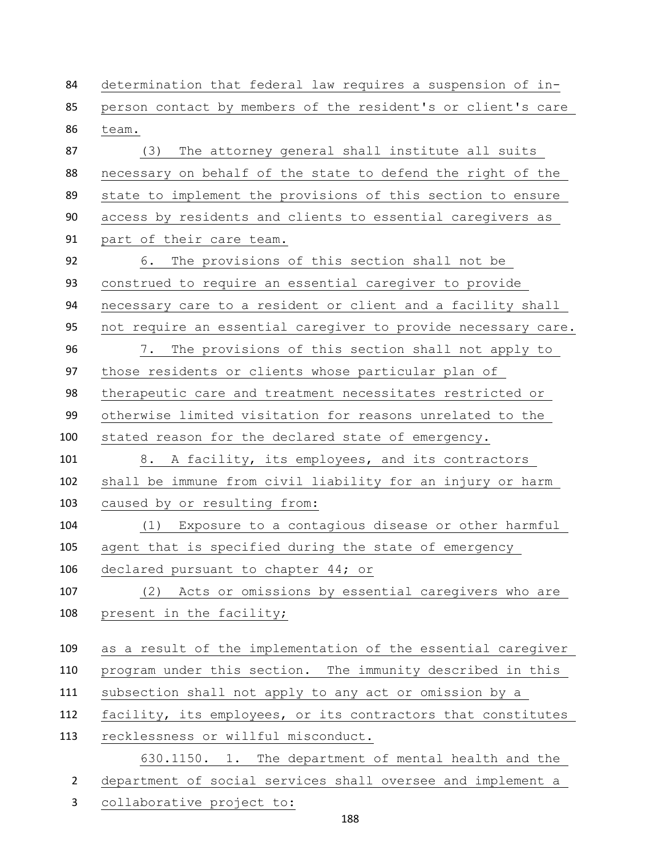determination that federal law requires a suspension of in- person contact by members of the resident's or client's care team. (3) The attorney general shall institute all suits necessary on behalf of the state to defend the right of the state to implement the provisions of this section to ensure access by residents and clients to essential caregivers as part of their care team. 6. The provisions of this section shall not be construed to require an essential caregiver to provide necessary care to a resident or client and a facility shall not require an essential caregiver to provide necessary care. 7. The provisions of this section shall not apply to those residents or clients whose particular plan of therapeutic care and treatment necessitates restricted or otherwise limited visitation for reasons unrelated to the stated reason for the declared state of emergency. 8. A facility, its employees, and its contractors shall be immune from civil liability for an injury or harm caused by or resulting from: (1) Exposure to a contagious disease or other harmful agent that is specified during the state of emergency declared pursuant to chapter 44; or (2) Acts or omissions by essential caregivers who are 108 present in the facility; as a result of the implementation of the essential caregiver program under this section. The immunity described in this subsection shall not apply to any act or omission by a facility, its employees, or its contractors that constitutes recklessness or willful misconduct. 630.1150. 1. The department of mental health and the department of social services shall oversee and implement a

collaborative project to: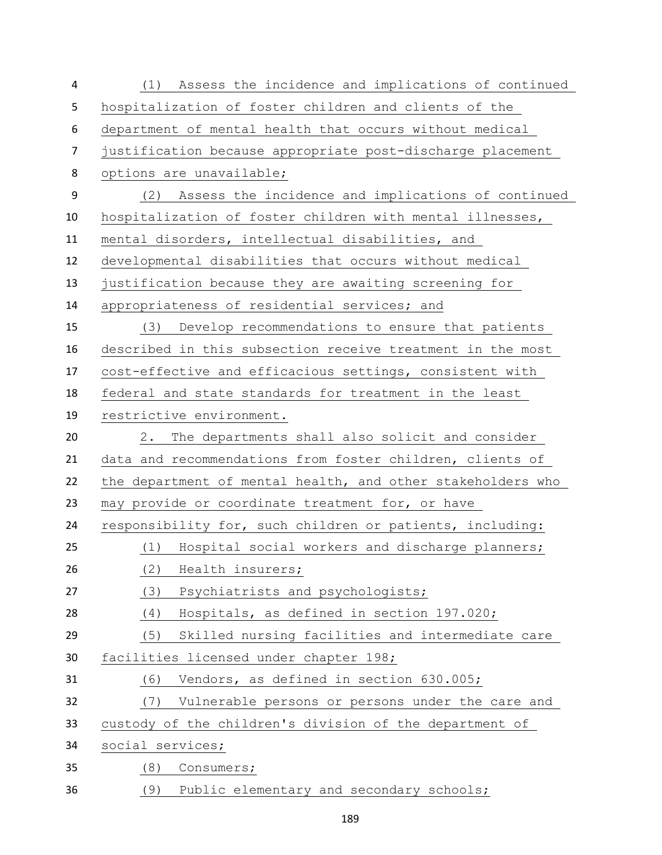| 4              | (1) Assess the incidence and implications of continued      |
|----------------|-------------------------------------------------------------|
| 5              | hospitalization of foster children and clients of the       |
| 6              | department of mental health that occurs without medical     |
| $\overline{7}$ | justification because appropriate post-discharge placement  |
| 8              | options are unavailable;                                    |
| 9              | (2) Assess the incidence and implications of continued      |
| 10             | hospitalization of foster children with mental illnesses,   |
| 11             | mental disorders, intellectual disabilities, and            |
| 12             | developmental disabilities that occurs without medical      |
| 13             | justification because they are awaiting screening for       |
| 14             | appropriateness of residential services; and                |
| 15             | (3) Develop recommendations to ensure that patients         |
| 16             | described in this subsection receive treatment in the most  |
| 17             | cost-effective and efficacious settings, consistent with    |
| 18             | federal and state standards for treatment in the least      |
| 19             | restrictive environment.                                    |
| 20             | The departments shall also solicit and consider<br>2.       |
| 21             | data and recommendations from foster children, clients of   |
| 22             | the department of mental health, and other stakeholders who |
| 23             | may provide or coordinate treatment for, or have            |
| 24             | responsibility for, such children or patients, including:   |
| 25             | (1) Hospital social workers and discharge planners;         |
| 26             | (2)<br>Health insurers;                                     |
| 27             | (3)<br>Psychiatrists and psychologists;                     |
| 28             | Hospitals, as defined in section 197.020;<br>(4)            |
| 29             | Skilled nursing facilities and intermediate care<br>(5)     |
| 30             | facilities licensed under chapter 198;                      |
| 31             | Vendors, as defined in section 630.005;<br>(6)              |
| 32             | Vulnerable persons or persons under the care and<br>(7)     |
| 33             | custody of the children's division of the department of     |
| 34             | social services;                                            |
| 35             | (8)<br>Consumers;                                           |
| 36             | (9) Public elementary and secondary schools;                |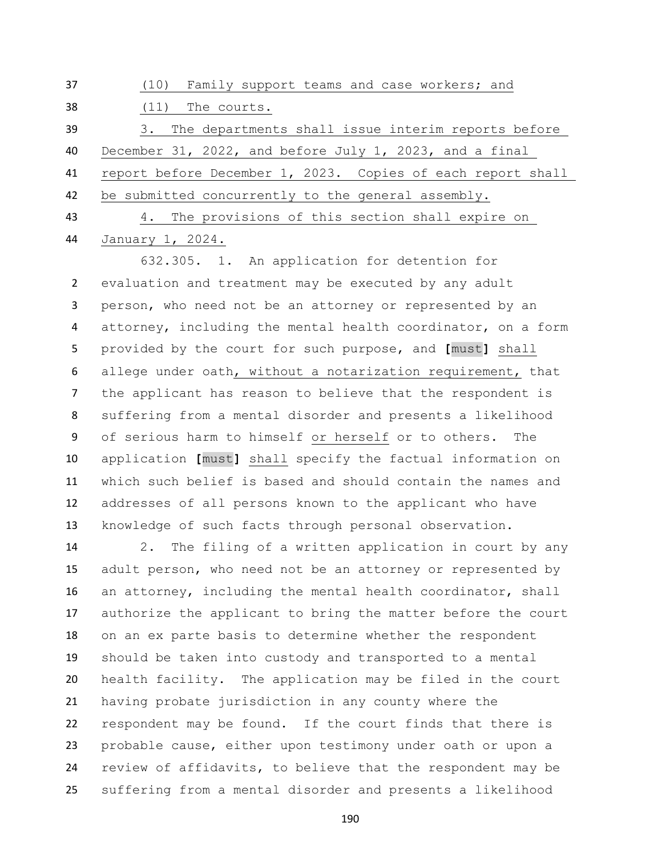| 37 | (10) Family support teams and case workers; and             |
|----|-------------------------------------------------------------|
| 38 | The courts.<br>(11)                                         |
| 39 | The departments shall issue interim reports before<br>3.    |
| 40 | December 31, 2022, and before July 1, 2023, and a final     |
| 41 | report before December 1, 2023. Copies of each report shall |
| 42 | be submitted concurrently to the general assembly.          |
| 43 | 4. The provisions of this section shall expire on           |

January 1, 2024.

632.305. 1. An application for detention for evaluation and treatment may be executed by any adult person, who need not be an attorney or represented by an attorney, including the mental health coordinator, on a form provided by the court for such purpose, and **[**must**]** shall allege under oath, without a notarization requirement, that the applicant has reason to believe that the respondent is suffering from a mental disorder and presents a likelihood of serious harm to himself or herself or to others. The application **[**must**]** shall specify the factual information on which such belief is based and should contain the names and addresses of all persons known to the applicant who have knowledge of such facts through personal observation.

 2. The filing of a written application in court by any 15 adult person, who need not be an attorney or represented by an attorney, including the mental health coordinator, shall authorize the applicant to bring the matter before the court on an ex parte basis to determine whether the respondent should be taken into custody and transported to a mental health facility. The application may be filed in the court having probate jurisdiction in any county where the respondent may be found. If the court finds that there is probable cause, either upon testimony under oath or upon a review of affidavits, to believe that the respondent may be suffering from a mental disorder and presents a likelihood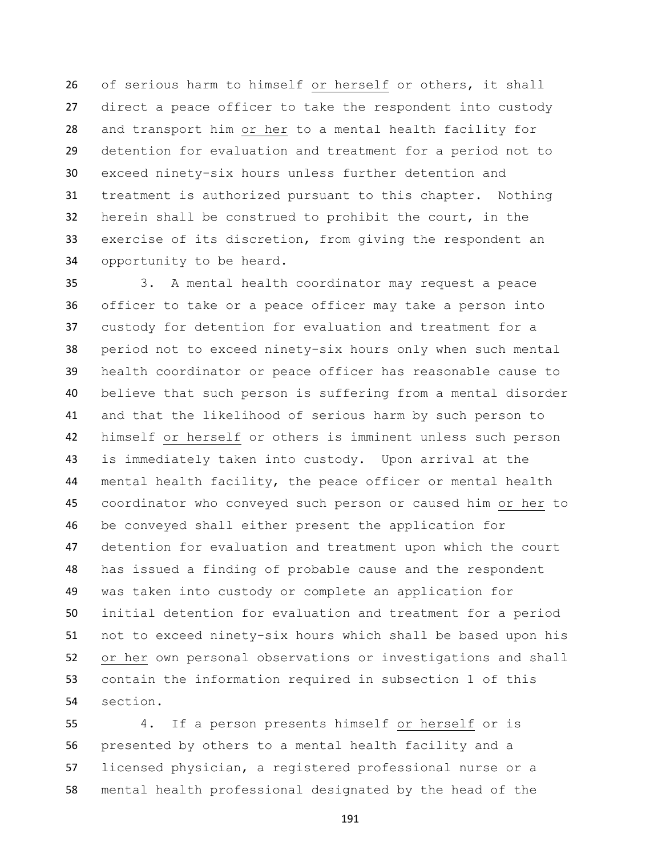of serious harm to himself or herself or others, it shall direct a peace officer to take the respondent into custody and transport him or her to a mental health facility for detention for evaluation and treatment for a period not to exceed ninety-six hours unless further detention and treatment is authorized pursuant to this chapter. Nothing herein shall be construed to prohibit the court, in the exercise of its discretion, from giving the respondent an opportunity to be heard.

 3. A mental health coordinator may request a peace officer to take or a peace officer may take a person into custody for detention for evaluation and treatment for a period not to exceed ninety-six hours only when such mental health coordinator or peace officer has reasonable cause to believe that such person is suffering from a mental disorder and that the likelihood of serious harm by such person to himself or herself or others is imminent unless such person is immediately taken into custody. Upon arrival at the mental health facility, the peace officer or mental health coordinator who conveyed such person or caused him or her to be conveyed shall either present the application for detention for evaluation and treatment upon which the court has issued a finding of probable cause and the respondent was taken into custody or complete an application for initial detention for evaluation and treatment for a period not to exceed ninety-six hours which shall be based upon his or her own personal observations or investigations and shall contain the information required in subsection 1 of this section.

 4. If a person presents himself or herself or is presented by others to a mental health facility and a licensed physician, a registered professional nurse or a mental health professional designated by the head of the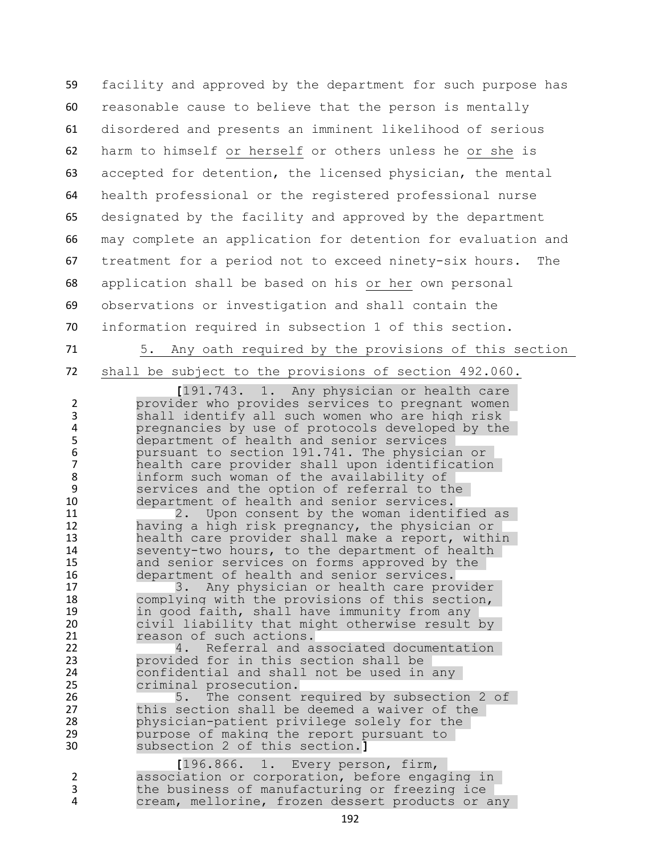facility and approved by the department for such purpose has reasonable cause to believe that the person is mentally disordered and presents an imminent likelihood of serious harm to himself or herself or others unless he or she is accepted for detention, the licensed physician, the mental health professional or the registered professional nurse designated by the facility and approved by the department may complete an application for detention for evaluation and treatment for a period not to exceed ninety-six hours. The application shall be based on his or her own personal observations or investigation and shall contain the information required in subsection 1 of this section.

71 5. Any oath required by the provisions of this section 72 shall be subject to the provisions of section 492.060.

191.743. 1. Any physician or health care<br>provider who provides services to pregnant women provider who provides services to pregnant women 3 shall identify all such women who are high risk 4 pregnancies by use of protocols developed by the<br>5 department of health and senior services department of health and senior services 6 pursuant to section 191.741. The physician or 7 bealth care provider shall upon identification<br>8 inform such woman of the availability of inform such woman of the availability of 9 services and the option of referral to the 10 department of health and senior services. 11 2. Upon consent by the woman identified as 12 having a high risk pregnancy, the physician or 13 bealth care provider shall make a report, within<br>14 Seventy-two hours, to the department of health 14 seventy-two hours, to the department of health<br>15 and senior services on forms approved by the and senior services on forms approved by the 16 department of health and senior services.<br>17 17 3. Any physician or health care prov 17 3. Any physician or health care provider<br>18 complying with the provisions of this section, 18 complying with the provisions of this section,<br>19 in good faith, shall have immunity from any 19 in good faith, shall have immunity from any<br>20 civil liability that might otherwise result 20 civil liability that might otherwise result by<br>21 The reason of such actions. 21 reason of such actions.<br>22 4. Referral and a 4. Referral and associated documentation 23 **provided for in this section shall be**<br>24 **providential and shall not be used in** 24 confidential and shall not be used in any<br>25 criminal prosecution. criminal prosecution. 26 5. The consent required by subsection 2 of 27 this section shall be deemed a waiver of the 28 physician-patient privilege solely for the 29 purpose of making the report pursuant to 30 subsection 2 of this section.**]** 1 **[**196.866. 1. Every person, firm, association or corporation, before engaging in 3 the business of manufacturing or freezing ice<br>4 cream, mellorine, frozen dessert products or a cream, mellorine, frozen dessert products or any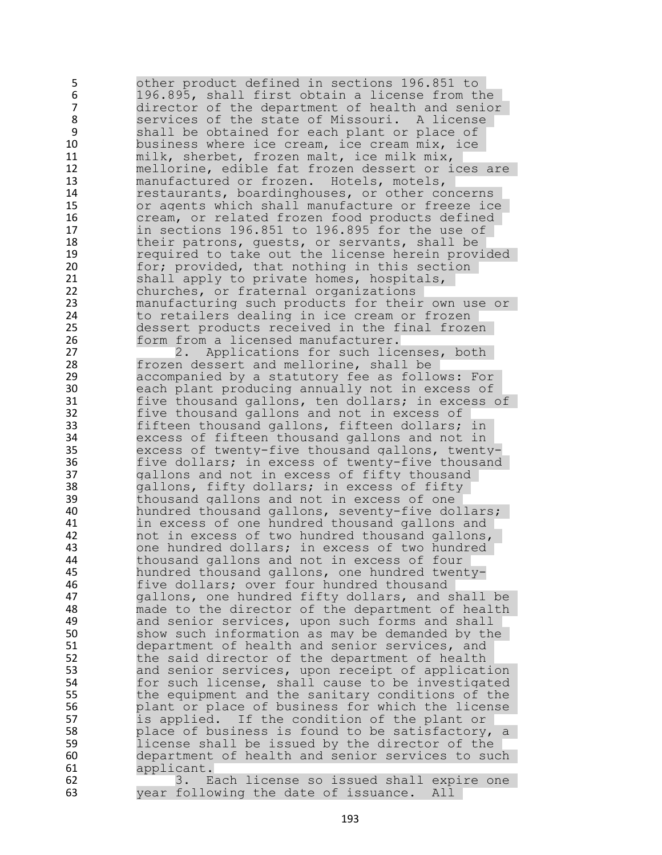5 other product defined in sections 196.851 to 6 196.895, shall first obtain a license from the director of the department of health and senior 8 services of the state of Missouri. A license<br>9 shall be obtained for each plant or place of 9 shall be obtained for each plant or place of<br>10 business where ice cream, ice cream mix, ice business where ice cream, ice cream mix, ice 11 milk, sherbet, frozen malt, ice milk mix, 12 mellorine, edible fat frozen dessert or ices are 13 manufactured or frozen. Hotels, motels, 14 restaurants, boardinghouses, or other concerns<br>15 or agents which shall manufacture or freeze ice 15 or agents which shall manufacture or freeze ice<br>16 0 16 cream, or related frozen food products defined 16 cream, or related frozen food products defined<br>17 in sections 196.851 to 196.895 for the use of 17 in sections 196.851 to 196.895 for the use of<br>18 their patrons, quests, or servants, shall be 18 their patrons, guests, or servants, shall be<br>19 meauired to take out the license herein prov 19 19 required to take out the license herein provided<br>20 10 for; provided, that nothing in this section 20 for; provided, that nothing in this section<br>21 shall apply to private homes, hospitals, 21 shall apply to private homes, hospitals,<br>22 churches, or fraternal organizations 22 churches, or fraternal organizations<br>23 manufacturing such products for their 23 manufacturing such products for their own use or<br>24 to retailers dealing in ice cream or frozen 24 to retailers dealing in ice cream or frozen<br>25 dessert products received in the final froz 25 dessert products received in the final frozen<br>26 form from a licensed manufacturer. 26 form from a licensed manufacturer.<br>27 applications for such lic 2. Applications for such licenses, both 28 frozen dessert and mellorine, shall be<br>29 accompanied by a statutory fee as follo 29 accompanied by a statutory fee as follows: For each plant producing annually not in excess of 31 five thousand gallons, ten dollars; in excess of 32 five thousand gallons and not in excess of 33 fifteen thousand gallons, fifteen dollars; in 34 excess of fifteen thousand gallons and not in<br>35 excess of twenty-five thousand gallons, twent 35 excess of twenty-five thousand gallons, twenty-<br>36 five dollars; in excess of twenty-five thousand 36 five dollars; in excess of twenty-five thousand<br>37 and not in excess of fifty thousand 37 gallons and not in excess of fifty thousand 38 gallons, fifty dollars; in excess of fifty 39 thousand gallons and not in excess of one<br>40 hundred thousand gallons, seventy-five dol hundred thousand gallons, seventy-five dollars; 41 in excess of one hundred thousand gallons and 42 not in excess of two hundred thousand gallons,<br>43 one hundred dollars: in excess of two hundred 43 one hundred dollars; in excess of two hundred<br>44 thousand gallons and not in excess of four thousand gallons and not in excess of four 45 hundred thousand gallons, one hundred twenty-46 five dollars; over four hundred thousand<br>47 and tone hundred fifty dollars, and the same and the same of the same of the same of the same of the same o gallons, one hundred fifty dollars, and shall be 48 made to the director of the department of health 49 and senior services, upon such forms and shall 50 show such information as may be demanded by the 51 department of health and senior services, and<br>52 the said director of the department of health 52 the said director of the department of health<br>53 and senior services, upon receipt of applicat 53 and senior services, upon receipt of application<br>54 for such license, shall cause to be investigated 54 for such license, shall cause to be investigated<br>55 the equipment and the sanitary conditions of the 55 the equipment and the sanitary conditions of the<br>56 blant or place of business for which the license 56 blant or place of business for which the license<br>57 is applied. If the condition of the plant or If the condition of the plant or 58 place of business is found to be satisfactory, a 59 license shall be issued by the director of the 60 department of health and senior services to such 61 applicant. 62 5. Each license so issued shall expire one<br>63 5. Sear following the date of issuance. All year following the date of issuance. All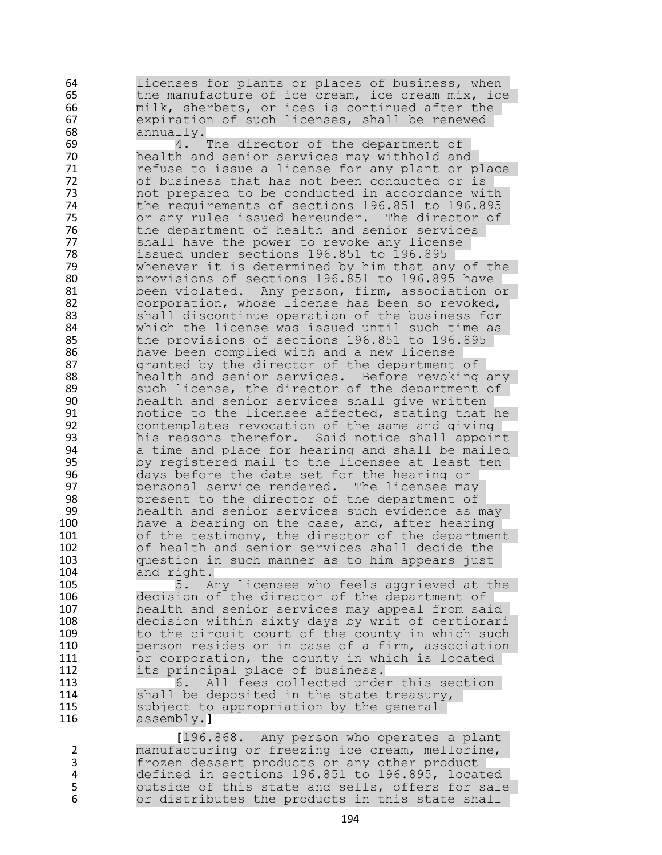64 licenses for plants or places of business, when<br>65 the manufacture of ice cream, ice cream mix, ice the manufacture of ice cream, ice cream mix, ice 66 milk, sherbets, or ices is continued after the<br>67 expiration of such licenses, shall be renewed 67 expiration of such licenses, shall be renewed<br>68 annually. annually.

69 4. The director of the department of 70 health and senior services may withhold and 71 refuse to issue a license for any plant or place<br>72 of business that has not been conducted or is of business that has not been conducted or is 73 mot prepared to be conducted in accordance with<br>74 the requirements of sections 196.851 to 196.895 74 the requirements of sections 196.851 to 196.895<br>75 or any rules issued hereunder. The director of 75 or any rules issued hereunder. The director of<br>76 the department of health and senior services 76 the department of health and senior services<br>77 Shall have the power to revoke any license 77 shall have the power to revoke any license<br>78 195.995 1881 196.895 196.895 78 issued under sections 196.851 to 196.895<br>79 whenever it is determined by him that an 79 whenever it is determined by him that any of the<br>80 brovisions of sections 196.851 to 196.895 have 80 provisions of sections 196.851 to 196.895 have<br>81 been violated. Any person, firm, association o 81 been violated. Any person, firm, association or<br>82 corporation, whose license has been so revoked. 82 corporation, whose license has been so revoked,<br>83 Shall discontinue operation of the business for 83 Shall discontinue operation of the business for<br>84 Shall the license was issued until such time as 84 but which the license was issued until such time as 185<br>85 The provisions of sections 196.851 to 196.895 the provisions of sections 196.851 to 196.895 86 have been complied with and a new license 87 aranted by the director of the department of 88 88 health and senior services. Before revoking any such license, the director of the department of 90 health and senior services shall give written 91 notice to the licensee affected, stating that he 92 contemplates revocation of the same and giving 93 his reasons therefor. Said notice shall appoint<br>94 a time and place for hearing and shall be mailed 94 a time and place for hearing and shall be mailed 95 by registered mail to the licensee at least ten 96 Boodays before the date set for the hearing or<br>197 Booksonal service rendered. The licensee may 97 personal service rendered. The licensee may 98 **present to the director of the department of**<br>99 **health and senior services such evidence as** health and senior services such evidence as may 100 have a bearing on the case, and, after hearing 101 of the testimony, the director of the department<br>102 of health and senior services shall decide the of health and senior services shall decide the 103 question in such manner as to him appears just 104 and right.

 5. Any licensee who feels aggrieved at the decision of the director of the department of health and senior services may appeal from said decision within sixty days by writ of certiorari 109 to the circuit court of the county in which such person resides or in case of a firm, association 111 or corporation, the county in which is located<br>112 its principal place of business. its principal place of business.

113 6. All fees collected under this section 114 shall be deposited in the state treasury,<br>115 subject to appropriation by the general 115 subject to appropriation by the general<br>116 assembly.] 116 assembly.**]**

I<sup>196.868</sup>. Any person who operates a plant<br>manufacturing or freezing ice cream, mellorine, manufacturing or freezing ice cream, mellorine, 3 frozen dessert products or any other product 4 defined in sections 196.851 to 196.895, located 5 outside of this state and sells, offers for sale<br>6 or distributes the products in this state shall or distributes the products in this state shall